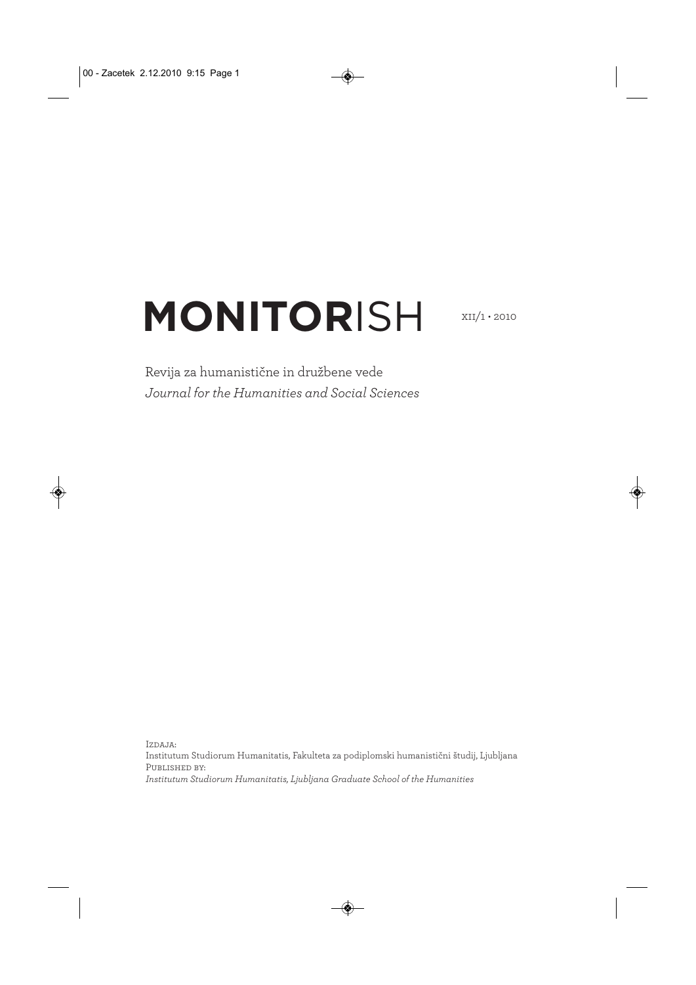## **MONITOR**ISH

 $XII/1 \cdot 2010$ 

Revija za humanistične in družbene vede *Journal for the Humanities and Social Sciences* 

Izdaja: Institutum Studiorum Humanitatis, Fakulteta za podiplomski humanistični študij, Ljubljana Published by: *Institutum Studiorum Humanitatis, Ljubljana Graduate School of the Humanities*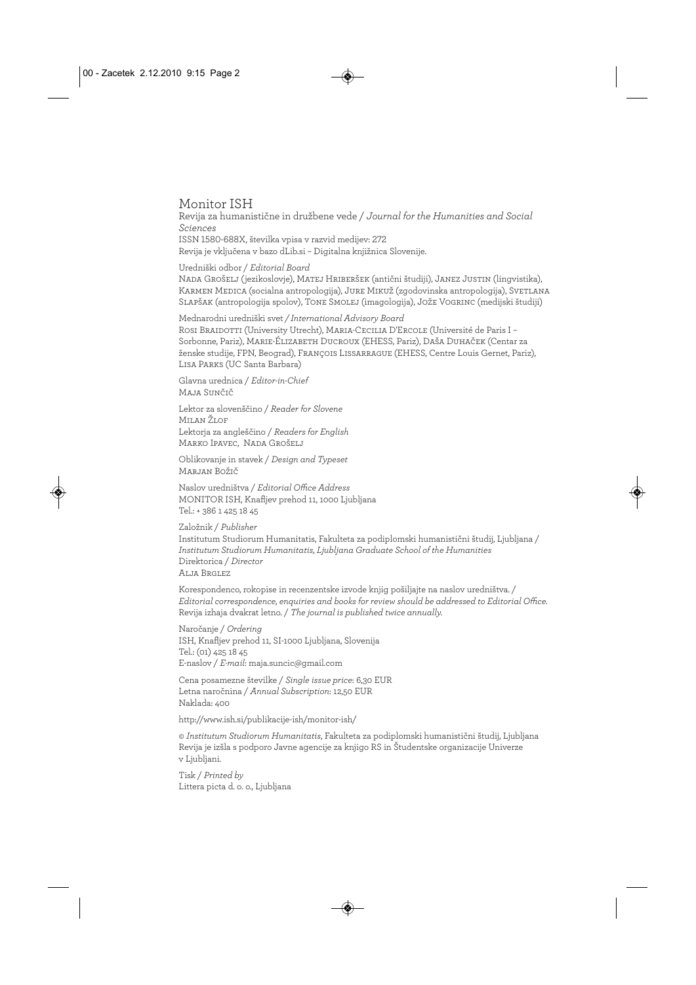#### Monitor ISH

Revija za humanistične in družbene vede / *Journal for the Humanities and Social Sciences*  ISSN 1580-688X, številka vpisa v razvid medijev: 272 Revija je vključena v bazo dLib.si – Digitalna knjižnica Slovenije.

#### Uredniški odbor / *Editorial Board*

Nada Grošelj (jezikoslovje), Matej Hriberšek (antični študiji), Janez Justin (lingvistika), Karmen Medica (socialna antropologija), Jure Mikuž (zgodovinska antropologija), Svetlana Slapšak (antropologija spolov), Tone Smolej (imagologija), Jože Vogrinc (medijski študiji)

Mednarodni uredniški svet */ International Advisory Board* Rosi Braidotti (University Utrecht), Maria-Cecilia D'Ercole (Université de Paris I – Sorbonne, Pariz), Marie-Élizabeth Ducroux (EHESS, Pariz), Daša Duhaček (Centar za ženske studije, FPN, Beograd), François Lissarrague (EHESS, Centre Louis Gernet, Pariz), Lisa Parks (UC Santa Barbara)

Glavna urednica / *Editor-in-Chief* Maja Sunčič

Lektor za slovenščino / *Reader for Slovene* Milan Žiof Lektorja za angleščino / *Readers for English* Marko Ipavec, Nada Grošelj

Oblikovanje in stavek / *Design and Typeset* Marjan Božič

Naslov uredništva / *Editorial Office Address* MONITOR ISH, Knafljev prehod 11, 1000 Ljubljana Tel.: + 386 1 425 18 45

Založnik / *Publisher* Institutum Studiorum Humanitatis, Fakulteta za podiplomski humanistični študij, Ljubljana / *Institutum Studiorum Humanitatis, Ljubljana Graduate School of the Humanities* Direktorica / *Director* Alja Brglez

Korespondenco, rokopise in recenzentske izvode knjig pošiljajte na naslov uredništva. / *Editorial correspondence, enquiries and books for review should be addressed to Editorial Office.* Revija izhaja dvakrat letno. / *The journal is published twice annually.*

Naročanje / *Ordering* ISH, Knafljev prehod 11, SI-1000 Ljubljana, Slovenija Tel.: (01) 425 18 45 E-naslov / *E-mail*: maja.suncic@gmail.com

Cena posamezne številke / *Single issue price*: 6,30 EUR Letna naročnina / *Annual Subscription*: 12,50 EUR Naklada: 400

http://www.ish.si/publikacije-ish/monitor-ish/

© *Institutum Studiorum Humanitatis*, Fakulteta za podiplomski humanistični študij, Ljubljana Revija je izšla s podporo Javne agencije za knjigo RS in Študentske organizacije Univerze v Ljubljani.

Tisk / *Printed by* Littera picta d. o. o., Ljubljana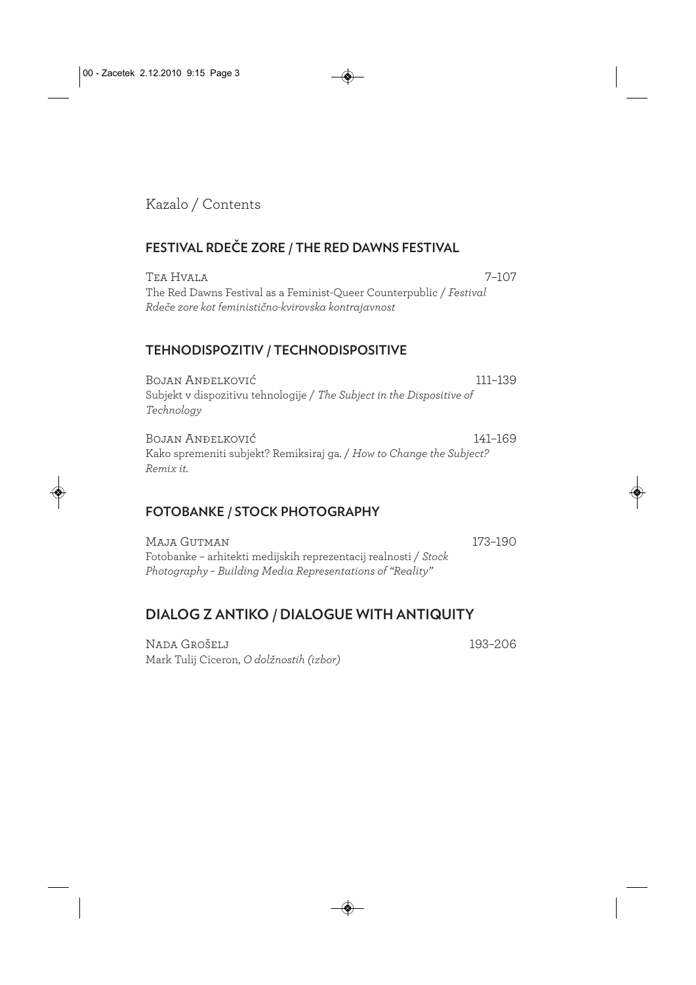Kazalo / Contents

#### **FESTIVAL RDEČE ZORE / THE RED DAWNS FESTIVAL**

Tea Hvala 7–107 The Red Dawns Festival as a Feminist-Queer Counterpublic / *Festival Rdeče zore kot feministično-kvirovska kontrajavnost*

#### **TEHNODISPOZITIV / TECHNODISPOSITIVE**

Bojan Anđelković 111–139 Subjekt v dispozitivu tehnologije / *The Subject in the Dispositive of Technology*

Bojan Anđelković 141–169 Kako spremeniti subjekt? Remiksiraj ga. / *How to Change the Subject? Remix it.*

#### **FOTOBANKE / STOCK PHOTOGRAPHY**

Maja Gutman 173–190 Fotobanke – arhitekti medijskih reprezentacij realnosti / *Stock Photography – Building Media Representations of "Reality"*

### **DIALOG Z ANTIKO / DIALOGUE WITH ANTIQUITY**

Nada Grošelj 193–206 Mark Tulij Ciceron, *O dolžnostih (izbor)*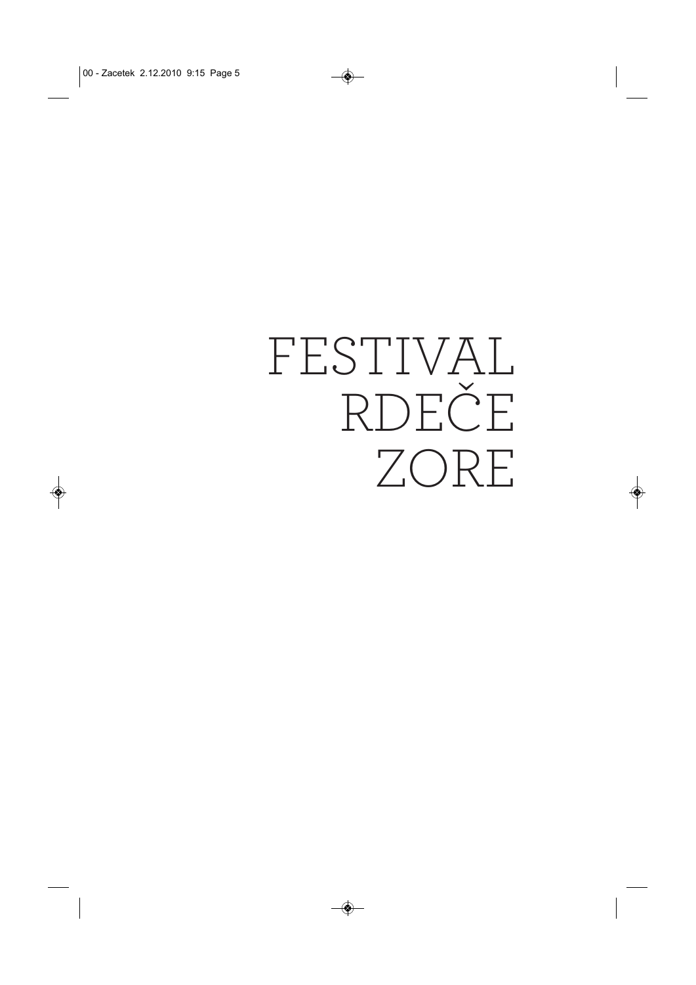# FESTIVAL RDEČE ZORE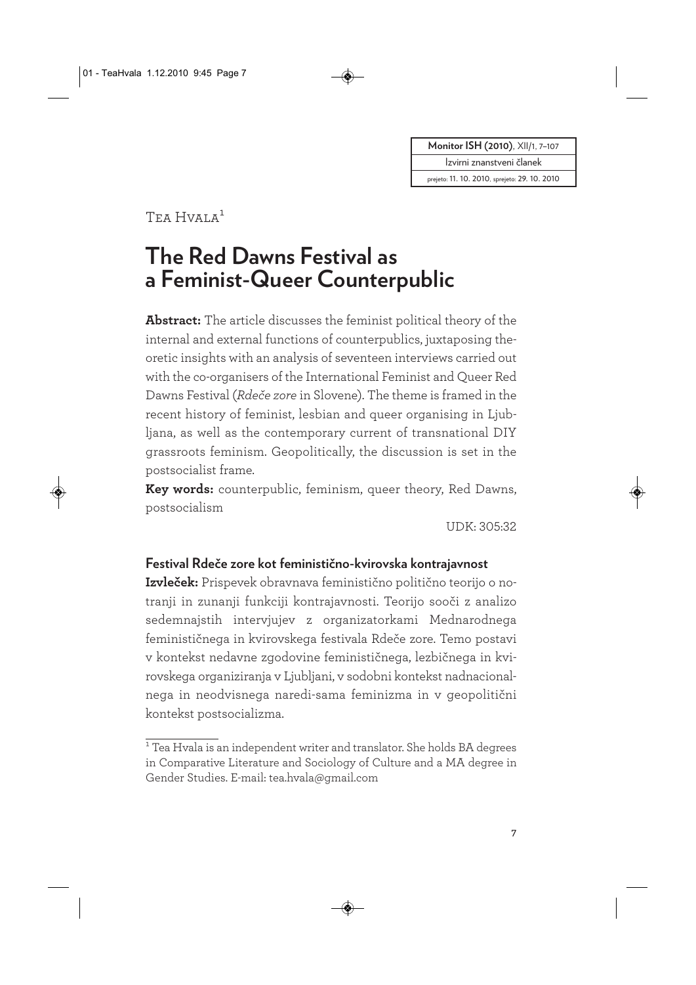**Monitor ISH (2010)**, XII/1, 7-107

Izvirni znanstveni članek

prejeto: 11. 10. 2010, sprejeto: 29. 10. 2010

## Tea Hvala<sup>1</sup>

## **The Red Dawns Festival as a Feminist-Queer Counterpublic**

**Abstract:** The article discusses the feminist political theory of the internal and external functions of counterpublics, juxtaposing theoretic insights with an analysis of seventeen interviews carried out with the co-organisers of the International Feminist and Queer Red Dawns Festival (*Rdeče zore* in Slovene). The theme is framed in the recent history of feminist, lesbian and queer organising in Ljubljana, as well as the contemporary current of transnational DIY grassroots feminism. Geopolitically, the discussion is set in the postsocialist frame.

**Key words:** counterpublic, feminism, queer theory, Red Dawns, postsocialism

UDK: 305:32

#### **Festival Rdeče zore kot feministično-kvirovska kontrajavnost**

**Izvleček:** Prispevek obravnava feministično politično teorijo o notranji in zunanji funkciji kontrajavnosti. Teorijo sooči z analizo sedemnajstih intervjujev z organizatorkami Mednarodnega feminističnega in kvirovskega festivala Rdeče zore. Temo postavi v kontekst nedavne zgodovine feminističnega, lezbičnega in kvirovskega organiziranja v Ljubljani, v sodobni kontekst nadnacionalnega in neodvisnega naredi-sama feminizma in v geopolitični kontekst postsocializma.

 $\overline{1}$  Tea Hvala is an independent writer and translator. She holds BA degrees in Comparative Literature and Sociology of Culture and a MA degree in Gender Studies. E-mail: tea.hvala@gmail.com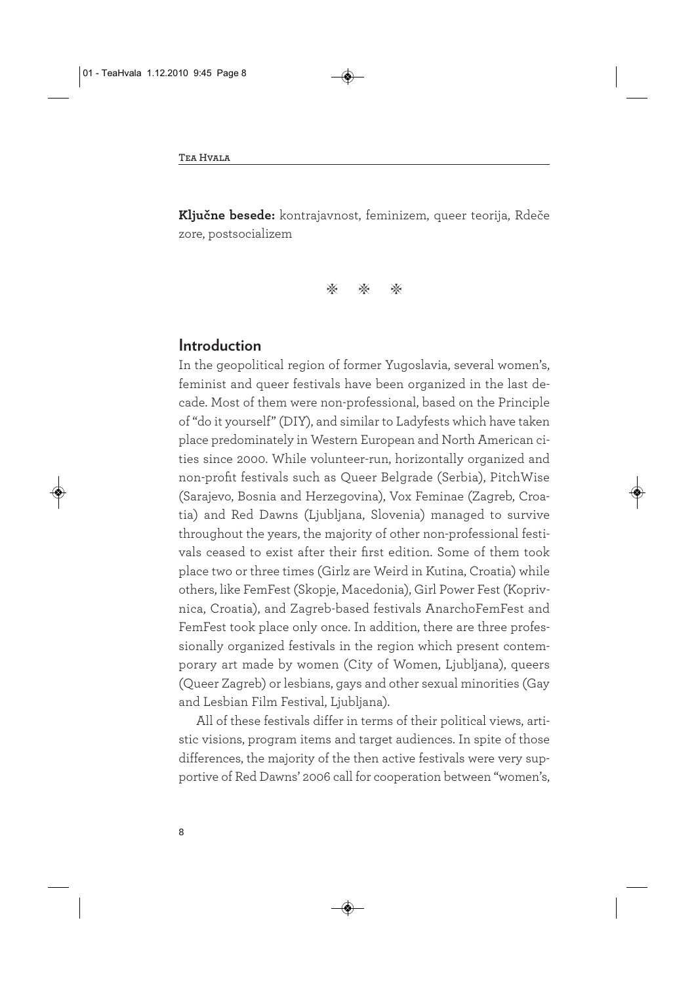**Ključne besede:** kontrajavnost, feminizem, queer teorija, Rdeče zore, postsocializem

\* \* \*

#### **Introduction**

In the geopolitical region of former Yugoslavia, several women's, feminist and queer festivals have been organized in the last decade. Most of them were non-professional, based on the Principle of "do it yourself" (DIY), and similar to Ladyfests which have taken place predominately in Western European and North American cities since 2000. While volunteer-run, horizontally organized and non-profit festivals such as Queer Belgrade (Serbia), PitchWise (Sarajevo, Bosnia and Herzegovina), Vox Feminae (Zagreb, Croatia) and Red Dawns (Ljubljana, Slovenia) managed to survive throughout the years, the majority of other non-professional festivals ceased to exist after their first edition. Some of them took place two or three times (Girlz are Weird in Kutina, Croatia) while others, like FemFest (Skopje, Macedonia), Girl Power Fest (Koprivnica, Croatia), and Zagreb-based festivals AnarchoFemFest and FemFest took place only once. In addition, there are three professionally organized festivals in the region which present contemporary art made by women (City of Women, Ljubljana), queers (Queer Zagreb) or lesbians, gays and other sexual minorities (Gay and Lesbian Film Festival, Ljubljana).

All of these festivals differ in terms of their political views, artistic visions, program items and target audiences. In spite of those differences, the majority of the then active festivals were very supportive of Red Dawns' 2006 call for cooperation between "women's,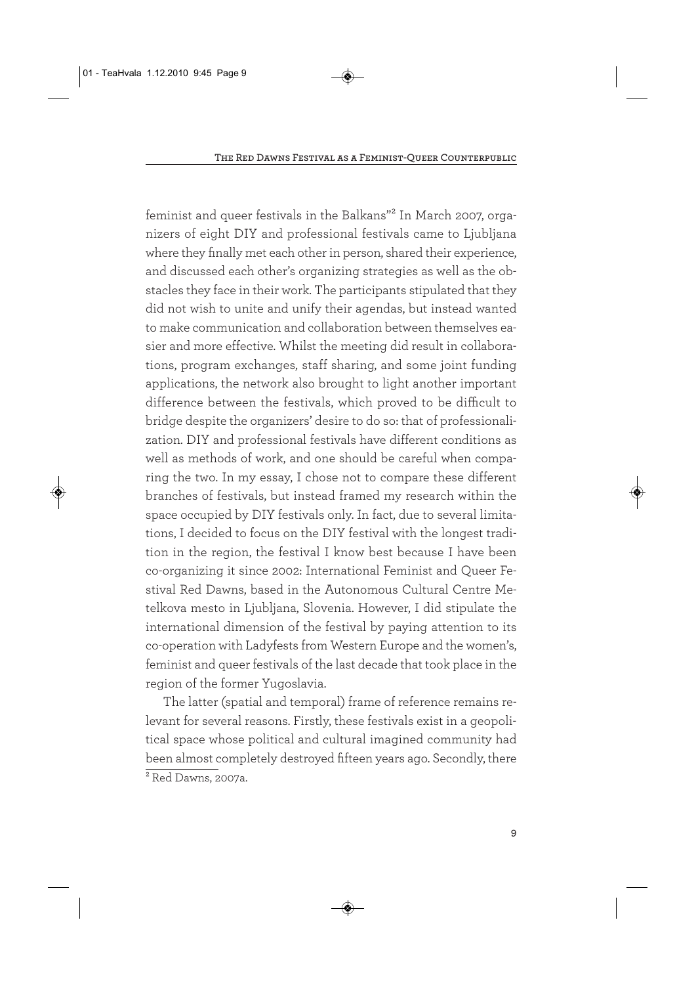feminist and queer festivals in the Balkans"<sup>2</sup> In March 2007, organizers of eight DIY and professional festivals came to Ljubljana where they finally met each other in person, shared their experience, and discussed each other's organizing strategies as well as the obstacles they face in their work. The participants stipulated that they did not wish to unite and unify their agendas, but instead wanted to make communication and collaboration between themselves easier and more effective. Whilst the meeting did result in collaborations, program exchanges, staff sharing, and some joint funding applications, the network also brought to light another important difference between the festivals, which proved to be difficult to bridge despite the organizers' desire to do so: that of professionalization. DIY and professional festivals have different conditions as well as methods of work, and one should be careful when comparing the two. In my essay, I chose not to compare these different branches of festivals, but instead framed my research within the space occupied by DIY festivals only. In fact, due to several limitations, I decided to focus on the DIY festival with the longest tradition in the region, the festival I know best because I have been co-organizing it since 2002: International Feminist and Queer Festival Red Dawns, based in the Autonomous Cultural Centre Metelkova mesto in Ljubljana, Slovenia. However, I did stipulate the international dimension of the festival by paying attention to its co-operation with Ladyfests from Western Europe and the women's, feminist and queer festivals of the last decade that took place in the region of the former Yugoslavia.

The latter (spatial and temporal) frame of reference remains relevant for several reasons. Firstly, these festivals exist in a geopolitical space whose political and cultural imagined community had been almost completely destroyed fifteen years ago. Secondly, there  $\overline{\text{2}_{\text{Red}$  Dawns, 2007a.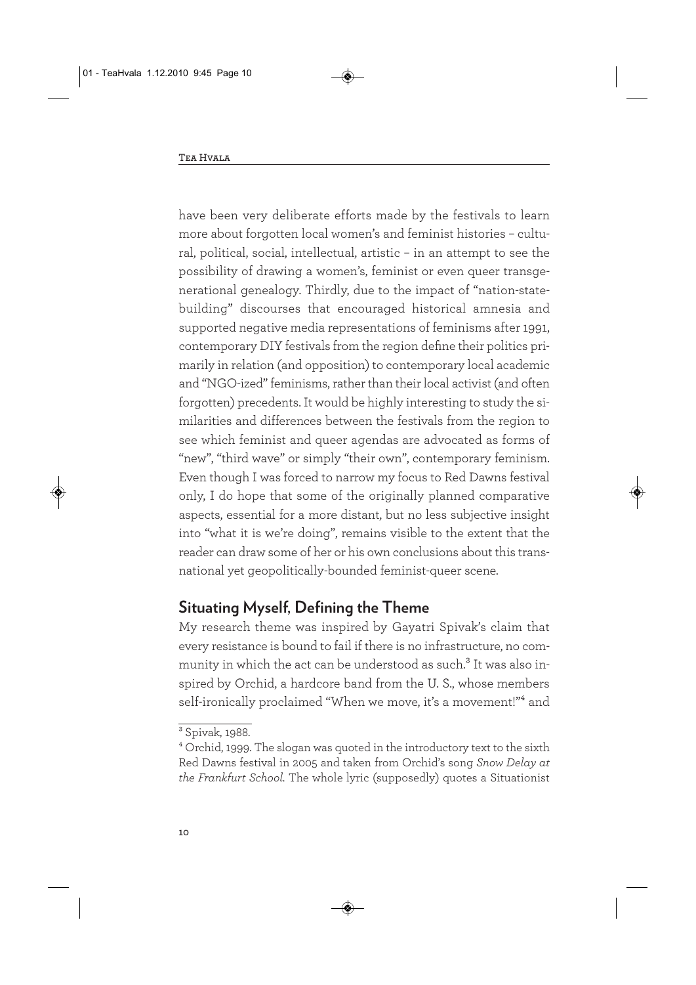have been very deliberate efforts made by the festivals to learn more about forgotten local women's and feminist histories – cultural, political, social, intellectual, artistic – in an attempt to see the possibility of drawing a women's, feminist or even queer transgenerational genealogy. Thirdly, due to the impact of "nation-statebuilding" discourses that encouraged historical amnesia and supported negative media representations of feminisms after 1991, contemporary DIY festivals from the region define their politics primarily in relation (and opposition) to contemporary local academic and "NGO-ized" feminisms, rather than their local activist (and often forgotten) precedents. It would be highly interesting to study the similarities and differences between the festivals from the region to see which feminist and queer agendas are advocated as forms of "new", "third wave" or simply "their own", contemporary feminism. Even though I was forced to narrow my focus to Red Dawns festival only, I do hope that some of the originally planned comparative aspects, essential for a more distant, but no less subjective insight into "what it is we're doing", remains visible to the extent that the reader can draw some of her or his own conclusions about this transnational yet geopolitically-bounded feminist-queer scene.

#### **Situating Myself, Defining the Theme**

My research theme was inspired by Gayatri Spivak's claim that every resistance is bound to fail if there is no infrastructure, no community in which the act can be understood as such.<sup>3</sup> It was also inspired by Orchid, a hardcore band from the U. S., whose members self-ironically proclaimed "When we move, it's a movement!"<sup>4</sup> and

<sup>3</sup> Spivak, 1988.

<sup>4</sup> Orchid, 1999. The slogan was quoted in the introductory text to the sixth Red Dawns festival in 2005 and taken from Orchid's song *Snow Delay at the Frankfurt School.* The whole lyric (supposedly) quotes a Situationist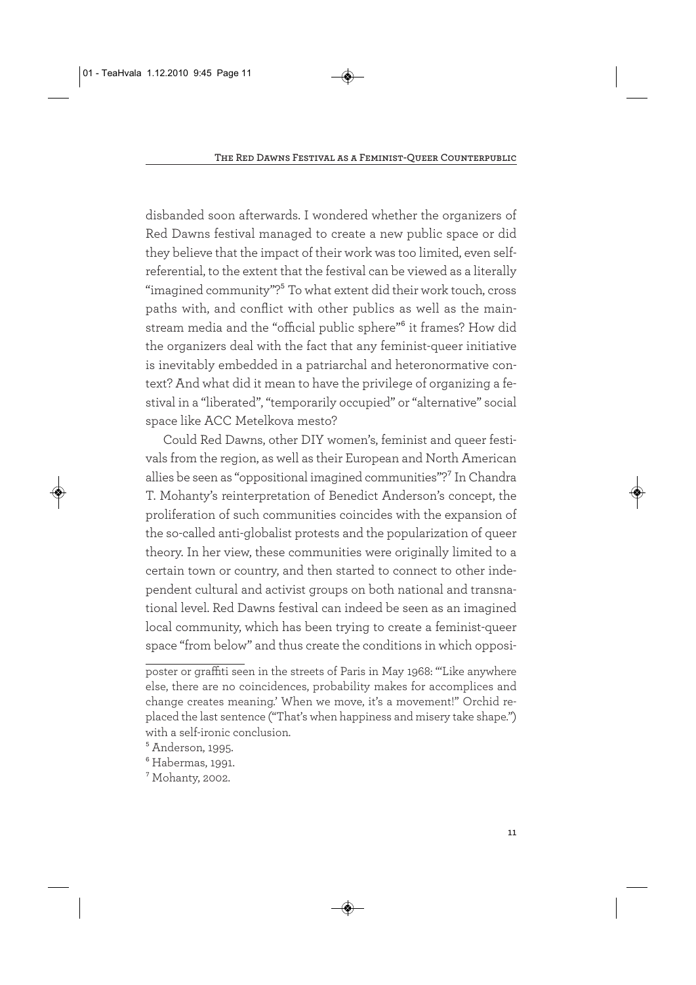disbanded soon afterwards. I wondered whether the organizers of Red Dawns festival managed to create a new public space or did they believe that the impact of their work was too limited, even selfreferential, to the extent that the festival can be viewed as a literally "imagined community"?<sup>5</sup> To what extent did their work touch, cross paths with, and conflict with other publics as well as the mainstream media and the "official public sphere"<sup>6</sup> it frames? How did the organizers deal with the fact that any feminist-queer initiative is inevitably embedded in a patriarchal and heteronormative context? And what did it mean to have the privilege of organizing a festival in a "liberated", "temporarily occupied" or "alternative" social space like ACC Metelkova mesto?

Could Red Dawns, other DIY women's, feminist and queer festivals from the region, as well as their European and North American allies be seen as "oppositional imagined communities"?7 In Chandra T. Mohanty's reinterpretation of Benedict Anderson's concept, the proliferation of such communities coincides with the expansion of the so-called anti-globalist protests and the popularization of queer theory. In her view, these communities were originally limited to a certain town or country, and then started to connect to other independent cultural and activist groups on both national and transnational level. Red Dawns festival can indeed be seen as an imagined local community, which has been trying to create a feminist-queer space "from below" and thus create the conditions in which opposi-

poster or graffiti seen in the streets of Paris in May 1968: "'Like anywhere else, there are no coincidences, probability makes for accomplices and change creates meaning.' When we move, it's a movement!" Orchid replaced the last sentence ("That's when happiness and misery take shape.") with a self-ironic conclusion.

<sup>5</sup> Anderson, 1995.

<sup>6</sup> Habermas, 1991.

<sup>7</sup> Mohanty, 2002.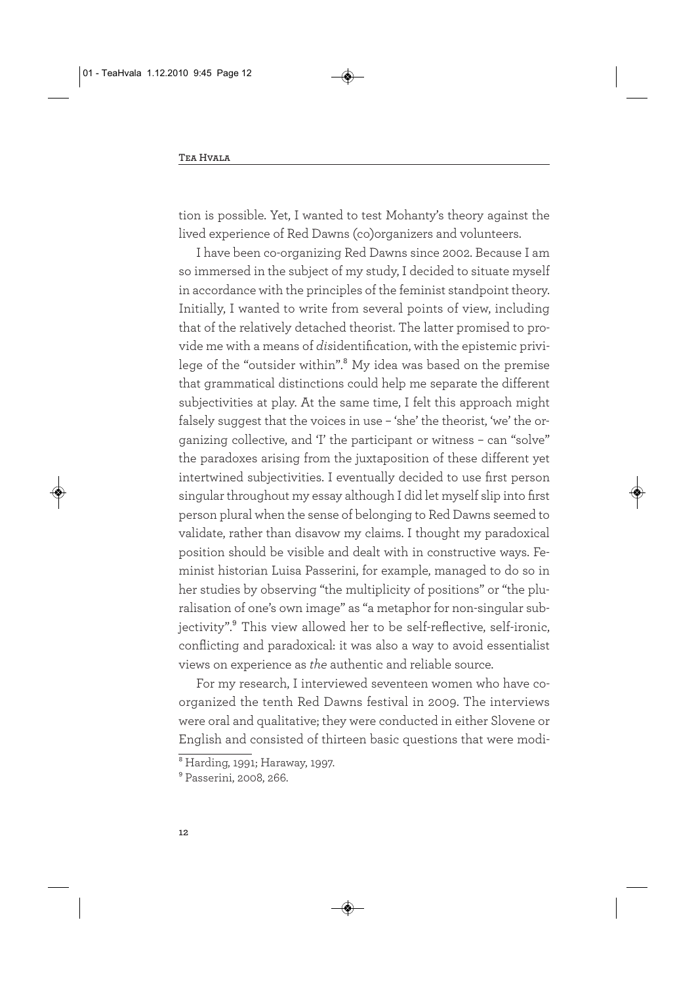tion is possible. Yet, I wanted to test Mohanty's theory against the lived experience of Red Dawns (co)organizers and volunteers.

I have been co-organizing Red Dawns since 2002. Because I am so immersed in the subject of my study, I decided to situate myself in accordance with the principles of the feminist standpoint theory. Initially, I wanted to write from several points of view, including that of the relatively detached theorist. The latter promised to provide me with a means of *dis*identification, with the epistemic privilege of the "outsider within".<sup>8</sup> My idea was based on the premise that grammatical distinctions could help me separate the different subjectivities at play. At the same time, I felt this approach might falsely suggest that the voices in use - 'she' the theorist, 'we' the organizing collective, and 'I' the participant or witness – can "solve" the paradoxes arising from the juxtaposition of these different yet intertwined subjectivities. I eventually decided to use first person singular throughout my essay although I did let myself slip into first person plural when the sense of belonging to Red Dawns seemed to validate, rather than disavow my claims. I thought my paradoxical position should be visible and dealt with in constructive ways. Feminist historian Luisa Passerini, for example, managed to do so in her studies by observing "the multiplicity of positions" or "the pluralisation of one's own image" as "a metaphor for non-singular subjectivity".<sup>9</sup> This view allowed her to be self-reflective, self-ironic, conflicting and paradoxical: it was also a way to avoid essentialist views on experience as *the* authentic and reliable source.

For my research, I interviewed seventeen women who have coorganized the tenth Red Dawns festival in 2009. The interviews were oral and qualitative; they were conducted in either Slovene or English and consisted of thirteen basic questions that were modi-

<sup>8</sup> Harding, 1991; Haraway, 1997.

<sup>9</sup> Passerini, 2008, 266.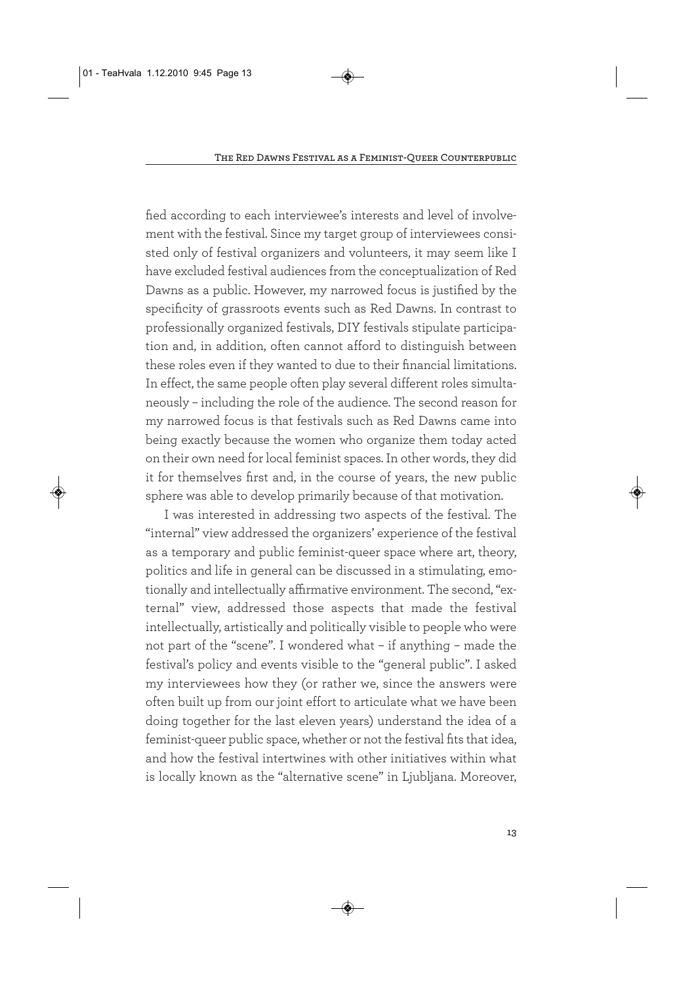fied according to each interviewee's interests and level of involvement with the festival. Since my target group of interviewees consisted only of festival organizers and volunteers, it may seem like I have excluded festival audiences from the conceptualization of Red Dawns as a public. However, my narrowed focus is justified by the specificity of grassroots events such as Red Dawns. In contrast to professionally organized festivals, DIY festivals stipulate participation and, in addition, often cannot afford to distinguish between these roles even if they wanted to due to their financial limitations. In effect, the same people often play several different roles simultaneously – including the role of the audience. The second reason for my narrowed focus is that festivals such as Red Dawns came into being exactly because the women who organize them today acted on their own need for local feminist spaces. In other words, they did it for themselves first and, in the course of years, the new public sphere was able to develop primarily because of that motivation.

I was interested in addressing two aspects of the festival. The "internal" view addressed the organizers' experience of the festival as a temporary and public feminist-queer space where art, theory, politics and life in general can be discussed in a stimulating, emotionally and intellectually affirmative environment. The second, "external" view, addressed those aspects that made the festival intellectually, artistically and politically visible to people who were not part of the "scene". I wondered what – if anything – made the festival's policy and events visible to the "general public". I asked my interviewees how they (or rather we, since the answers were often built up from our joint effort to articulate what we have been doing together for the last eleven years) understand the idea of a feminist-queer public space, whether or not the festival fits that idea, and how the festival intertwines with other initiatives within what is locally known as the "alternative scene" in Ljubljana. Moreover,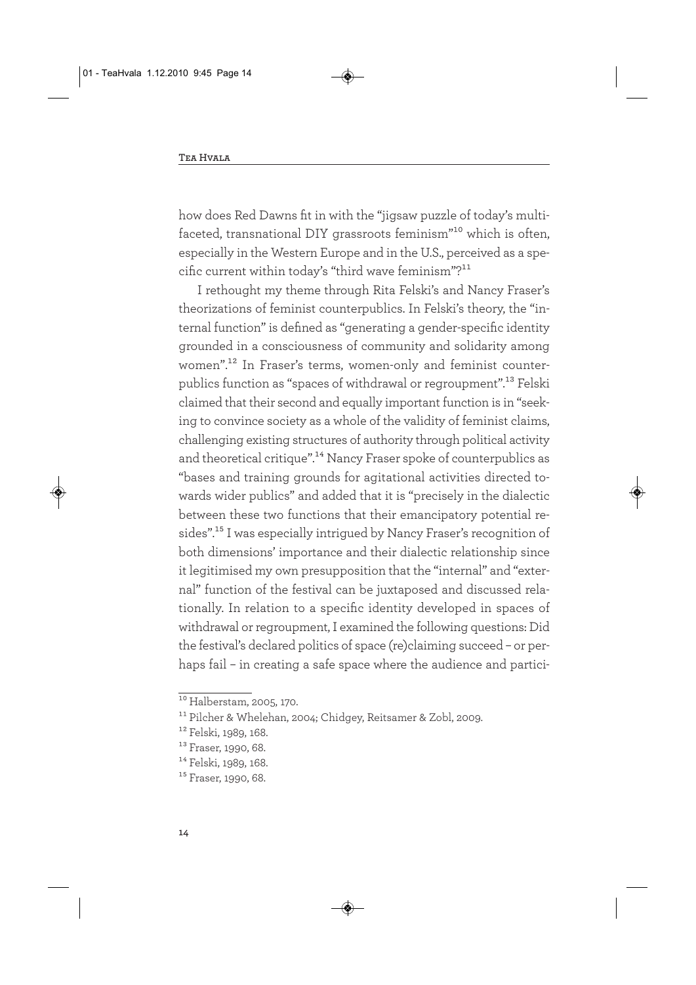how does Red Dawns fit in with the "jigsaw puzzle of today's multifaceted, transnational DIY grassroots feminism"10 which is often, especially in the Western Europe and in the U.S., perceived as a specific current within today's "third wave feminism"?<sup>11</sup>

I rethought my theme through Rita Felski's and Nancy Fraser's theorizations of feminist counterpublics. In Felski's theory, the "internal function" is defined as "generating a gender-specific identity grounded in a consciousness of community and solidarity among women".12 In Fraser's terms, women-only and feminist counterpublics function as "spaces of withdrawal or regroupment".13 Felski claimed that their second and equally important function is in "seeking to convince society as a whole of the validity of feminist claims, challenging existing structures of authority through political activity and theoretical critique".<sup>14</sup> Nancy Fraser spoke of counterpublics as "bases and training grounds for agitational activities directed towards wider publics" and added that it is "precisely in the dialectic between these two functions that their emancipatory potential resides".15 I was especially intrigued by Nancy Fraser's recognition of both dimensions' importance and their dialectic relationship since it legitimised my own presupposition that the "internal" and "external" function of the festival can be juxtaposed and discussed relationally. In relation to a specific identity developed in spaces of withdrawal or regroupment, I examined the following questions: Did the festival's declared politics of space (re)claiming succeed – or perhaps fail – in creating a safe space where the audience and partici-

 $\overline{^{10}}$  Halberstam, 2005, 170.

<sup>11</sup> Pilcher & Whelehan, 2004; Chidgey, Reitsamer & Zobl, 2009.

<sup>12</sup> Felski, 1989, 168.

<sup>&</sup>lt;sup>13</sup> Fraser, 1990, 68. <sup>14</sup> Felski, 1989, 168.

<sup>&</sup>lt;sup>15</sup> Fraser, 1990, 68.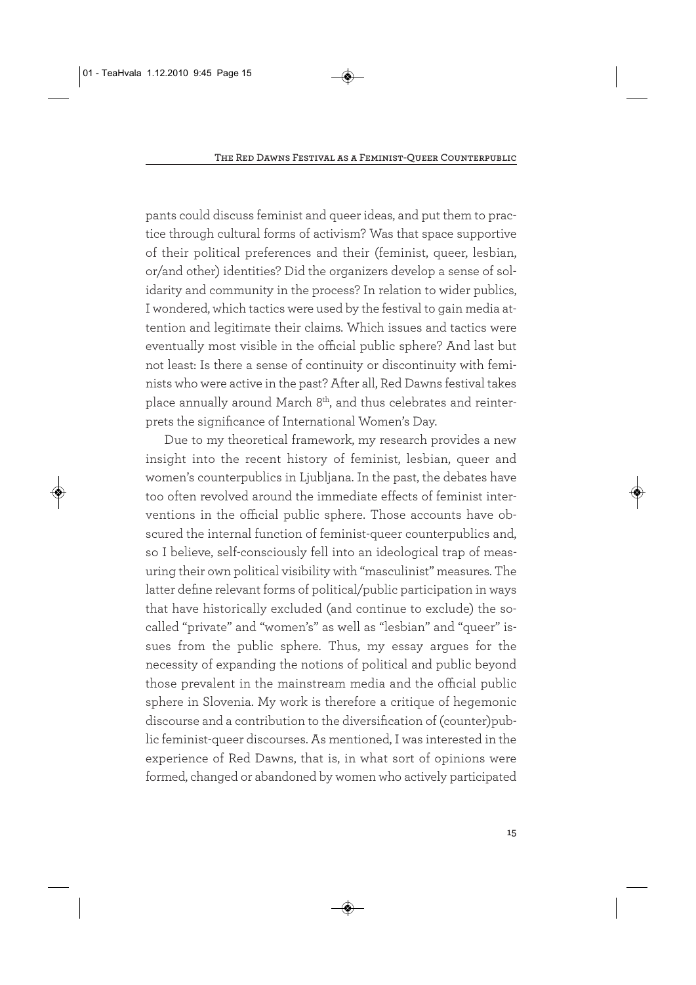pants could discuss feminist and queer ideas, and put them to practice through cultural forms of activism? Was that space supportive of their political preferences and their (feminist, queer, lesbian, or/and other) identities? Did the organizers develop a sense of solidarity and community in the process? In relation to wider publics, I wondered, which tactics were used by the festival to gain media attention and legitimate their claims. Which issues and tactics were eventually most visible in the official public sphere? And last but not least: Is there a sense of continuity or discontinuity with feminists who were active in the past? After all, Red Dawns festival takes place annually around March 8<sup>th</sup>, and thus celebrates and reinterprets the significance of International Women's Day.

Due to my theoretical framework, my research provides a new insight into the recent history of feminist, lesbian, queer and women's counterpublics in Ljubljana. In the past, the debates have too often revolved around the immediate effects of feminist interventions in the official public sphere. Those accounts have obscured the internal function of feminist-queer counterpublics and, so I believe, self-consciously fell into an ideological trap of measuring their own political visibility with "masculinist" measures. The latter define relevant forms of political/public participation in ways that have historically excluded (and continue to exclude) the socalled "private" and "women's" as well as "lesbian" and "queer" issues from the public sphere. Thus, my essay argues for the necessity of expanding the notions of political and public beyond those prevalent in the mainstream media and the official public sphere in Slovenia. My work is therefore a critique of hegemonic discourse and a contribution to the diversification of (counter)public feminist-queer discourses. As mentioned, I was interested in the experience of Red Dawns, that is, in what sort of opinions were formed, changed or abandoned by women who actively participated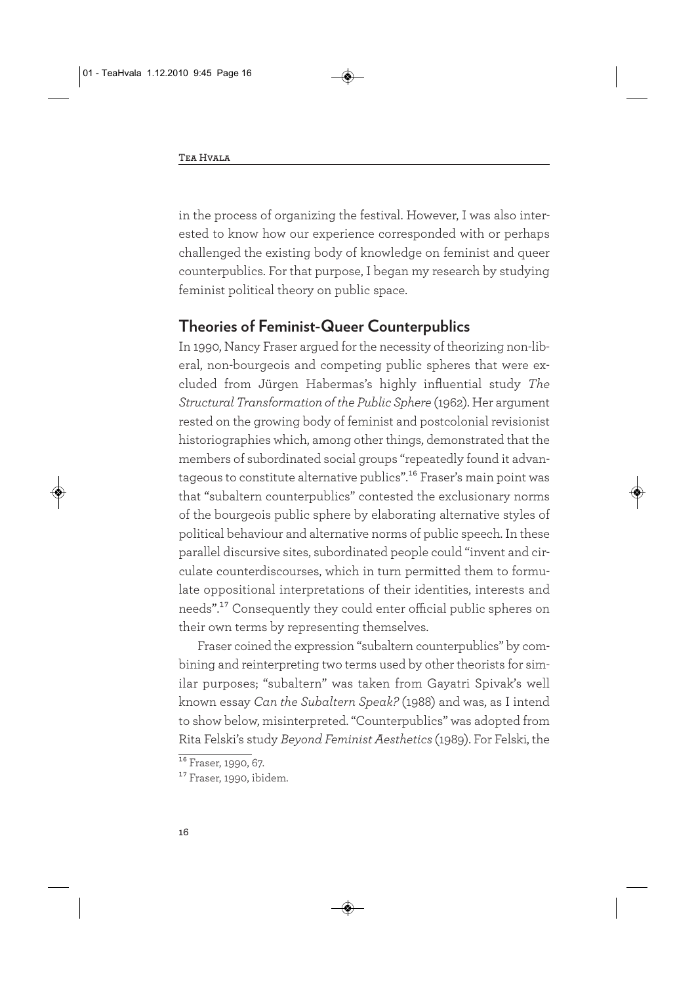in the process of organizing the festival. However, I was also interested to know how our experience corresponded with or perhaps challenged the existing body of knowledge on feminist and queer counterpublics. For that purpose, I began my research by studying feminist political theory on public space.

#### **Theories of Feminist-Queer Counterpublics**

In 1990, Nancy Fraser argued for the necessity of theorizing non-liberal, non-bourgeois and competing public spheres that were excluded from Jürgen Habermas's highly influential study *The Structural Transformation of the Public Sphere* (1962). Her argument rested on the growing body of feminist and postcolonial revisionist historiographies which, among other things, demonstrated that the members of subordinated social groups "repeatedly found it advantageous to constitute alternative publics".<sup>16</sup> Fraser's main point was that "subaltern counterpublics" contested the exclusionary norms of the bourgeois public sphere by elaborating alternative styles of political behaviour and alternative norms of public speech. In these parallel discursive sites, subordinated people could "invent and circulate counterdiscourses, which in turn permitted them to formulate oppositional interpretations of their identities, interests and needs".17 Consequently they could enter official public spheres on their own terms by representing themselves.

Fraser coined the expression "subaltern counterpublics" by combining and reinterpreting two terms used by other theorists for similar purposes; "subaltern" was taken from Gayatri Spivak's well known essay *Can the Subaltern Speak?* (1988) and was, as I intend to show below, misinterpreted. "Counterpublics" was adopted from Rita Felski's study *Beyond Feminist Aesthetics* (1989). For Felski, the

 $16$  Fraser, 1990, 67.

<sup>&</sup>lt;sup>17</sup> Fraser, 1990, ibidem.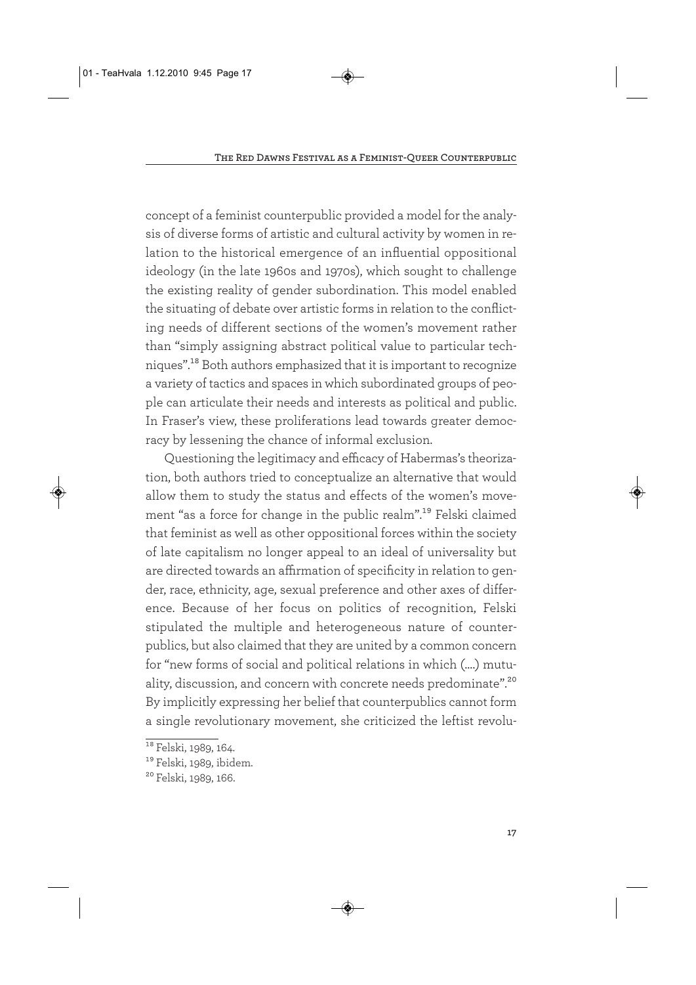concept of a feminist counterpublic provided a model for the analysis of diverse forms of artistic and cultural activity by women in relation to the historical emergence of an influential oppositional ideology (in the late 1960s and 1970s), which sought to challenge the existing reality of gender subordination. This model enabled the situating of debate over artistic forms in relation to the conflicting needs of different sections of the women's movement rather than "simply assigning abstract political value to particular techniques".18 Both authors emphasized that it is important to recognize a variety of tactics and spaces in which subordinated groups of people can articulate their needs and interests as political and public. In Fraser's view, these proliferations lead towards greater democracy by lessening the chance of informal exclusion.

Questioning the legitimacy and efficacy of Habermas's theorization, both authors tried to conceptualize an alternative that would allow them to study the status and effects of the women's movement "as a force for change in the public realm".19 Felski claimed that feminist as well as other oppositional forces within the society of late capitalism no longer appeal to an ideal of universality but are directed towards an affirmation of specificity in relation to gender, race, ethnicity, age, sexual preference and other axes of difference. Because of her focus on politics of recognition, Felski stipulated the multiple and heterogeneous nature of counterpublics, but also claimed that they are united by a common concern for "new forms of social and political relations in which (….) mutuality, discussion, and concern with concrete needs predominate".<sup>20</sup> By implicitly expressing her belief that counterpublics cannot form a single revolutionary movement, she criticized the leftist revolu-

<sup>&</sup>lt;sup>18</sup> Felski, 1989, 164.

<sup>&</sup>lt;sup>19</sup> Felski, 1989, ibidem.

<sup>20</sup> Felski, 1989, 166.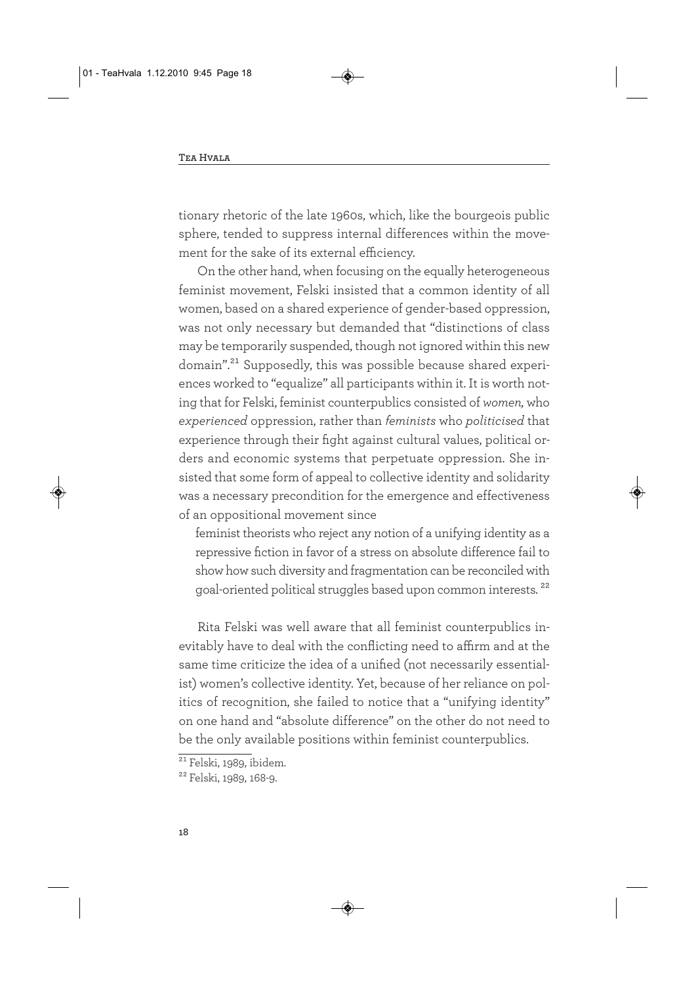tionary rhetoric of the late 1960s, which, like the bourgeois public sphere, tended to suppress internal differences within the movement for the sake of its external efficiency.

On the other hand, when focusing on the equally heterogeneous feminist movement, Felski insisted that a common identity of all women, based on a shared experience of gender-based oppression, was not only necessary but demanded that "distinctions of class may be temporarily suspended, though not ignored within this new domain".<sup>21</sup> Supposedly, this was possible because shared experiences worked to "equalize" all participants within it. It is worth noting that for Felski, feminist counterpublics consisted of *women,* who *experienced* oppression, rather than *feminists* who *politicised* that experience through their fight against cultural values, political orders and economic systems that perpetuate oppression. She insisted that some form of appeal to collective identity and solidarity was a necessary precondition for the emergence and effectiveness of an oppositional movement since

feminist theorists who reject any notion of a unifying identity as a repressive fiction in favor of a stress on absolute difference fail to show how such diversity and fragmentation can be reconciled with goal-oriented political struggles based upon common interests. 22

Rita Felski was well aware that all feminist counterpublics inevitably have to deal with the conflicting need to affirm and at the same time criticize the idea of a unified (not necessarily essentialist) women's collective identity. Yet, because of her reliance on politics of recognition, she failed to notice that a "unifying identity" on one hand and "absolute difference" on the other do not need to be the only available positions within feminist counterpublics.

 $21$  Felski, 1989, ibidem.

<sup>22</sup> Felski, 1989, 168-9.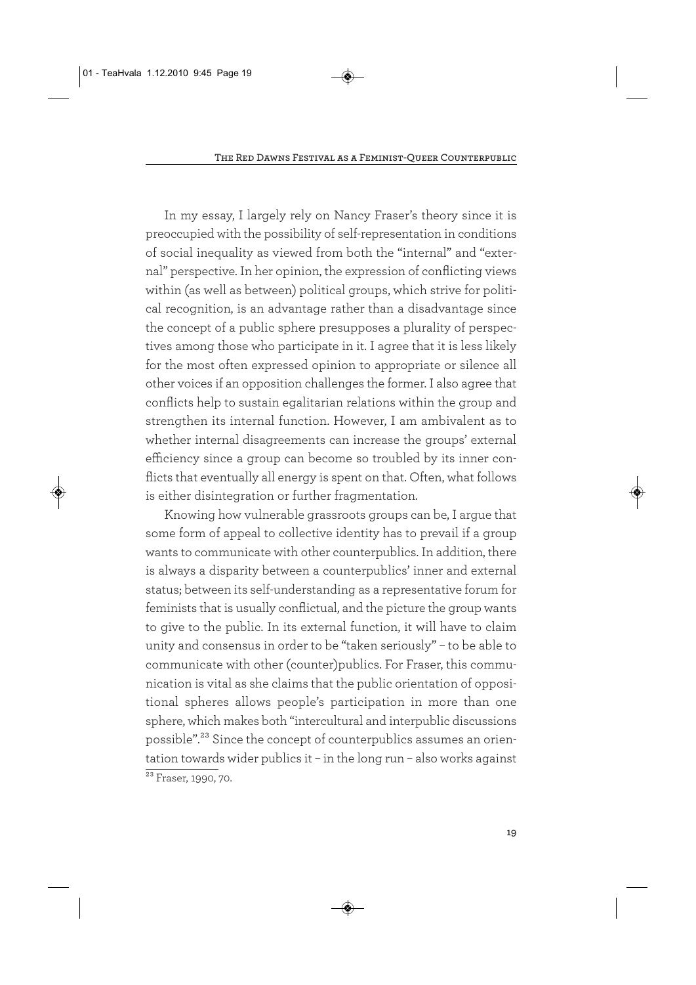In my essay, I largely rely on Nancy Fraser's theory since it is preoccupied with the possibility of self-representation in conditions of social inequality as viewed from both the "internal" and "external" perspective. In her opinion, the expression of conflicting views within (as well as between) political groups, which strive for political recognition, is an advantage rather than a disadvantage since the concept of a public sphere presupposes a plurality of perspectives among those who participate in it. I agree that it is less likely for the most often expressed opinion to appropriate or silence all other voices if an opposition challenges the former. I also agree that conflicts help to sustain egalitarian relations within the group and strengthen its internal function. However, I am ambivalent as to whether internal disagreements can increase the groups' external efficiency since a group can become so troubled by its inner conflicts that eventually all energy is spent on that. Often, what follows is either disintegration or further fragmentation.

Knowing how vulnerable grassroots groups can be, I argue that some form of appeal to collective identity has to prevail if a group wants to communicate with other counterpublics. In addition, there is always a disparity between a counterpublics' inner and external status; between its self-understanding as a representative forum for feminists that is usually conflictual, and the picture the group wants to give to the public. In its external function, it will have to claim unity and consensus in order to be "taken seriously" – to be able to communicate with other (counter)publics. For Fraser, this communication is vital as she claims that the public orientation of oppositional spheres allows people's participation in more than one sphere, which makes both "intercultural and interpublic discussions possible".23 Since the concept of counterpublics assumes an orientation towards wider publics it – in the long run – also works against  $\frac{1}{23}$  Fraser, 1990, 70.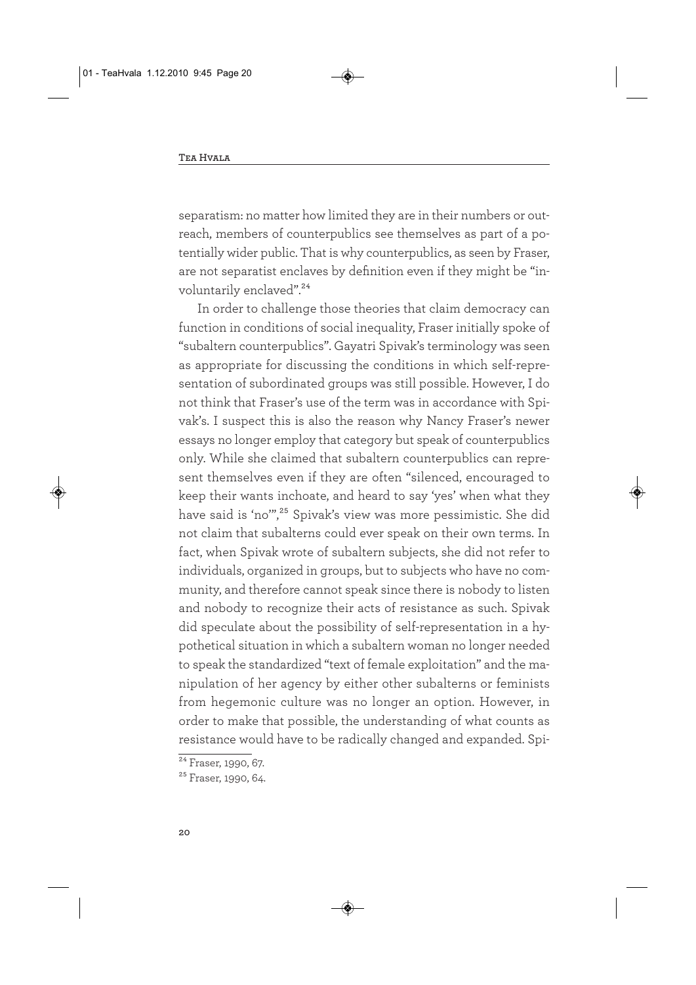separatism: no matter how limited they are in their numbers or outreach, members of counterpublics see themselves as part of a potentially wider public. That is why counterpublics, as seen by Fraser, are not separatist enclaves by definition even if they might be "involuntarily enclaved".<sup>24</sup>

In order to challenge those theories that claim democracy can function in conditions of social inequality, Fraser initially spoke of "subaltern counterpublics". Gayatri Spivak's terminology was seen as appropriate for discussing the conditions in which self-representation of subordinated groups was still possible. However, I do not think that Fraser's use of the term was in accordance with Spivak's. I suspect this is also the reason why Nancy Fraser's newer essays no longer employ that category but speak of counterpublics only. While she claimed that subaltern counterpublics can represent themselves even if they are often "silenced, encouraged to keep their wants inchoate, and heard to say 'yes' when what they have said is 'no",<sup>25</sup> Spivak's view was more pessimistic. She did not claim that subalterns could ever speak on their own terms. In fact, when Spivak wrote of subaltern subjects, she did not refer to individuals, organized in groups, but to subjects who have no community, and therefore cannot speak since there is nobody to listen and nobody to recognize their acts of resistance as such. Spivak did speculate about the possibility of self-representation in a hypothetical situation in which a subaltern woman no longer needed to speak the standardized "text of female exploitation" and the manipulation of her agency by either other subalterns or feminists from hegemonic culture was no longer an option. However, in order to make that possible, the understanding of what counts as resistance would have to be radically changed and expanded. Spi-

 $24$  Fraser, 1990, 67.

<sup>&</sup>lt;sup>25</sup> Fraser, 1990, 64.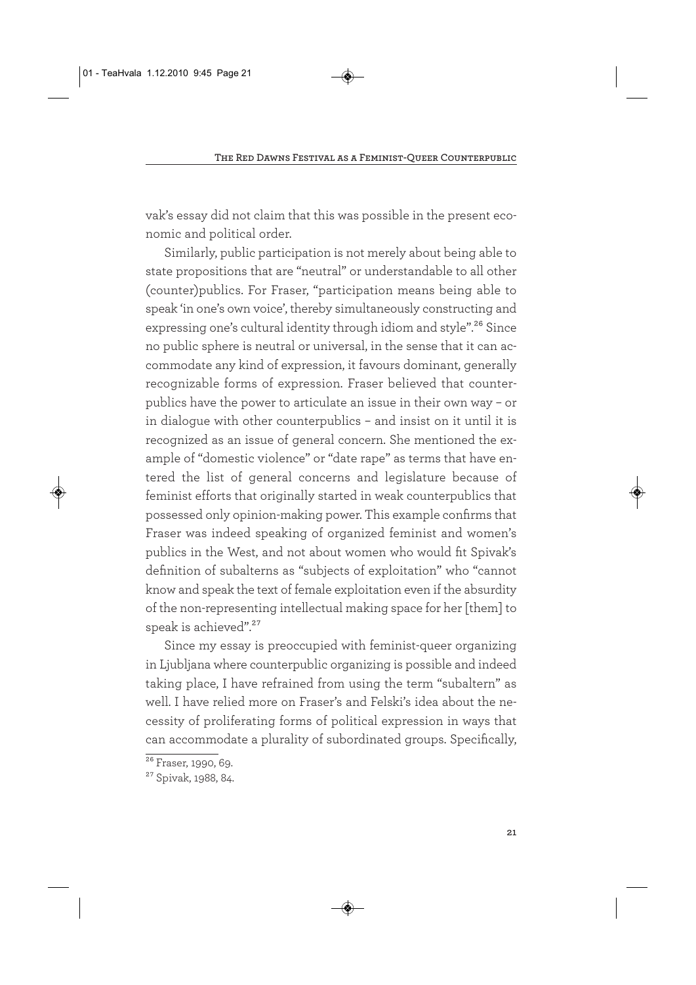vak's essay did not claim that this was possible in the present economic and political order.

Similarly, public participation is not merely about being able to state propositions that are "neutral" or understandable to all other (counter)publics. For Fraser, "participation means being able to speak 'in one's own voice', thereby simultaneously constructing and expressing one's cultural identity through idiom and style".<sup>26</sup> Since no public sphere is neutral or universal, in the sense that it can accommodate any kind of expression, it favours dominant, generally recognizable forms of expression. Fraser believed that counterpublics have the power to articulate an issue in their own way – or in dialogue with other counterpublics – and insist on it until it is recognized as an issue of general concern. She mentioned the example of "domestic violence" or "date rape" as terms that have entered the list of general concerns and legislature because of feminist efforts that originally started in weak counterpublics that possessed only opinion-making power. This example confirms that Fraser was indeed speaking of organized feminist and women's publics in the West, and not about women who would fit Spivak's definition of subalterns as "subjects of exploitation" who "cannot know and speak the text of female exploitation even if the absurdity of the non-representing intellectual making space for her [them] to speak is achieved".<sup>27</sup>

Since my essay is preoccupied with feminist-queer organizing in Ljubljana where counterpublic organizing is possible and indeed taking place, I have refrained from using the term "subaltern" as well. I have relied more on Fraser's and Felski's idea about the necessity of proliferating forms of political expression in ways that can accommodate a plurality of subordinated groups. Specifically,

<sup>&</sup>lt;sup>26</sup> Fraser, 1990, 69.

<sup>27</sup> Spivak, 1988, 84.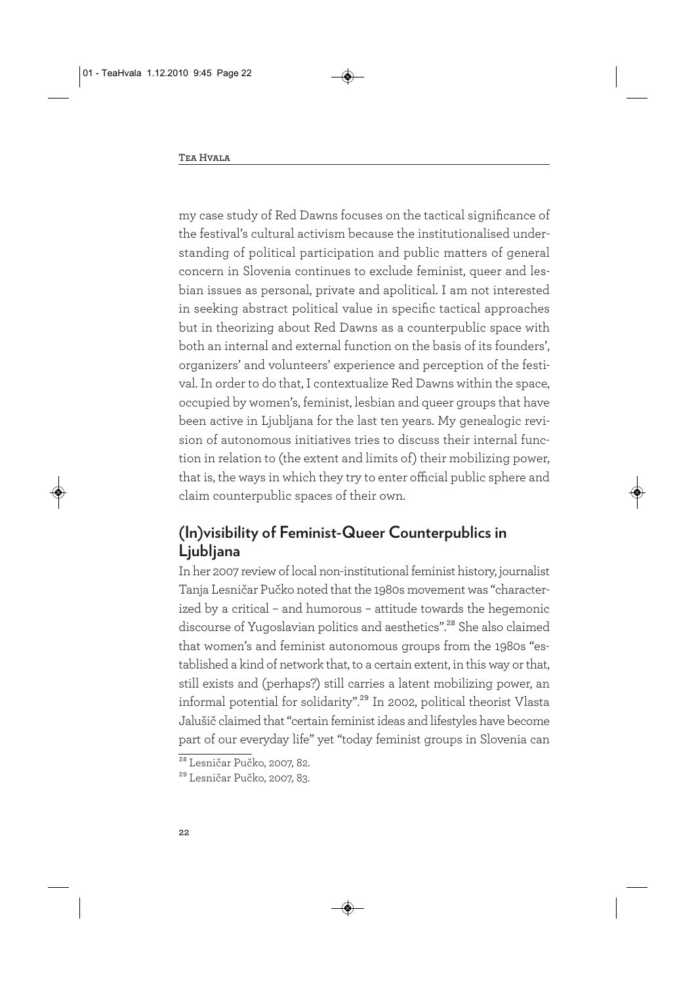my case study of Red Dawns focuses on the tactical significance of the festival's cultural activism because the institutionalised understanding of political participation and public matters of general concern in Slovenia continues to exclude feminist, queer and lesbian issues as personal, private and apolitical. I am not interested in seeking abstract political value in specific tactical approaches but in theorizing about Red Dawns as a counterpublic space with both an internal and external function on the basis of its founders', organizers' and volunteers' experience and perception of the festival. In order to do that, I contextualize Red Dawns within the space, occupied by women's, feminist, lesbian and queer groups that have been active in Ljubljana for the last ten years. My genealogic revision of autonomous initiatives tries to discuss their internal function in relation to (the extent and limits of) their mobilizing power, that is, the ways in which they try to enter official public sphere and claim counterpublic spaces of their own.

### **(In)visibility of Feminist-Queer Counterpublics in Ljubljana**

In her 2007 review of local non-institutional feminist history, journalist Tanja Lesničar Pučko noted that the 1980s movement was "characterized by a critical – and humorous – attitude towards the hegemonic discourse of Yugoslavian politics and aesthetics".<sup>28</sup> She also claimed that women's and feminist autonomous groups from the 1980s "established a kind of network that, to a certain extent, in this way or that, still exists and (perhaps?) still carries a latent mobilizing power, an informal potential for solidarity".<sup>29</sup> In 2002, political theorist Vlasta Jalušič claimed that "certain feminist ideas and lifestyles have become part of our everyday life" yet "today feminist groups in Slovenia can

<sup>28</sup> Lesničar Pučko, 2007, 82.

<sup>29</sup> Lesničar Pučko, 2007, 83.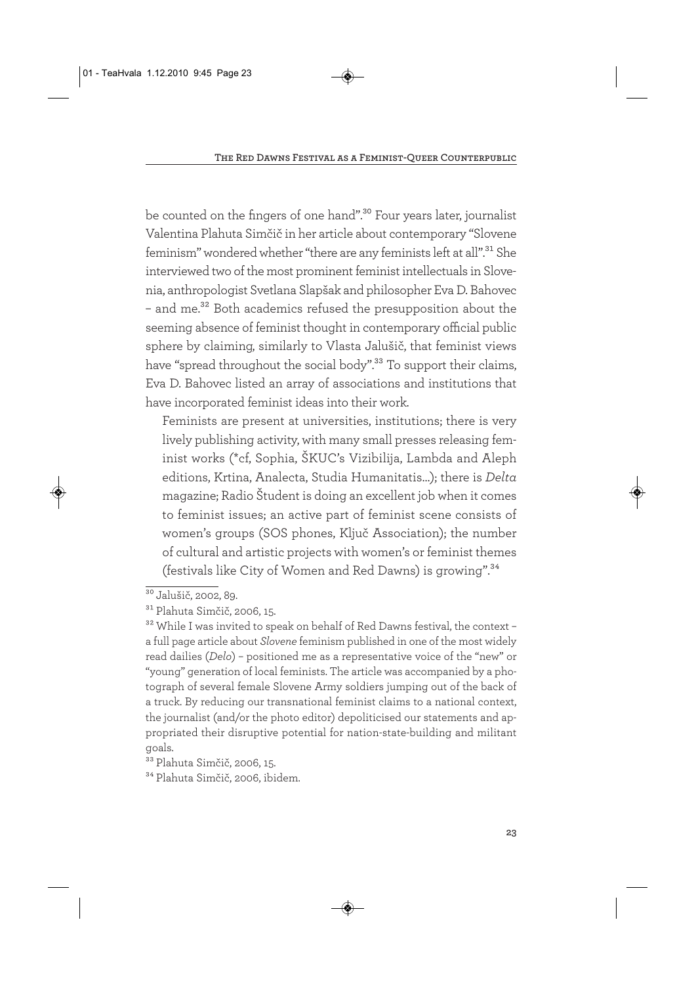be counted on the fingers of one hand".<sup>30</sup> Four years later, journalist Valentina Plahuta Simčič in her article about contemporary "Slovene feminism" wondered whether "there are any feminists left at all".<sup>31</sup> She interviewed two of the most prominent feminist intellectuals in Slovenia, anthropologist Svetlana Slapšak and philosopher Eva D. Bahovec – and me.32 Both academics refused the presupposition about the seeming absence of feminist thought in contemporary official public sphere by claiming, similarly to Vlasta Jalušič, that feminist views have "spread throughout the social body".<sup>33</sup> To support their claims, Eva D. Bahovec listed an array of associations and institutions that have incorporated feminist ideas into their work.

Feminists are present at universities, institutions; there is very lively publishing activity, with many small presses releasing feminist works (\*cf, Sophia, ŠKUC's Vizibilija, Lambda and Aleph editions, Krtina, Analecta, Studia Humanitatis…); there is *Delta* magazine; Radio Študent is doing an excellent job when it comes to feminist issues; an active part of feminist scene consists of women's groups (SOS phones, Ključ Association); the number of cultural and artistic projects with women's or feminist themes (festivals like City of Women and Red Dawns) is growing".34

<sup>&</sup>lt;sup>30</sup> Jalušič, 2002, 89.

<sup>31</sup> Plahuta Simčič, 2006, 15.

<sup>32</sup> While I was invited to speak on behalf of Red Dawns festival, the context – a full page article about *Slovene* feminism published in one of the most widely read dailies (*Delo*) – positioned me as a representative voice of the "new" or "young" generation of local feminists. The article was accompanied by a photograph of several female Slovene Army soldiers jumping out of the back of a truck. By reducing our transnational feminist claims to a national context, the journalist (and/or the photo editor) depoliticised our statements and appropriated their disruptive potential for nation-state-building and militant goals.

<sup>33</sup> Plahuta Simčič, 2006, 15.

<sup>34</sup> Plahuta Simčič, 2006, ibidem.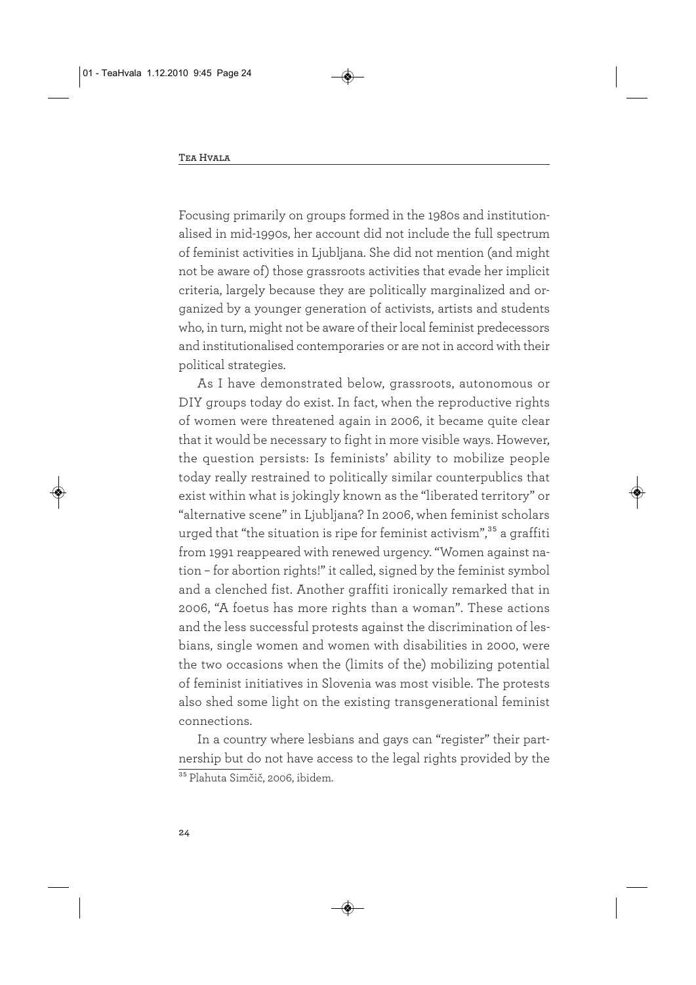Focusing primarily on groups formed in the 1980s and institutionalised in mid-1990s, her account did not include the full spectrum of feminist activities in Ljubljana. She did not mention (and might not be aware of) those grassroots activities that evade her implicit criteria, largely because they are politically marginalized and organized by a younger generation of activists, artists and students who, in turn, might not be aware of their local feminist predecessors and institutionalised contemporaries or are not in accord with their political strategies.

As I have demonstrated below, grassroots, autonomous or DIY groups today do exist. In fact, when the reproductive rights of women were threatened again in 2006, it became quite clear that it would be necessary to fight in more visible ways. However, the question persists: Is feminists' ability to mobilize people today really restrained to politically similar counterpublics that exist within what is jokingly known as the "liberated territory" or "alternative scene" in Ljubljana? In 2006, when feminist scholars urged that "the situation is ripe for feminist activism",<sup>35</sup> a graffiti from 1991 reappeared with renewed urgency. "Women against nation – for abortion rights!" it called, signed by the feminist symbol and a clenched fist. Another graffiti ironically remarked that in 2006, "A foetus has more rights than a woman". These actions and the less successful protests against the discrimination of lesbians, single women and women with disabilities in 2000, were the two occasions when the (limits of the) mobilizing potential of feminist initiatives in Slovenia was most visible. The protests also shed some light on the existing transgenerational feminist connections.

In a country where lesbians and gays can "register" their partnership but do not have access to the legal rights provided by the <sup>35</sup> Plahuta Simčič, 2006, ibidem.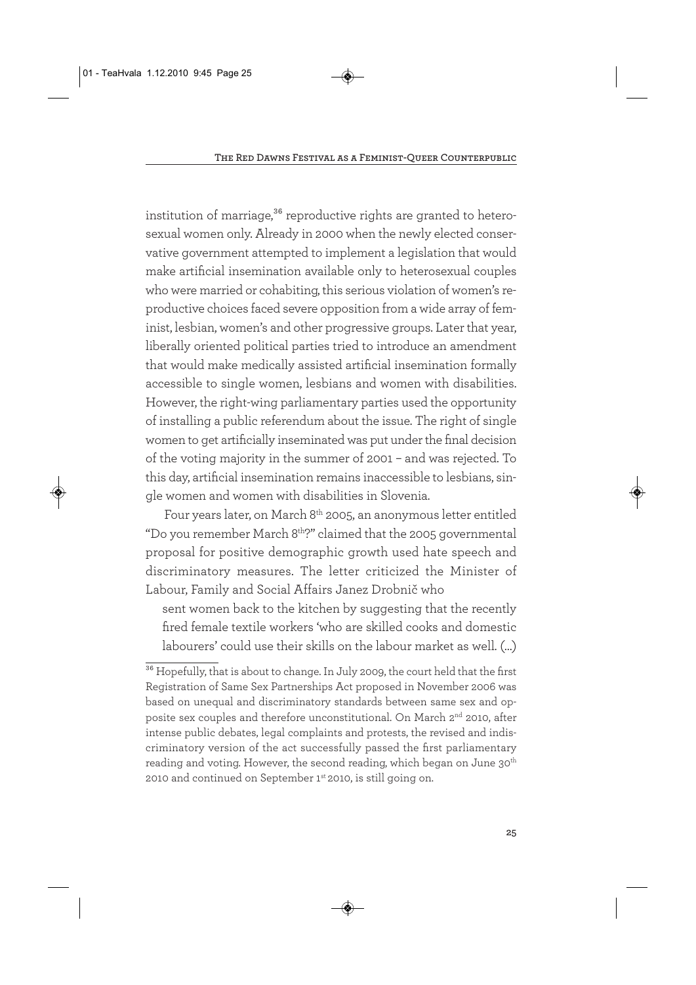institution of marriage,<sup>36</sup> reproductive rights are granted to heterosexual women only. Already in 2000 when the newly elected conservative government attempted to implement a legislation that would make artificial insemination available only to heterosexual couples who were married or cohabiting, this serious violation of women's reproductive choices faced severe opposition from a wide array of feminist, lesbian, women's and other progressive groups. Later that year, liberally oriented political parties tried to introduce an amendment that would make medically assisted artificial insemination formally accessible to single women, lesbians and women with disabilities. However, the right-wing parliamentary parties used the opportunity of installing a public referendum about the issue. The right of single women to get artificially inseminated was put under the final decision of the voting majority in the summer of 2001 – and was rejected. To this day, artificial insemination remains inaccessible to lesbians, single women and women with disabilities in Slovenia.

Four years later, on March 8<sup>th</sup> 2005, an anonymous letter entitled "Do you remember March 8<sup>th</sup>?" claimed that the 2005 governmental proposal for positive demographic growth used hate speech and discriminatory measures. The letter criticized the Minister of Labour, Family and Social Affairs Janez Drobnič who

sent women back to the kitchen by suggesting that the recently fired female textile workers 'who are skilled cooks and domestic labourers' could use their skills on the labour market as well. (…)

<sup>&</sup>lt;sup>36</sup> Hopefully, that is about to change. In July 2009, the court held that the first Registration of Same Sex Partnerships Act proposed in November 2006 was based on unequal and discriminatory standards between same sex and opposite sex couples and therefore unconstitutional. On March 2<sup>nd</sup> 2010, after intense public debates, legal complaints and protests, the revised and indiscriminatory version of the act successfully passed the first parliamentary reading and voting. However, the second reading, which began on June  $30<sup>th</sup>$ 2010 and continued on September 1<sup>st</sup> 2010, is still going on.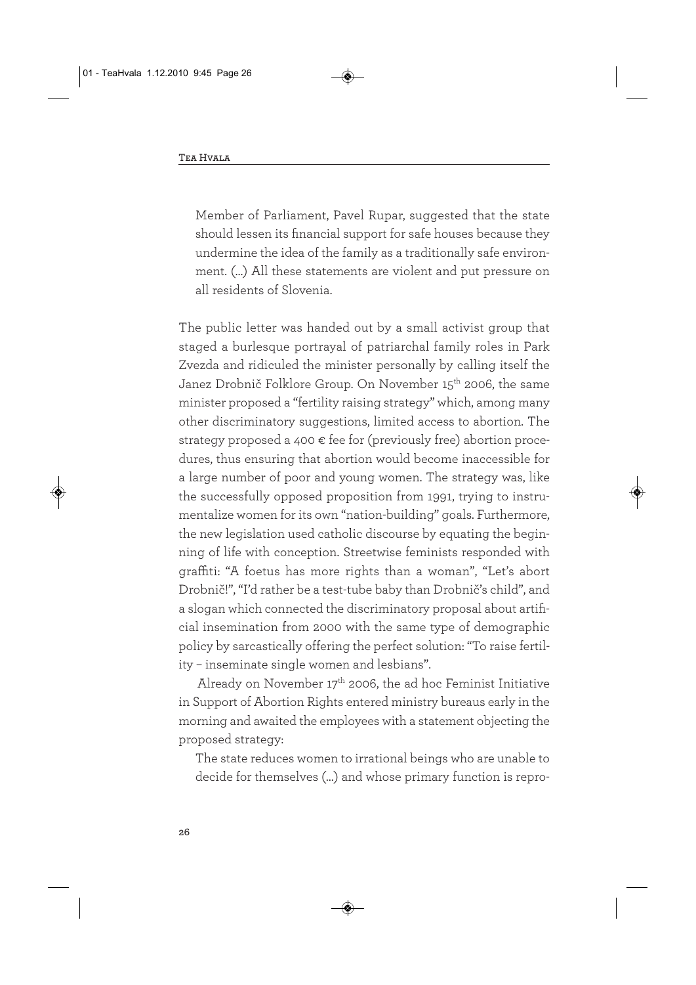Member of Parliament, Pavel Rupar, suggested that the state should lessen its financial support for safe houses because they undermine the idea of the family as a traditionally safe environment. (…) All these statements are violent and put pressure on all residents of Slovenia.

The public letter was handed out by a small activist group that staged a burlesque portrayal of patriarchal family roles in Park Zvezda and ridiculed the minister personally by calling itself the Janez Drobnič Folklore Group. On November 15<sup>th</sup> 2006, the same minister proposed a "fertility raising strategy" which, among many other discriminatory suggestions, limited access to abortion. The strategy proposed a 400  $\epsilon$  fee for (previously free) abortion procedures, thus ensuring that abortion would become inaccessible for a large number of poor and young women. The strategy was, like the successfully opposed proposition from 1991, trying to instrumentalize women for its own "nation-building" goals. Furthermore, the new legislation used catholic discourse by equating the beginning of life with conception. Streetwise feminists responded with graffiti: "A foetus has more rights than a woman", "Let's abort Drobnič!", "I'd rather be a test-tube baby than Drobnič's child", and a slogan which connected the discriminatory proposal about artificial insemination from 2000 with the same type of demographic policy by sarcastically offering the perfect solution: "To raise fertility – inseminate single women and lesbians".

Already on November  $17<sup>th</sup>$  2006, the ad hoc Feminist Initiative in Support of Abortion Rights entered ministry bureaus early in the morning and awaited the employees with a statement objecting the proposed strategy:

The state reduces women to irrational beings who are unable to decide for themselves (…) and whose primary function is repro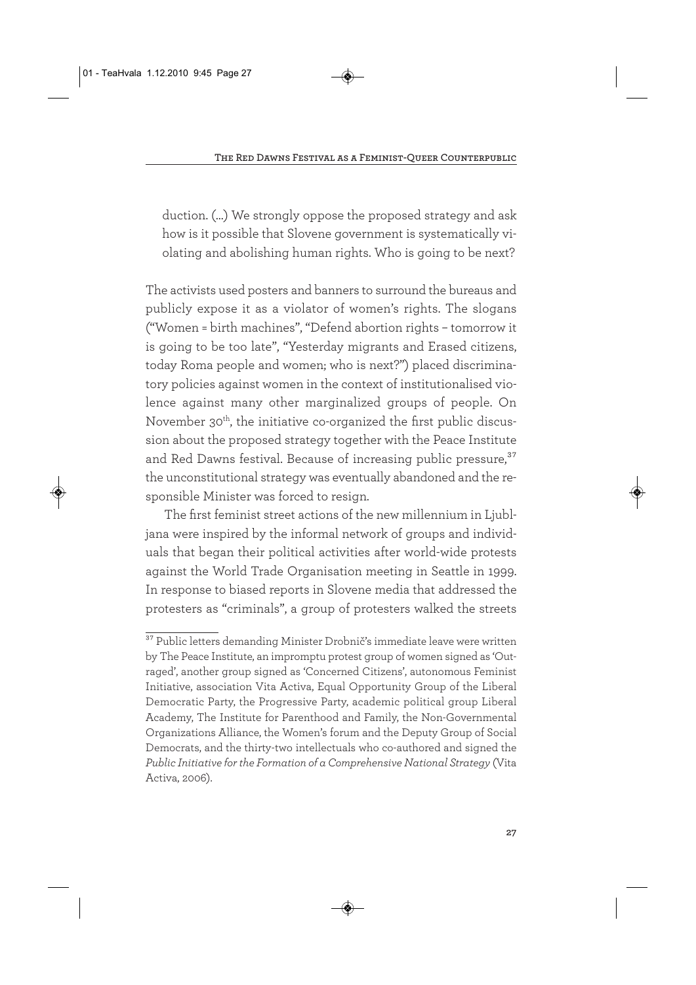duction. (…) We strongly oppose the proposed strategy and ask how is it possible that Slovene government is systematically violating and abolishing human rights. Who is going to be next?

The activists used posters and banners to surround the bureaus and publicly expose it as a violator of women's rights. The slogans ("Women = birth machines", "Defend abortion rights – tomorrow it is going to be too late", "Yesterday migrants and Erased citizens, today Roma people and women; who is next?") placed discriminatory policies against women in the context of institutionalised violence against many other marginalized groups of people. On November 30<sup>th</sup>, the initiative co-organized the first public discussion about the proposed strategy together with the Peace Institute and Red Dawns festival. Because of increasing public pressure,<sup>37</sup> the unconstitutional strategy was eventually abandoned and the responsible Minister was forced to resign.

The first feminist street actions of the new millennium in Ljubljana were inspired by the informal network of groups and individuals that began their political activities after world-wide protests against the World Trade Organisation meeting in Seattle in 1999. In response to biased reports in Slovene media that addressed the protesters as "criminals", a group of protesters walked the streets

<sup>37</sup> Public letters demanding Minister Drobnič's immediate leave were written by The Peace Institute, an impromptu protest group of women signed as 'Outraged', another group signed as 'Concerned Citizens', autonomous Feminist Initiative, association Vita Activa, Equal Opportunity Group of the Liberal Democratic Party, the Progressive Party, academic political group Liberal Academy, The Institute for Parenthood and Family, the Non-Governmental Organizations Alliance, the Women's forum and the Deputy Group of Social Democrats, and the thirty-two intellectuals who co-authored and signed the *Public Initiative for the Formation of a Comprehensive National Strategy* (Vita Activa, 2006).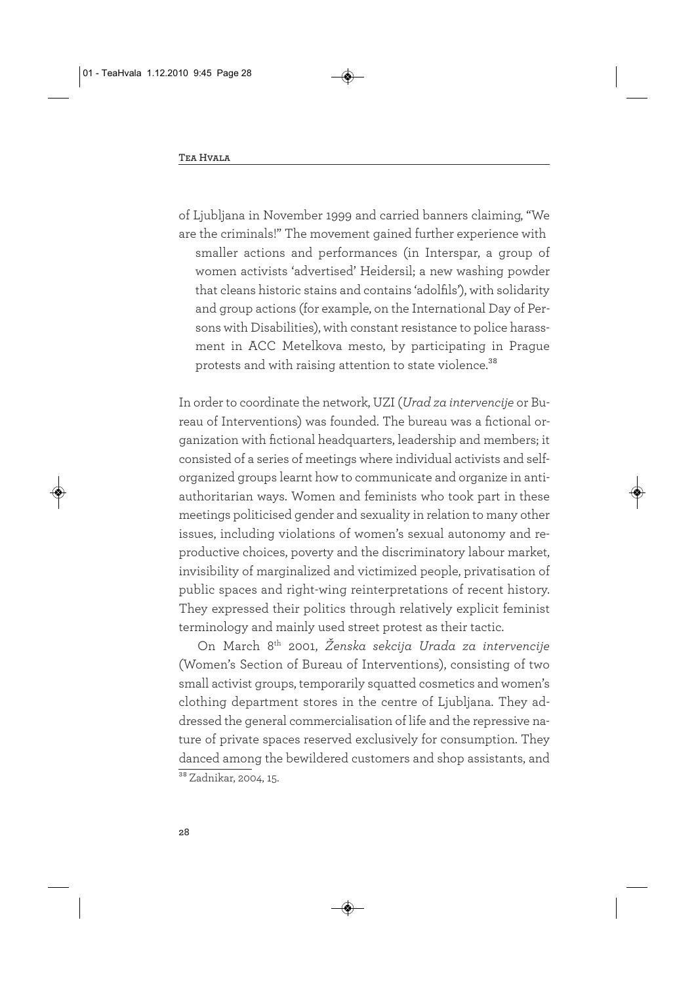of Ljubljana in November 1999 and carried banners claiming, "We are the criminals!" The movement gained further experience with smaller actions and performances (in Interspar, a group of women activists 'advertised' Heidersil; a new washing powder that cleans historic stains and contains 'adolfils'), with solidarity and group actions (for example, on the International Day of Persons with Disabilities), with constant resistance to police harassment in ACC Metelkova mesto, by participating in Prague protests and with raising attention to state violence.<sup>38</sup>

In order to coordinate the network, UZI (*Urad za intervencije* or Bureau of Interventions) was founded. The bureau was a fictional organization with fictional headquarters, leadership and members; it consisted of a series of meetings where individual activists and selforganized groups learnt how to communicate and organize in antiauthoritarian ways. Women and feminists who took part in these meetings politicised gender and sexuality in relation to many other issues, including violations of women's sexual autonomy and reproductive choices, poverty and the discriminatory labour market, invisibility of marginalized and victimized people, privatisation of public spaces and right-wing reinterpretations of recent history. They expressed their politics through relatively explicit feminist terminology and mainly used street protest as their tactic.

On March 8th 2001, *Ženska sekcija Urada za intervencije* (Women's Section of Bureau of Interventions), consisting of two small activist groups, temporarily squatted cosmetics and women's clothing department stores in the centre of Ljubljana. They addressed the general commercialisation of life and the repressive nature of private spaces reserved exclusively for consumption. They danced among the bewildered customers and shop assistants, and <sup>38</sup> Zadnikar, 2004, 15.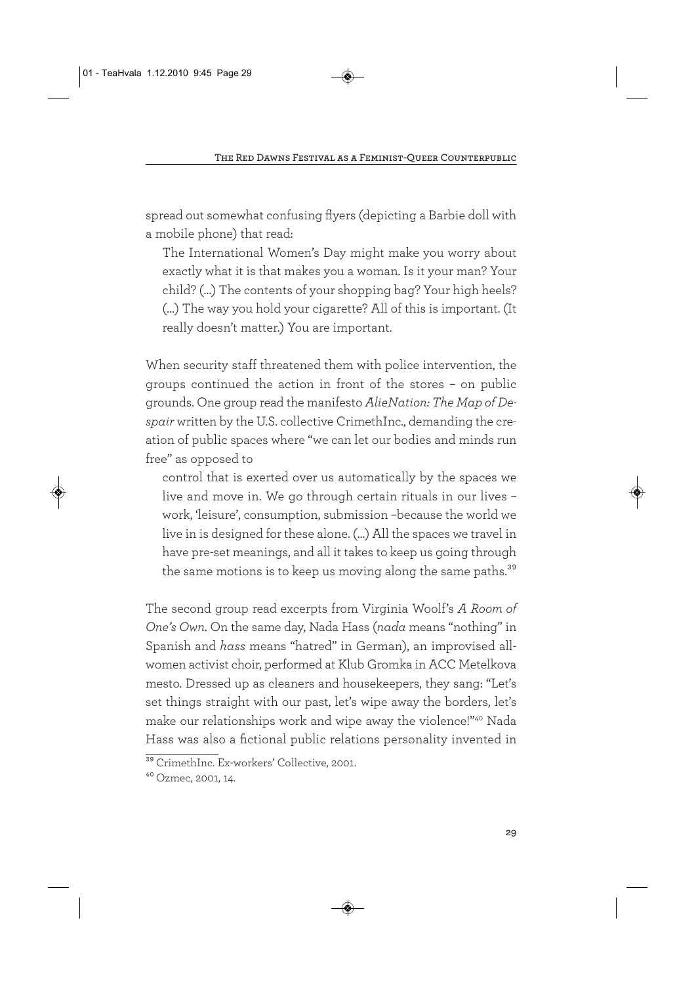spread out somewhat confusing flyers (depicting a Barbie doll with a mobile phone) that read:

The International Women's Day might make you worry about exactly what it is that makes you a woman. Is it your man? Your child? (…) The contents of your shopping bag? Your high heels? (…) The way you hold your cigarette? All of this is important. (It really doesn't matter.) You are important.

When security staff threatened them with police intervention, the groups continued the action in front of the stores – on public grounds. One group read the manifesto *AlieNation: The Map of Despair* written by the U.S. collective CrimethInc., demanding the creation of public spaces where "we can let our bodies and minds run free" as opposed to

control that is exerted over us automatically by the spaces we live and move in. We go through certain rituals in our lives – work, 'leisure', consumption, submission –because the world we live in is designed for these alone. (…) All the spaces we travel in have pre-set meanings, and all it takes to keep us going through the same motions is to keep us moving along the same paths.<sup>39</sup>

The second group read excerpts from Virginia Woolf's *A Room of One's Own*. On the same day, Nada Hass (*nada* means "nothing" in Spanish and *hass* means "hatred" in German), an improvised allwomen activist choir, performed at Klub Gromka in ACC Metelkova mesto. Dressed up as cleaners and housekeepers, they sang: "Let's set things straight with our past, let's wipe away the borders, let's make our relationships work and wipe away the violence!"40 Nada Hass was also a fictional public relations personality invented in

<sup>39</sup> CrimethInc. Ex-workers' Collective, 2001.

<sup>40</sup> Ozmec, 2001, 14.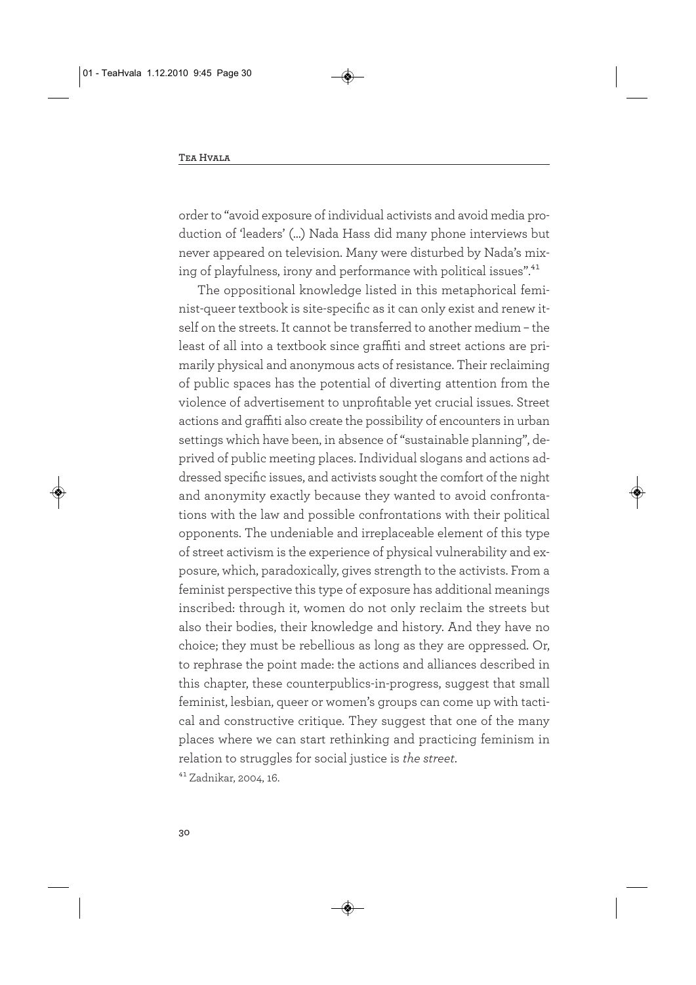order to "avoid exposure of individual activists and avoid media production of 'leaders' (…) Nada Hass did many phone interviews but never appeared on television. Many were disturbed by Nada's mixing of playfulness, irony and performance with political issues".<sup>41</sup>

The oppositional knowledge listed in this metaphorical feminist-queer textbook is site-specific as it can only exist and renew itself on the streets. It cannot be transferred to another medium – the least of all into a textbook since graffiti and street actions are primarily physical and anonymous acts of resistance. Their reclaiming of public spaces has the potential of diverting attention from the violence of advertisement to unprofitable yet crucial issues. Street actions and graffiti also create the possibility of encounters in urban settings which have been, in absence of "sustainable planning", deprived of public meeting places. Individual slogans and actions addressed specific issues, and activists sought the comfort of the night and anonymity exactly because they wanted to avoid confrontations with the law and possible confrontations with their political opponents. The undeniable and irreplaceable element of this type of street activism is the experience of physical vulnerability and exposure, which, paradoxically, gives strength to the activists. From a feminist perspective this type of exposure has additional meanings inscribed: through it, women do not only reclaim the streets but also their bodies, their knowledge and history. And they have no choice; they must be rebellious as long as they are oppressed. Or, to rephrase the point made: the actions and alliances described in this chapter, these counterpublics-in-progress, suggest that small feminist, lesbian, queer or women's groups can come up with tactical and constructive critique. They suggest that one of the many places where we can start rethinking and practicing feminism in relation to struggles for social justice is *the street*.

41 Zadnikar, 2004, 16.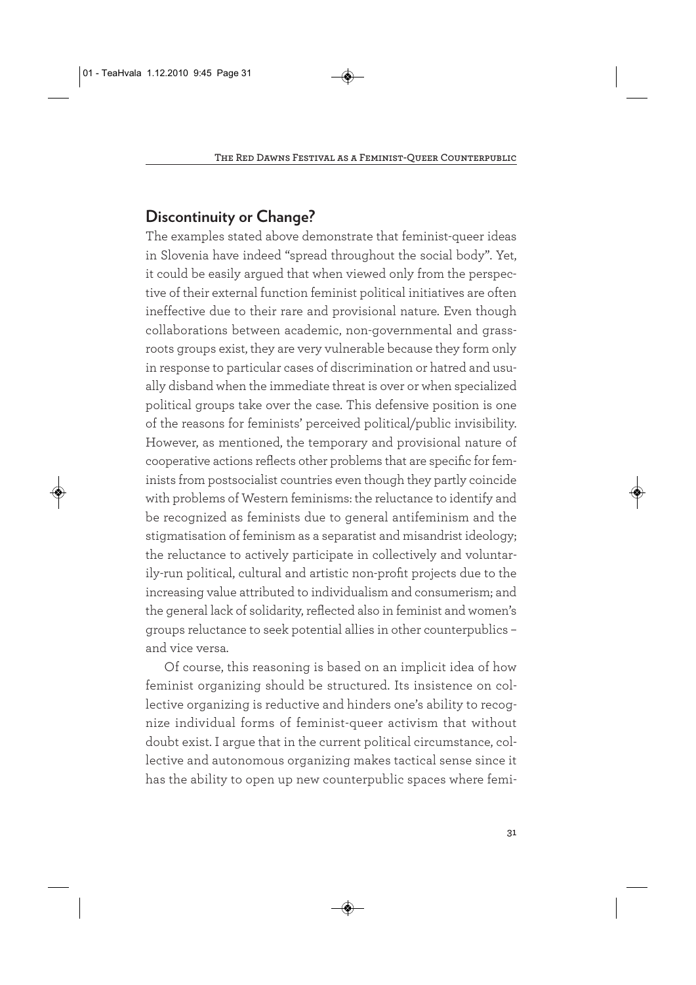#### **Discontinuity or Change?**

The examples stated above demonstrate that feminist-queer ideas in Slovenia have indeed "spread throughout the social body". Yet, it could be easily argued that when viewed only from the perspective of their external function feminist political initiatives are often ineffective due to their rare and provisional nature. Even though collaborations between academic, non-governmental and grassroots groups exist, they are very vulnerable because they form only in response to particular cases of discrimination or hatred and usually disband when the immediate threat is over or when specialized political groups take over the case. This defensive position is one of the reasons for feminists' perceived political/public invisibility. However, as mentioned, the temporary and provisional nature of cooperative actions reflects other problems that are specific for feminists from postsocialist countries even though they partly coincide with problems of Western feminisms: the reluctance to identify and be recognized as feminists due to general antifeminism and the stigmatisation of feminism as a separatist and misandrist ideology; the reluctance to actively participate in collectively and voluntarily-run political, cultural and artistic non-profit projects due to the increasing value attributed to individualism and consumerism; and the general lack of solidarity, reflected also in feminist and women's groups reluctance to seek potential allies in other counterpublics – and vice versa.

Of course, this reasoning is based on an implicit idea of how feminist organizing should be structured. Its insistence on collective organizing is reductive and hinders one's ability to recognize individual forms of feminist-queer activism that without doubt exist. I argue that in the current political circumstance, collective and autonomous organizing makes tactical sense since it has the ability to open up new counterpublic spaces where femi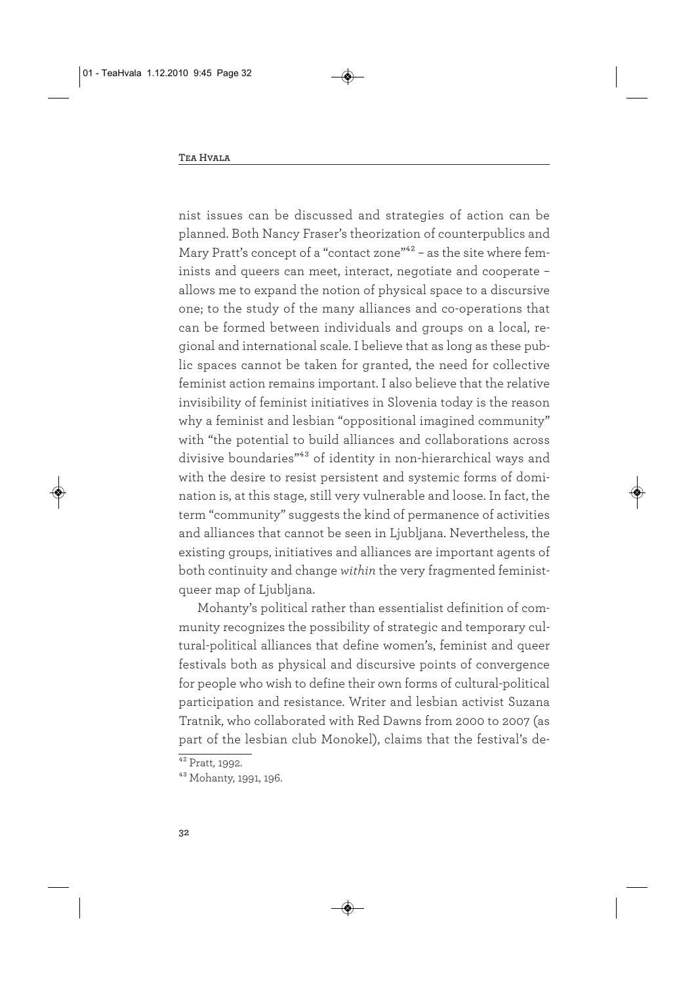nist issues can be discussed and strategies of action can be planned. Both Nancy Fraser's theorization of counterpublics and Mary Pratt's concept of a "contact zone"<sup>42</sup> - as the site where feminists and queers can meet, interact, negotiate and cooperate – allows me to expand the notion of physical space to a discursive one; to the study of the many alliances and co-operations that can be formed between individuals and groups on a local, regional and international scale. I believe that as long as these public spaces cannot be taken for granted, the need for collective feminist action remains important. I also believe that the relative invisibility of feminist initiatives in Slovenia today is the reason why a feminist and lesbian "oppositional imagined community" with "the potential to build alliances and collaborations across divisive boundaries"43 of identity in non-hierarchical ways and with the desire to resist persistent and systemic forms of domination is, at this stage, still very vulnerable and loose. In fact, the term "community" suggests the kind of permanence of activities and alliances that cannot be seen in Ljubljana. Nevertheless, the existing groups, initiatives and alliances are important agents of both continuity and change *within* the very fragmented feministqueer map of Ljubljana.

Mohanty's political rather than essentialist definition of community recognizes the possibility of strategic and temporary cultural-political alliances that define women's, feminist and queer festivals both as physical and discursive points of convergence for people who wish to define their own forms of cultural-political participation and resistance. Writer and lesbian activist Suzana Tratnik, who collaborated with Red Dawns from 2000 to 2007 (as part of the lesbian club Monokel), claims that the festival's de-

 $42$  Pratt, 1992.

<sup>43</sup> Mohanty, 1991, 196.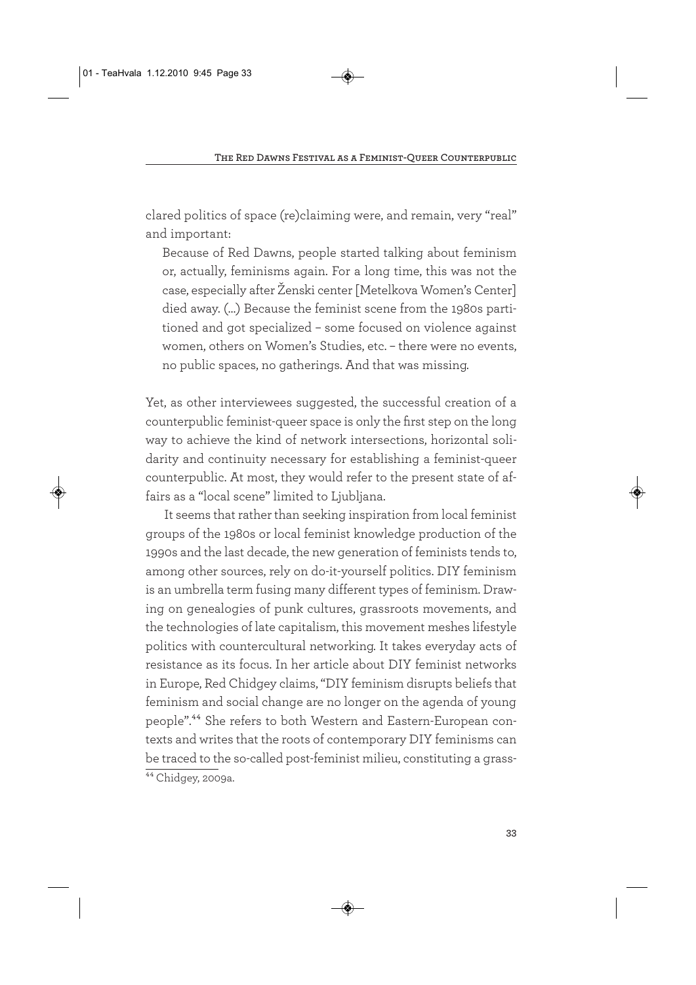clared politics of space (re)claiming were, and remain, very "real" and important:

Because of Red Dawns, people started talking about feminism or, actually, feminisms again. For a long time, this was not the case, especially after Ženski center [Metelkova Women's Center] died away. (…) Because the feminist scene from the 1980s partitioned and got specialized – some focused on violence against women, others on Women's Studies, etc. – there were no events, no public spaces, no gatherings. And that was missing.

Yet, as other interviewees suggested, the successful creation of a counterpublic feminist-queer space is only the first step on the long way to achieve the kind of network intersections, horizontal solidarity and continuity necessary for establishing a feminist-queer counterpublic. At most, they would refer to the present state of affairs as a "local scene" limited to Ljubljana.

It seems that rather than seeking inspiration from local feminist groups of the 1980s or local feminist knowledge production of the 1990s and the last decade, the new generation of feminists tends to, among other sources, rely on do-it-yourself politics. DIY feminism is an umbrella term fusing many different types of feminism. Drawing on genealogies of punk cultures, grassroots movements, and the technologies of late capitalism, this movement meshes lifestyle politics with countercultural networking. It takes everyday acts of resistance as its focus. In her article about DIY feminist networks in Europe, Red Chidgey claims, "DIY feminism disrupts beliefs that feminism and social change are no longer on the agenda of young people".44 She refers to both Western and Eastern-European contexts and writes that the roots of contemporary DIY feminisms can be traced to the so-called post-feminist milieu, constituting a grass-44 Chidgey, 2009a.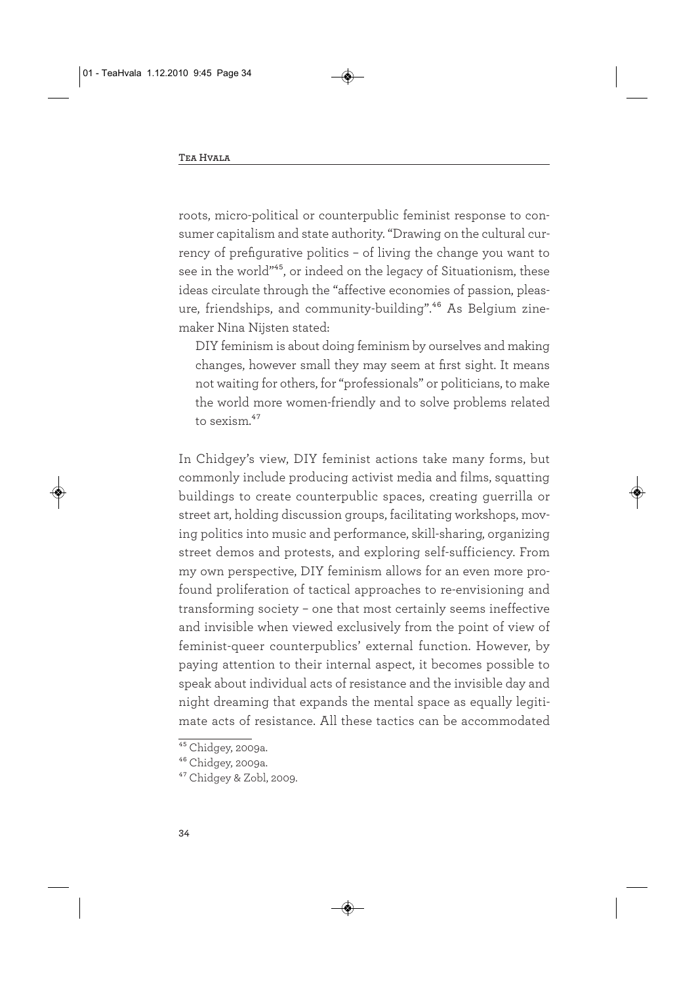roots, micro-political or counterpublic feminist response to consumer capitalism and state authority. "Drawing on the cultural currency of prefigurative politics – of living the change you want to see in the world"<sup>45</sup>, or indeed on the legacy of Situationism, these ideas circulate through the "affective economies of passion, pleasure, friendships, and community-building".<sup>46</sup> As Belgium zinemaker Nina Nijsten stated:

DIY feminism is about doing feminism by ourselves and making changes, however small they may seem at first sight. It means not waiting for others, for "professionals" or politicians, to make the world more women-friendly and to solve problems related to sexism.<sup>47</sup>

In Chidgey's view, DIY feminist actions take many forms, but commonly include producing activist media and films, squatting buildings to create counterpublic spaces, creating guerrilla or street art, holding discussion groups, facilitating workshops, moving politics into music and performance, skill-sharing, organizing street demos and protests, and exploring self-sufficiency. From my own perspective, DIY feminism allows for an even more profound proliferation of tactical approaches to re-envisioning and transforming society – one that most certainly seems ineffective and invisible when viewed exclusively from the point of view of feminist-queer counterpublics' external function. However, by paying attention to their internal aspect, it becomes possible to speak about individual acts of resistance and the invisible day and night dreaming that expands the mental space as equally legitimate acts of resistance. All these tactics can be accommodated

 $45$  Chidgey, 2009a.

<sup>46</sup> Chidgey, 2009a.

<sup>47</sup> Chidgey & Zobl, 2009.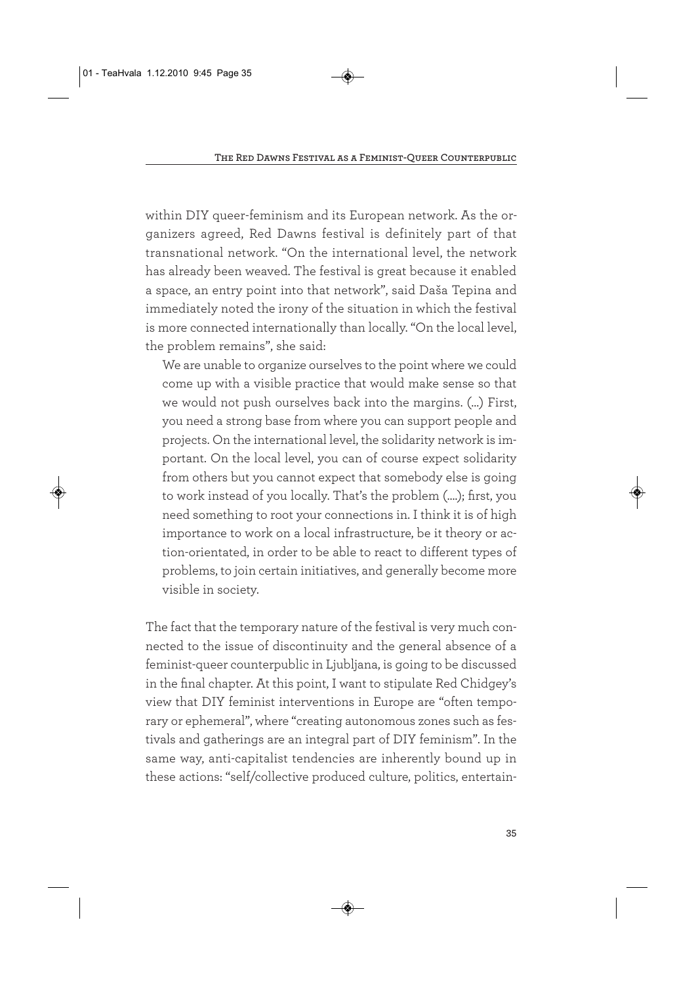within DIY queer-feminism and its European network. As the organizers agreed, Red Dawns festival is definitely part of that transnational network. "On the international level, the network has already been weaved. The festival is great because it enabled a space, an entry point into that network", said Daša Tepina and immediately noted the irony of the situation in which the festival is more connected internationally than locally. "On the local level, the problem remains", she said:

We are unable to organize ourselves to the point where we could come up with a visible practice that would make sense so that we would not push ourselves back into the margins. (…) First, you need a strong base from where you can support people and projects. On the international level, the solidarity network is important. On the local level, you can of course expect solidarity from others but you cannot expect that somebody else is going to work instead of you locally. That's the problem (….); first, you need something to root your connections in. I think it is of high importance to work on a local infrastructure, be it theory or action-orientated, in order to be able to react to different types of problems, to join certain initiatives, and generally become more visible in society.

The fact that the temporary nature of the festival is very much connected to the issue of discontinuity and the general absence of a feminist-queer counterpublic in Ljubljana, is going to be discussed in the final chapter. At this point, I want to stipulate Red Chidgey's view that DIY feminist interventions in Europe are "often temporary or ephemeral", where "creating autonomous zones such as festivals and gatherings are an integral part of DIY feminism". In the same way, anti-capitalist tendencies are inherently bound up in these actions: "self/collective produced culture, politics, entertain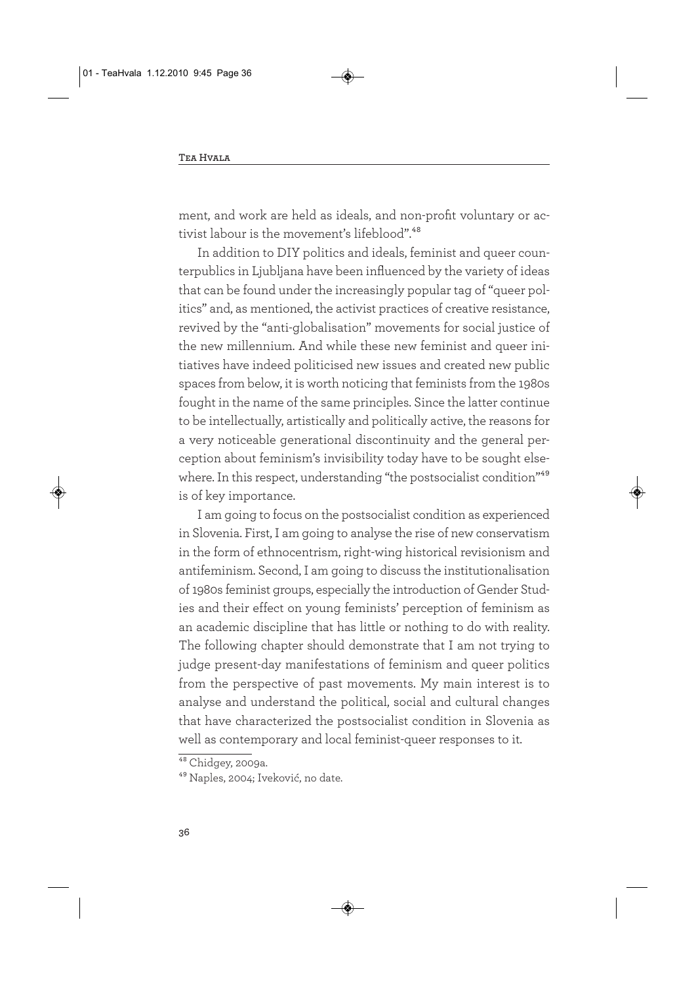ment, and work are held as ideals, and non-profit voluntary or activist labour is the movement's lifeblood".<sup>48</sup>

In addition to DIY politics and ideals, feminist and queer counterpublics in Ljubljana have been influenced by the variety of ideas that can be found under the increasingly popular tag of "queer politics" and, as mentioned, the activist practices of creative resistance, revived by the "anti-globalisation" movements for social justice of the new millennium. And while these new feminist and queer initiatives have indeed politicised new issues and created new public spaces from below, it is worth noticing that feminists from the 1980s fought in the name of the same principles. Since the latter continue to be intellectually, artistically and politically active, the reasons for a very noticeable generational discontinuity and the general perception about feminism's invisibility today have to be sought elsewhere. In this respect, understanding "the postsocialist condition"<sup>49</sup> is of key importance.

I am going to focus on the postsocialist condition as experienced in Slovenia. First, I am going to analyse the rise of new conservatism in the form of ethnocentrism, right-wing historical revisionism and antifeminism. Second, I am going to discuss the institutionalisation of 1980s feminist groups, especially the introduction of Gender Studies and their effect on young feminists' perception of feminism as an academic discipline that has little or nothing to do with reality. The following chapter should demonstrate that I am not trying to judge present-day manifestations of feminism and queer politics from the perspective of past movements. My main interest is to analyse and understand the political, social and cultural changes that have characterized the postsocialist condition in Slovenia as well as contemporary and local feminist-queer responses to it.

<sup>&</sup>lt;sup>48</sup> Chidgey, 2009a.

<sup>49</sup> Naples, 2004; Iveković, no date.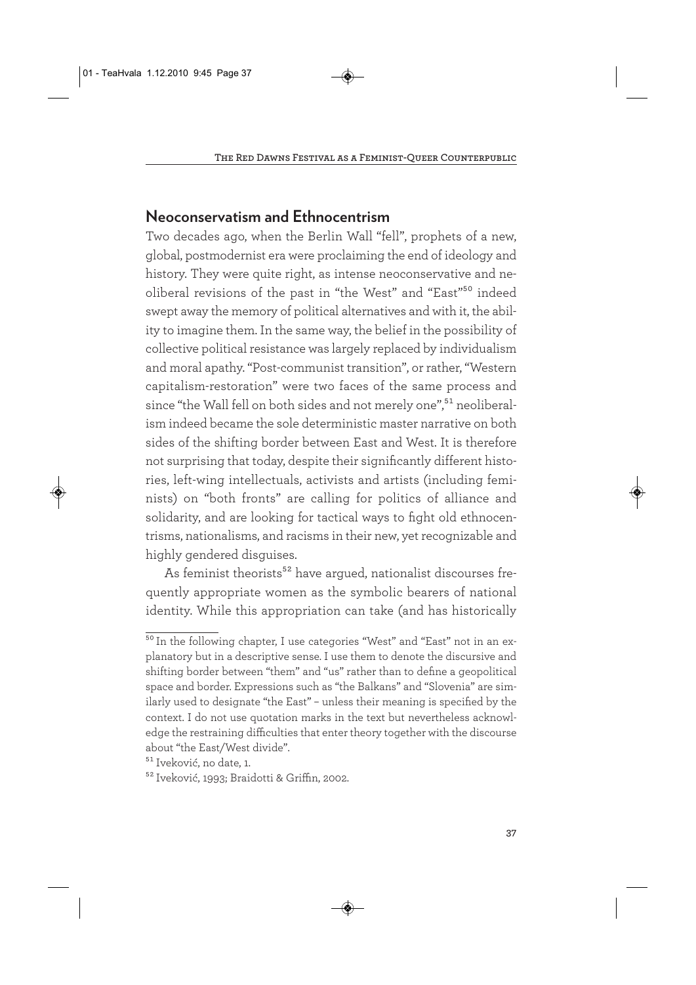## **Neoconservatism and Ethnocentrism**

Two decades ago, when the Berlin Wall "fell", prophets of a new, global, postmodernist era were proclaiming the end of ideology and history. They were quite right, as intense neoconservative and neoliberal revisions of the past in "the West" and "East"<sup>50</sup> indeed swept away the memory of political alternatives and with it, the ability to imagine them. In the same way, the belief in the possibility of collective political resistance was largely replaced by individualism and moral apathy. "Post-communist transition", or rather, "Western capitalism-restoration" were two faces of the same process and since "the Wall fell on both sides and not merely one",<sup>51</sup> neoliberalism indeed became the sole deterministic master narrative on both sides of the shifting border between East and West. It is therefore not surprising that today, despite their significantly different histories, left-wing intellectuals, activists and artists (including feminists) on "both fronts" are calling for politics of alliance and solidarity, and are looking for tactical ways to fight old ethnocentrisms, nationalisms, and racisms in their new, yet recognizable and highly gendered disguises.

As feminist theorists<sup>52</sup> have argued, nationalist discourses frequently appropriate women as the symbolic bearers of national identity. While this appropriation can take (and has historically

<sup>&</sup>lt;sup>50</sup> In the following chapter, I use categories "West" and "East" not in an explanatory but in a descriptive sense. I use them to denote the discursive and shifting border between "them" and "us" rather than to define a geopolitical space and border. Expressions such as "the Balkans" and "Slovenia" are similarly used to designate "the East" – unless their meaning is specified by the context. I do not use quotation marks in the text but nevertheless acknowledge the restraining difficulties that enter theory together with the discourse about "the East/West divide".

<sup>51</sup> Iveković, no date, 1.

<sup>52</sup> Iveković, 1993; Braidotti & Griffin, 2002.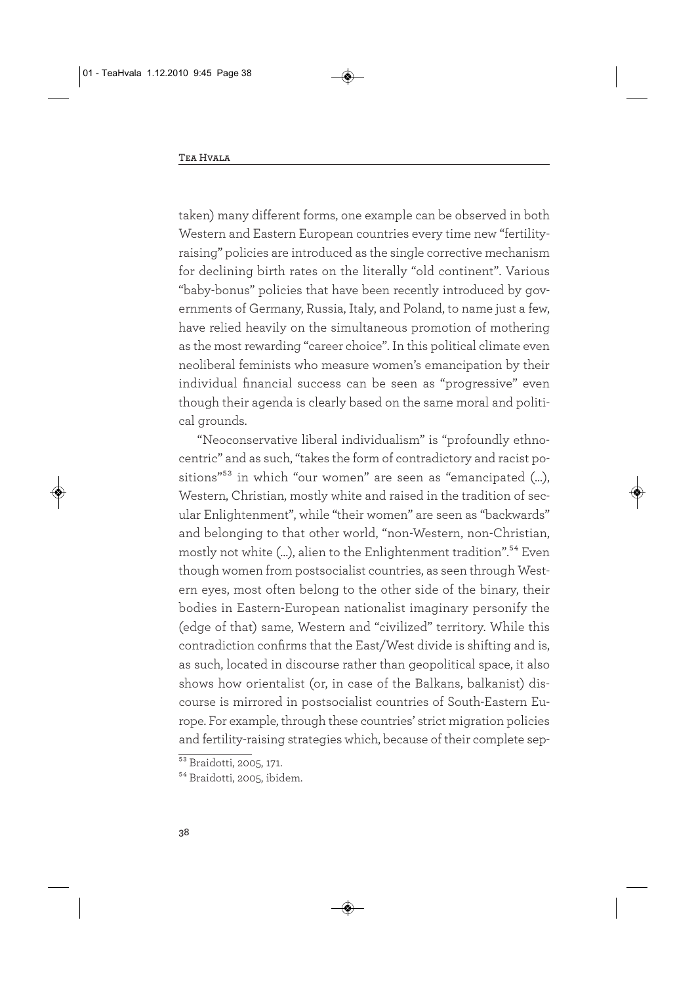taken) many different forms, one example can be observed in both Western and Eastern European countries every time new "fertilityraising" policies are introduced as the single corrective mechanism for declining birth rates on the literally "old continent". Various "baby-bonus" policies that have been recently introduced by governments of Germany, Russia, Italy, and Poland, to name just a few, have relied heavily on the simultaneous promotion of mothering as the most rewarding "career choice". In this political climate even neoliberal feminists who measure women's emancipation by their individual financial success can be seen as "progressive" even though their agenda is clearly based on the same moral and political grounds.

"Neoconservative liberal individualism" is "profoundly ethnocentric" and as such, "takes the form of contradictory and racist positions"53 in which "our women" are seen as "emancipated (…), Western, Christian, mostly white and raised in the tradition of secular Enlightenment", while "their women" are seen as "backwards" and belonging to that other world, "non-Western, non-Christian, mostly not white (...), alien to the Enlightenment tradition".<sup>54</sup> Even though women from postsocialist countries, as seen through Western eyes, most often belong to the other side of the binary, their bodies in Eastern-European nationalist imaginary personify the (edge of that) same, Western and "civilized" territory. While this contradiction confirms that the East/West divide is shifting and is, as such, located in discourse rather than geopolitical space, it also shows how orientalist (or, in case of the Balkans, balkanist) discourse is mirrored in postsocialist countries of South-Eastern Europe. For example, through these countries' strict migration policies and fertility-raising strategies which, because of their complete sep-

<sup>&</sup>lt;sup>53</sup> Braidotti, 2005, 171.

<sup>54</sup> Braidotti, 2005, ibidem.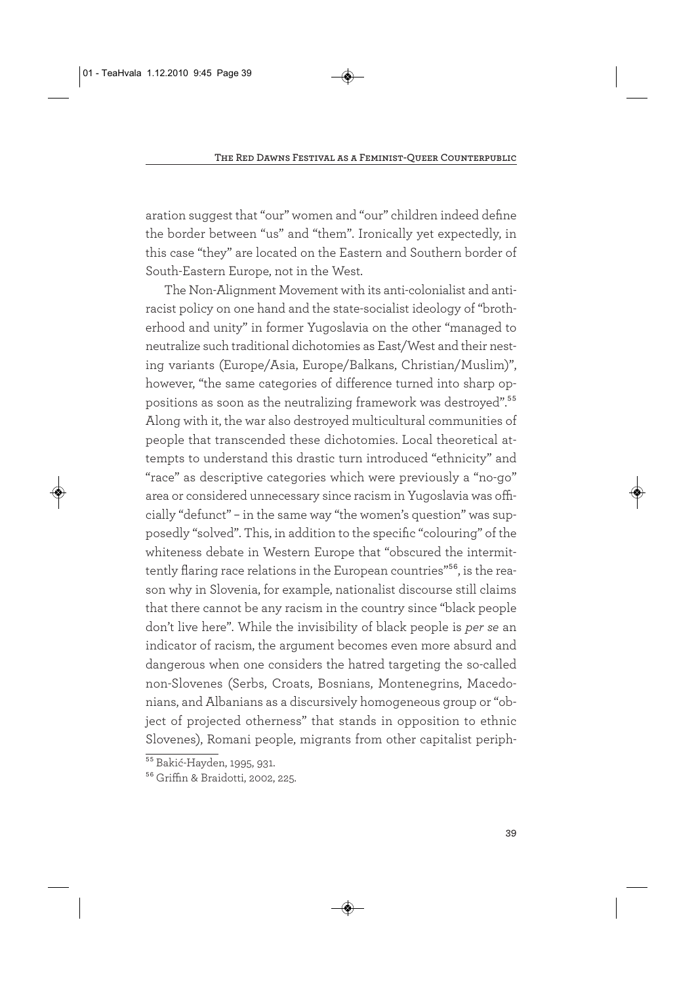aration suggest that "our" women and "our" children indeed define the border between "us" and "them". Ironically yet expectedly, in this case "they" are located on the Eastern and Southern border of South-Eastern Europe, not in the West.

The Non-Alignment Movement with its anti-colonialist and antiracist policy on one hand and the state-socialist ideology of "brotherhood and unity" in former Yugoslavia on the other "managed to neutralize such traditional dichotomies as East/West and their nesting variants (Europe/Asia, Europe/Balkans, Christian/Muslim)", however, "the same categories of difference turned into sharp oppositions as soon as the neutralizing framework was destroyed".55 Along with it, the war also destroyed multicultural communities of people that transcended these dichotomies. Local theoretical attempts to understand this drastic turn introduced "ethnicity" and "race" as descriptive categories which were previously a "no-go" area or considered unnecessary since racism in Yugoslavia was officially "defunct" – in the same way "the women's question" was supposedly "solved". This, in addition to the specific "colouring" of the whiteness debate in Western Europe that "obscured the intermittently flaring race relations in the European countries"<sup>56</sup>, is the reason why in Slovenia, for example, nationalist discourse still claims that there cannot be any racism in the country since "black people don't live here". While the invisibility of black people is *per se* an indicator of racism, the argument becomes even more absurd and dangerous when one considers the hatred targeting the so-called non-Slovenes (Serbs, Croats, Bosnians, Montenegrins, Macedonians, and Albanians as a discursively homogeneous group or "object of projected otherness" that stands in opposition to ethnic Slovenes), Romani people, migrants from other capitalist periph-

<sup>&</sup>lt;sup>55</sup> Bakić-Hayden, 1995, 931.

<sup>56</sup> Griffin & Braidotti, 2002, 225.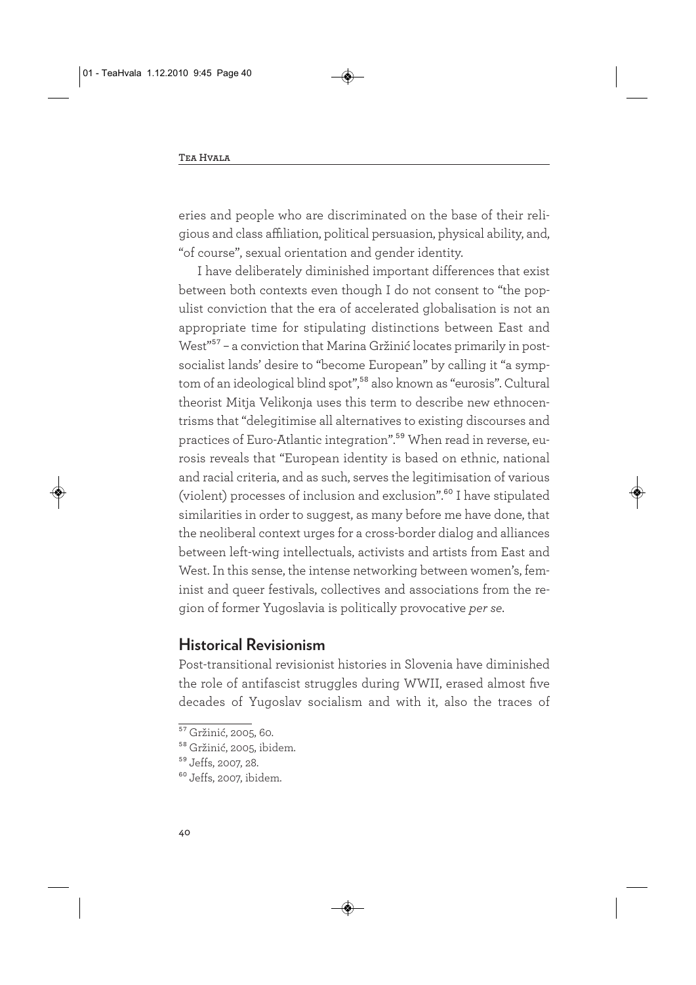eries and people who are discriminated on the base of their religious and class affiliation, political persuasion, physical ability, and, "of course", sexual orientation and gender identity.

I have deliberately diminished important differences that exist between both contexts even though I do not consent to "the populist conviction that the era of accelerated globalisation is not an appropriate time for stipulating distinctions between East and West"<sup>57</sup> – a conviction that Marina Gržinić locates primarily in postsocialist lands' desire to "become European" by calling it "a symptom of an ideological blind spot",58 also known as "eurosis". Cultural theorist Mitja Velikonja uses this term to describe new ethnocentrisms that "delegitimise all alternatives to existing discourses and practices of Euro-Atlantic integration".59 When read in reverse, eurosis reveals that "European identity is based on ethnic, national and racial criteria, and as such, serves the legitimisation of various (violent) processes of inclusion and exclusion".60 I have stipulated similarities in order to suggest, as many before me have done, that the neoliberal context urges for a cross-border dialog and alliances between left-wing intellectuals, activists and artists from East and West. In this sense, the intense networking between women's, feminist and queer festivals, collectives and associations from the region of former Yugoslavia is politically provocative *per se*.

### **Historical Revisionism**

Post-transitional revisionist histories in Slovenia have diminished the role of antifascist struggles during WWII, erased almost five decades of Yugoslav socialism and with it, also the traces of

<sup>&</sup>lt;sup>57</sup> Gržinić, 2005, 60.

<sup>58</sup> Gržinić, 2005, ibidem.

<sup>59</sup> Jeffs, 2007, 28.

 $60$  Jeffs, 2007, ibidem.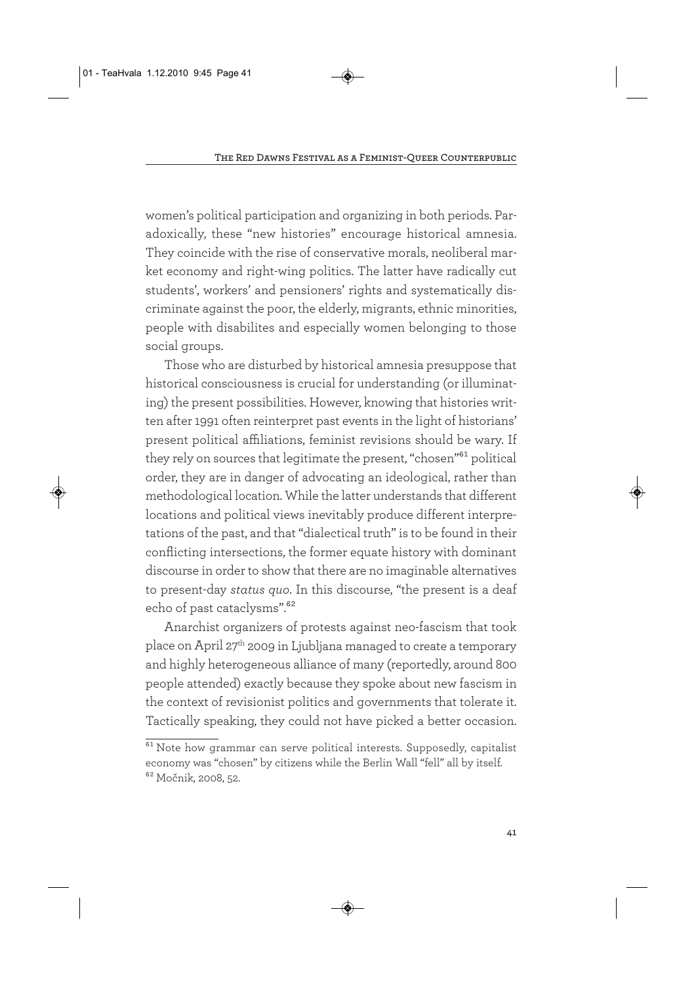women's political participation and organizing in both periods. Paradoxically, these "new histories" encourage historical amnesia. They coincide with the rise of conservative morals, neoliberal market economy and right-wing politics. The latter have radically cut students', workers' and pensioners' rights and systematically discriminate against the poor, the elderly, migrants, ethnic minorities, people with disabilites and especially women belonging to those social groups.

Those who are disturbed by historical amnesia presuppose that historical consciousness is crucial for understanding (or illuminating) the present possibilities. However, knowing that histories written after 1991 often reinterpret past events in the light of historians' present political affiliations, feminist revisions should be wary. If they rely on sources that legitimate the present, "chosen"<sup>61</sup> political order, they are in danger of advocating an ideological, rather than methodological location. While the latter understands that different locations and political views inevitably produce different interpretations of the past, and that "dialectical truth" is to be found in their conflicting intersections, the former equate history with dominant discourse in order to show that there are no imaginable alternatives to present-day *status quo*. In this discourse, "the present is a deaf echo of past cataclysms".<sup>62</sup>

Anarchist organizers of protests against neo-fascism that took place on April 27<sup>th</sup> 2009 in Ljubljana managed to create a temporary and highly heterogeneous alliance of many (reportedly, around 800 people attended) exactly because they spoke about new fascism in the context of revisionist politics and governments that tolerate it. Tactically speaking, they could not have picked a better occasion.

 $61$  Note how grammar can serve political interests. Supposedly, capitalist economy was "chosen" by citizens while the Berlin Wall "fell" all by itself. 62 Močnik, 2008, 52.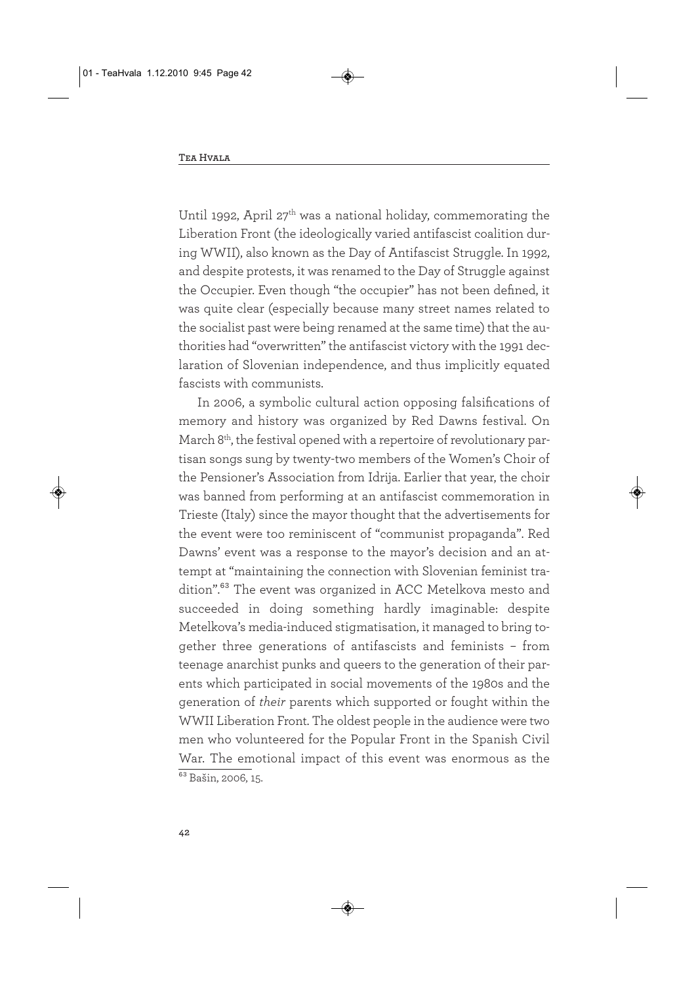Until 1992, April 27<sup>th</sup> was a national holiday, commemorating the Liberation Front (the ideologically varied antifascist coalition during WWII), also known as the Day of Antifascist Struggle. In 1992, and despite protests, it was renamed to the Day of Struggle against the Occupier. Even though "the occupier" has not been defined, it was quite clear (especially because many street names related to the socialist past were being renamed at the same time) that the authorities had "overwritten" the antifascist victory with the 1991 declaration of Slovenian independence, and thus implicitly equated fascists with communists.

In 2006, a symbolic cultural action opposing falsifications of memory and history was organized by Red Dawns festival. On March 8th, the festival opened with a repertoire of revolutionary partisan songs sung by twenty-two members of the Women's Choir of the Pensioner's Association from Idrija. Earlier that year, the choir was banned from performing at an antifascist commemoration in Trieste (Italy) since the mayor thought that the advertisements for the event were too reminiscent of "communist propaganda". Red Dawns' event was a response to the mayor's decision and an attempt at "maintaining the connection with Slovenian feminist tradition".<sup>63</sup> The event was organized in ACC Metelkova mesto and succeeded in doing something hardly imaginable: despite Metelkova's media-induced stigmatisation, it managed to bring together three generations of antifascists and feminists – from teenage anarchist punks and queers to the generation of their parents which participated in social movements of the 1980s and the generation of *their* parents which supported or fought within the WWII Liberation Front. The oldest people in the audience were two men who volunteered for the Popular Front in the Spanish Civil War. The emotional impact of this event was enormous as the  $\frac{1}{63}$  Bašin, 2006, 15.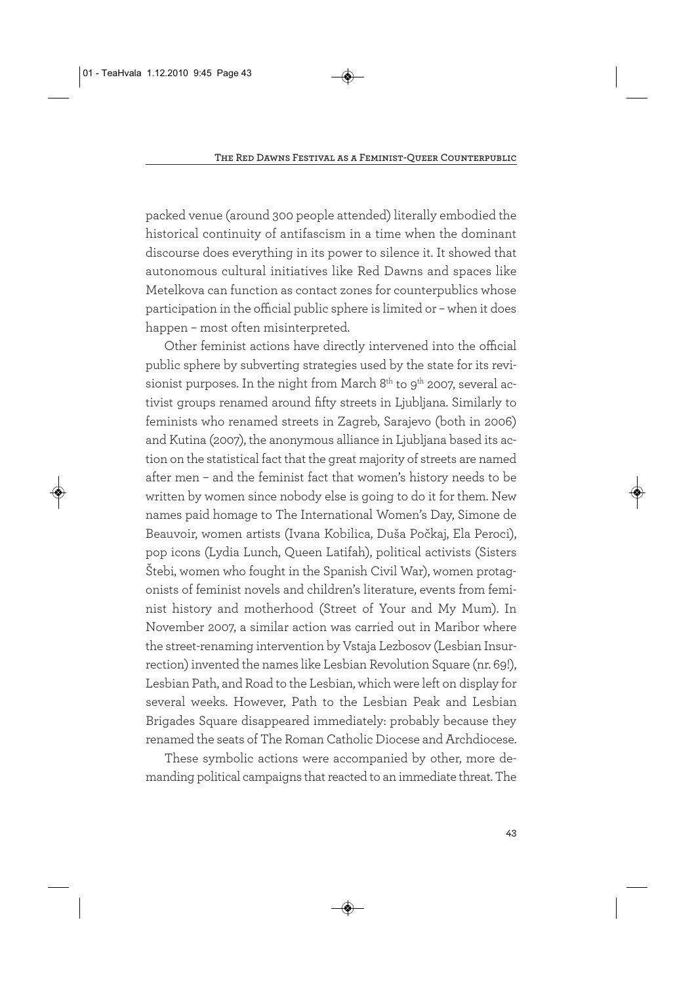packed venue (around 300 people attended) literally embodied the historical continuity of antifascism in a time when the dominant discourse does everything in its power to silence it. It showed that autonomous cultural initiatives like Red Dawns and spaces like Metelkova can function as contact zones for counterpublics whose participation in the official public sphere is limited or – when it does happen – most often misinterpreted.

Other feminist actions have directly intervened into the official public sphere by subverting strategies used by the state for its revisionist purposes. In the night from March  $8<sup>th</sup>$  to  $9<sup>th</sup>$  2007, several activist groups renamed around fifty streets in Ljubljana. Similarly to feminists who renamed streets in Zagreb, Sarajevo (both in 2006) and Kutina (2007), the anonymous alliance in Ljubljana based its action on the statistical fact that the great majority of streets are named after men – and the feminist fact that women's history needs to be written by women since nobody else is going to do it for them. New names paid homage to The International Women's Day, Simone de Beauvoir, women artists (Ivana Kobilica, Duša Počkaj, Ela Peroci), pop icons (Lydia Lunch, Queen Latifah), political activists (Sisters Štebi, women who fought in the Spanish Civil War), women protagonists of feminist novels and children's literature, events from feminist history and motherhood (Street of Your and My Mum). In November 2007, a similar action was carried out in Maribor where the street-renaming intervention by Vstaja Lezbosov (Lesbian Insurrection) invented the names like Lesbian Revolution Square (nr. 69!), Lesbian Path, and Road to the Lesbian, which were left on display for several weeks. However, Path to the Lesbian Peak and Lesbian Brigades Square disappeared immediately: probably because they renamed the seats of The Roman Catholic Diocese and Archdiocese.

These symbolic actions were accompanied by other, more demanding political campaigns that reacted to an immediate threat. The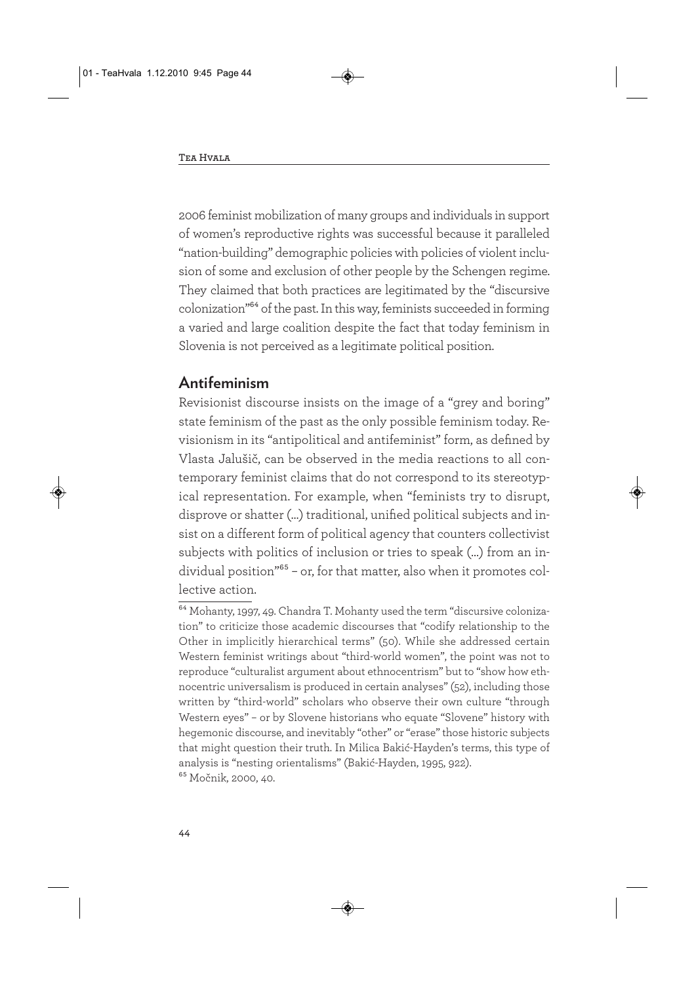2006 feminist mobilization of many groups and individuals in support of women's reproductive rights was successful because it paralleled "nation-building" demographic policies with policies of violent inclusion of some and exclusion of other people by the Schengen regime. They claimed that both practices are legitimated by the "discursive colonization"64 of the past. In this way, feminists succeeded in forming a varied and large coalition despite the fact that today feminism in Slovenia is not perceived as a legitimate political position.

## **Antifeminism**

Revisionist discourse insists on the image of a "grey and boring" state feminism of the past as the only possible feminism today. Revisionism in its "antipolitical and antifeminist" form, as defined by Vlasta Jalušič, can be observed in the media reactions to all contemporary feminist claims that do not correspond to its stereotypical representation. For example, when "feminists try to disrupt, disprove or shatter (…) traditional, unified political subjects and insist on a different form of political agency that counters collectivist subjects with politics of inclusion or tries to speak (…) from an individual position"65 – or, for that matter, also when it promotes collective action.

<sup>64</sup> Mohanty, 1997, 49. Chandra T. Mohanty used the term "discursive colonization" to criticize those academic discourses that "codify relationship to the Other in implicitly hierarchical terms" (50). While she addressed certain Western feminist writings about "third-world women", the point was not to reproduce "culturalist argument about ethnocentrism" but to "show how ethnocentric universalism is produced in certain analyses" (52), including those written by "third-world" scholars who observe their own culture "through Western eyes" – or by Slovene historians who equate "Slovene" history with hegemonic discourse, and inevitably "other" or "erase" those historic subjects that might question their truth. In Milica Bakić-Hayden's terms, this type of analysis is "nesting orientalisms" (Bakić-Hayden, 1995, 922). 65 Močnik, 2000, 40.

**44**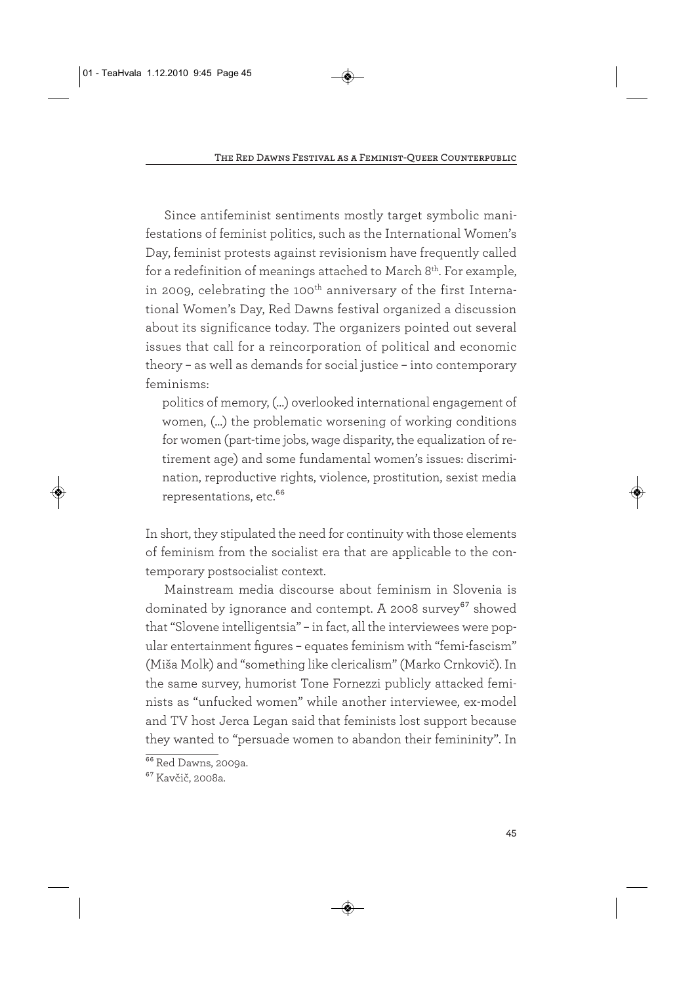Since antifeminist sentiments mostly target symbolic manifestations of feminist politics, such as the International Women's Day, feminist protests against revisionism have frequently called for a redefinition of meanings attached to March 8<sup>th</sup>. For example, in 2009, celebrating the 100<sup>th</sup> anniversary of the first International Women's Day, Red Dawns festival organized a discussion about its significance today. The organizers pointed out several issues that call for a reincorporation of political and economic theory – as well as demands for social justice – into contemporary feminisms:

politics of memory, (…) overlooked international engagement of women, (…) the problematic worsening of working conditions for women (part-time jobs, wage disparity, the equalization of retirement age) and some fundamental women's issues: discrimination, reproductive rights, violence, prostitution, sexist media representations, etc.<sup>66</sup>

In short, they stipulated the need for continuity with those elements of feminism from the socialist era that are applicable to the contemporary postsocialist context.

Mainstream media discourse about feminism in Slovenia is dominated by ignorance and contempt. A 2008 survey<sup>67</sup> showed that "Slovene intelligentsia" – in fact, all the interviewees were popular entertainment figures – equates feminism with "femi-fascism" (Miša Molk) and "something like clericalism" (Marko Crnkovič). In the same survey, humorist Tone Fornezzi publicly attacked feminists as "unfucked women" while another interviewee, ex-model and TV host Jerca Legan said that feminists lost support because they wanted to "persuade women to abandon their femininity". In

 $\overline{{}^{66}\text{Red}}$  Dawns, 2009a.

<sup>67</sup> Kavčič, 2008a.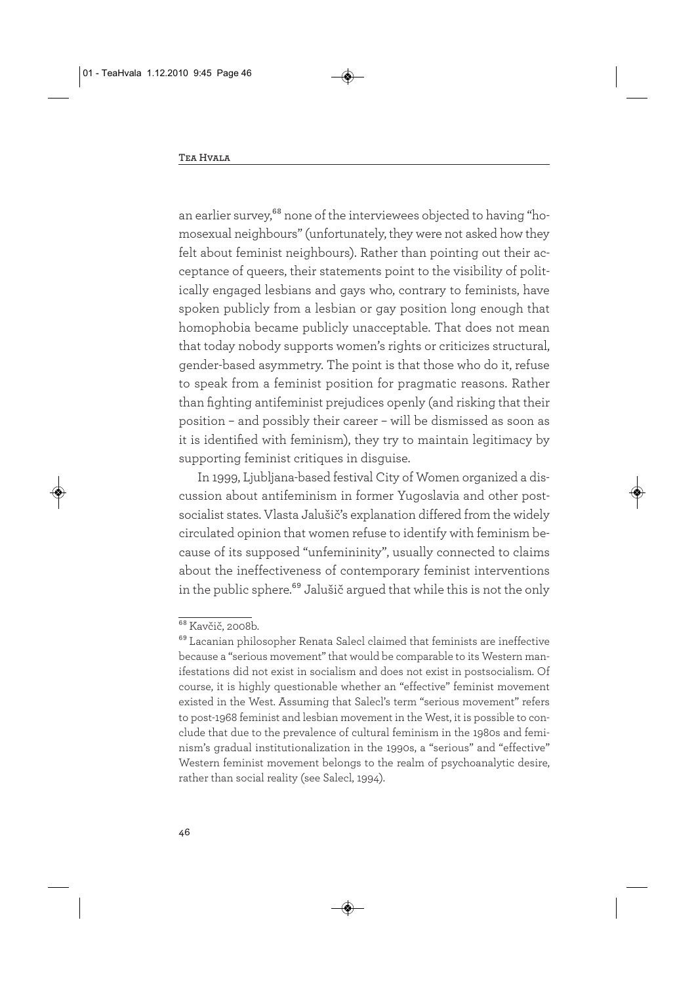an earlier survey,<sup>68</sup> none of the interviewees objected to having "homosexual neighbours" (unfortunately, they were not asked how they felt about feminist neighbours). Rather than pointing out their acceptance of queers, their statements point to the visibility of politically engaged lesbians and gays who, contrary to feminists, have spoken publicly from a lesbian or gay position long enough that homophobia became publicly unacceptable. That does not mean that today nobody supports women's rights or criticizes structural, gender-based asymmetry. The point is that those who do it, refuse to speak from a feminist position for pragmatic reasons. Rather than fighting antifeminist prejudices openly (and risking that their position – and possibly their career – will be dismissed as soon as it is identified with feminism), they try to maintain legitimacy by supporting feminist critiques in disguise.

In 1999, Ljubljana-based festival City of Women organized a discussion about antifeminism in former Yugoslavia and other postsocialist states. Vlasta Jalušič's explanation differed from the widely circulated opinion that women refuse to identify with feminism because of its supposed "unfemininity", usually connected to claims about the ineffectiveness of contemporary feminist interventions in the public sphere.<sup>69</sup> Jalušič argued that while this is not the only

<sup>68</sup> Kavčič, 2008b.

<sup>69</sup> Lacanian philosopher Renata Salecl claimed that feminists are ineffective because a "serious movement" that would be comparable to its Western manifestations did not exist in socialism and does not exist in postsocialism. Of course, it is highly questionable whether an "effective" feminist movement existed in the West. Assuming that Salecl's term "serious movement" refers to post-1968 feminist and lesbian movement in the West, it is possible to conclude that due to the prevalence of cultural feminism in the 1980s and feminism's gradual institutionalization in the 1990s, a "serious" and "effective" Western feminist movement belongs to the realm of psychoanalytic desire, rather than social reality (see Salecl, 1994).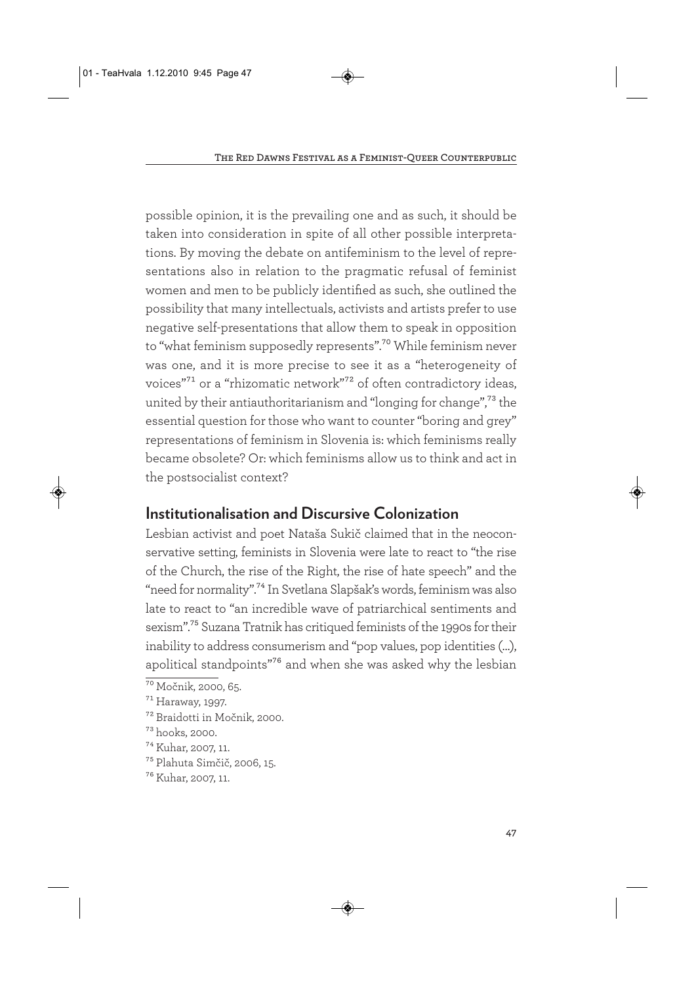possible opinion, it is the prevailing one and as such, it should be taken into consideration in spite of all other possible interpretations. By moving the debate on antifeminism to the level of representations also in relation to the pragmatic refusal of feminist women and men to be publicly identified as such, she outlined the possibility that many intellectuals, activists and artists prefer to use negative self-presentations that allow them to speak in opposition to "what feminism supposedly represents".<sup>70</sup> While feminism never was one, and it is more precise to see it as a "heterogeneity of voices"71 or a "rhizomatic network"72 of often contradictory ideas, united by their antiauthoritarianism and "longing for change",73 the essential question for those who want to counter "boring and grey" representations of feminism in Slovenia is: which feminisms really became obsolete? Or: which feminisms allow us to think and act in the postsocialist context?

# **Institutionalisation and Discursive Colonization**

Lesbian activist and poet Nataša Sukič claimed that in the neoconservative setting, feminists in Slovenia were late to react to "the rise of the Church, the rise of the Right, the rise of hate speech" and the "need for normality".74 In Svetlana Slapšak's words, feminism was also late to react to "an incredible wave of patriarchical sentiments and sexism".75 Suzana Tratnik has critiqued feminists of the 1990s for their inability to address consumerism and "pop values, pop identities (…), apolitical standpoints"76 and when she was asked why the lesbian

<sup>&</sup>lt;sup>70</sup> Močnik, 2000, 65.

<sup>71</sup> Haraway, 1997.

<sup>72</sup> Braidotti in Močnik, 2000.

<sup>73</sup> hooks, 2000.

<sup>74</sup> Kuhar, 2007, 11.

<sup>75</sup> Plahuta Simčič, 2006, 15.

<sup>76</sup> Kuhar, 2007, 11.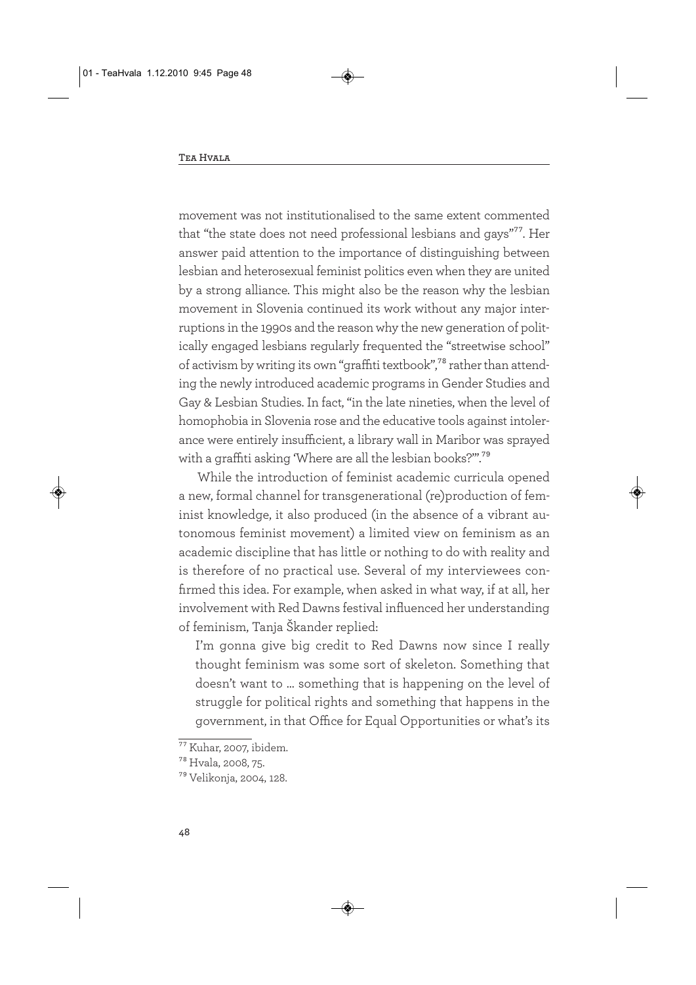movement was not institutionalised to the same extent commented that "the state does not need professional lesbians and gays"77. Her answer paid attention to the importance of distinguishing between lesbian and heterosexual feminist politics even when they are united by a strong alliance. This might also be the reason why the lesbian movement in Slovenia continued its work without any major interruptions in the 1990s and the reason why the new generation of politically engaged lesbians regularly frequented the "streetwise school" of activism by writing its own "graffiti textbook",78 rather than attending the newly introduced academic programs in Gender Studies and Gay & Lesbian Studies. In fact, "in the late nineties, when the level of homophobia in Slovenia rose and the educative tools against intolerance were entirely insufficient, a library wall in Maribor was sprayed with a graffiti asking 'Where are all the lesbian books?'".79

While the introduction of feminist academic curricula opened a new, formal channel for transgenerational (re)production of feminist knowledge, it also produced (in the absence of a vibrant autonomous feminist movement) a limited view on feminism as an academic discipline that has little or nothing to do with reality and is therefore of no practical use. Several of my interviewees confirmed this idea. For example, when asked in what way, if at all, her involvement with Red Dawns festival influenced her understanding of feminism, Tanja Škander replied:

I'm gonna give big credit to Red Dawns now since I really thought feminism was some sort of skeleton. Something that doesn't want to … something that is happening on the level of struggle for political rights and something that happens in the government, in that Office for Equal Opportunities or what's its

 $77$  Kuhar, 2007, ibidem.

<sup>78</sup> Hvala, 2008, 75.

<sup>79</sup> Velikonja, 2004, 128.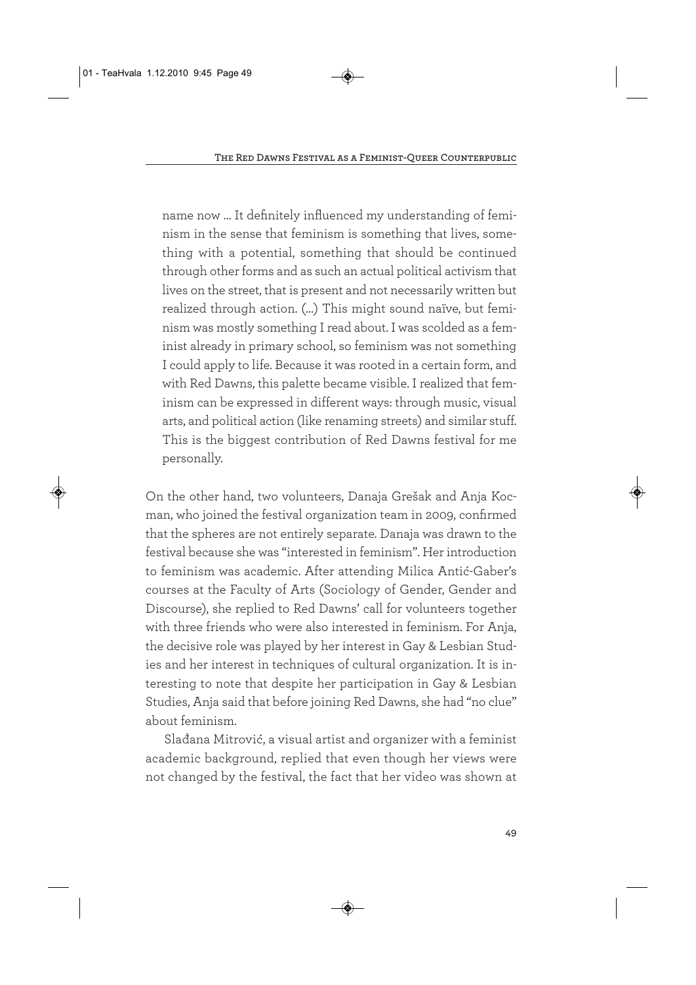name now … It definitely influenced my understanding of feminism in the sense that feminism is something that lives, something with a potential, something that should be continued through other forms and as such an actual political activism that lives on the street, that is present and not necessarily written but realized through action. (…) This might sound naïve, but feminism was mostly something I read about. I was scolded as a feminist already in primary school, so feminism was not something I could apply to life. Because it was rooted in a certain form, and with Red Dawns, this palette became visible. I realized that feminism can be expressed in different ways: through music, visual arts, and political action (like renaming streets) and similar stuff. This is the biggest contribution of Red Dawns festival for me personally.

On the other hand, two volunteers, Danaja Grešak and Anja Kocman, who joined the festival organization team in 2009, confirmed that the spheres are not entirely separate. Danaja was drawn to the festival because she was "interested in feminism". Her introduction to feminism was academic. After attending Milica Antić-Gaber's courses at the Faculty of Arts (Sociology of Gender, Gender and Discourse), she replied to Red Dawns' call for volunteers together with three friends who were also interested in feminism. For Anja, the decisive role was played by her interest in Gay & Lesbian Studies and her interest in techniques of cultural organization. It is interesting to note that despite her participation in Gay & Lesbian Studies, Anja said that before joining Red Dawns, she had "no clue" about feminism.

Slađana Mitrović, a visual artist and organizer with a feminist academic background, replied that even though her views were not changed by the festival, the fact that her video was shown at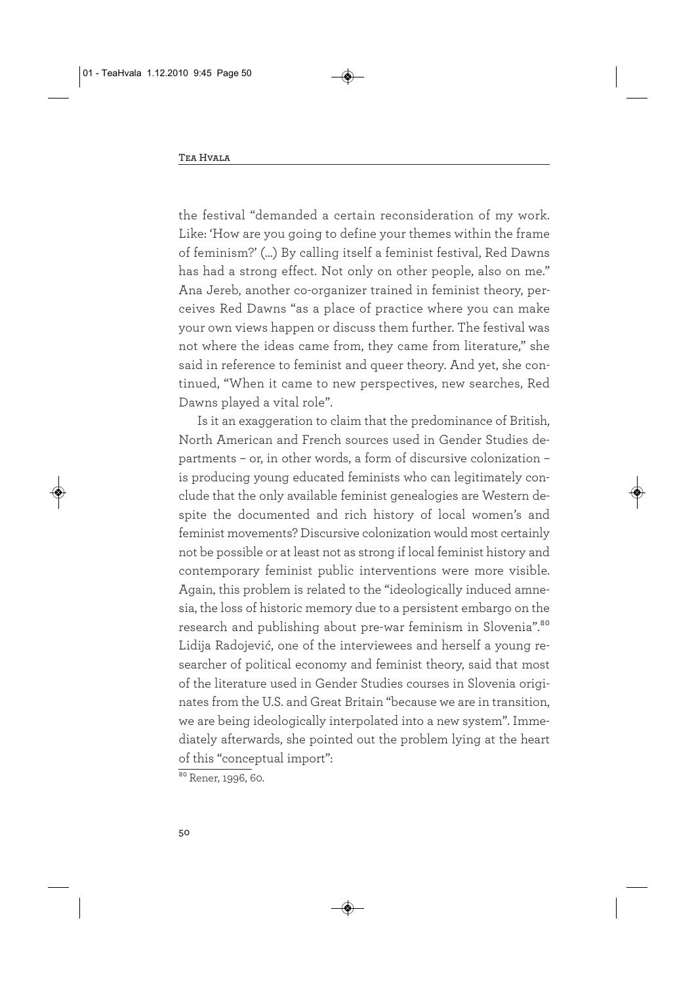the festival "demanded a certain reconsideration of my work. Like: 'How are you going to define your themes within the frame of feminism?' (…) By calling itself a feminist festival, Red Dawns has had a strong effect. Not only on other people, also on me." Ana Jereb, another co-organizer trained in feminist theory, perceives Red Dawns "as a place of practice where you can make your own views happen or discuss them further. The festival was not where the ideas came from, they came from literature," she said in reference to feminist and queer theory. And yet, she continued, "When it came to new perspectives, new searches, Red Dawns played a vital role".

Is it an exaggeration to claim that the predominance of British, North American and French sources used in Gender Studies departments – or, in other words, a form of discursive colonization – is producing young educated feminists who can legitimately conclude that the only available feminist genealogies are Western despite the documented and rich history of local women's and feminist movements? Discursive colonization would most certainly not be possible or at least not as strong if local feminist history and contemporary feminist public interventions were more visible. Again, this problem is related to the "ideologically induced amnesia, the loss of historic memory due to a persistent embargo on the research and publishing about pre-war feminism in Slovenia".<sup>80</sup> Lidija Radojević, one of the interviewees and herself a young researcher of political economy and feminist theory, said that most of the literature used in Gender Studies courses in Slovenia originates from the U.S. and Great Britain "because we are in transition, we are being ideologically interpolated into a new system". Immediately afterwards, she pointed out the problem lying at the heart of this "conceptual import":

 $80$  Rener, 1996, 60.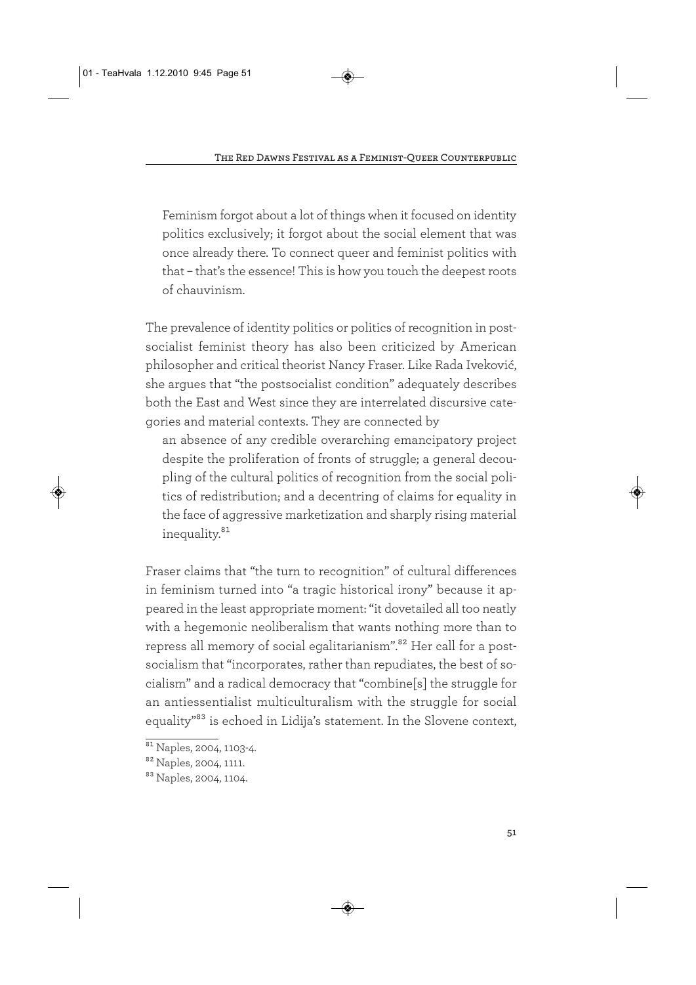Feminism forgot about a lot of things when it focused on identity politics exclusively; it forgot about the social element that was once already there. To connect queer and feminist politics with that – that's the essence! This is how you touch the deepest roots of chauvinism.

The prevalence of identity politics or politics of recognition in postsocialist feminist theory has also been criticized by American philosopher and critical theorist Nancy Fraser. Like Rada Iveković, she argues that "the postsocialist condition" adequately describes both the East and West since they are interrelated discursive categories and material contexts. They are connected by

an absence of any credible overarching emancipatory project despite the proliferation of fronts of struggle; a general decoupling of the cultural politics of recognition from the social politics of redistribution; and a decentring of claims for equality in the face of aggressive marketization and sharply rising material inequality.<sup>81</sup>

Fraser claims that "the turn to recognition" of cultural differences in feminism turned into "a tragic historical irony" because it appeared in the least appropriate moment: "it dovetailed all too neatly with a hegemonic neoliberalism that wants nothing more than to repress all memory of social egalitarianism".<sup>82</sup> Her call for a postsocialism that "incorporates, rather than repudiates, the best of socialism" and a radical democracy that "combine[s] the struggle for an antiessentialist multiculturalism with the struggle for social equality"83 is echoed in Lidija's statement. In the Slovene context,

<sup>&</sup>lt;sup>81</sup> Naples, 2004, 1103-4.

<sup>&</sup>lt;sup>82</sup> Naples, 2004, 1111.

<sup>83</sup> Naples, 2004, 1104.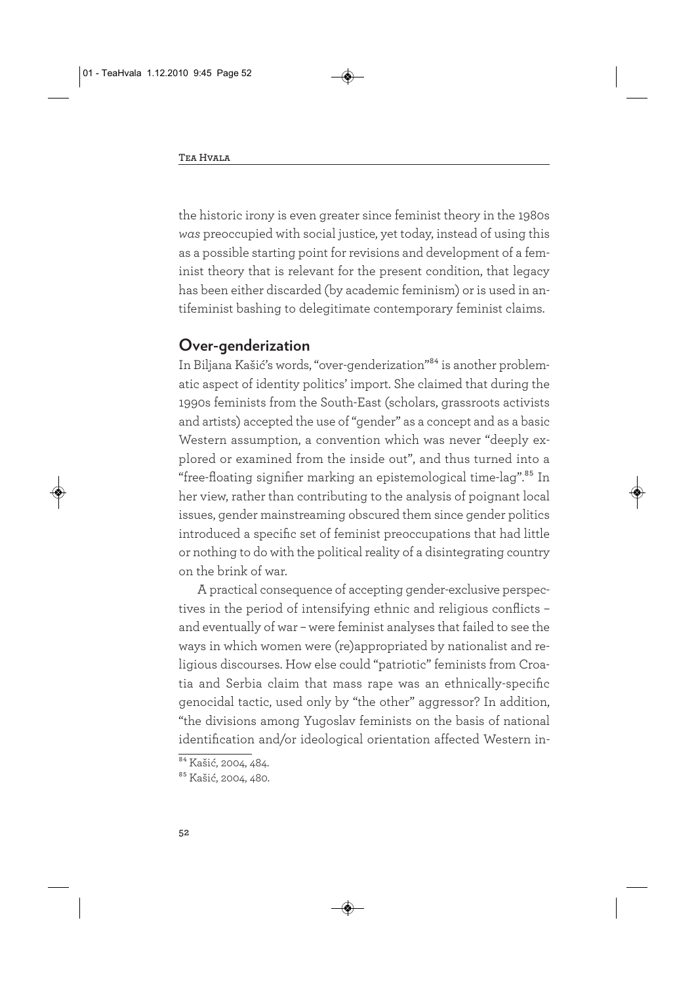the historic irony is even greater since feminist theory in the 1980s *was* preoccupied with social justice, yet today, instead of using this as a possible starting point for revisions and development of a feminist theory that is relevant for the present condition, that legacy has been either discarded (by academic feminism) or is used in antifeminist bashing to delegitimate contemporary feminist claims.

#### **Over-genderization**

In Biljana Kašić's words, "over-genderization"84 is another problematic aspect of identity politics' import. She claimed that during the 1990s feminists from the South-East (scholars, grassroots activists and artists) accepted the use of "gender" as a concept and as a basic Western assumption, a convention which was never "deeply explored or examined from the inside out", and thus turned into a "free-floating signifier marking an epistemological time-lag".<sup>85</sup> In her view, rather than contributing to the analysis of poignant local issues, gender mainstreaming obscured them since gender politics introduced a specific set of feminist preoccupations that had little or nothing to do with the political reality of a disintegrating country on the brink of war.

A practical consequence of accepting gender-exclusive perspectives in the period of intensifying ethnic and religious conflicts – and eventually of war – were feminist analyses that failed to see the ways in which women were (re)appropriated by nationalist and religious discourses. How else could "patriotic" feminists from Croatia and Serbia claim that mass rape was an ethnically-specific genocidal tactic, used only by "the other" aggressor? In addition, "the divisions among Yugoslav feminists on the basis of national identification and/or ideological orientation affected Western in-

<sup>&</sup>lt;sup>84</sup> Kašić, 2004, 484.

<sup>&</sup>lt;sup>85</sup> Kašić, 2004, 480.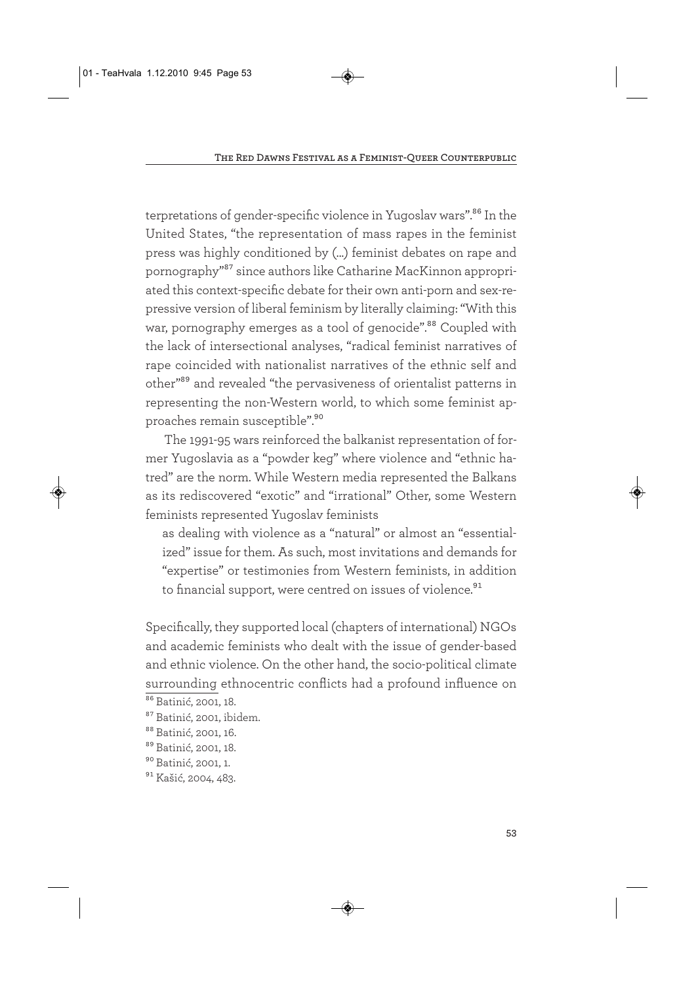terpretations of gender-specific violence in Yugoslav wars".<sup>86</sup> In the United States, "the representation of mass rapes in the feminist press was highly conditioned by (...) feminist debates on rape and pornography"87 since authors like Catharine MacKinnon appropriated this context-specific debate for their own anti-porn and sex-repressive version of liberal feminism by literally claiming: "With this war, pornography emerges as a tool of genocide".<sup>88</sup> Coupled with the lack of intersectional analyses, "radical feminist narratives of rape coincided with nationalist narratives of the ethnic self and other"89 and revealed "the pervasiveness of orientalist patterns in representing the non-Western world, to which some feminist approaches remain susceptible".<sup>90</sup>

The 1991-95 wars reinforced the balkanist representation of former Yugoslavia as a "powder keg" where violence and "ethnic hatred" are the norm. While Western media represented the Balkans as its rediscovered "exotic" and "irrational" Other, some Western feminists represented Yugoslav feminists

as dealing with violence as a "natural" or almost an "essentialized" issue for them. As such, most invitations and demands for "expertise" or testimonies from Western feminists, in addition to financial support, were centred on issues of violence.<sup>91</sup>

Specifically, they supported local (chapters of international) NGOs and academic feminists who dealt with the issue of gender-based and ethnic violence. On the other hand, the socio-political climate surrounding ethnocentric conflicts had a profound influence on

<sup>&</sup>lt;sup>86</sup> Batinić, 2001, 18.

<sup>87</sup> Batinić, 2001, ibidem.

<sup>88</sup> Batinić, 2001, 16.

<sup>89</sup> Batinić, 2001, 18.

<sup>90</sup> Batinić, 2001, 1.

<sup>&</sup>lt;sup>91</sup> Kašić, 2004, 483.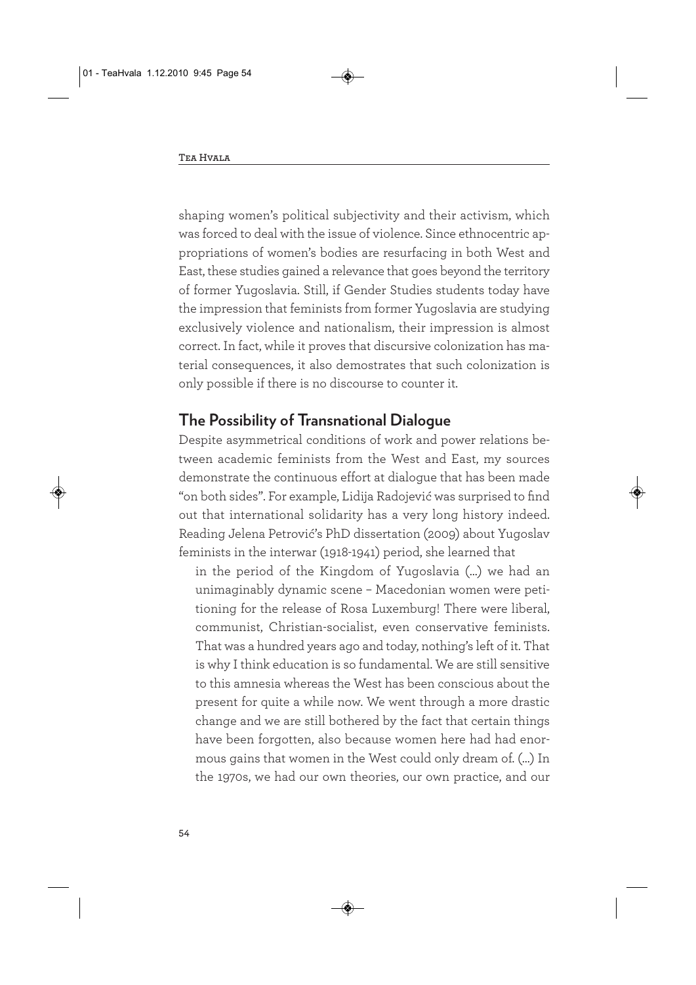shaping women's political subjectivity and their activism, which was forced to deal with the issue of violence. Since ethnocentric appropriations of women's bodies are resurfacing in both West and East, these studies gained a relevance that goes beyond the territory of former Yugoslavia. Still, if Gender Studies students today have the impression that feminists from former Yugoslavia are studying exclusively violence and nationalism, their impression is almost correct. In fact, while it proves that discursive colonization has material consequences, it also demostrates that such colonization is only possible if there is no discourse to counter it.

#### **The Possibility of Transnational Dialogue**

Despite asymmetrical conditions of work and power relations between academic feminists from the West and East, my sources demonstrate the continuous effort at dialogue that has been made "on both sides". For example, Lidija Radojević was surprised to find out that international solidarity has a very long history indeed. Reading Jelena Petrović's PhD dissertation (2009) about Yugoslav feminists in the interwar (1918-1941) period, she learned that

in the period of the Kingdom of Yugoslavia (…) we had an unimaginably dynamic scene – Macedonian women were petitioning for the release of Rosa Luxemburg! There were liberal, communist, Christian-socialist, even conservative feminists. That was a hundred years ago and today, nothing's left of it. That is why I think education is so fundamental. We are still sensitive to this amnesia whereas the West has been conscious about the present for quite a while now. We went through a more drastic change and we are still bothered by the fact that certain things have been forgotten, also because women here had had enormous gains that women in the West could only dream of. (…) In the 1970s, we had our own theories, our own practice, and our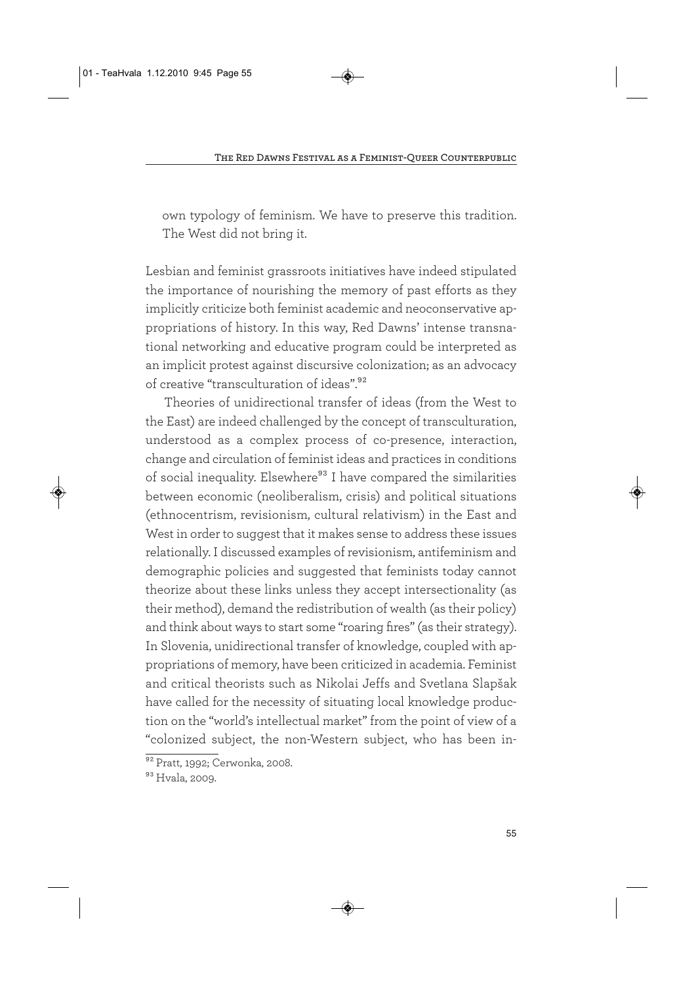own typology of feminism. We have to preserve this tradition. The West did not bring it.

Lesbian and feminist grassroots initiatives have indeed stipulated the importance of nourishing the memory of past efforts as they implicitly criticize both feminist academic and neoconservative appropriations of history. In this way, Red Dawns' intense transnational networking and educative program could be interpreted as an implicit protest against discursive colonization; as an advocacy of creative "transculturation of ideas".<sup>92</sup>

Theories of unidirectional transfer of ideas (from the West to the East) are indeed challenged by the concept of transculturation, understood as a complex process of co-presence, interaction, change and circulation of feminist ideas and practices in conditions of social inequality. Elsewhere<sup>93</sup> I have compared the similarities between economic (neoliberalism, crisis) and political situations (ethnocentrism, revisionism, cultural relativism) in the East and West in order to suggest that it makes sense to address these issues relationally. I discussed examples of revisionism, antifeminism and demographic policies and suggested that feminists today cannot theorize about these links unless they accept intersectionality (as their method), demand the redistribution of wealth (as their policy) and think about ways to start some "roaring fires" (as their strategy). In Slovenia, unidirectional transfer of knowledge, coupled with appropriations of memory, have been criticized in academia. Feminist and critical theorists such as Nikolai Jeffs and Svetlana Slapšak have called for the necessity of situating local knowledge production on the "world's intellectual market" from the point of view of a "colonized subject, the non-Western subject, who has been in-

<sup>&</sup>lt;sup>92</sup> Pratt, 1992; Cerwonka, 2008.

<sup>93</sup> Hvala, 2009.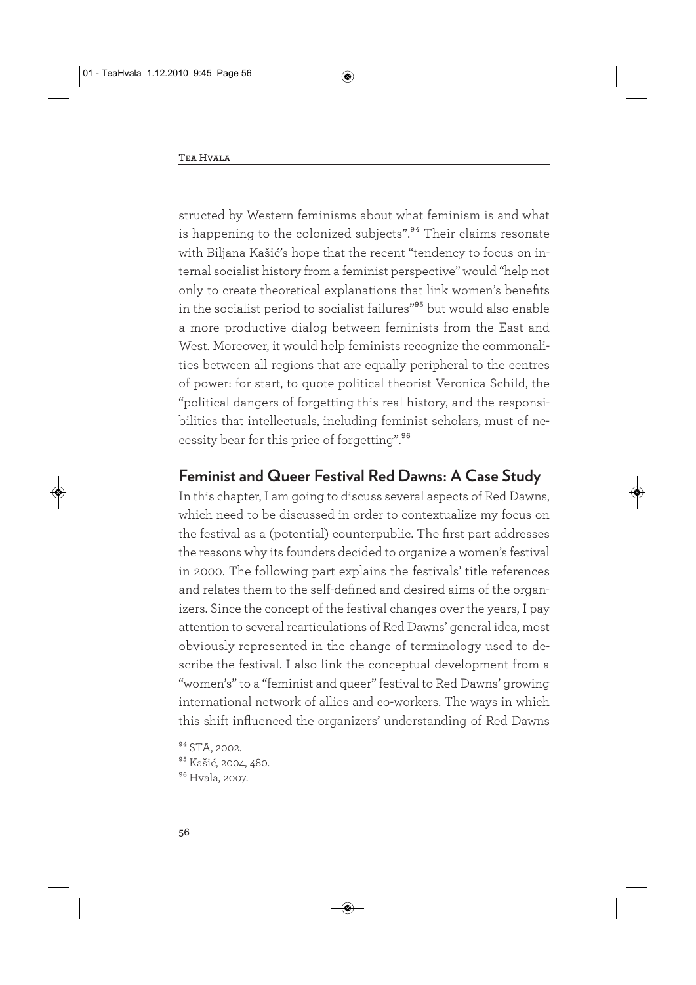structed by Western feminisms about what feminism is and what is happening to the colonized subjects".<sup>94</sup> Their claims resonate with Biljana Kašić's hope that the recent "tendency to focus on internal socialist history from a feminist perspective" would "help not only to create theoretical explanations that link women's benefits in the socialist period to socialist failures"95 but would also enable a more productive dialog between feminists from the East and West. Moreover, it would help feminists recognize the commonalities between all regions that are equally peripheral to the centres of power: for start, to quote political theorist Veronica Schild, the "political dangers of forgetting this real history, and the responsibilities that intellectuals, including feminist scholars, must of necessity bear for this price of forgetting".96

## **Feminist and Queer Festival Red Dawns: A Case Study**

In this chapter, I am going to discuss several aspects of Red Dawns, which need to be discussed in order to contextualize my focus on the festival as a (potential) counterpublic. The first part addresses the reasons why its founders decided to organize a women's festival in 2000. The following part explains the festivals' title references and relates them to the self-defined and desired aims of the organizers. Since the concept of the festival changes over the years, I pay attention to several rearticulations of Red Dawns' general idea, most obviously represented in the change of terminology used to describe the festival. I also link the conceptual development from a "women's" to a "feminist and queer" festival to Red Dawns' growing international network of allies and co-workers. The ways in which this shift influenced the organizers' understanding of Red Dawns

 $\frac{94}{94}$  STA, 2002.

<sup>&</sup>lt;sup>95</sup> Kašić, 2004, 480.

<sup>96</sup> Hvala, 2007.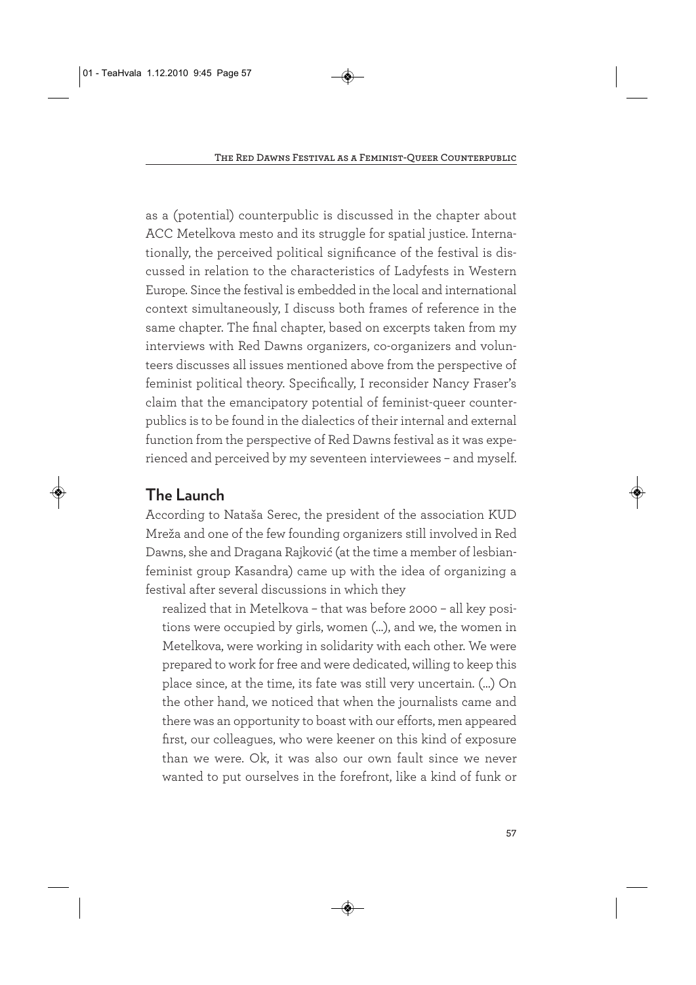as a (potential) counterpublic is discussed in the chapter about ACC Metelkova mesto and its struggle for spatial justice. Internationally, the perceived political significance of the festival is discussed in relation to the characteristics of Ladyfests in Western Europe. Since the festival is embedded in the local and international context simultaneously, I discuss both frames of reference in the same chapter. The final chapter, based on excerpts taken from my interviews with Red Dawns organizers, co-organizers and volunteers discusses all issues mentioned above from the perspective of feminist political theory. Specifically, I reconsider Nancy Fraser's claim that the emancipatory potential of feminist-queer counterpublics is to be found in the dialectics of their internal and external function from the perspective of Red Dawns festival as it was experienced and perceived by my seventeen interviewees – and myself.

## **The Launch**

According to Nataša Serec, the president of the association KUD Mreža and one of the few founding organizers still involved in Red Dawns, she and Dragana Rajković (at the time a member of lesbianfeminist group Kasandra) came up with the idea of organizing a festival after several discussions in which they

realized that in Metelkova – that was before 2000 – all key positions were occupied by girls, women (…), and we, the women in Metelkova, were working in solidarity with each other. We were prepared to work for free and were dedicated, willing to keep this place since, at the time, its fate was still very uncertain. (…) On the other hand, we noticed that when the journalists came and there was an opportunity to boast with our efforts, men appeared first, our colleagues, who were keener on this kind of exposure than we were. Ok, it was also our own fault since we never wanted to put ourselves in the forefront, like a kind of funk or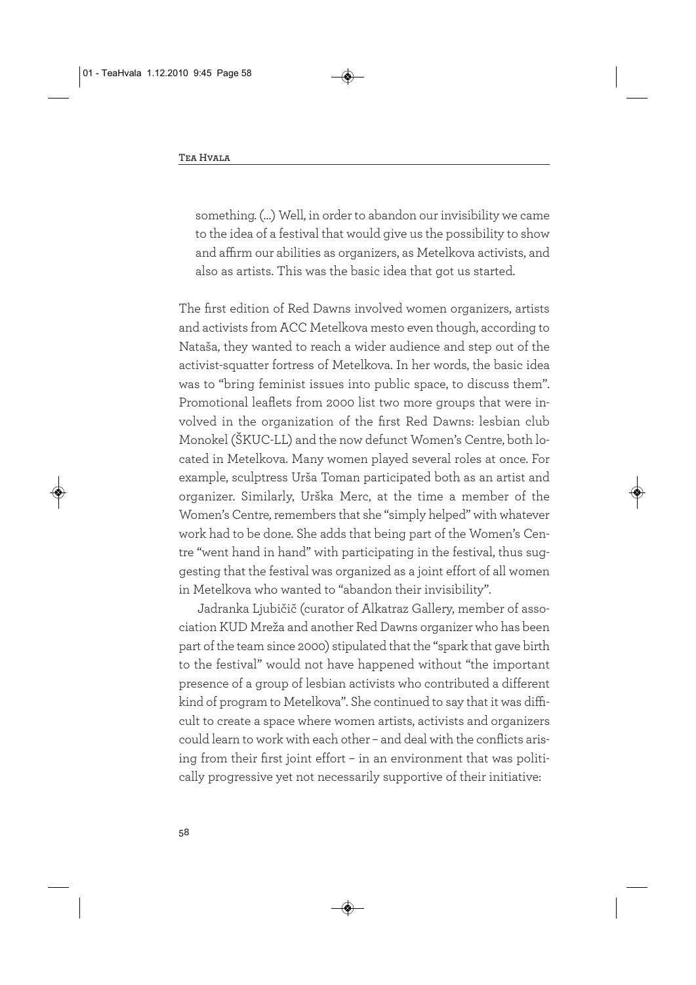something. (…) Well, in order to abandon our invisibility we came to the idea of a festival that would give us the possibility to show and affirm our abilities as organizers, as Metelkova activists, and also as artists. This was the basic idea that got us started.

The first edition of Red Dawns involved women organizers, artists and activists from ACC Metelkova mesto even though, according to Nataša, they wanted to reach a wider audience and step out of the activist-squatter fortress of Metelkova. In her words, the basic idea was to "bring feminist issues into public space, to discuss them". Promotional leaflets from 2000 list two more groups that were involved in the organization of the first Red Dawns: lesbian club Monokel (ŠKUC-LL) and the now defunct Women's Centre, both located in Metelkova. Many women played several roles at once. For example, sculptress Urša Toman participated both as an artist and organizer. Similarly, Urška Merc, at the time a member of the Women's Centre, remembers that she "simply helped" with whatever work had to be done. She adds that being part of the Women's Centre "went hand in hand" with participating in the festival, thus suggesting that the festival was organized as a joint effort of all women in Metelkova who wanted to "abandon their invisibility".

Jadranka Ljubičič (curator of Alkatraz Gallery, member of association KUD Mreža and another Red Dawns organizer who has been part of the team since 2000) stipulated that the "spark that gave birth to the festival" would not have happened without "the important presence of a group of lesbian activists who contributed a different kind of program to Metelkova". She continued to say that it was difficult to create a space where women artists, activists and organizers could learn to work with each other – and deal with the conflicts arising from their first joint effort – in an environment that was politically progressive yet not necessarily supportive of their initiative: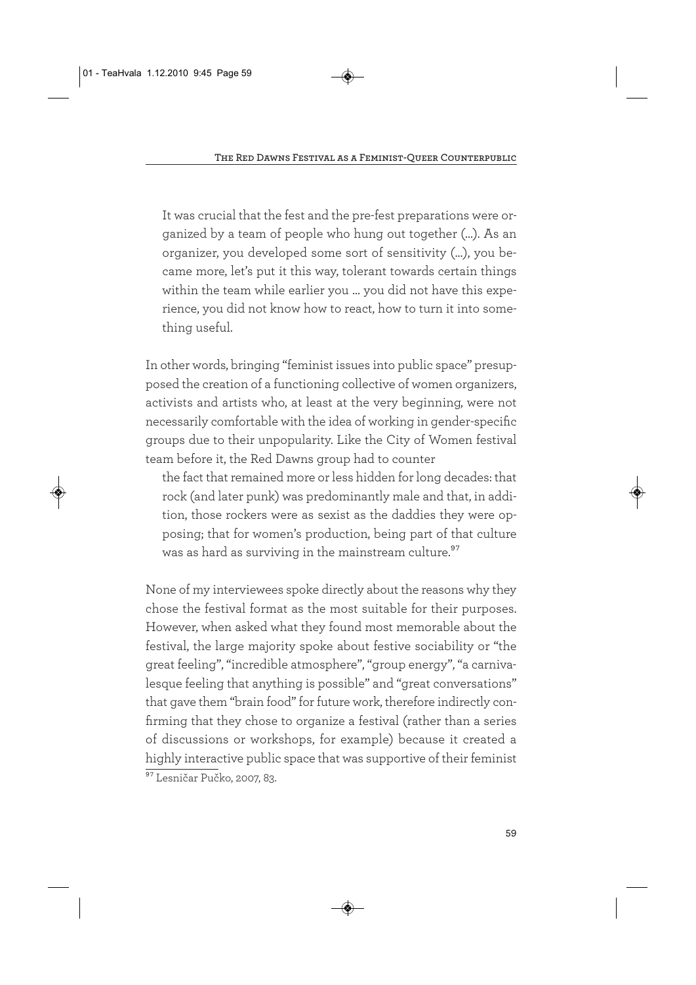It was crucial that the fest and the pre-fest preparations were organized by a team of people who hung out together (…). As an organizer, you developed some sort of sensitivity (…), you became more, let's put it this way, tolerant towards certain things within the team while earlier you … you did not have this experience, you did not know how to react, how to turn it into something useful.

In other words, bringing "feminist issues into public space" presupposed the creation of a functioning collective of women organizers, activists and artists who, at least at the very beginning, were not necessarily comfortable with the idea of working in gender-specific groups due to their unpopularity. Like the City of Women festival team before it, the Red Dawns group had to counter

the fact that remained more or less hidden for long decades: that rock (and later punk) was predominantly male and that, in addition, those rockers were as sexist as the daddies they were opposing; that for women's production, being part of that culture was as hard as surviving in the mainstream culture.<sup>97</sup>

None of my interviewees spoke directly about the reasons why they chose the festival format as the most suitable for their purposes. However, when asked what they found most memorable about the festival, the large majority spoke about festive sociability or "the great feeling", "incredible atmosphere", "group energy", "a carnivalesque feeling that anything is possible" and "great conversations" that gave them "brain food" for future work, therefore indirectly confirming that they chose to organize a festival (rather than a series of discussions or workshops, for example) because it created a highly interactive public space that was supportive of their feminist <sup>97</sup> Lesničar Pučko, 2007, 83.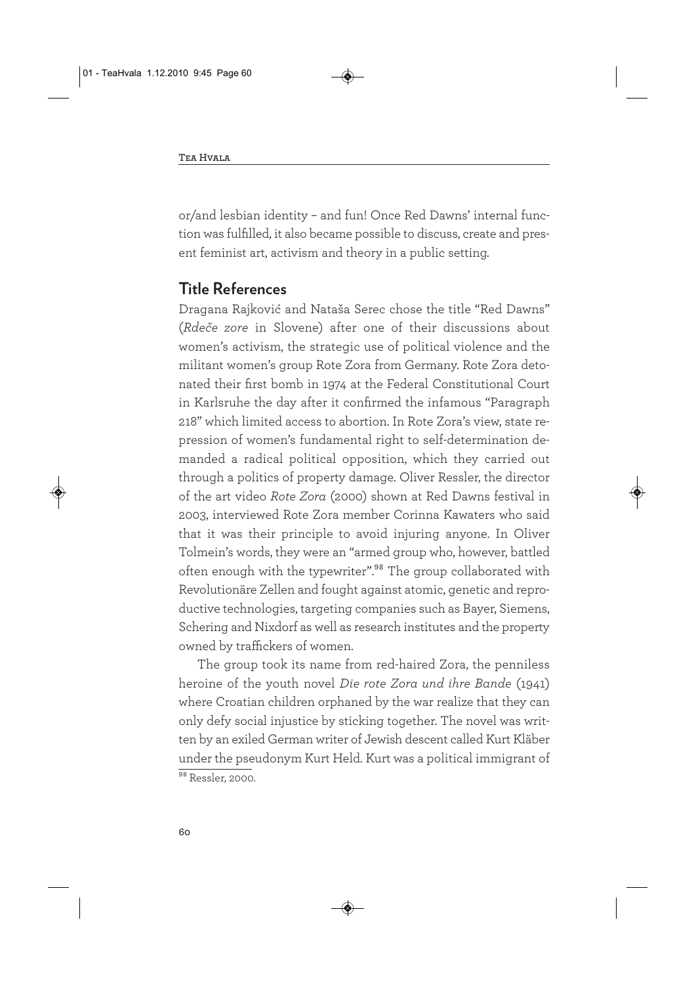or/and lesbian identity – and fun! Once Red Dawns' internal function was fulfilled, it also became possible to discuss, create and present feminist art, activism and theory in a public setting.

## **Title References**

Dragana Rajković and Nataša Serec chose the title "Red Dawns" (*Rdeče zore* in Slovene) after one of their discussions about women's activism, the strategic use of political violence and the militant women's group Rote Zora from Germany. Rote Zora detonated their first bomb in 1974 at the Federal Constitutional Court in Karlsruhe the day after it confirmed the infamous "Paragraph 218" which limited access to abortion. In Rote Zora's view, state repression of women's fundamental right to self-determination demanded a radical political opposition, which they carried out through a politics of property damage. Oliver Ressler, the director of the art video *Rote Zora* (2000) shown at Red Dawns festival in 2003, interviewed Rote Zora member Corinna Kawaters who said that it was their principle to avoid injuring anyone. In Oliver Tolmein's words, they were an "armed group who, however, battled often enough with the typewriter".<sup>98</sup> The group collaborated with Revolutionäre Zellen and fought against atomic, genetic and reproductive technologies, targeting companies such as Bayer, Siemens, Schering and Nixdorf as well as research institutes and the property owned by traffickers of women.

The group took its name from red-haired Zora, the penniless heroine of the youth novel *Die rote Zora und ihre Bande* (1941) where Croatian children orphaned by the war realize that they can only defy social injustice by sticking together. The novel was written by an exiled German writer of Jewish descent called Kurt Kläber under the pseudonym Kurt Held. Kurt was a political immigrant of 98 Ressler, 2000.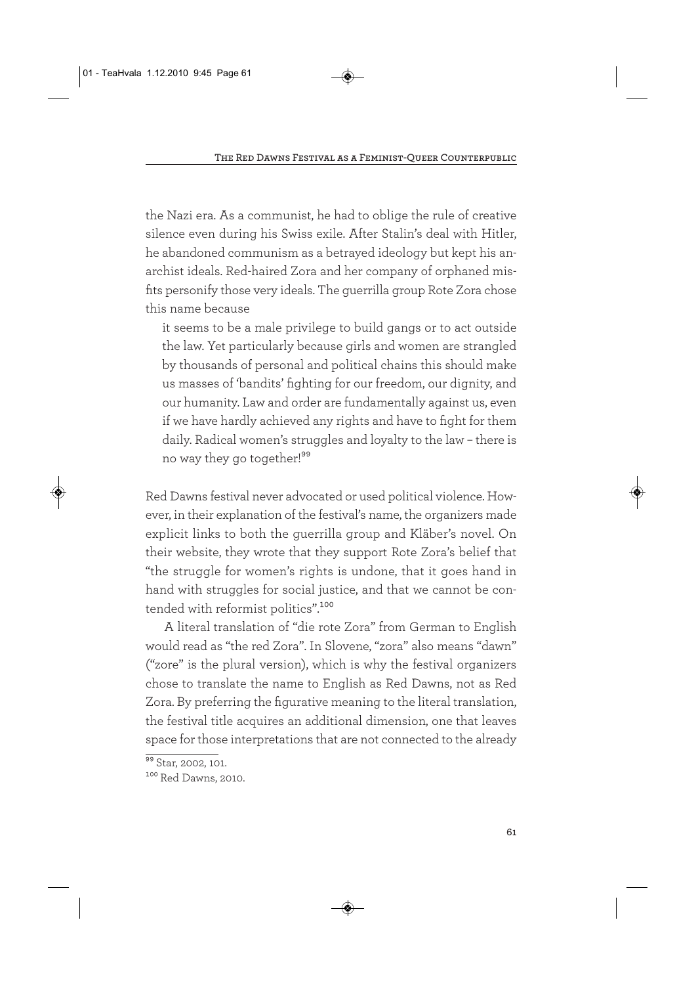the Nazi era. As a communist, he had to oblige the rule of creative silence even during his Swiss exile. After Stalin's deal with Hitler, he abandoned communism as a betrayed ideology but kept his anarchist ideals. Red-haired Zora and her company of orphaned misfits personify those very ideals. The guerrilla group Rote Zora chose this name because

it seems to be a male privilege to build gangs or to act outside the law. Yet particularly because girls and women are strangled by thousands of personal and political chains this should make us masses of 'bandits' fighting for our freedom, our dignity, and our humanity. Law and order are fundamentally against us, even if we have hardly achieved any rights and have to fight for them daily. Radical women's struggles and loyalty to the law – there is no way they go together!99

Red Dawns festival never advocated or used political violence. However, in their explanation of the festival's name, the organizers made explicit links to both the guerrilla group and Kläber's novel. On their website, they wrote that they support Rote Zora's belief that "the struggle for women's rights is undone, that it goes hand in hand with struggles for social justice, and that we cannot be contended with reformist politics".<sup>100</sup>

A literal translation of "die rote Zora" from German to English would read as "the red Zora". In Slovene, "zora" also means "dawn" ("zore" is the plural version), which is why the festival organizers chose to translate the name to English as Red Dawns, not as Red Zora. By preferring the figurative meaning to the literal translation, the festival title acquires an additional dimension, one that leaves space for those interpretations that are not connected to the already

<sup>&</sup>lt;sup>99</sup> Star, 2002, 101.

<sup>100</sup> Red Dawns, 2010.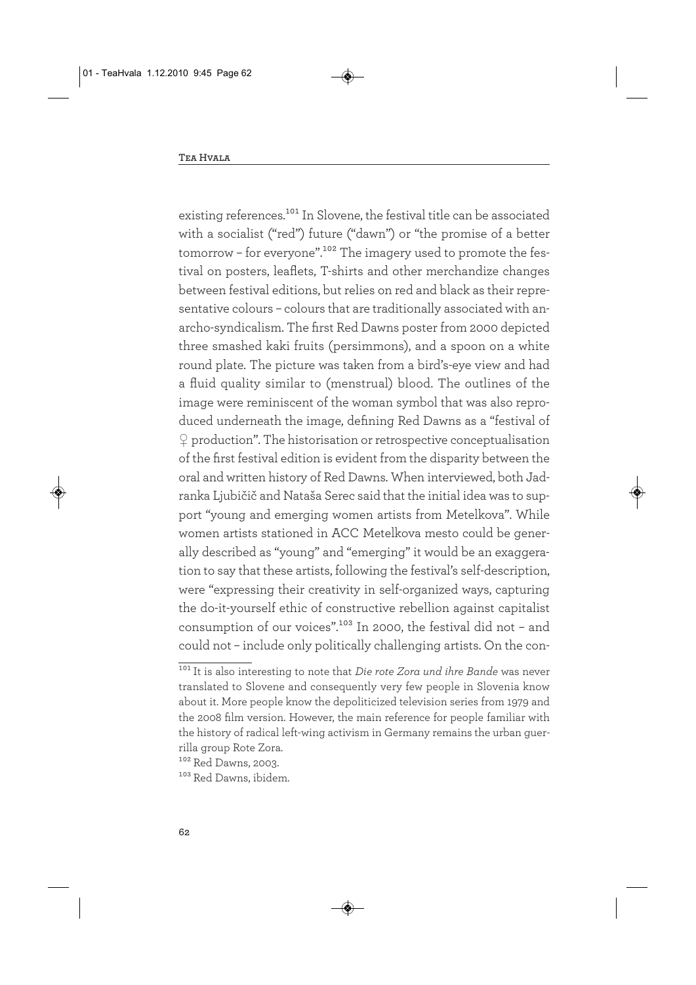existing references.<sup>101</sup> In Slovene, the festival title can be associated with a socialist ("red") future ("dawn") or "the promise of a better tomorrow - for everyone".<sup>102</sup> The imagery used to promote the festival on posters, leaflets, T-shirts and other merchandize changes between festival editions, but relies on red and black as their representative colours – colours that are traditionally associated with anarcho-syndicalism. The first Red Dawns poster from 2000 depicted three smashed kaki fruits (persimmons), and a spoon on a white round plate. The picture was taken from a bird's-eye view and had a fluid quality similar to (menstrual) blood. The outlines of the image were reminiscent of the woman symbol that was also reproduced underneath the image, defining Red Dawns as a "festival of  $\Omega$  production". The historisation or retrospective conceptualisation of the first festival edition is evident from the disparity between the oral and written history of Red Dawns. When interviewed, both Jadranka Ljubičič and Nataša Serec said that the initial idea was to support "young and emerging women artists from Metelkova". While women artists stationed in ACC Metelkova mesto could be generally described as "young" and "emerging" it would be an exaggeration to say that these artists, following the festival's self-description, were "expressing their creativity in self-organized ways, capturing the do-it-yourself ethic of constructive rebellion against capitalist consumption of our voices".<sup>103</sup> In 2000, the festival did not - and could not – include only politically challenging artists. On the con-

<sup>101</sup> It is also interesting to note that *Die rote Zora und ihre Bande* was never translated to Slovene and consequently very few people in Slovenia know about it. More people know the depoliticized television series from 1979 and the 2008 film version. However, the main reference for people familiar with the history of radical left-wing activism in Germany remains the urban guerrilla group Rote Zora.

<sup>102</sup> Red Dawns, 2003.

<sup>103</sup> Red Dawns, ibidem.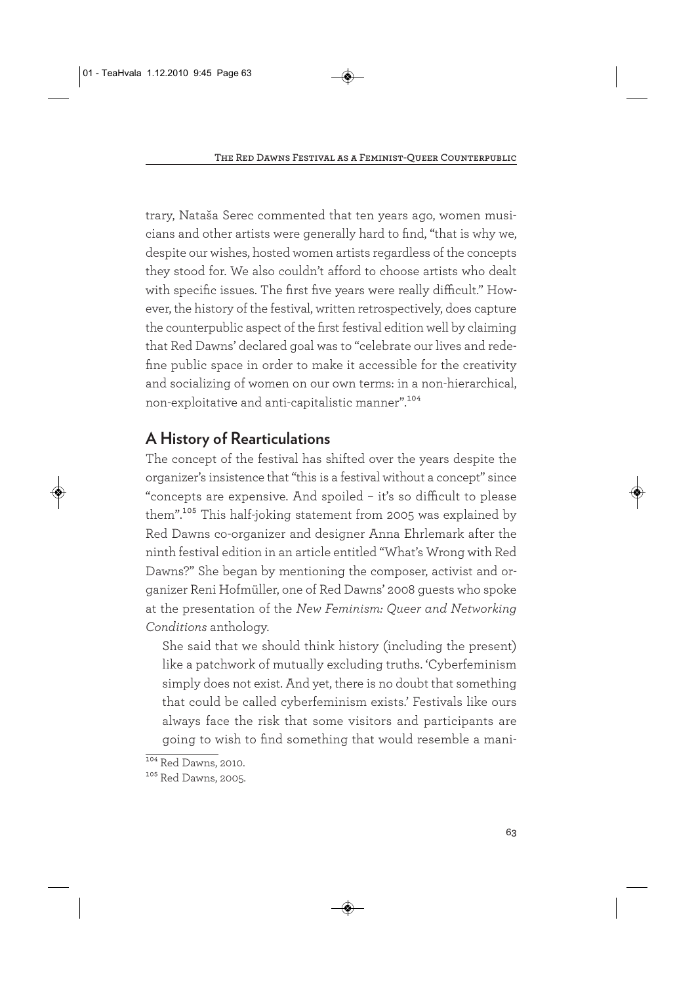trary, Nataša Serec commented that ten years ago, women musicians and other artists were generally hard to find, "that is why we, despite our wishes, hosted women artists regardless of the concepts they stood for. We also couldn't afford to choose artists who dealt with specific issues. The first five years were really difficult." However, the history of the festival, written retrospectively, does capture the counterpublic aspect of the first festival edition well by claiming that Red Dawns' declared goal was to "celebrate our lives and redefine public space in order to make it accessible for the creativity and socializing of women on our own terms: in a non-hierarchical, non-exploitative and anti-capitalistic manner".104

# **A History of Rearticulations**

The concept of the festival has shifted over the years despite the organizer's insistence that "this is a festival without a concept" since "concepts are expensive. And spoiled – it's so difficult to please them".<sup>105</sup> This half-joking statement from 2005 was explained by Red Dawns co-organizer and designer Anna Ehrlemark after the ninth festival edition in an article entitled "What's Wrong with Red Dawns?" She began by mentioning the composer, activist and organizer Reni Hofmüller, one of Red Dawns' 2008 guests who spoke at the presentation of the *New Feminism: Queer and Networking Conditions* anthology.

She said that we should think history (including the present) like a patchwork of mutually excluding truths. 'Cyberfeminism simply does not exist. And yet, there is no doubt that something that could be called cyberfeminism exists.' Festivals like ours always face the risk that some visitors and participants are going to wish to find something that would resemble a mani-

<sup>104</sup> Red Dawns, 2010.

<sup>105</sup> Red Dawns, 2005.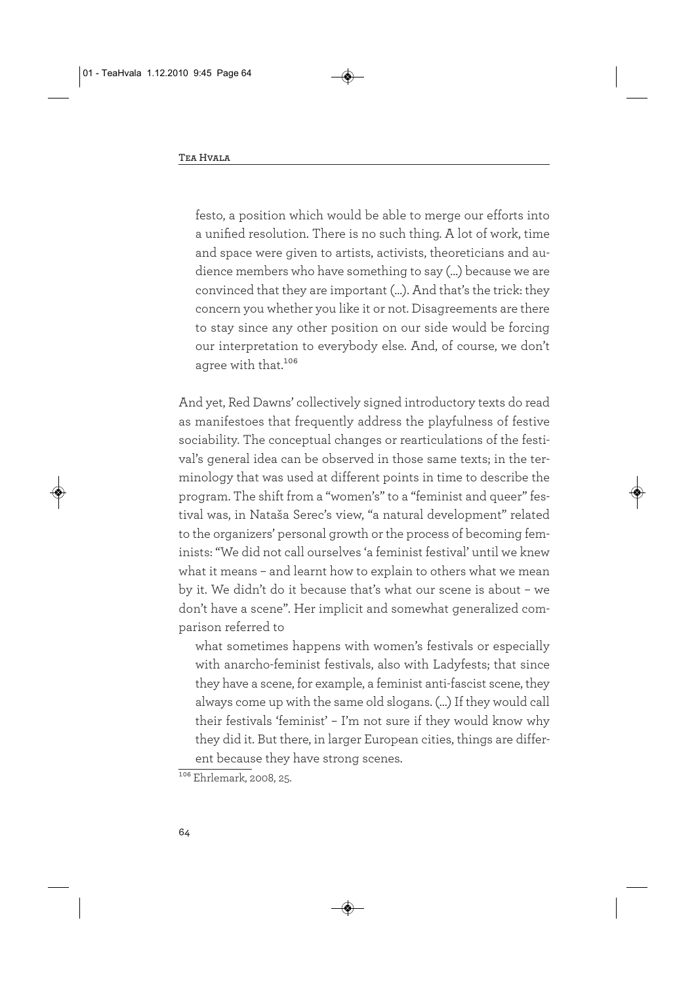festo, a position which would be able to merge our efforts into a unified resolution. There is no such thing. A lot of work, time and space were given to artists, activists, theoreticians and audience members who have something to say (…) because we are convinced that they are important (…). And that's the trick: they concern you whether you like it or not. Disagreements are there to stay since any other position on our side would be forcing our interpretation to everybody else. And, of course, we don't agree with that.<sup>106</sup>

And yet, Red Dawns' collectively signed introductory texts do read as manifestoes that frequently address the playfulness of festive sociability. The conceptual changes or rearticulations of the festival's general idea can be observed in those same texts; in the terminology that was used at different points in time to describe the program. The shift from a "women's" to a "feminist and queer" festival was, in Nataša Serec's view, "a natural development" related to the organizers' personal growth or the process of becoming feminists: "We did not call ourselves 'a feminist festival' until we knew what it means – and learnt how to explain to others what we mean by it. We didn't do it because that's what our scene is about – we don't have a scene". Her implicit and somewhat generalized comparison referred to

what sometimes happens with women's festivals or especially with anarcho-feminist festivals, also with Ladyfests; that since they have a scene, for example, a feminist anti-fascist scene, they always come up with the same old slogans. (…) If they would call their festivals 'feminist' – I'm not sure if they would know why they did it. But there, in larger European cities, things are different because they have strong scenes.

<sup>&</sup>lt;sup>106</sup> Ehrlemark, 2008, 25.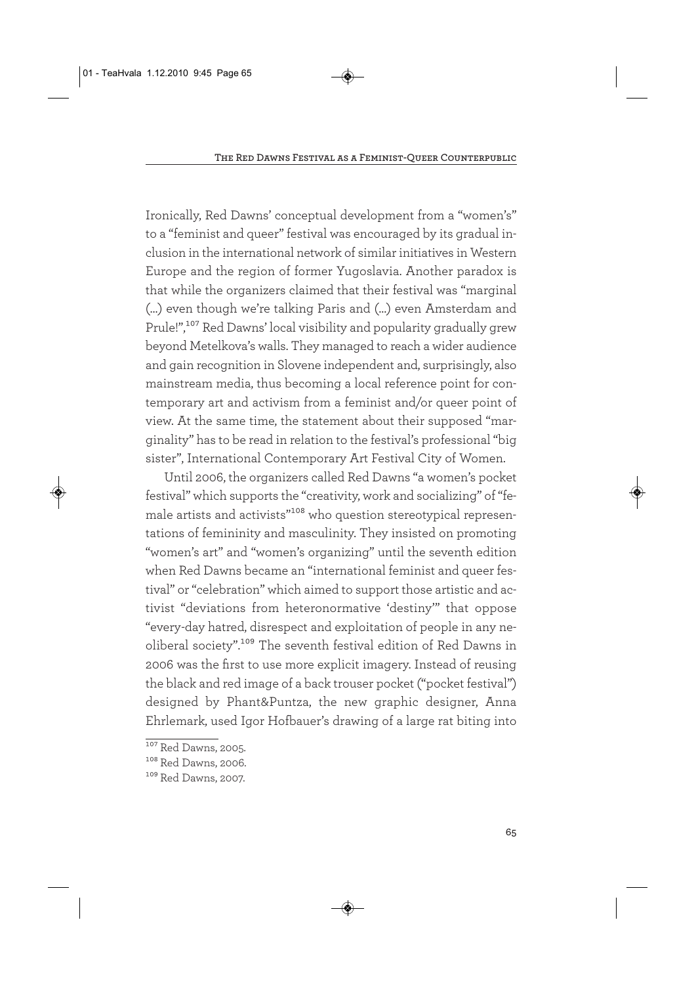Ironically, Red Dawns' conceptual development from a "women's" to a "feminist and queer" festival was encouraged by its gradual inclusion in the international network of similar initiatives in Western Europe and the region of former Yugoslavia. Another paradox is that while the organizers claimed that their festival was "marginal (…) even though we're talking Paris and (…) even Amsterdam and Prule!",<sup>107</sup> Red Dawns' local visibility and popularity gradually grew beyond Metelkova's walls. They managed to reach a wider audience and gain recognition in Slovene independent and, surprisingly, also mainstream media, thus becoming a local reference point for contemporary art and activism from a feminist and/or queer point of view. At the same time, the statement about their supposed "marginality" has to be read in relation to the festival's professional "big sister", International Contemporary Art Festival City of Women.

Until 2006, the organizers called Red Dawns "a women's pocket festival" which supports the "creativity, work and socializing" of "female artists and activists"<sup>108</sup> who question stereotypical representations of femininity and masculinity. They insisted on promoting "women's art" and "women's organizing" until the seventh edition when Red Dawns became an "international feminist and queer festival" or "celebration" which aimed to support those artistic and activist "deviations from heteronormative 'destiny'" that oppose "every-day hatred, disrespect and exploitation of people in any neoliberal society".109 The seventh festival edition of Red Dawns in 2006 was the first to use more explicit imagery. Instead of reusing the black and red image of a back trouser pocket ("pocket festival") designed by Phant&Puntza, the new graphic designer, Anna Ehrlemark, used Igor Hofbauer's drawing of a large rat biting into

<sup>&</sup>lt;sup>107</sup> Red Dawns, 2005.

<sup>108</sup> Red Dawns, 2006.

<sup>109</sup> Red Dawns, 2007.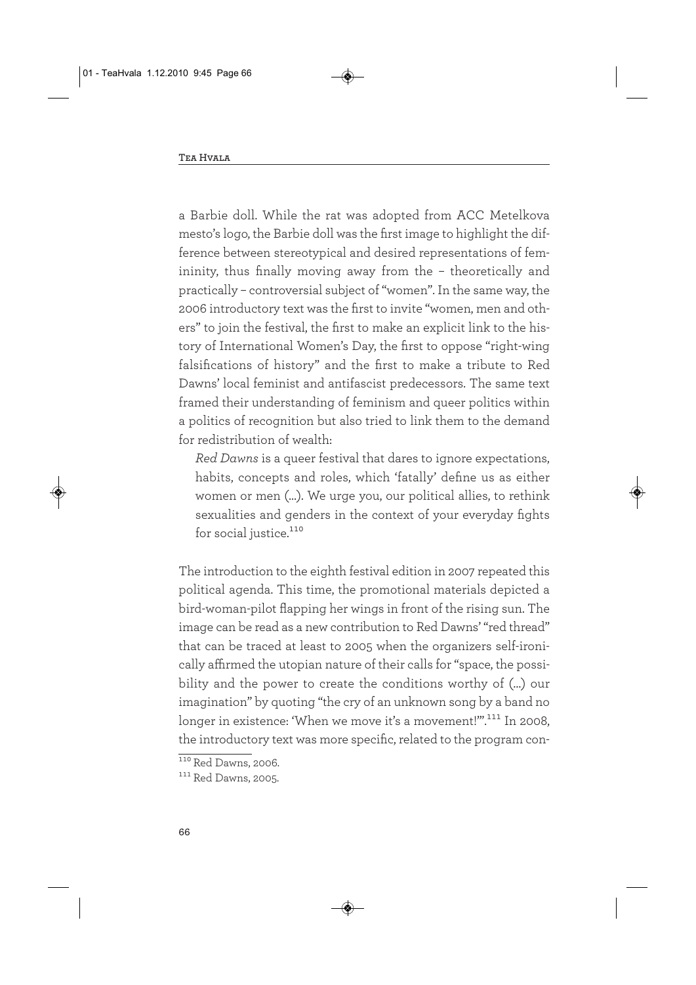a Barbie doll. While the rat was adopted from ACC Metelkova mesto's logo, the Barbie doll was the first image to highlight the difference between stereotypical and desired representations of femininity, thus finally moving away from the – theoretically and practically – controversial subject of "women". In the same way, the 2006 introductory text was the first to invite "women, men and others" to join the festival, the first to make an explicit link to the history of International Women's Day, the first to oppose "right-wing falsifications of history" and the first to make a tribute to Red Dawns' local feminist and antifascist predecessors. The same text framed their understanding of feminism and queer politics within a politics of recognition but also tried to link them to the demand for redistribution of wealth:

*Red Dawns* is a queer festival that dares to ignore expectations, habits, concepts and roles, which 'fatally' define us as either women or men (…). We urge you, our political allies, to rethink sexualities and genders in the context of your everyday fights for social justice.<sup>110</sup>

The introduction to the eighth festival edition in 2007 repeated this political agenda. This time, the promotional materials depicted a bird-woman-pilot flapping her wings in front of the rising sun. The image can be read as a new contribution to Red Dawns' "red thread" that can be traced at least to 2005 when the organizers self-ironically affirmed the utopian nature of their calls for "space, the possibility and the power to create the conditions worthy of (...) our imagination" by quoting "the cry of an unknown song by a band no longer in existence: 'When we move it's a movement!'".<sup>111</sup> In 2008, the introductory text was more specific, related to the program con-

<sup>110</sup> Red Dawns, 2006.

<sup>111</sup> Red Dawns, 2005.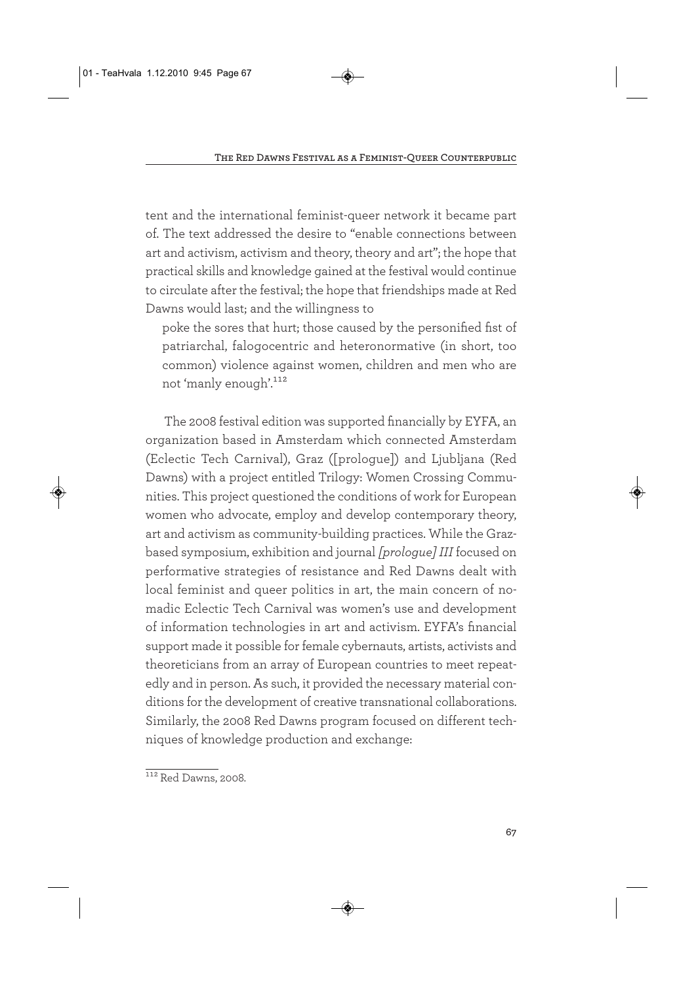tent and the international feminist-queer network it became part of. The text addressed the desire to "enable connections between art and activism, activism and theory, theory and art"; the hope that practical skills and knowledge gained at the festival would continue to circulate after the festival; the hope that friendships made at Red Dawns would last; and the willingness to

poke the sores that hurt; those caused by the personified fist of patriarchal, falogocentric and heteronormative (in short, too common) violence against women, children and men who are not 'manly enough'.112

The 2008 festival edition was supported financially by EYFA, an organization based in Amsterdam which connected Amsterdam (Eclectic Tech Carnival), Graz ([prologue]) and Ljubljana (Red Dawns) with a project entitled Trilogy: Women Crossing Communities. This project questioned the conditions of work for European women who advocate, employ and develop contemporary theory, art and activism as community-building practices. While the Grazbased symposium, exhibition and journal *[prologue] III* focused on performative strategies of resistance and Red Dawns dealt with local feminist and queer politics in art, the main concern of nomadic Eclectic Tech Carnival was women's use and development of information technologies in art and activism. EYFA's financial support made it possible for female cybernauts, artists, activists and theoreticians from an array of European countries to meet repeatedly and in person. As such, it provided the necessary material conditions for the development of creative transnational collaborations. Similarly, the 2008 Red Dawns program focused on different techniques of knowledge production and exchange:

 $112$  Red Dawns, 2008.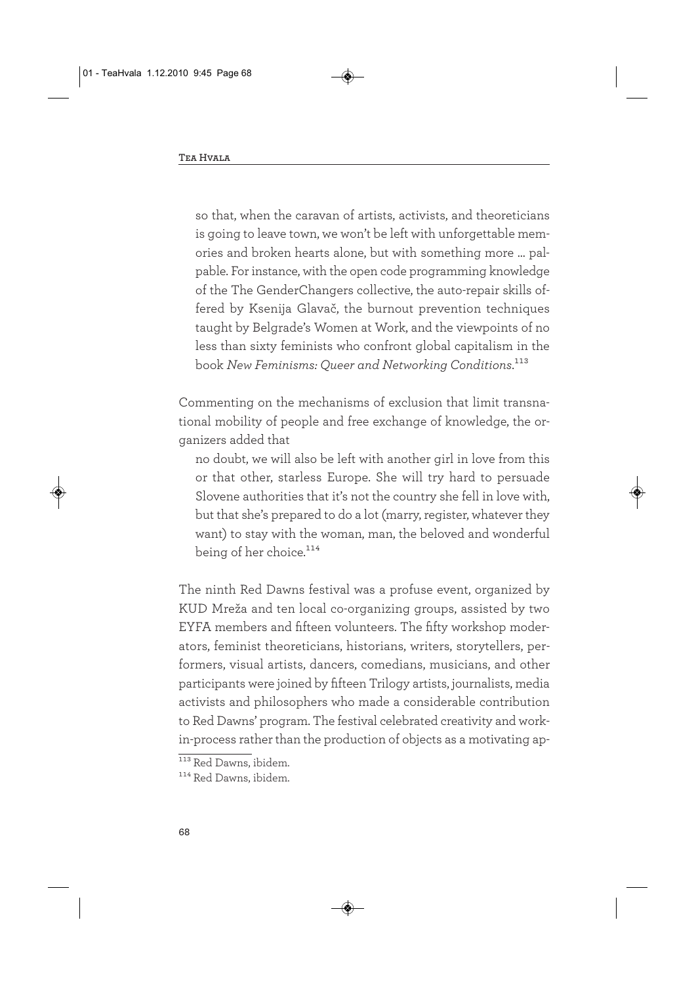so that, when the caravan of artists, activists, and theoreticians is going to leave town, we won't be left with unforgettable memories and broken hearts alone, but with something more … palpable. For instance, with the open code programming knowledge of the The GenderChangers collective, the auto-repair skills offered by Ksenija Glavač, the burnout prevention techniques taught by Belgrade's Women at Work, and the viewpoints of no less than sixty feminists who confront global capitalism in the book *New Feminisms: Queer and Networking Conditions*.113

Commenting on the mechanisms of exclusion that limit transnational mobility of people and free exchange of knowledge, the organizers added that

no doubt, we will also be left with another girl in love from this or that other, starless Europe. She will try hard to persuade Slovene authorities that it's not the country she fell in love with, but that she's prepared to do a lot (marry, register, whatever they want) to stay with the woman, man, the beloved and wonderful being of her choice.<sup>114</sup>

The ninth Red Dawns festival was a profuse event, organized by KUD Mreža and ten local co-organizing groups, assisted by two EYFA members and fifteen volunteers. The fifty workshop moderators, feminist theoreticians, historians, writers, storytellers, performers, visual artists, dancers, comedians, musicians, and other participants were joined by fifteen Trilogy artists, journalists, media activists and philosophers who made a considerable contribution to Red Dawns' program. The festival celebrated creativity and workin-process rather than the production of objects as a motivating ap-

<sup>113</sup> Red Dawns, ibidem.

<sup>114</sup> Red Dawns, ibidem.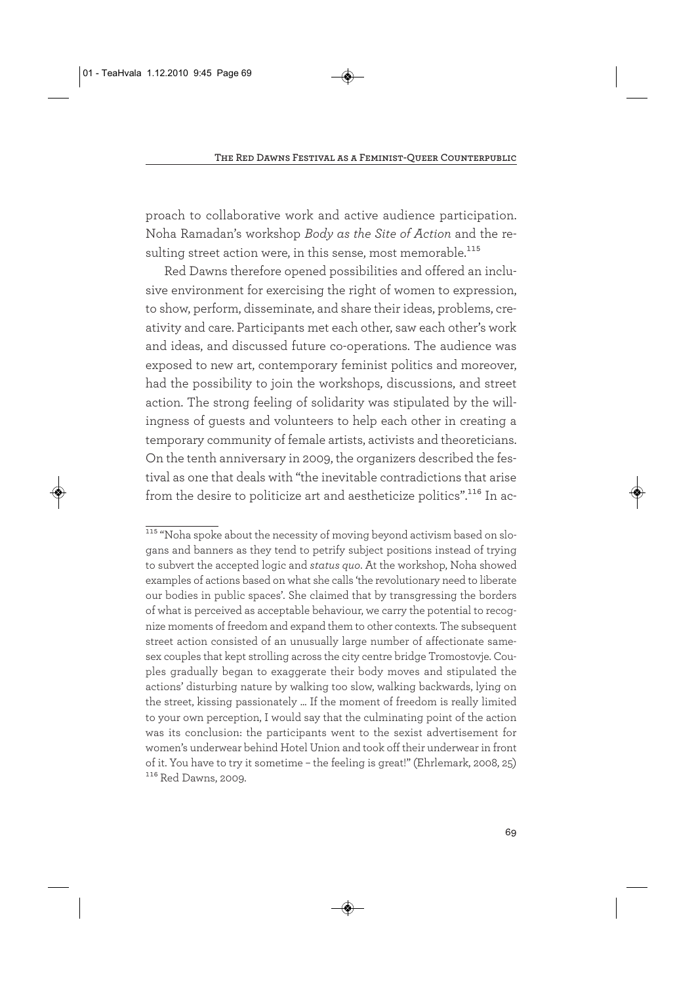proach to collaborative work and active audience participation. Noha Ramadan's workshop *Body as the Site of Action* and the resulting street action were, in this sense, most memorable.<sup>115</sup>

Red Dawns therefore opened possibilities and offered an inclusive environment for exercising the right of women to expression, to show, perform, disseminate, and share their ideas, problems, creativity and care. Participants met each other, saw each other's work and ideas, and discussed future co-operations. The audience was exposed to new art, contemporary feminist politics and moreover, had the possibility to join the workshops, discussions, and street action. The strong feeling of solidarity was stipulated by the willingness of guests and volunteers to help each other in creating a temporary community of female artists, activists and theoreticians. On the tenth anniversary in 2009, the organizers described the festival as one that deals with "the inevitable contradictions that arise from the desire to politicize art and aestheticize politics".116 In ac-

<sup>&</sup>lt;sup>115</sup> "Noha spoke about the necessity of moving beyond activism based on slogans and banners as they tend to petrify subject positions instead of trying to subvert the accepted logic and *status quo*. At the workshop, Noha showed examples of actions based on what she calls 'the revolutionary need to liberate our bodies in public spaces'. She claimed that by transgressing the borders of what is perceived as acceptable behaviour, we carry the potential to recognize moments of freedom and expand them to other contexts. The subsequent street action consisted of an unusually large number of affectionate samesex couples that kept strolling across the city centre bridge Tromostovje. Couples gradually began to exaggerate their body moves and stipulated the actions' disturbing nature by walking too slow, walking backwards, lying on the street, kissing passionately ... If the moment of freedom is really limited to your own perception, I would say that the culminating point of the action was its conclusion: the participants went to the sexist advertisement for women's underwear behind Hotel Union and took off their underwear in front of it. You have to try it sometime – the feeling is great!" (Ehrlemark, 2008, 25) 116 Red Dawns, 2009.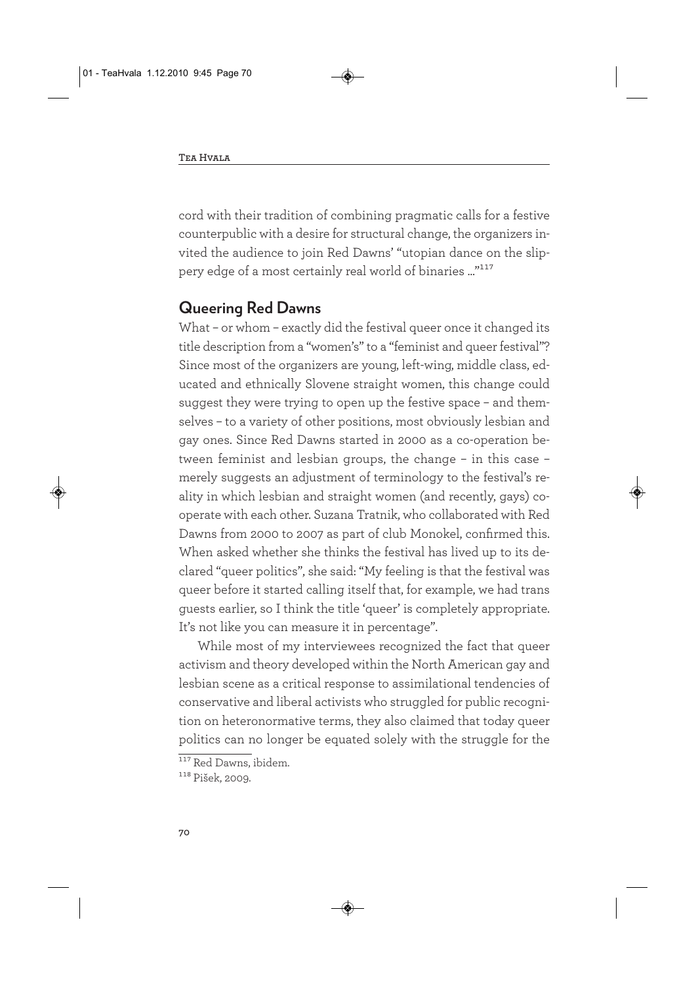cord with their tradition of combining pragmatic calls for a festive counterpublic with a desire for structural change, the organizers invited the audience to join Red Dawns' "utopian dance on the slippery edge of a most certainly real world of binaries ..."117

#### **Queering Red Dawns**

What – or whom – exactly did the festival queer once it changed its title description from a "women's" to a "feminist and queer festival"? Since most of the organizers are young, left-wing, middle class, educated and ethnically Slovene straight women, this change could suggest they were trying to open up the festive space – and themselves – to a variety of other positions, most obviously lesbian and gay ones. Since Red Dawns started in 2000 as a co-operation between feminist and lesbian groups, the change – in this case – merely suggests an adjustment of terminology to the festival's reality in which lesbian and straight women (and recently, gays) cooperate with each other. Suzana Tratnik, who collaborated with Red Dawns from 2000 to 2007 as part of club Monokel, confirmed this. When asked whether she thinks the festival has lived up to its declared "queer politics", she said: "My feeling is that the festival was queer before it started calling itself that, for example, we had trans guests earlier, so I think the title 'queer' is completely appropriate. It's not like you can measure it in percentage".

While most of my interviewees recognized the fact that queer activism and theory developed within the North American gay and lesbian scene as a critical response to assimilational tendencies of conservative and liberal activists who struggled for public recognition on heteronormative terms, they also claimed that today queer politics can no longer be equated solely with the struggle for the

<sup>&</sup>lt;sup>117</sup> Red Dawns, ibidem.

<sup>118</sup> Pišek, 2009.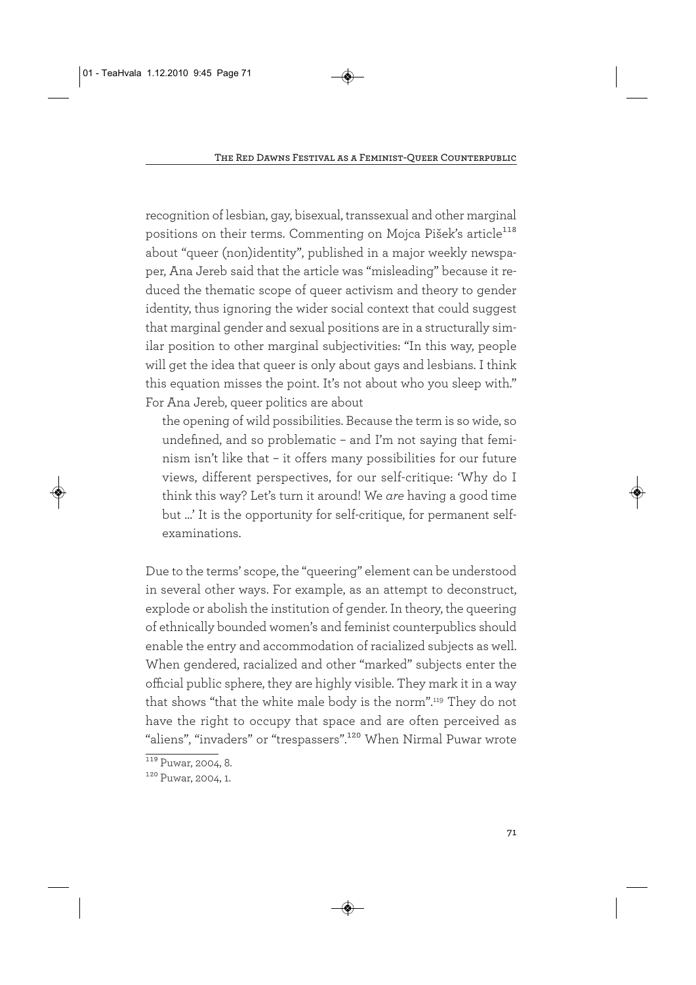recognition of lesbian, gay, bisexual, transsexual and other marginal positions on their terms. Commenting on Mojca Pišek's article<sup>118</sup> about "queer (non)identity", published in a major weekly newspaper, Ana Jereb said that the article was "misleading" because it reduced the thematic scope of queer activism and theory to gender identity, thus ignoring the wider social context that could suggest that marginal gender and sexual positions are in a structurally similar position to other marginal subjectivities: "In this way, people will get the idea that queer is only about gays and lesbians. I think this equation misses the point. It's not about who you sleep with." For Ana Jereb, queer politics are about

the opening of wild possibilities. Because the term is so wide, so undefined, and so problematic – and I'm not saying that feminism isn't like that – it offers many possibilities for our future views, different perspectives, for our self-critique: 'Why do I think this way? Let's turn it around! We *are* having a good time but …' It is the opportunity for self-critique, for permanent selfexaminations.

Due to the terms' scope, the "queering" element can be understood in several other ways. For example, as an attempt to deconstruct, explode or abolish the institution of gender. In theory, the queering of ethnically bounded women's and feminist counterpublics should enable the entry and accommodation of racialized subjects as well. When gendered, racialized and other "marked" subjects enter the official public sphere, they are highly visible. They mark it in a way that shows "that the white male body is the norm".119 They do not have the right to occupy that space and are often perceived as "aliens", "invaders" or "trespassers".<sup>120</sup> When Nirmal Puwar wrote

 $119$  Puwar, 2004, 8.

<sup>120</sup> Puwar, 2004, 1.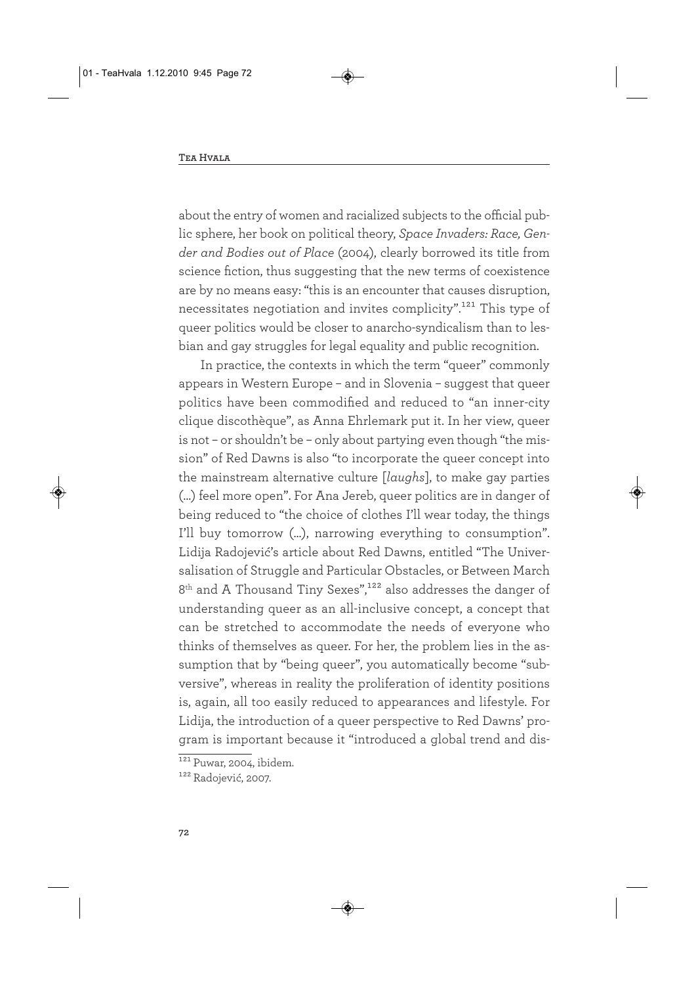about the entry of women and racialized subjects to the official public sphere, her book on political theory, *Space Invaders: Race, Gender and Bodies out of Place* (2004), clearly borrowed its title from science fiction, thus suggesting that the new terms of coexistence are by no means easy: "this is an encounter that causes disruption, necessitates negotiation and invites complicity".<sup>121</sup> This type of queer politics would be closer to anarcho-syndicalism than to lesbian and gay struggles for legal equality and public recognition.

In practice, the contexts in which the term "queer" commonly appears in Western Europe – and in Slovenia – suggest that queer politics have been commodified and reduced to "an inner-city clique discothèque", as Anna Ehrlemark put it. In her view, queer is not – or shouldn't be – only about partying even though "the mission" of Red Dawns is also "to incorporate the queer concept into the mainstream alternative culture [*laughs*], to make gay parties (…) feel more open". For Ana Jereb, queer politics are in danger of being reduced to "the choice of clothes I'll wear today, the things I'll buy tomorrow (…), narrowing everything to consumption". Lidija Radojević's article about Red Dawns, entitled "The Universalisation of Struggle and Particular Obstacles, or Between March 8<sup>th</sup> and A Thousand Tiny Sexes",<sup>122</sup> also addresses the danger of understanding queer as an all-inclusive concept, a concept that can be stretched to accommodate the needs of everyone who thinks of themselves as queer. For her, the problem lies in the assumption that by "being queer", you automatically become "subversive", whereas in reality the proliferation of identity positions is, again, all too easily reduced to appearances and lifestyle. For Lidija, the introduction of a queer perspective to Red Dawns' program is important because it "introduced a global trend and dis-

 $121$  Puwar, 2004, ibidem.

<sup>122</sup> Radojević, 2007.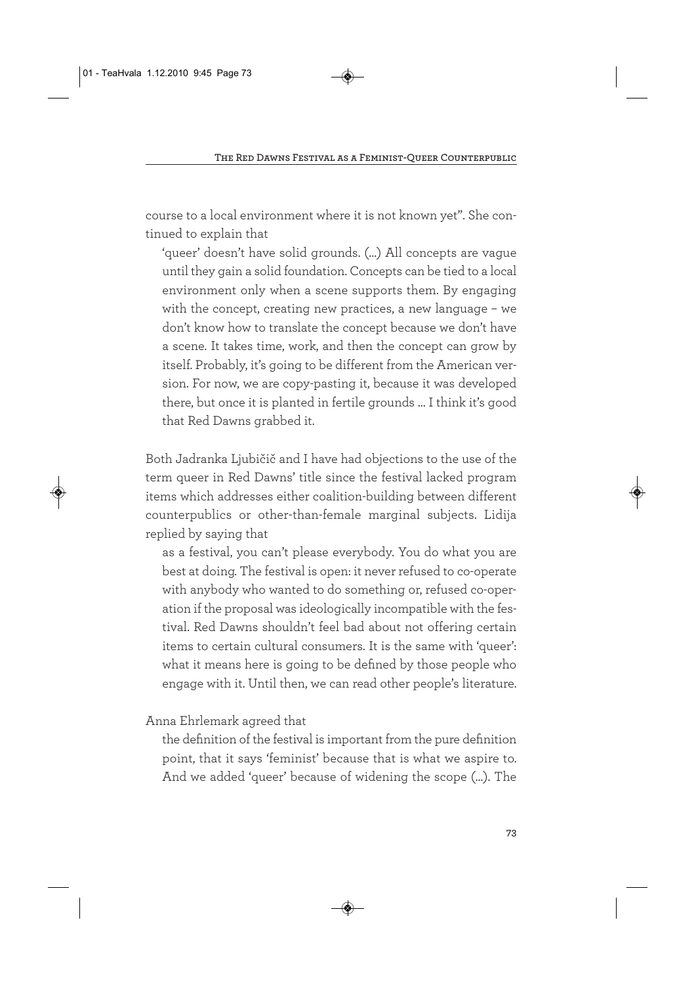course to a local environment where it is not known yet". She continued to explain that

'queer' doesn't have solid grounds. (…) All concepts are vague until they gain a solid foundation. Concepts can be tied to a local environment only when a scene supports them. By engaging with the concept, creating new practices, a new language – we don't know how to translate the concept because we don't have a scene. It takes time, work, and then the concept can grow by itself. Probably, it's going to be different from the American version. For now, we are copy-pasting it, because it was developed there, but once it is planted in fertile grounds … I think it's good that Red Dawns grabbed it.

Both Jadranka Ljubičič and I have had objections to the use of the term queer in Red Dawns' title since the festival lacked program items which addresses either coalition-building between different counterpublics or other-than-female marginal subjects. Lidija replied by saying that

as a festival, you can't please everybody. You do what you are best at doing. The festival is open: it never refused to co-operate with anybody who wanted to do something or, refused co-operation if the proposal was ideologically incompatible with the festival. Red Dawns shouldn't feel bad about not offering certain items to certain cultural consumers. It is the same with 'queer': what it means here is going to be defined by those people who engage with it. Until then, we can read other people's literature.

Anna Ehrlemark agreed that

the definition of the festival is important from the pure definition point, that it says 'feminist' because that is what we aspire to. And we added 'queer' because of widening the scope (…). The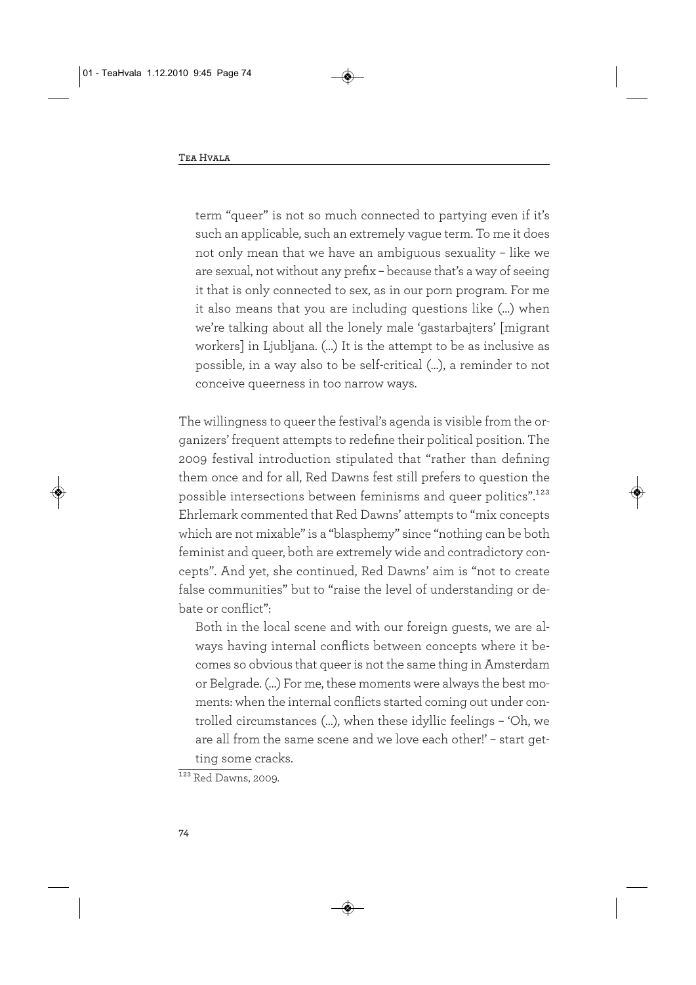term "queer" is not so much connected to partying even if it's such an applicable, such an extremely vague term. To me it does not only mean that we have an ambiguous sexuality – like we are sexual, not without any prefix – because that's a way of seeing it that is only connected to sex, as in our porn program. For me it also means that you are including questions like (…) when we're talking about all the lonely male 'gastarbajters' [migrant workers] in Ljubljana. (…) It is the attempt to be as inclusive as possible, in a way also to be self-critical (…), a reminder to not conceive queerness in too narrow ways.

The willingness to queer the festival's agenda is visible from the organizers' frequent attempts to redefine their political position. The 2009 festival introduction stipulated that "rather than defining them once and for all, Red Dawns fest still prefers to question the possible intersections between feminisms and queer politics".123 Ehrlemark commented that Red Dawns' attempts to "mix concepts which are not mixable" is a "blasphemy" since "nothing can be both feminist and queer, both are extremely wide and contradictory concepts". And yet, she continued, Red Dawns' aim is "not to create false communities" but to "raise the level of understanding or debate or conflict":

Both in the local scene and with our foreign guests, we are always having internal conflicts between concepts where it becomes so obvious that queer is not the same thing in Amsterdam or Belgrade. (…) For me, these moments were always the best moments: when the internal conflicts started coming out under controlled circumstances (…), when these idyllic feelings – 'Oh, we are all from the same scene and we love each other!' – start getting some cracks.

 $\overline{\phantom{1}^{123}$  Red Dawns, 2009.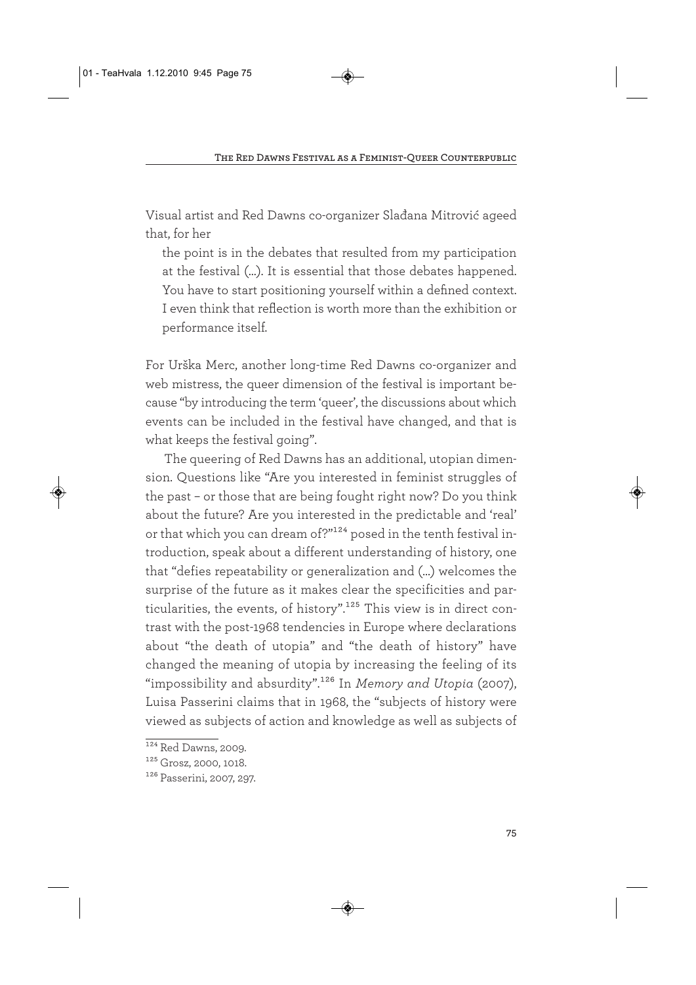Visual artist and Red Dawns co-organizer Slađana Mitrović ageed that, for her

the point is in the debates that resulted from my participation at the festival (…). It is essential that those debates happened. You have to start positioning yourself within a defined context. I even think that reflection is worth more than the exhibition or performance itself.

For Urška Merc, another long-time Red Dawns co-organizer and web mistress, the queer dimension of the festival is important because "by introducing the term 'queer', the discussions about which events can be included in the festival have changed, and that is what keeps the festival going".

The queering of Red Dawns has an additional, utopian dimension. Questions like "Are you interested in feminist struggles of the past – or those that are being fought right now? Do you think about the future? Are you interested in the predictable and 'real' or that which you can dream of?"124 posed in the tenth festival introduction, speak about a different understanding of history, one that "defies repeatability or generalization and (…) welcomes the surprise of the future as it makes clear the specificities and particularities, the events, of history".<sup>125</sup> This view is in direct contrast with the post-1968 tendencies in Europe where declarations about "the death of utopia" and "the death of history" have changed the meaning of utopia by increasing the feeling of its "impossibility and absurdity".126 In *Memory and Utopia* (2007), Luisa Passerini claims that in 1968, the "subjects of history were viewed as subjects of action and knowledge as well as subjects of

 $\overline{\phantom{1}^{124}$  Red Dawns, 2009.

<sup>125</sup> Grosz, 2000, 1018.

<sup>126</sup> Passerini, 2007, 297.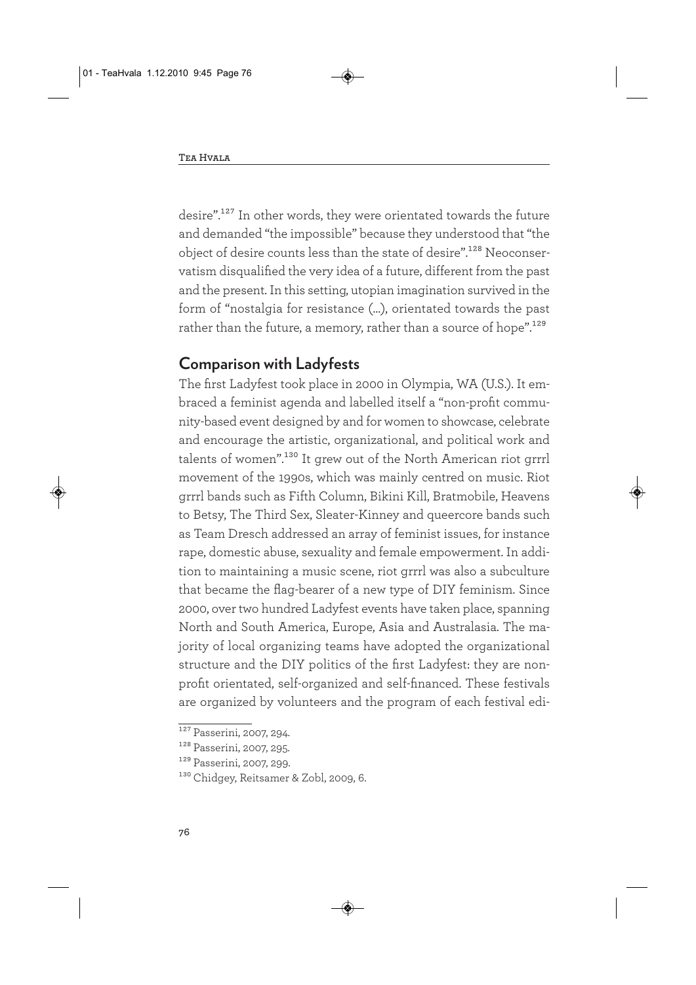desire".127 In other words, they were orientated towards the future and demanded "the impossible" because they understood that "the object of desire counts less than the state of desire".128 Neoconservatism disqualified the very idea of a future, different from the past and the present. In this setting, utopian imagination survived in the form of "nostalgia for resistance (…), orientated towards the past rather than the future, a memory, rather than a source of hope".<sup>129</sup>

### **Comparison with Ladyfests**

The first Ladyfest took place in 2000 in Olympia, WA (U.S.). It embraced a feminist agenda and labelled itself a "non-profit community-based event designed by and for women to showcase, celebrate and encourage the artistic, organizational, and political work and talents of women".130 It grew out of the North American riot grrrl movement of the 1990s, which was mainly centred on music. Riot grrrl bands such as Fifth Column, Bikini Kill, Bratmobile, Heavens to Betsy, The Third Sex, Sleater-Kinney and queercore bands such as Team Dresch addressed an array of feminist issues, for instance rape, domestic abuse, sexuality and female empowerment. In addition to maintaining a music scene, riot grrrl was also a subculture that became the flag-bearer of a new type of DIY feminism. Since 2000, over two hundred Ladyfest events have taken place, spanning North and South America, Europe, Asia and Australasia. The majority of local organizing teams have adopted the organizational structure and the DIY politics of the first Ladyfest: they are nonprofit orientated, self-organized and self-financed. These festivals are organized by volunteers and the program of each festival edi-

 $127$  Passerini, 2007, 294.

<sup>128</sup> Passerini, 2007, 295.

<sup>129</sup> Passerini, 2007, 299.

<sup>&</sup>lt;sup>130</sup> Chidgey, Reitsamer & Zobl, 2009, 6.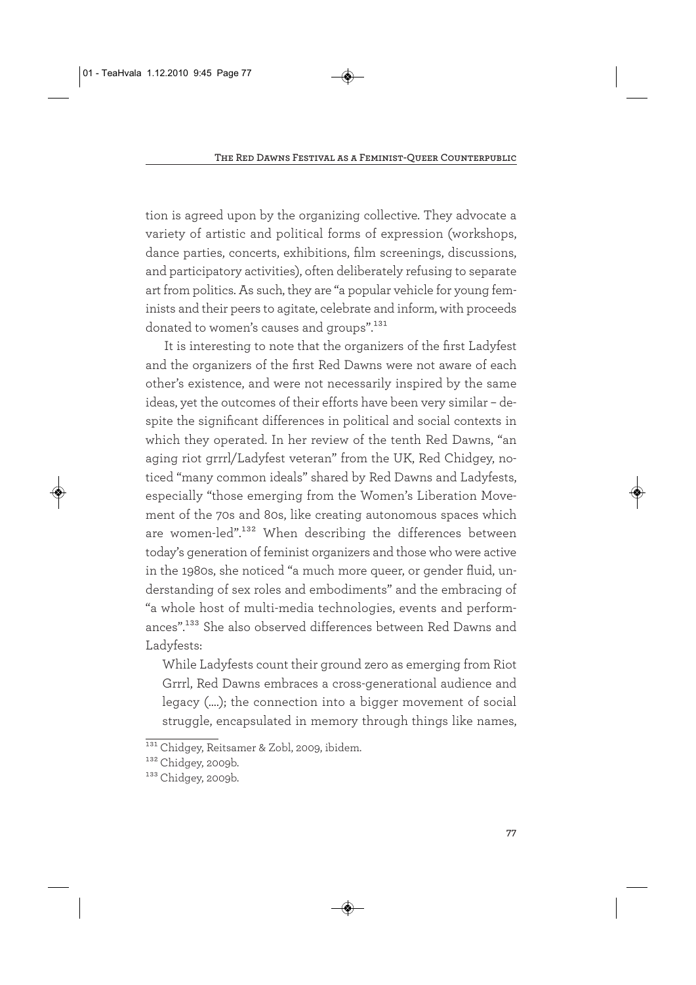tion is agreed upon by the organizing collective. They advocate a variety of artistic and political forms of expression (workshops, dance parties, concerts, exhibitions, film screenings, discussions, and participatory activities), often deliberately refusing to separate art from politics. As such, they are "a popular vehicle for young feminists and their peers to agitate, celebrate and inform, with proceeds donated to women's causes and groups".131

It is interesting to note that the organizers of the first Ladyfest and the organizers of the first Red Dawns were not aware of each other's existence, and were not necessarily inspired by the same ideas, yet the outcomes of their efforts have been very similar – despite the significant differences in political and social contexts in which they operated. In her review of the tenth Red Dawns, "an aging riot grrrl/Ladyfest veteran" from the UK, Red Chidgey, noticed "many common ideals" shared by Red Dawns and Ladyfests, especially "those emerging from the Women's Liberation Movement of the 70s and 80s, like creating autonomous spaces which are women-led".132 When describing the differences between today's generation of feminist organizers and those who were active in the 1980s, she noticed "a much more queer, or gender fluid, understanding of sex roles and embodiments" and the embracing of "a whole host of multi-media technologies, events and performances".133 She also observed differences between Red Dawns and Ladyfests:

While Ladyfests count their ground zero as emerging from Riot Grrrl, Red Dawns embraces a cross-generational audience and legacy (….); the connection into a bigger movement of social struggle, encapsulated in memory through things like names,

<sup>&</sup>lt;sup>131</sup> Chidgey, Reitsamer & Zobl, 2009, ibidem.

<sup>132</sup> Chidgey, 2009b.

<sup>133</sup> Chidgey, 2009b.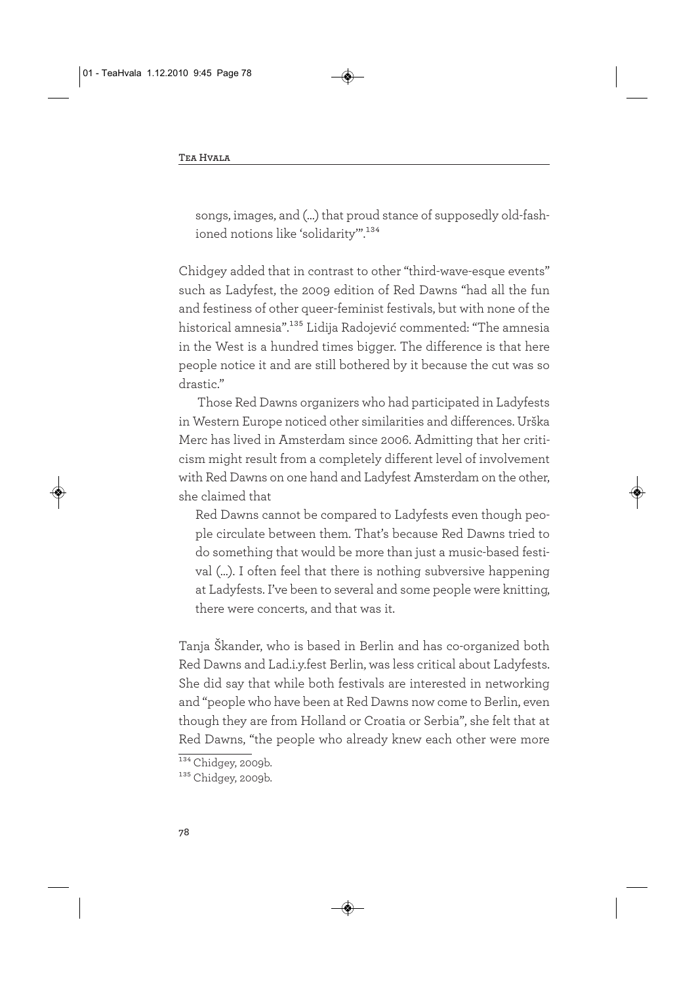songs, images, and (…) that proud stance of supposedly old-fashioned notions like 'solidarity".<sup>134</sup>

Chidgey added that in contrast to other "third-wave-esque events" such as Ladyfest, the 2009 edition of Red Dawns "had all the fun and festiness of other queer-feminist festivals, but with none of the historical amnesia".135 Lidija Radojević commented: "The amnesia in the West is a hundred times bigger. The difference is that here people notice it and are still bothered by it because the cut was so drastic."

Those Red Dawns organizers who had participated in Ladyfests in Western Europe noticed other similarities and differences. Urška Merc has lived in Amsterdam since 2006. Admitting that her criticism might result from a completely different level of involvement with Red Dawns on one hand and Ladyfest Amsterdam on the other, she claimed that

Red Dawns cannot be compared to Ladyfests even though people circulate between them. That's because Red Dawns tried to do something that would be more than just a music-based festival (…). I often feel that there is nothing subversive happening at Ladyfests. I've been to several and some people were knitting, there were concerts, and that was it.

Tanja Škander, who is based in Berlin and has co-organized both Red Dawns and Lad.i.y.fest Berlin, was less critical about Ladyfests. She did say that while both festivals are interested in networking and "people who have been at Red Dawns now come to Berlin, even though they are from Holland or Croatia or Serbia", she felt that at Red Dawns, "the people who already knew each other were more

 $134$  Chidgey, 2009b.

<sup>135</sup> Chidgey, 2009b.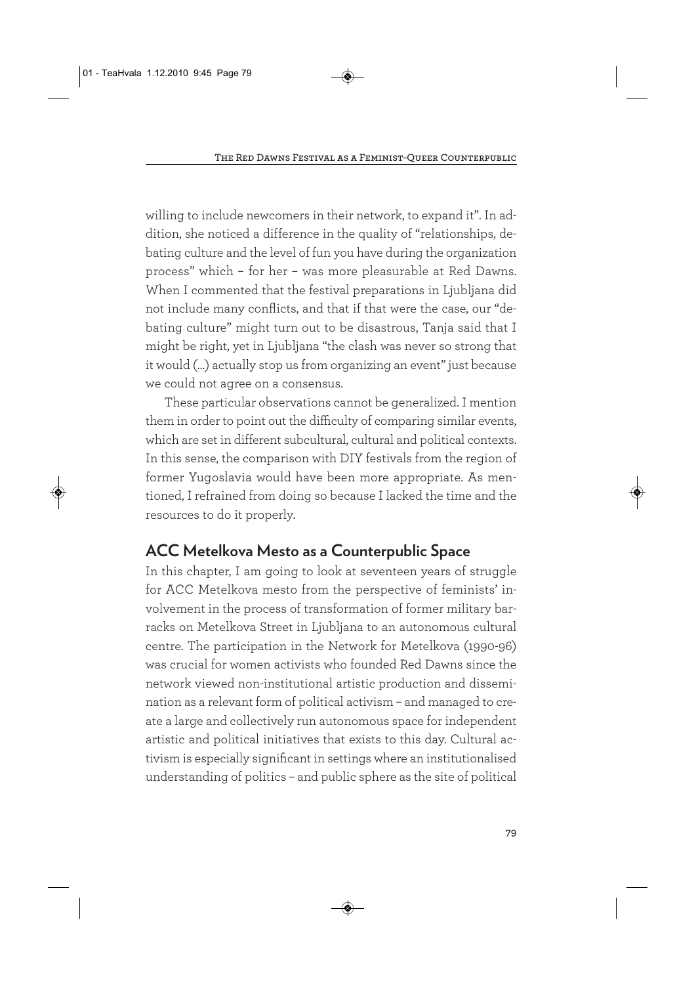willing to include newcomers in their network, to expand it". In addition, she noticed a difference in the quality of "relationships, debating culture and the level of fun you have during the organization process" which – for her – was more pleasurable at Red Dawns. When I commented that the festival preparations in Ljubljana did not include many conflicts, and that if that were the case, our "debating culture" might turn out to be disastrous, Tanja said that I might be right, yet in Ljubljana "the clash was never so strong that it would (…) actually stop us from organizing an event" just because we could not agree on a consensus.

These particular observations cannot be generalized. I mention them in order to point out the difficulty of comparing similar events, which are set in different subcultural, cultural and political contexts. In this sense, the comparison with DIY festivals from the region of former Yugoslavia would have been more appropriate. As mentioned, I refrained from doing so because I lacked the time and the resources to do it properly.

## **ACC Metelkova Mesto as a Counterpublic Space**

In this chapter, I am going to look at seventeen years of struggle for ACC Metelkova mesto from the perspective of feminists' involvement in the process of transformation of former military barracks on Metelkova Street in Ljubljana to an autonomous cultural centre. The participation in the Network for Metelkova (1990-96) was crucial for women activists who founded Red Dawns since the network viewed non-institutional artistic production and dissemination as a relevant form of political activism – and managed to create a large and collectively run autonomous space for independent artistic and political initiatives that exists to this day. Cultural activism is especially significant in settings where an institutionalised understanding of politics – and public sphere as the site of political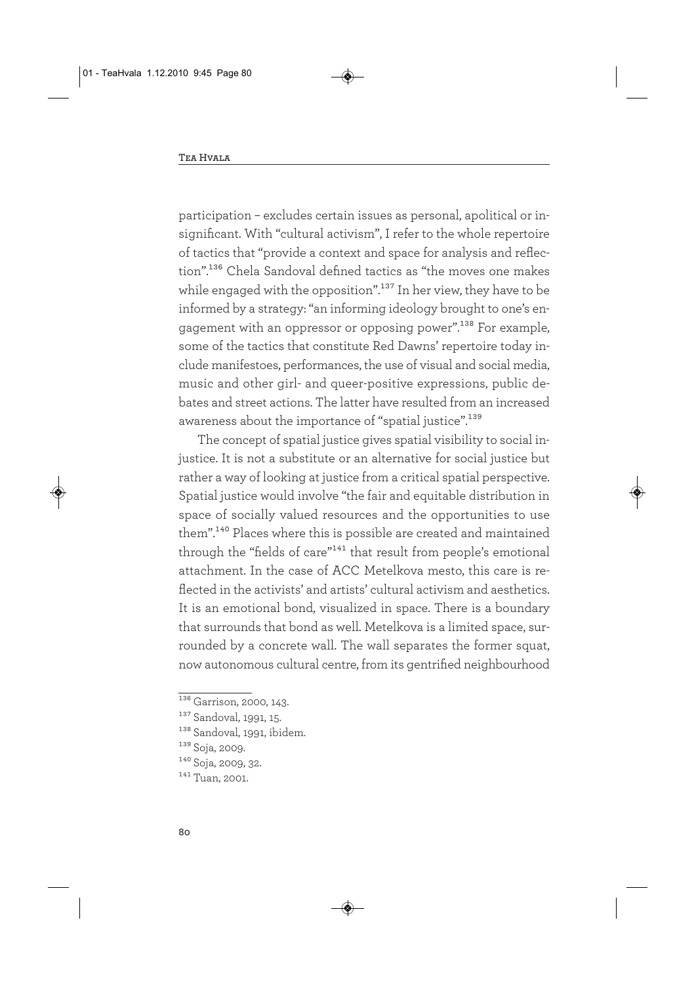participation – excludes certain issues as personal, apolitical or insignificant. With "cultural activism", I refer to the whole repertoire of tactics that "provide a context and space for analysis and reflection".136 Chela Sandoval defined tactics as "the moves one makes while engaged with the opposition".<sup>137</sup> In her view, they have to be informed by a strategy: "an informing ideology brought to one's engagement with an oppressor or opposing power".138 For example, some of the tactics that constitute Red Dawns' repertoire today include manifestoes, performances, the use of visual and social media, music and other girl- and queer-positive expressions, public debates and street actions. The latter have resulted from an increased awareness about the importance of "spatial justice".<sup>139</sup>

The concept of spatial justice gives spatial visibility to social injustice. It is not a substitute or an alternative for social justice but rather a way of looking at justice from a critical spatial perspective. Spatial justice would involve "the fair and equitable distribution in space of socially valued resources and the opportunities to use them".140 Places where this is possible are created and maintained through the "fields of care"<sup>141</sup> that result from people's emotional attachment. In the case of ACC Metelkova mesto, this care is reflected in the activists' and artists' cultural activism and aesthetics. It is an emotional bond, visualized in space. There is a boundary that surrounds that bond as well. Metelkova is a limited space, surrounded by a concrete wall. The wall separates the former squat, now autonomous cultural centre, from its gentrified neighbourhood

 $\frac{136}{136}$  Garrison, 2000, 143.

<sup>137</sup> Sandoval, 1991, 15.

<sup>138</sup> Sandoval, 1991, ibidem.

<sup>139</sup> Soja, 2009.

<sup>140</sup> Soja, 2009, 32.

<sup>141</sup> Tuan, 2001.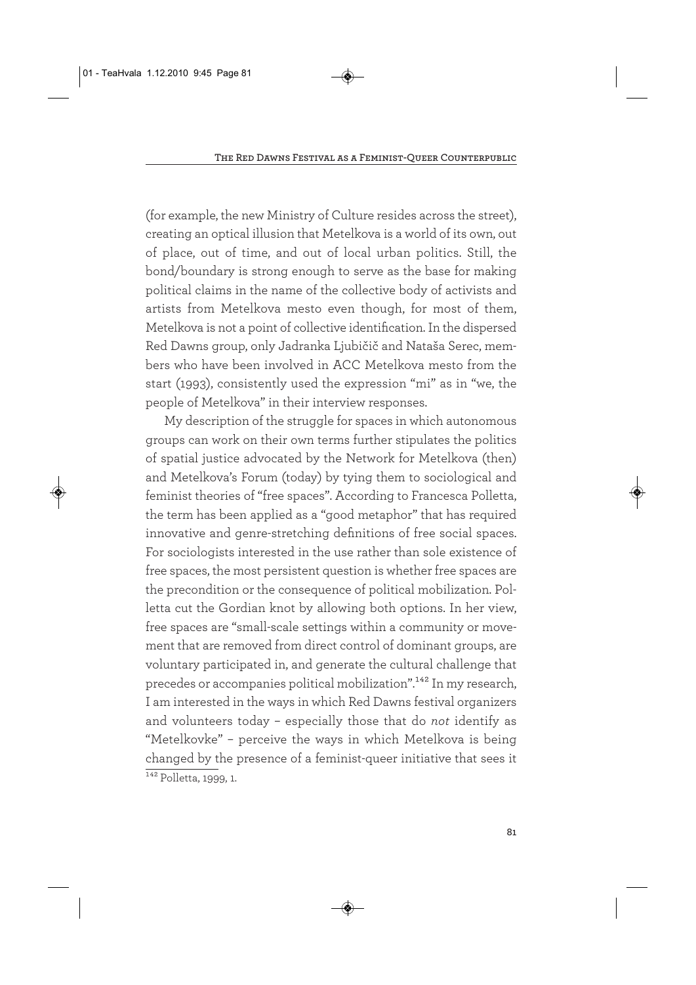(for example, the new Ministry of Culture resides across the street), creating an optical illusion that Metelkova is a world of its own, out of place, out of time, and out of local urban politics. Still, the bond/boundary is strong enough to serve as the base for making political claims in the name of the collective body of activists and artists from Metelkova mesto even though, for most of them, Metelkova is not a point of collective identification. In the dispersed Red Dawns group, only Jadranka Ljubičič and Nataša Serec, members who have been involved in ACC Metelkova mesto from the start (1993), consistently used the expression "mi" as in "we, the people of Metelkova" in their interview responses.

My description of the struggle for spaces in which autonomous groups can work on their own terms further stipulates the politics of spatial justice advocated by the Network for Metelkova (then) and Metelkova's Forum (today) by tying them to sociological and feminist theories of "free spaces". According to Francesca Polletta, the term has been applied as a "good metaphor" that has required innovative and genre-stretching definitions of free social spaces. For sociologists interested in the use rather than sole existence of free spaces, the most persistent question is whether free spaces are the precondition or the consequence of political mobilization. Polletta cut the Gordian knot by allowing both options. In her view, free spaces are "small-scale settings within a community or movement that are removed from direct control of dominant groups, are voluntary participated in, and generate the cultural challenge that precedes or accompanies political mobilization".142 In my research, I am interested in the ways in which Red Dawns festival organizers and volunteers today – especially those that do *not* identify as "Metelkovke" – perceive the ways in which Metelkova is being changed by the presence of a feminist-queer initiative that sees it  $\frac{142}{\text{Polletta}}$ , 1999, 1.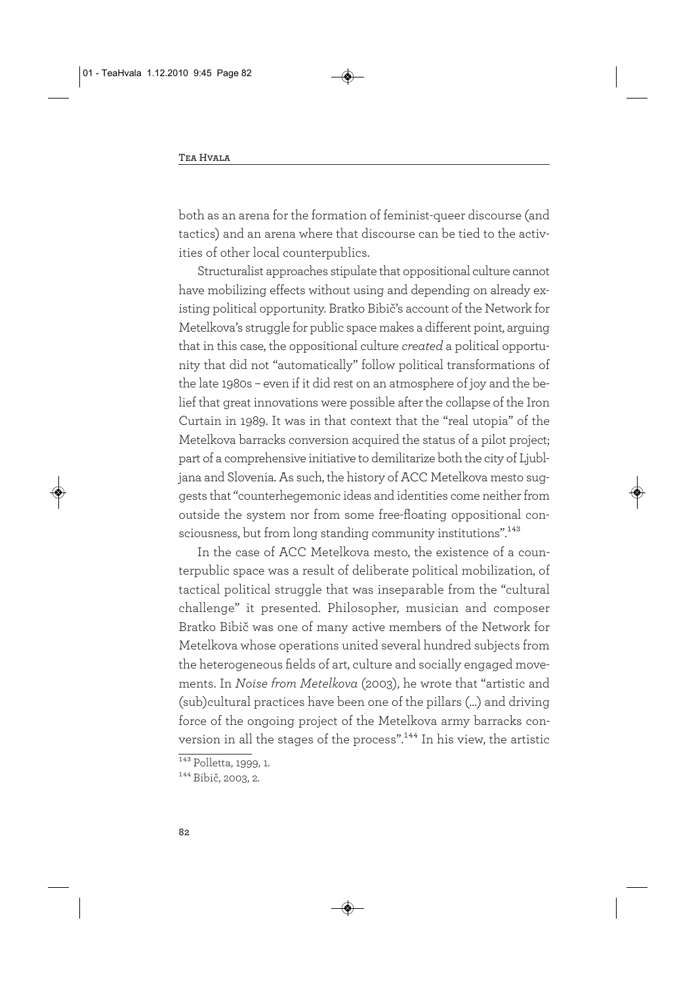both as an arena for the formation of feminist-queer discourse (and tactics) and an arena where that discourse can be tied to the activities of other local counterpublics.

Structuralist approaches stipulate that oppositional culture cannot have mobilizing effects without using and depending on already existing political opportunity. Bratko Bibič's account of the Network for Metelkova's struggle for public space makes a different point, arguing that in this case, the oppositional culture *created* a political opportunity that did not "automatically" follow political transformations of the late 1980s – even if it did rest on an atmosphere of joy and the belief that great innovations were possible after the collapse of the Iron Curtain in 1989. It was in that context that the "real utopia" of the Metelkova barracks conversion acquired the status of a pilot project; part of a comprehensive initiative to demilitarize both the city of Ljubljana and Slovenia. As such, the history of ACC Metelkova mesto suggests that "counterhegemonic ideas and identities come neither from outside the system nor from some free-floating oppositional consciousness, but from long standing community institutions".<sup>143</sup>

In the case of ACC Metelkova mesto, the existence of a counterpublic space was a result of deliberate political mobilization, of tactical political struggle that was inseparable from the "cultural challenge" it presented. Philosopher, musician and composer Bratko Bibič was one of many active members of the Network for Metelkova whose operations united several hundred subjects from the heterogeneous fields of art, culture and socially engaged movements. In *Noise from Metelkova* (2003), he wrote that "artistic and (sub)cultural practices have been one of the pillars (…) and driving force of the ongoing project of the Metelkova army barracks conversion in all the stages of the process".<sup>144</sup> In his view, the artistic

 $\overline{^{143}}$  Polletta, 1999, 1.

<sup>144</sup> Bibič, 2003, 2.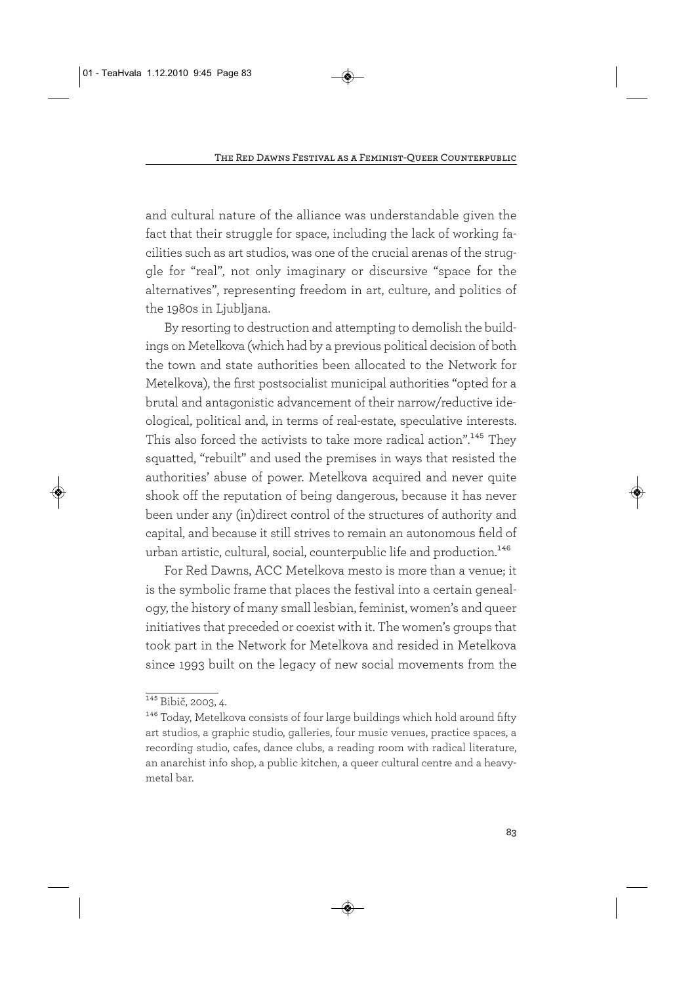and cultural nature of the alliance was understandable given the fact that their struggle for space, including the lack of working facilities such as art studios, was one of the crucial arenas of the struggle for "real", not only imaginary or discursive "space for the alternatives", representing freedom in art, culture, and politics of the 1980s in Ljubljana.

By resorting to destruction and attempting to demolish the buildings on Metelkova (which had by a previous political decision of both the town and state authorities been allocated to the Network for Metelkova), the first postsocialist municipal authorities "opted for a brutal and antagonistic advancement of their narrow/reductive ideological, political and, in terms of real-estate, speculative interests. This also forced the activists to take more radical action".<sup>145</sup> They squatted, "rebuilt" and used the premises in ways that resisted the authorities' abuse of power. Metelkova acquired and never quite shook off the reputation of being dangerous, because it has never been under any (in)direct control of the structures of authority and capital, and because it still strives to remain an autonomous field of urban artistic, cultural, social, counterpublic life and production.<sup>146</sup>

For Red Dawns, ACC Metelkova mesto is more than a venue; it is the symbolic frame that places the festival into a certain genealogy, the history of many small lesbian, feminist, women's and queer initiatives that preceded or coexist with it. The women's groups that took part in the Network for Metelkova and resided in Metelkova since 1993 built on the legacy of new social movements from the

<sup>&</sup>lt;sup>145</sup> Bibič, 2003, 4.

<sup>&</sup>lt;sup>146</sup> Today, Metelkova consists of four large buildings which hold around fifty art studios, a graphic studio, galleries, four music venues, practice spaces, a recording studio, cafes, dance clubs, a reading room with radical literature, an anarchist info shop, a public kitchen, a queer cultural centre and a heavymetal bar.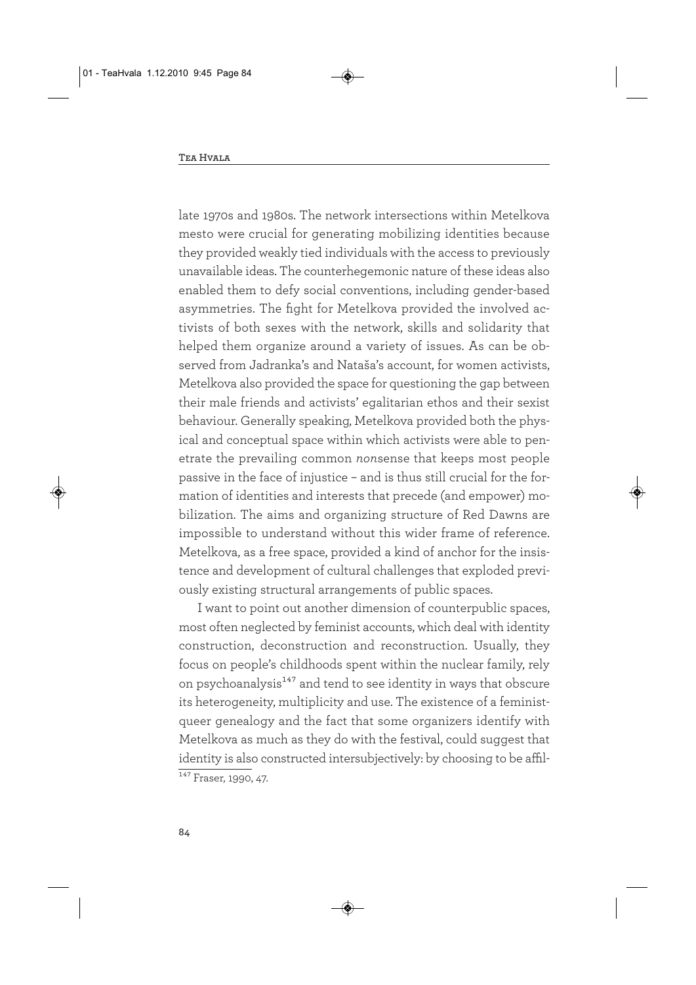late 1970s and 1980s. The network intersections within Metelkova mesto were crucial for generating mobilizing identities because they provided weakly tied individuals with the access to previously unavailable ideas. The counterhegemonic nature of these ideas also enabled them to defy social conventions, including gender-based asymmetries. The fight for Metelkova provided the involved activists of both sexes with the network, skills and solidarity that helped them organize around a variety of issues. As can be observed from Jadranka's and Nataša's account, for women activists, Metelkova also provided the space for questioning the gap between their male friends and activists' egalitarian ethos and their sexist behaviour. Generally speaking, Metelkova provided both the physical and conceptual space within which activists were able to penetrate the prevailing common *non*sense that keeps most people passive in the face of injustice – and is thus still crucial for the formation of identities and interests that precede (and empower) mobilization. The aims and organizing structure of Red Dawns are impossible to understand without this wider frame of reference. Metelkova, as a free space, provided a kind of anchor for the insistence and development of cultural challenges that exploded previously existing structural arrangements of public spaces.

I want to point out another dimension of counterpublic spaces, most often neglected by feminist accounts, which deal with identity construction, deconstruction and reconstruction. Usually, they focus on people's childhoods spent within the nuclear family, rely on psychoanalysis<sup>147</sup> and tend to see identity in ways that obscure its heterogeneity, multiplicity and use. The existence of a feministqueer genealogy and the fact that some organizers identify with Metelkova as much as they do with the festival, could suggest that identity is also constructed intersubjectively: by choosing to be affil- $147$  Fraser, 1990, 47.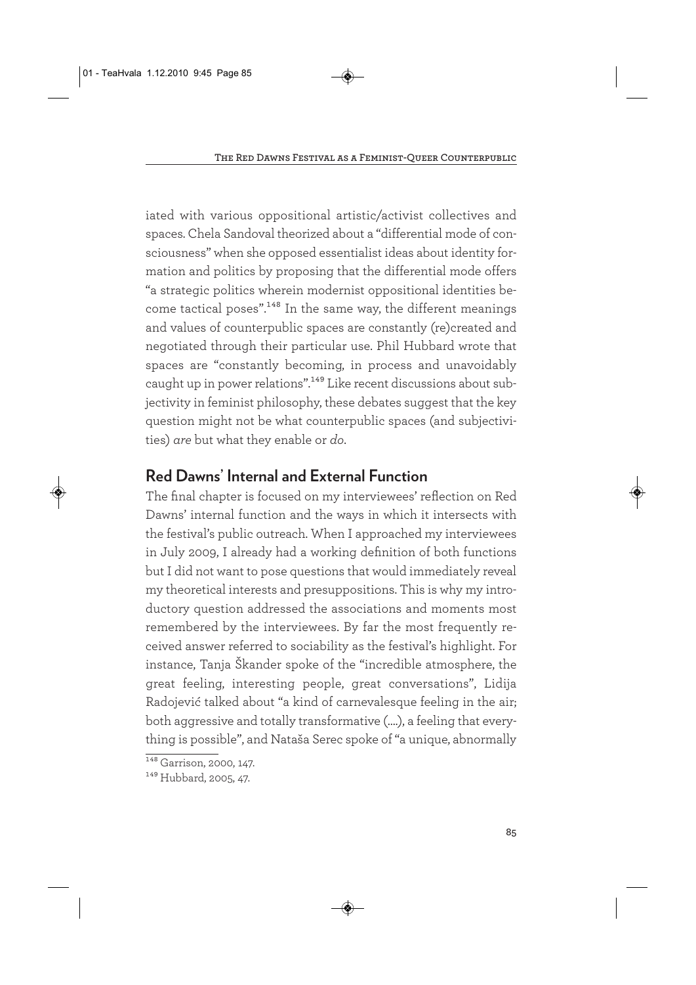iated with various oppositional artistic/activist collectives and spaces. Chela Sandoval theorized about a "differential mode of consciousness" when she opposed essentialist ideas about identity formation and politics by proposing that the differential mode offers "a strategic politics wherein modernist oppositional identities become tactical poses".<sup>148</sup> In the same way, the different meanings and values of counterpublic spaces are constantly (re)created and negotiated through their particular use. Phil Hubbard wrote that spaces are "constantly becoming, in process and unavoidably caught up in power relations".<sup>149</sup> Like recent discussions about subjectivity in feminist philosophy, these debates suggest that the key question might not be what counterpublic spaces (and subjectivities) *are* but what they enable or *do*.

## **Red Dawns' Internal and External Function**

The final chapter is focused on my interviewees' reflection on Red Dawns' internal function and the ways in which it intersects with the festival's public outreach. When I approached my interviewees in July 2009, I already had a working definition of both functions but I did not want to pose questions that would immediately reveal my theoretical interests and presuppositions. This is why my introductory question addressed the associations and moments most remembered by the interviewees. By far the most frequently received answer referred to sociability as the festival's highlight. For instance, Tanja Škander spoke of the "incredible atmosphere, the great feeling, interesting people, great conversations", Lidija Radojević talked about "a kind of carnevalesque feeling in the air; both aggressive and totally transformative (….), a feeling that everything is possible", and Nataša Serec spoke of "a unique, abnormally

 $\frac{148}{148}$  Garrison, 2000, 147.

<sup>149</sup> Hubbard, 2005, 47.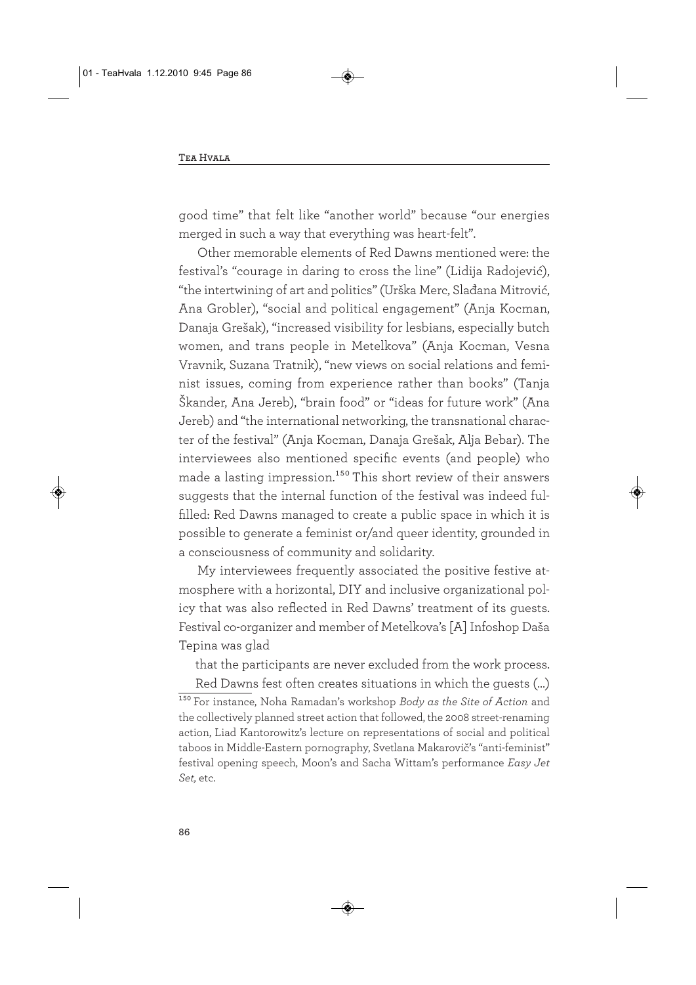good time" that felt like "another world" because "our energies merged in such a way that everything was heart-felt".

Other memorable elements of Red Dawns mentioned were: the festival's "courage in daring to cross the line" (Lidija Radojević), "the intertwining of art and politics" (Urška Merc, Slađana Mitrović, Ana Grobler), "social and political engagement" (Anja Kocman, Danaja Grešak), "increased visibility for lesbians, especially butch women, and trans people in Metelkova" (Anja Kocman, Vesna Vravnik, Suzana Tratnik), "new views on social relations and feminist issues, coming from experience rather than books" (Tanja Škander, Ana Jereb), "brain food" or "ideas for future work" (Ana Jereb) and "the international networking, the transnational character of the festival" (Anja Kocman, Danaja Grešak, Alja Bebar). The interviewees also mentioned specific events (and people) who made a lasting impression.<sup>150</sup> This short review of their answers suggests that the internal function of the festival was indeed fulfilled: Red Dawns managed to create a public space in which it is possible to generate a feminist or/and queer identity, grounded in a consciousness of community and solidarity.

My interviewees frequently associated the positive festive atmosphere with a horizontal, DIY and inclusive organizational policy that was also reflected in Red Dawns' treatment of its guests. Festival co-organizer and member of Metelkova's [A] Infoshop Daša Tepina was glad

that the participants are never excluded from the work process.

Red Dawns fest often creates situations in which the guests (…) 150 For instance, Noha Ramadan's workshop *Body as the Site of Action* and the collectively planned street action that followed, the 2008 street-renaming action, Liad Kantorowitz's lecture on representations of social and political taboos in Middle-Eastern pornography, Svetlana Makarovič's "anti-feminist" festival opening speech, Moon's and Sacha Wittam's performance *Easy Jet Set,* etc.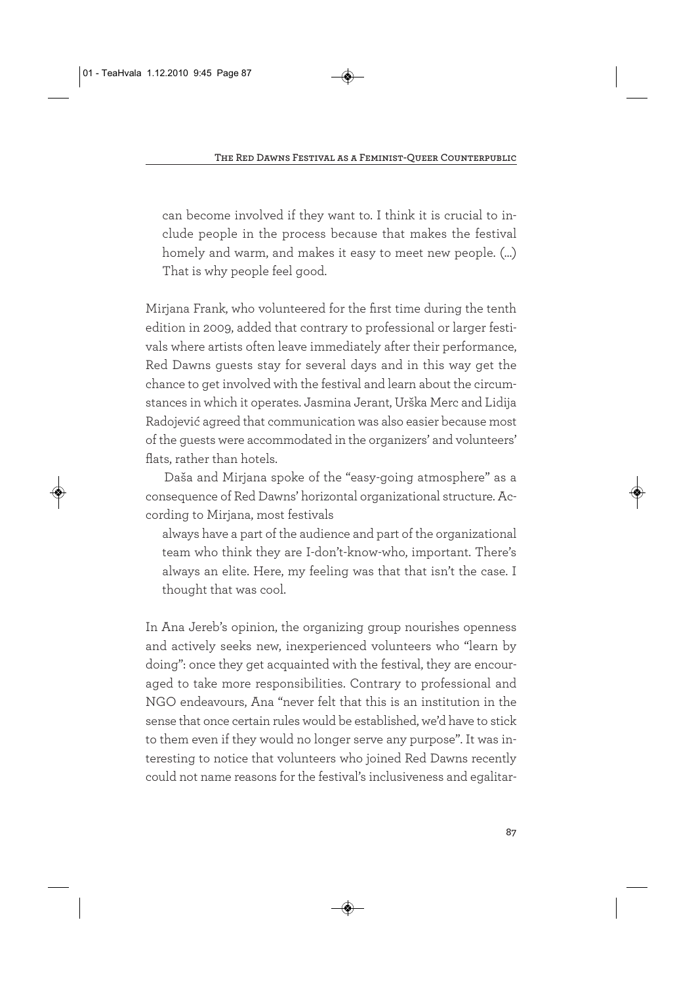can become involved if they want to. I think it is crucial to include people in the process because that makes the festival homely and warm, and makes it easy to meet new people. (…) That is why people feel good.

Mirjana Frank, who volunteered for the first time during the tenth edition in 2009, added that contrary to professional or larger festivals where artists often leave immediately after their performance, Red Dawns guests stay for several days and in this way get the chance to get involved with the festival and learn about the circumstances in which it operates. Jasmina Jerant, Urška Merc and Lidija Radojević agreed that communication was also easier because most of the guests were accommodated in the organizers' and volunteers' flats, rather than hotels.

Daša and Mirjana spoke of the "easy-going atmosphere" as a consequence of Red Dawns' horizontal organizational structure. According to Mirjana, most festivals

always have a part of the audience and part of the organizational team who think they are I-don't-know-who, important. There's always an elite. Here, my feeling was that that isn't the case. I thought that was cool.

In Ana Jereb's opinion, the organizing group nourishes openness and actively seeks new, inexperienced volunteers who "learn by doing": once they get acquainted with the festival, they are encouraged to take more responsibilities. Contrary to professional and NGO endeavours, Ana "never felt that this is an institution in the sense that once certain rules would be established, we'd have to stick to them even if they would no longer serve any purpose". It was interesting to notice that volunteers who joined Red Dawns recently could not name reasons for the festival's inclusiveness and egalitar-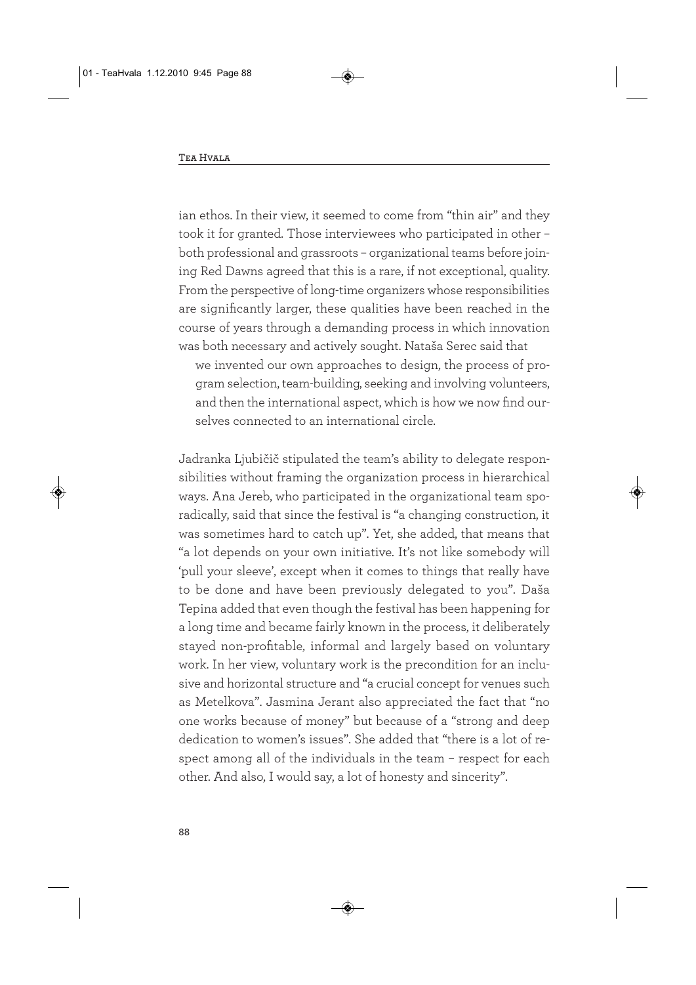ian ethos. In their view, it seemed to come from "thin air" and they took it for granted. Those interviewees who participated in other – both professional and grassroots – organizational teams before joining Red Dawns agreed that this is a rare, if not exceptional, quality. From the perspective of long-time organizers whose responsibilities are significantly larger, these qualities have been reached in the course of years through a demanding process in which innovation was both necessary and actively sought. Nataša Serec said that

we invented our own approaches to design, the process of program selection, team-building, seeking and involving volunteers, and then the international aspect, which is how we now find ourselves connected to an international circle.

Jadranka Ljubičič stipulated the team's ability to delegate responsibilities without framing the organization process in hierarchical ways. Ana Jereb, who participated in the organizational team sporadically, said that since the festival is "a changing construction, it was sometimes hard to catch up". Yet, she added, that means that "a lot depends on your own initiative. It's not like somebody will 'pull your sleeve', except when it comes to things that really have to be done and have been previously delegated to you". Daša Tepina added that even though the festival has been happening for a long time and became fairly known in the process, it deliberately stayed non-profitable, informal and largely based on voluntary work. In her view, voluntary work is the precondition for an inclusive and horizontal structure and "a crucial concept for venues such as Metelkova". Jasmina Jerant also appreciated the fact that "no one works because of money" but because of a "strong and deep dedication to women's issues". She added that "there is a lot of respect among all of the individuals in the team – respect for each other. And also, I would say, a lot of honesty and sincerity".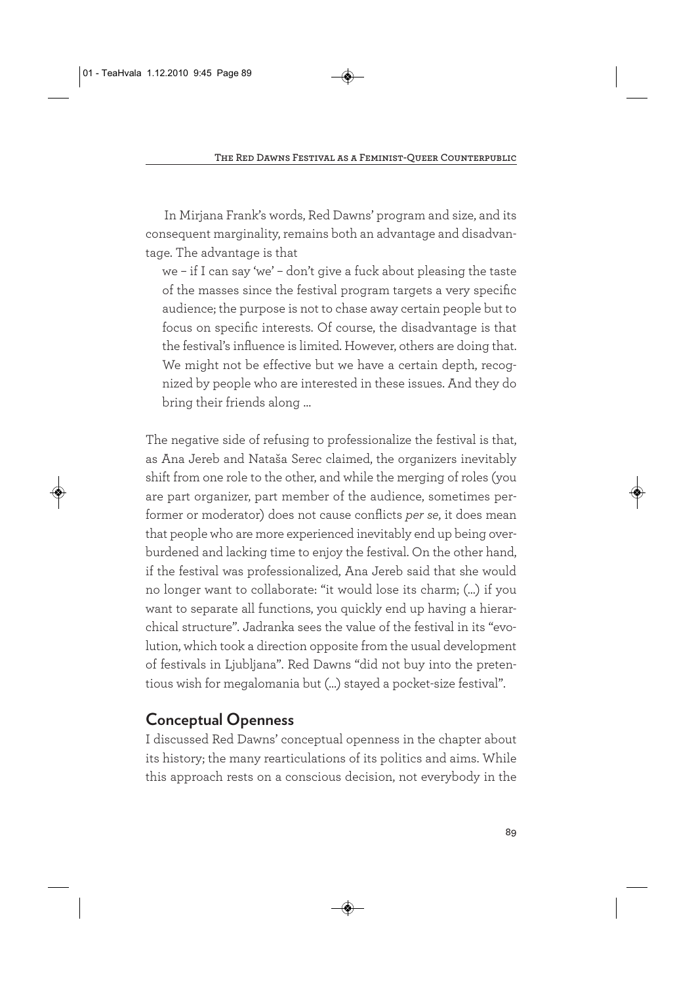In Mirjana Frank's words, Red Dawns' program and size, and its consequent marginality, remains both an advantage and disadvantage. The advantage is that

we – if I can say 'we' – don't give a fuck about pleasing the taste of the masses since the festival program targets a very specific audience; the purpose is not to chase away certain people but to focus on specific interests. Of course, the disadvantage is that the festival's influence is limited. However, others are doing that. We might not be effective but we have a certain depth, recognized by people who are interested in these issues. And they do bring their friends along …

The negative side of refusing to professionalize the festival is that, as Ana Jereb and Nataša Serec claimed, the organizers inevitably shift from one role to the other, and while the merging of roles (you are part organizer, part member of the audience, sometimes performer or moderator) does not cause conflicts *per se*, it does mean that people who are more experienced inevitably end up being overburdened and lacking time to enjoy the festival. On the other hand, if the festival was professionalized, Ana Jereb said that she would no longer want to collaborate: "it would lose its charm; (…) if you want to separate all functions, you quickly end up having a hierarchical structure". Jadranka sees the value of the festival in its "evolution, which took a direction opposite from the usual development of festivals in Ljubljana". Red Dawns "did not buy into the pretentious wish for megalomania but (…) stayed a pocket-size festival".

# **Conceptual Openness**

I discussed Red Dawns' conceptual openness in the chapter about its history; the many rearticulations of its politics and aims. While this approach rests on a conscious decision, not everybody in the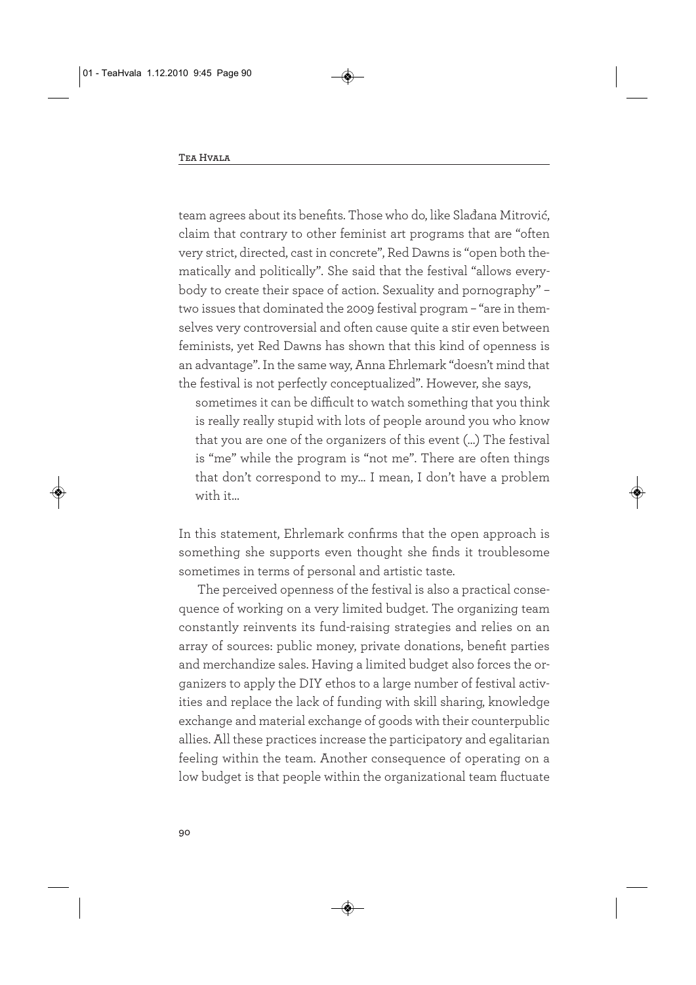team agrees about its benefits. Those who do, like Slađana Mitrović, claim that contrary to other feminist art programs that are "often very strict, directed, cast in concrete", Red Dawns is "open both thematically and politically". She said that the festival "allows everybody to create their space of action. Sexuality and pornography" – two issues that dominated the 2009 festival program – "are in themselves very controversial and often cause quite a stir even between feminists, yet Red Dawns has shown that this kind of openness is an advantage". In the same way, Anna Ehrlemark "doesn't mind that the festival is not perfectly conceptualized". However, she says,

sometimes it can be difficult to watch something that you think is really really stupid with lots of people around you who know that you are one of the organizers of this event (…) The festival is "me" while the program is "not me". There are often things that don't correspond to my… I mean, I don't have a problem with it…

In this statement, Ehrlemark confirms that the open approach is something she supports even thought she finds it troublesome sometimes in terms of personal and artistic taste.

The perceived openness of the festival is also a practical consequence of working on a very limited budget. The organizing team constantly reinvents its fund-raising strategies and relies on an array of sources: public money, private donations, benefit parties and merchandize sales. Having a limited budget also forces the organizers to apply the DIY ethos to a large number of festival activities and replace the lack of funding with skill sharing, knowledge exchange and material exchange of goods with their counterpublic allies. All these practices increase the participatory and egalitarian feeling within the team. Another consequence of operating on a low budget is that people within the organizational team fluctuate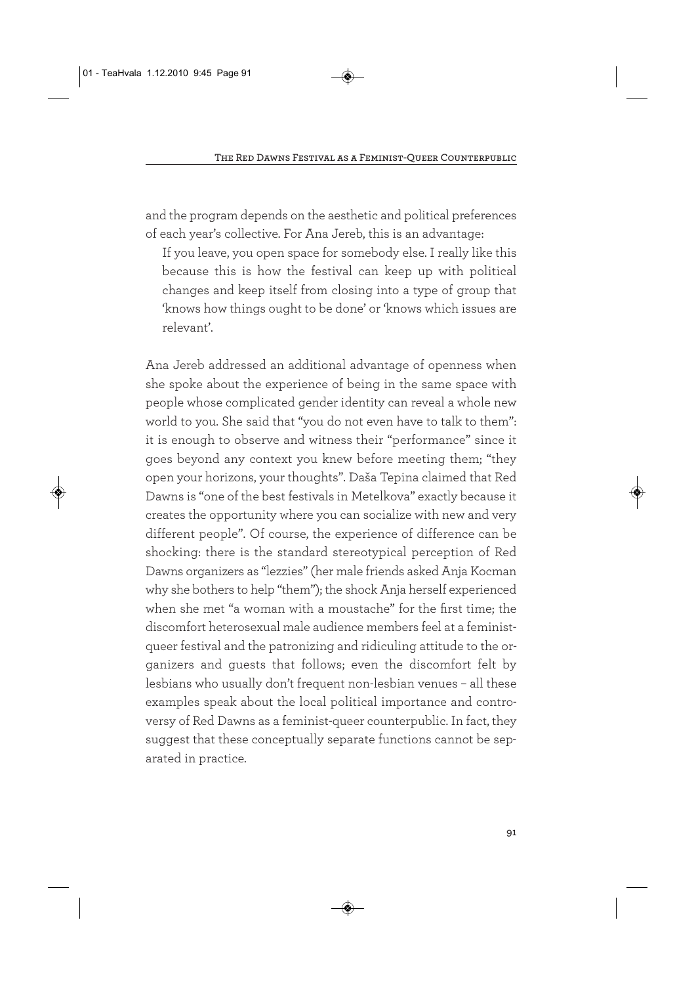and the program depends on the aesthetic and political preferences of each year's collective. For Ana Jereb, this is an advantage:

If you leave, you open space for somebody else. I really like this because this is how the festival can keep up with political changes and keep itself from closing into a type of group that 'knows how things ought to be done' or 'knows which issues are relevant'.

Ana Jereb addressed an additional advantage of openness when she spoke about the experience of being in the same space with people whose complicated gender identity can reveal a whole new world to you. She said that "you do not even have to talk to them": it is enough to observe and witness their "performance" since it goes beyond any context you knew before meeting them; "they open your horizons, your thoughts". Daša Tepina claimed that Red Dawns is "one of the best festivals in Metelkova" exactly because it creates the opportunity where you can socialize with new and very different people". Of course, the experience of difference can be shocking: there is the standard stereotypical perception of Red Dawns organizers as "lezzies" (her male friends asked Anja Kocman why she bothers to help "them"); the shock Anja herself experienced when she met "a woman with a moustache" for the first time; the discomfort heterosexual male audience members feel at a feministqueer festival and the patronizing and ridiculing attitude to the organizers and guests that follows; even the discomfort felt by lesbians who usually don't frequent non-lesbian venues – all these examples speak about the local political importance and controversy of Red Dawns as a feminist-queer counterpublic. In fact, they suggest that these conceptually separate functions cannot be separated in practice.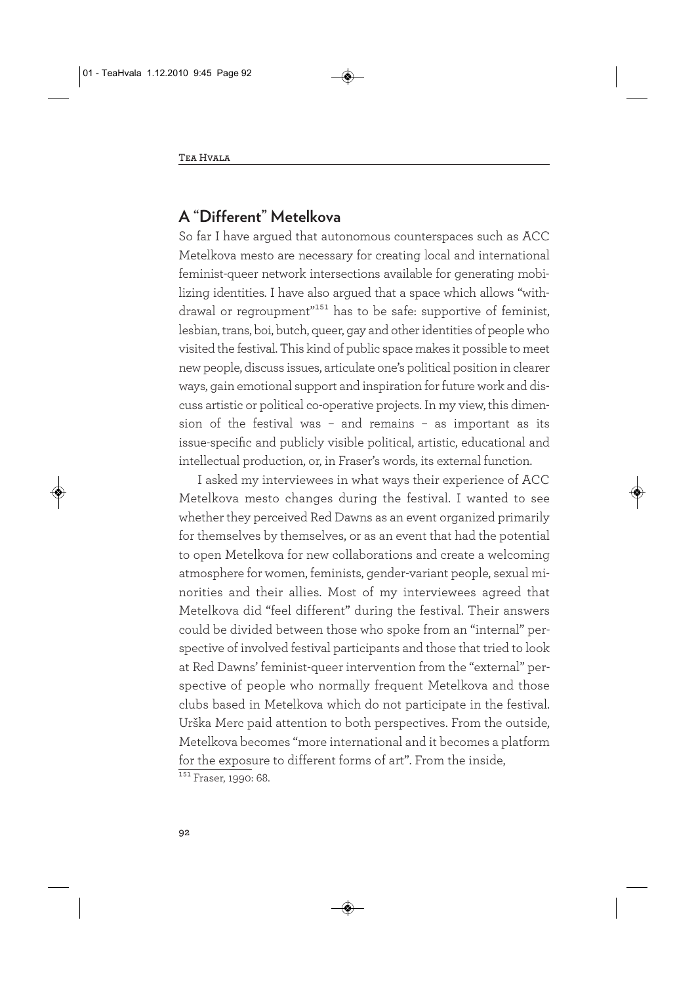### **A "Different" Metelkova**

So far I have argued that autonomous counterspaces such as ACC Metelkova mesto are necessary for creating local and international feminist-queer network intersections available for generating mobilizing identities. I have also argued that a space which allows "withdrawal or regroupment"151 has to be safe: supportive of feminist, lesbian, trans, boi, butch, queer, gay and other identities of people who visited the festival. This kind of public space makes it possible to meet new people, discuss issues, articulate one's political position in clearer ways, gain emotional support and inspiration for future work and discuss artistic or political co-operative projects. In my view, this dimension of the festival was – and remains – as important as its issue-specific and publicly visible political, artistic, educational and intellectual production, or, in Fraser's words, its external function.

I asked my interviewees in what ways their experience of ACC Metelkova mesto changes during the festival. I wanted to see whether they perceived Red Dawns as an event organized primarily for themselves by themselves, or as an event that had the potential to open Metelkova for new collaborations and create a welcoming atmosphere for women, feminists, gender-variant people, sexual minorities and their allies. Most of my interviewees agreed that Metelkova did "feel different" during the festival. Their answers could be divided between those who spoke from an "internal" perspective of involved festival participants and those that tried to look at Red Dawns' feminist-queer intervention from the "external" perspective of people who normally frequent Metelkova and those clubs based in Metelkova which do not participate in the festival. Urška Merc paid attention to both perspectives. From the outside, Metelkova becomes "more international and it becomes a platform for the exposure to different forms of art". From the inside,

 $\frac{151}{151}$  Fraser, 1990: 68.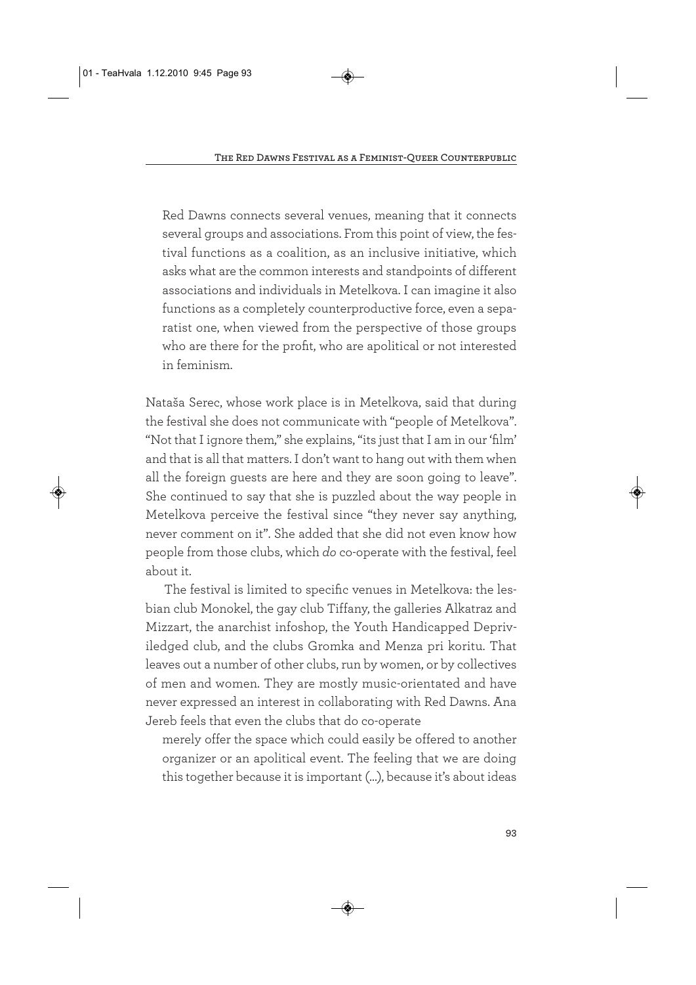Red Dawns connects several venues, meaning that it connects several groups and associations. From this point of view, the festival functions as a coalition, as an inclusive initiative, which asks what are the common interests and standpoints of different associations and individuals in Metelkova. I can imagine it also functions as a completely counterproductive force, even a separatist one, when viewed from the perspective of those groups who are there for the profit, who are apolitical or not interested in feminism.

Nataša Serec, whose work place is in Metelkova, said that during the festival she does not communicate with "people of Metelkova". "Not that I ignore them," she explains, "its just that I am in our 'film' and that is all that matters. I don't want to hang out with them when all the foreign guests are here and they are soon going to leave". She continued to say that she is puzzled about the way people in Metelkova perceive the festival since "they never say anything, never comment on it". She added that she did not even know how people from those clubs, which *do* co-operate with the festival, feel about it.

The festival is limited to specific venues in Metelkova: the lesbian club Monokel, the gay club Tiffany, the galleries Alkatraz and Mizzart, the anarchist infoshop, the Youth Handicapped Depriviledged club, and the clubs Gromka and Menza pri koritu. That leaves out a number of other clubs, run by women, or by collectives of men and women. They are mostly music-orientated and have never expressed an interest in collaborating with Red Dawns. Ana Jereb feels that even the clubs that do co-operate

merely offer the space which could easily be offered to another organizer or an apolitical event. The feeling that we are doing this together because it is important (…), because it's about ideas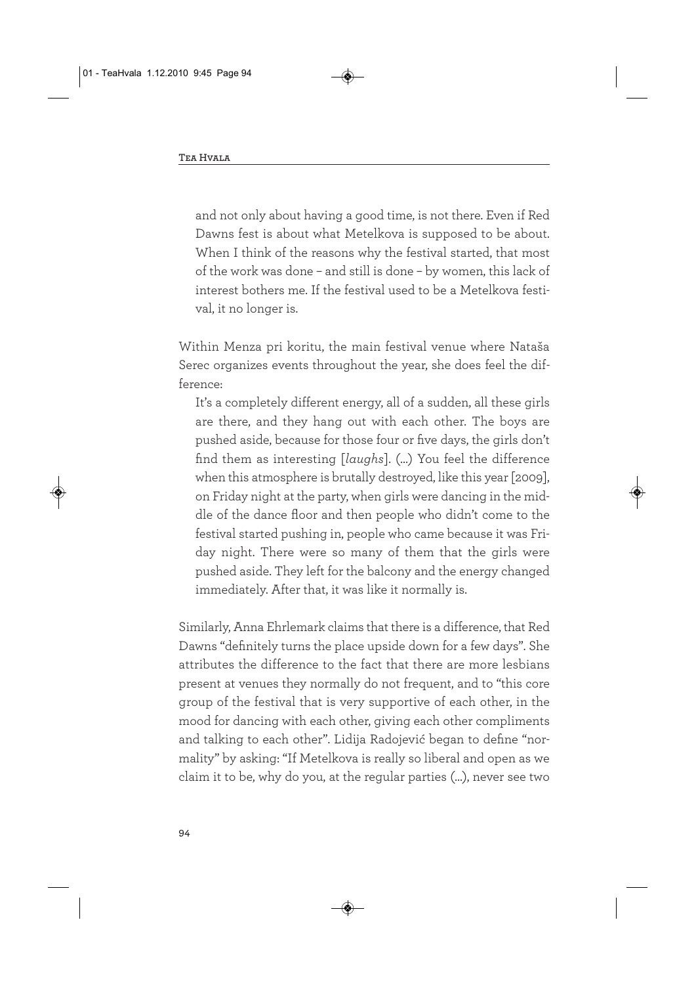and not only about having a good time, is not there. Even if Red Dawns fest is about what Metelkova is supposed to be about. When I think of the reasons why the festival started, that most of the work was done – and still is done – by women, this lack of interest bothers me. If the festival used to be a Metelkova festival, it no longer is.

Within Menza pri koritu, the main festival venue where Nataša Serec organizes events throughout the year, she does feel the difference:

It's a completely different energy, all of a sudden, all these girls are there, and they hang out with each other. The boys are pushed aside, because for those four or five days, the girls don't find them as interesting [*laughs*]. (…) You feel the difference when this atmosphere is brutally destroyed, like this year [2009], on Friday night at the party, when girls were dancing in the middle of the dance floor and then people who didn't come to the festival started pushing in, people who came because it was Friday night. There were so many of them that the girls were pushed aside. They left for the balcony and the energy changed immediately. After that, it was like it normally is.

Similarly, Anna Ehrlemark claims that there is a difference, that Red Dawns "definitely turns the place upside down for a few days". She attributes the difference to the fact that there are more lesbians present at venues they normally do not frequent, and to "this core group of the festival that is very supportive of each other, in the mood for dancing with each other, giving each other compliments and talking to each other". Lidija Radojević began to define "normality" by asking: "If Metelkova is really so liberal and open as we claim it to be, why do you, at the regular parties (…), never see two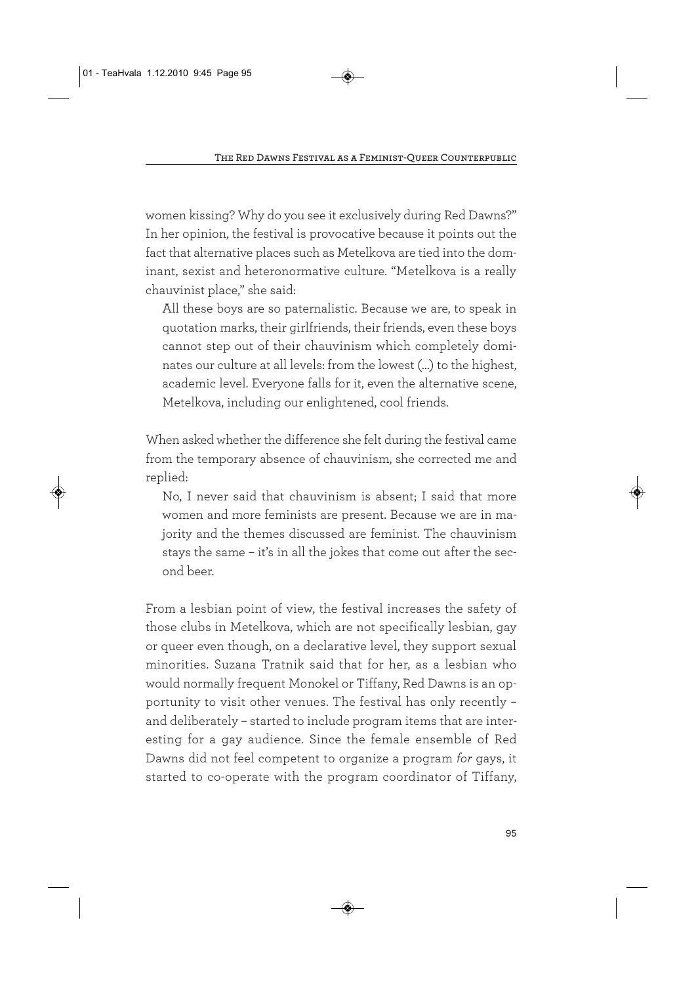women kissing? Why do you see it exclusively during Red Dawns?" In her opinion, the festival is provocative because it points out the fact that alternative places such as Metelkova are tied into the dominant, sexist and heteronormative culture. "Metelkova is a really chauvinist place," she said:

All these boys are so paternalistic. Because we are, to speak in quotation marks, their girlfriends, their friends, even these boys cannot step out of their chauvinism which completely dominates our culture at all levels: from the lowest (…) to the highest, academic level. Everyone falls for it, even the alternative scene, Metelkova, including our enlightened, cool friends.

When asked whether the difference she felt during the festival came from the temporary absence of chauvinism, she corrected me and replied:

No, I never said that chauvinism is absent; I said that more women and more feminists are present. Because we are in majority and the themes discussed are feminist. The chauvinism stays the same – it's in all the jokes that come out after the second beer.

From a lesbian point of view, the festival increases the safety of those clubs in Metelkova, which are not specifically lesbian, gay or queer even though, on a declarative level, they support sexual minorities. Suzana Tratnik said that for her, as a lesbian who would normally frequent Monokel or Tiffany, Red Dawns is an opportunity to visit other venues. The festival has only recently – and deliberately – started to include program items that are interesting for a gay audience. Since the female ensemble of Red Dawns did not feel competent to organize a program *for* gays, it started to co-operate with the program coordinator of Tiffany,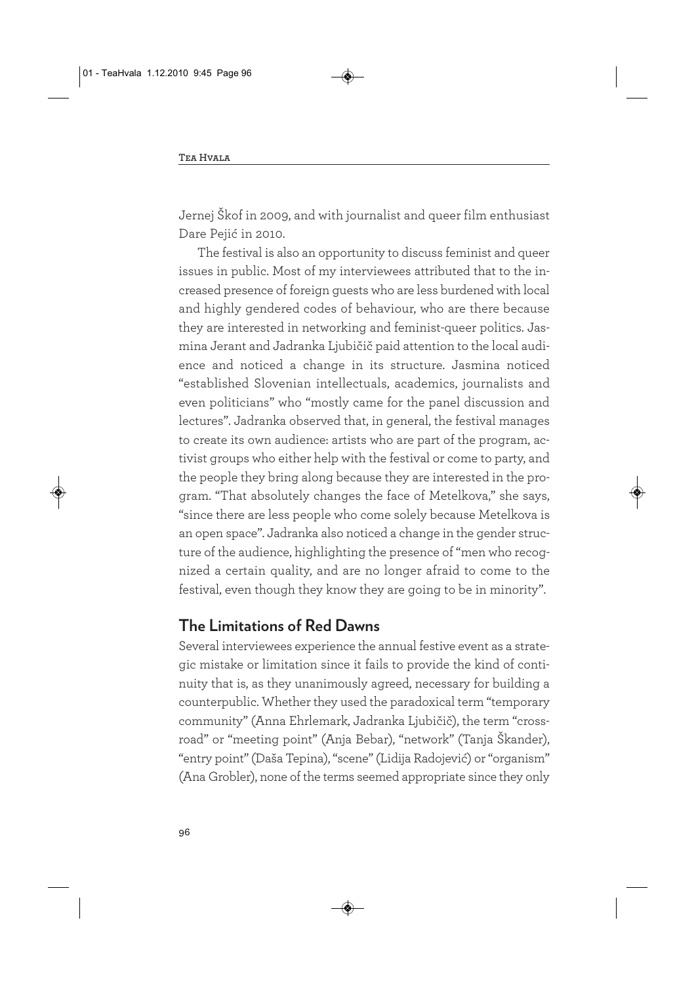Jernej Škof in 2009, and with journalist and queer film enthusiast Dare Pejić in 2010.

The festival is also an opportunity to discuss feminist and queer issues in public. Most of my interviewees attributed that to the increased presence of foreign guests who are less burdened with local and highly gendered codes of behaviour, who are there because they are interested in networking and feminist-queer politics. Jasmina Jerant and Jadranka Ljubičič paid attention to the local audience and noticed a change in its structure. Jasmina noticed "established Slovenian intellectuals, academics, journalists and even politicians" who "mostly came for the panel discussion and lectures". Jadranka observed that, in general, the festival manages to create its own audience: artists who are part of the program, activist groups who either help with the festival or come to party, and the people they bring along because they are interested in the program. "That absolutely changes the face of Metelkova," she says, "since there are less people who come solely because Metelkova is an open space". Jadranka also noticed a change in the gender structure of the audience, highlighting the presence of "men who recognized a certain quality, and are no longer afraid to come to the festival, even though they know they are going to be in minority".

#### **The Limitations of Red Dawns**

Several interviewees experience the annual festive event as a strategic mistake or limitation since it fails to provide the kind of continuity that is, as they unanimously agreed, necessary for building a counterpublic. Whether they used the paradoxical term "temporary community" (Anna Ehrlemark, Jadranka Ljubičič), the term "crossroad" or "meeting point" (Anja Bebar), "network" (Tanja Škander), "entry point" (Daša Tepina), "scene" (Lidija Radojević) or "organism" (Ana Grobler), none of the terms seemed appropriate since they only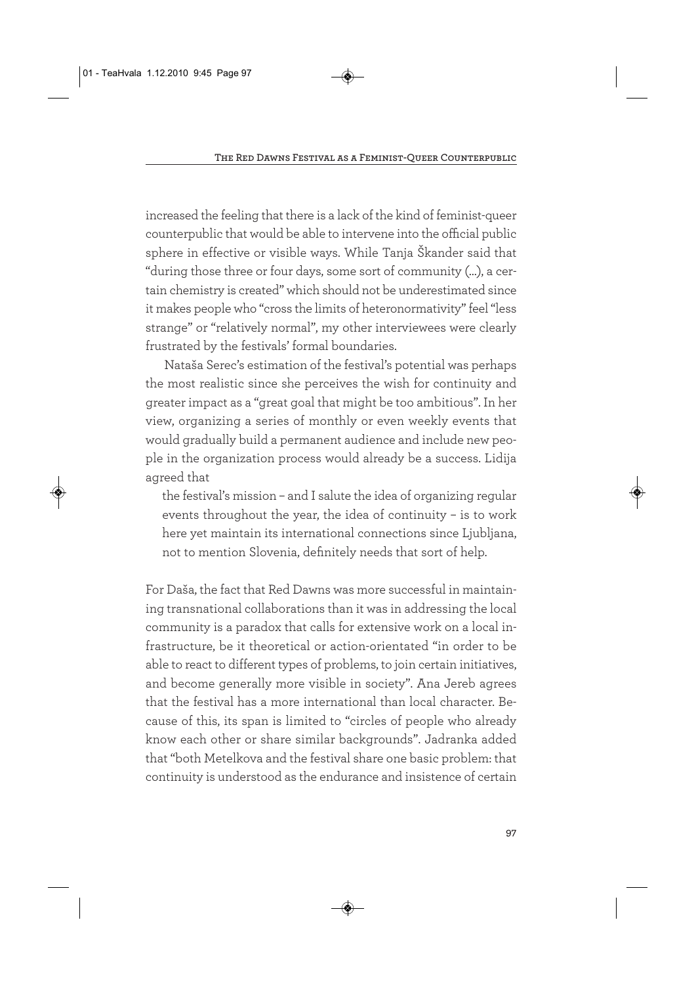increased the feeling that there is a lack of the kind of feminist-queer counterpublic that would be able to intervene into the official public sphere in effective or visible ways. While Tanja Škander said that "during those three or four days, some sort of community (…), a certain chemistry is created" which should not be underestimated since it makes people who "cross the limits of heteronormativity" feel "less strange" or "relatively normal", my other interviewees were clearly frustrated by the festivals' formal boundaries.

Nataša Serec's estimation of the festival's potential was perhaps the most realistic since she perceives the wish for continuity and greater impact as a "great goal that might be too ambitious". In her view, organizing a series of monthly or even weekly events that would gradually build a permanent audience and include new people in the organization process would already be a success. Lidija agreed that

the festival's mission – and I salute the idea of organizing regular events throughout the year, the idea of continuity – is to work here yet maintain its international connections since Ljubljana, not to mention Slovenia, definitely needs that sort of help.

For Daša, the fact that Red Dawns was more successful in maintaining transnational collaborations than it was in addressing the local community is a paradox that calls for extensive work on a local infrastructure, be it theoretical or action-orientated "in order to be able to react to different types of problems, to join certain initiatives, and become generally more visible in society". Ana Jereb agrees that the festival has a more international than local character. Because of this, its span is limited to "circles of people who already know each other or share similar backgrounds". Jadranka added that "both Metelkova and the festival share one basic problem: that continuity is understood as the endurance and insistence of certain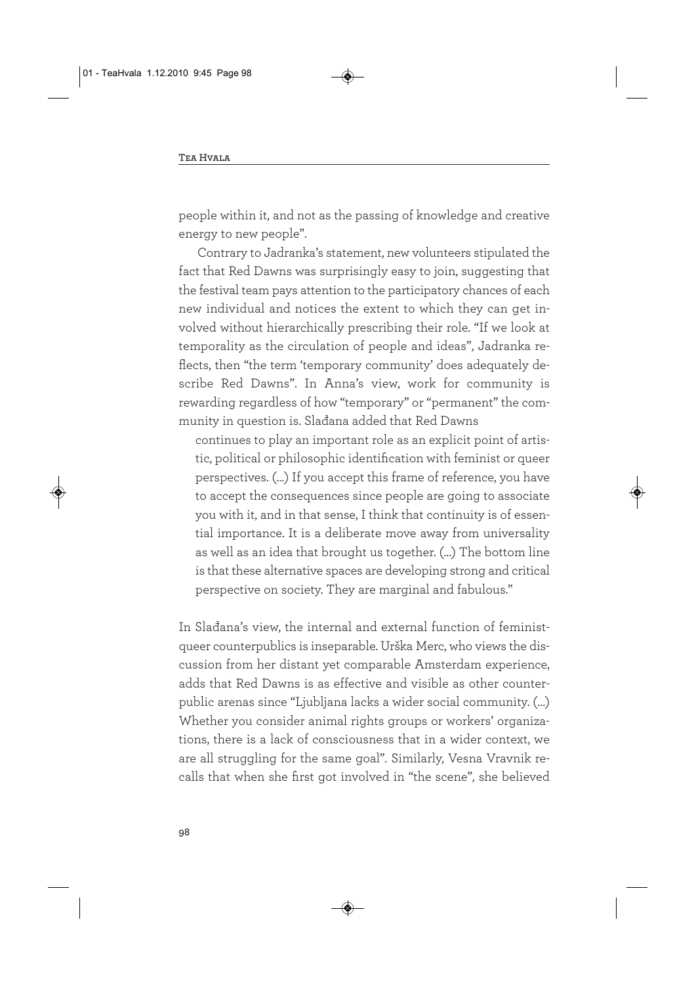people within it, and not as the passing of knowledge and creative energy to new people".

Contrary to Jadranka's statement, new volunteers stipulated the fact that Red Dawns was surprisingly easy to join, suggesting that the festival team pays attention to the participatory chances of each new individual and notices the extent to which they can get involved without hierarchically prescribing their role. "If we look at temporality as the circulation of people and ideas", Jadranka reflects, then "the term 'temporary community' does adequately describe Red Dawns". In Anna's view, work for community is rewarding regardless of how "temporary" or "permanent" the community in question is. Slađana added that Red Dawns

continues to play an important role as an explicit point of artistic, political or philosophic identification with feminist or queer perspectives. (…) If you accept this frame of reference, you have to accept the consequences since people are going to associate you with it, and in that sense, I think that continuity is of essential importance. It is a deliberate move away from universality as well as an idea that brought us together. (…) The bottom line is that these alternative spaces are developing strong and critical perspective on society. They are marginal and fabulous."

In Slađana's view, the internal and external function of feministqueer counterpublics is inseparable. Urška Merc, who views the discussion from her distant yet comparable Amsterdam experience, adds that Red Dawns is as effective and visible as other counterpublic arenas since "Ljubljana lacks a wider social community. (…) Whether you consider animal rights groups or workers' organizations, there is a lack of consciousness that in a wider context, we are all struggling for the same goal". Similarly, Vesna Vravnik recalls that when she first got involved in "the scene", she believed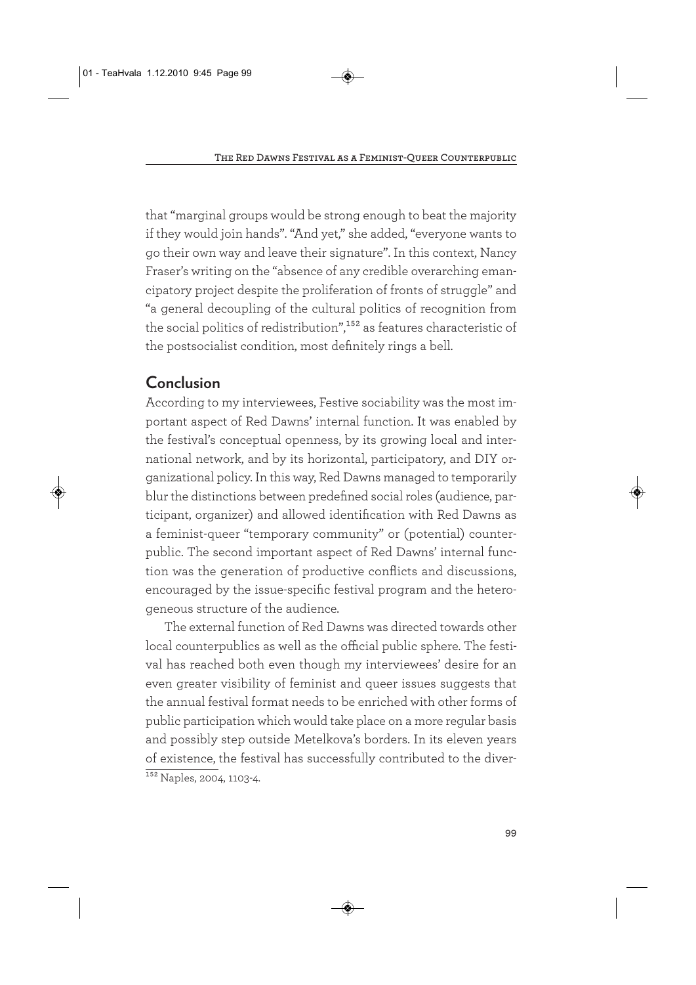that "marginal groups would be strong enough to beat the majority if they would join hands". "And yet," she added, "everyone wants to go their own way and leave their signature". In this context, Nancy Fraser's writing on the "absence of any credible overarching emancipatory project despite the proliferation of fronts of struggle" and "a general decoupling of the cultural politics of recognition from the social politics of redistribution",<sup>152</sup> as features characteristic of the postsocialist condition, most definitely rings a bell.

# **Conclusion**

According to my interviewees, Festive sociability was the most important aspect of Red Dawns' internal function. It was enabled by the festival's conceptual openness, by its growing local and international network, and by its horizontal, participatory, and DIY organizational policy. In this way, Red Dawns managed to temporarily blur the distinctions between predefined social roles (audience, participant, organizer) and allowed identification with Red Dawns as a feminist-queer "temporary community" or (potential) counterpublic. The second important aspect of Red Dawns' internal function was the generation of productive conflicts and discussions, encouraged by the issue-specific festival program and the heterogeneous structure of the audience.

The external function of Red Dawns was directed towards other local counterpublics as well as the official public sphere. The festival has reached both even though my interviewees' desire for an even greater visibility of feminist and queer issues suggests that the annual festival format needs to be enriched with other forms of public participation which would take place on a more regular basis and possibly step outside Metelkova's borders. In its eleven years of existence, the festival has successfully contributed to the diver-<sup>152</sup> Naples, 2004, 1103-4.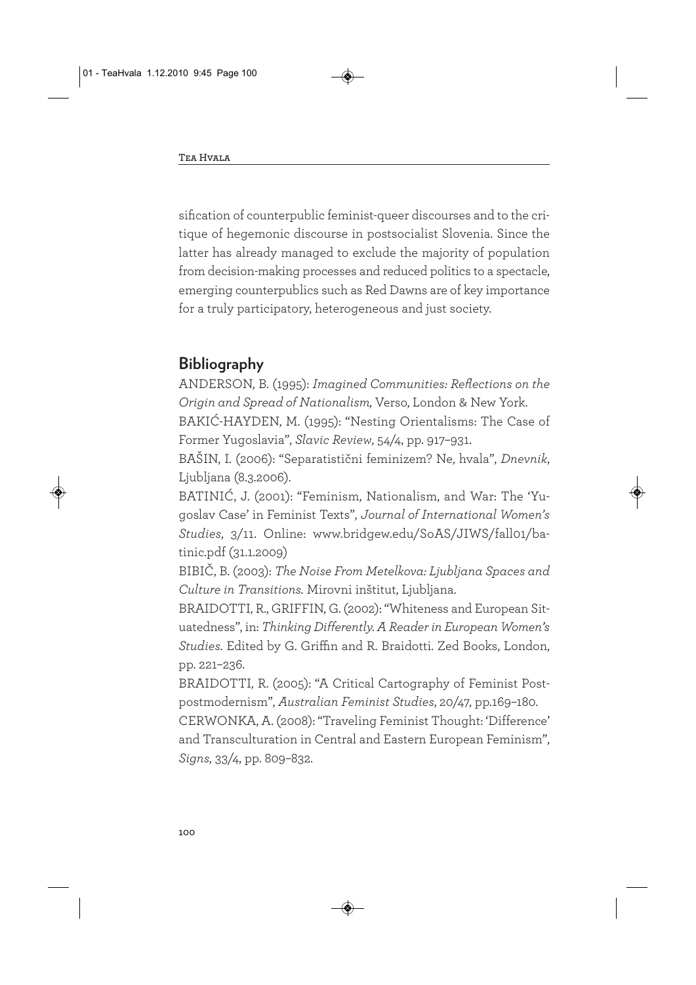sification of counterpublic feminist-queer discourses and to the critique of hegemonic discourse in postsocialist Slovenia. Since the latter has already managed to exclude the majority of population from decision-making processes and reduced politics to a spectacle, emerging counterpublics such as Red Dawns are of key importance for a truly participatory, heterogeneous and just society.

## **Bibliography**

ANDERSON, B. (1995): *Imagined Communities: Reflections on the Origin and Spread of Nationalism,* Verso, London & New York.

BAKIĆ-HAYDEN, M. (1995): "Nesting Orientalisms: The Case of Former Yugo slavia", *Slavic Review*, 54/4, pp. 917–931.

BAŠIN, I. (2006): "Separatistični feminizem? Ne, hvala", *Dnevnik*, Ljubljana (8.3.2006).

BATINIĆ, J. (2001): "Feminism, Nationalism, and War: The 'Yugoslav Case' in Feminist Texts", *Journal of International Women's Studies*, 3/11. Online: www.bridgew.edu/SoAS/JIWS/fall01/batinic.pdf (31.1.2009)

BIBIČ, B. (2003): *The Noise From Metelkova: Ljubljana Spaces and Culture in Transitions.* Mirovni inštitut, Ljubljana.

BRAIDOTTI, R., GRIFFIN, G. (2002): "Whiteness and European Situatedness", in: *Thinking Differently. A Reader in European Women's Studies*. Edited by G. Griffin and R. Braidotti. Zed Books, London, pp. 221–236.

BRAIDOTTI, R. (2005): "A Critical Cartography of Feminist Postpostmodernism", *Australian Feminist Studies*, 20/47, pp.169–180.

CERWONKA, A. (2008): "Traveling Feminist Thought: 'Difference' and Transculturation in Central and Eastern European Feminism", *Signs*, 33/4, pp. 809–832.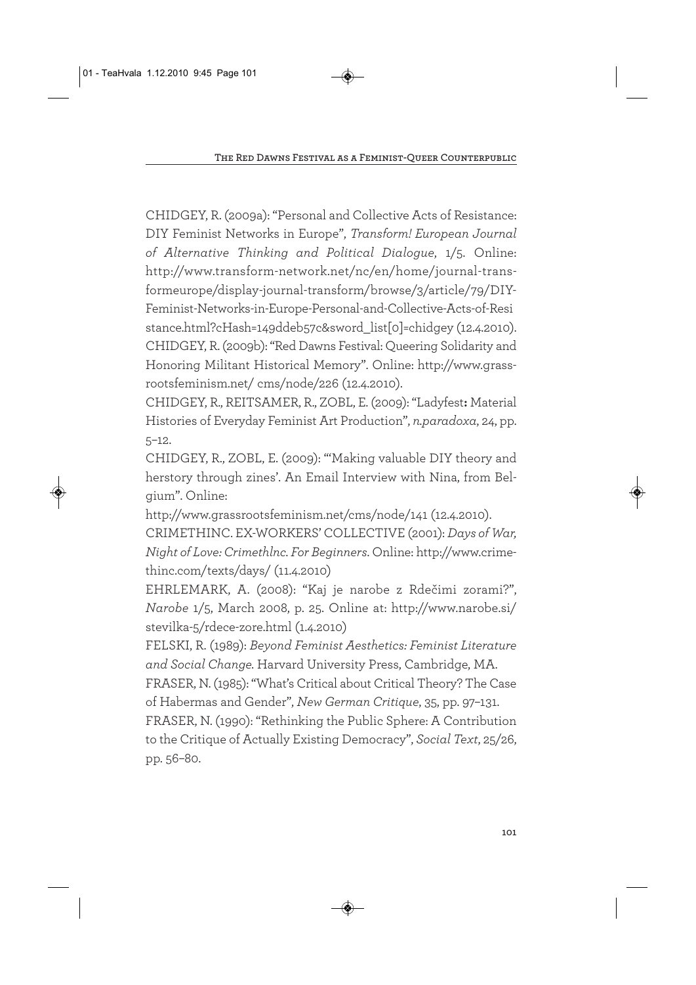CHIDGEY, R. (2009a): "Personal and Collective Acts of Resistance: DIY Feminist Networks in Europe", *Transform! European Journal of Alternative Thinking and Political Dialogue*, 1/5. Online: http://www.transform-network.net/nc/en/home/journal-transformeurope/display-journal-transform/browse/3/article/79/DIY-Feminist-Networks-in-Europe-Personal-and-Collective-Acts-of-Resi stance.html?cHash=149ddeb57c&sword\_list[0]=chidgey (12.4.2010). CHIDGEY, R. (2009b): "Red Dawns Festival: Queering Solidarity and Honoring Militant Historical Memory". Online: http://www.grassrootsfeminism.net/ cms/node/226 (12.4.2010).

CHIDGEY, R., REITSAMER, R., ZOBL, E. (2009): "Ladyfest**:** Material Histories of Everyday Feminist Art Production", *n.paradoxa*, 24, pp. 5–12.

CHIDGEY, R., ZOBL, E. (2009): "'Making valuable DIY theory and herstory through zines'. An Email Interview with Nina, from Belgium". Online:

http://www.grassrootsfeminism.net/cms/node/141 (12.4.2010).

CRIMETHINC. EX-WORKERS' COLLECTIVE (2001): *Days of War, Night of Love: Crimethlnc. For Beginners*. Online: http://www.crimethinc.com/texts/days/ (11.4.2010)

EHRLEMARK, A. (2008): "Kaj je narobe z Rdečimi zorami?", *Narobe* 1/5, March 2008, p. 25. Online at: http://www.narobe.si/ stevilka-5/rdece-zore.html (1.4.2010)

FELSKI, R. (1989): *Beyond Feminist Aesthetics: Feminist Literature and Social Change.* Harvard University Press, Cambridge, MA.

FRASER, N. (1985): "What's Critical about Critical Theory? The Case of Habermas and Gender", *New German Critique*, 35, pp. 97–131.

FRASER, N. (1990): "Rethinking the Public Sphere: A Contribution to the Critique of Actually Existing Democracy", *Social Text*, 25/26, pp. 56–80.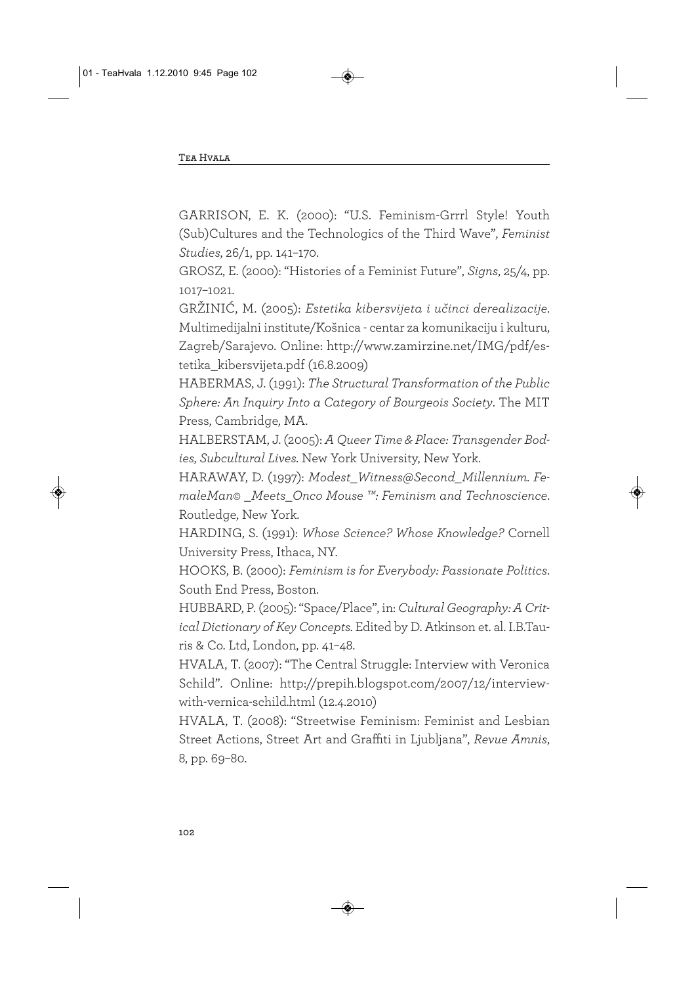GARRISON, E. K. (2000): "U.S. Feminism-Grrrl Style! Youth (Sub)Cultures and the Technologics of the Third Wave", *Feminist Studies*, 26/1, pp. 141–170.

GROSZ, E. (2000): "Histories of a Feminist Future", *Signs*, 25/4, pp. 1017–1021.

GRŽINIĆ, M. (2005): *Estetika kibersvijeta i učinci derealizacije*. Multimedijalni institute/Košnica - centar za komunikaciju i kulturu, Zagreb/Sarajevo. Online: http://www.zamirzine.net/IMG/pdf/estetika\_kibersvijeta.pdf (16.8.2009)

HABERMAS, J. (1991): *The Structural Transformation of the Public Sphere: An Inquiry Into a Category of Bourgeois Society*. The MIT Press, Cambridge, MA.

HALBERSTAM, J. (2005): *A Queer Time & Place: Transgender Bodies, Subcultural Lives.* New York University, New York.

HARAWAY, D. (1997): *Modest\_Witness@Second\_Millennium. FemaleMan© \_Meets\_Onco Mouse ™: Feminism and Technoscience*. Routledge, New York.

HARDING, S. (1991): *Whose Science? Whose Knowledge?* Cornell University Press, Ithaca, NY.

HOOKS, B. (2000): *Feminism is for Everybody: Passionate Politics*. South End Press, Boston.

HUBBARD, P. (2005): "Space/Place", in: *Cultural Geography: A Critical Dictionary of Key Concepts.* Edited by D. Atkinson et. al. I.B.Tauris & Co. Ltd, London, pp. 41–48.

HVALA, T. (2007): "The Central Struggle: Interview with Veronica Schild". Online: http://prepih.blogspot.com/2007/12/interviewwith-vernica-schild.html (12.4.2010)

HVALA, T. (2008): "Streetwise Feminism: Feminist and Lesbian Street Actions, Street Art and Graffiti in Ljubljana", *Revue Amnis*, 8, pp. 69–80.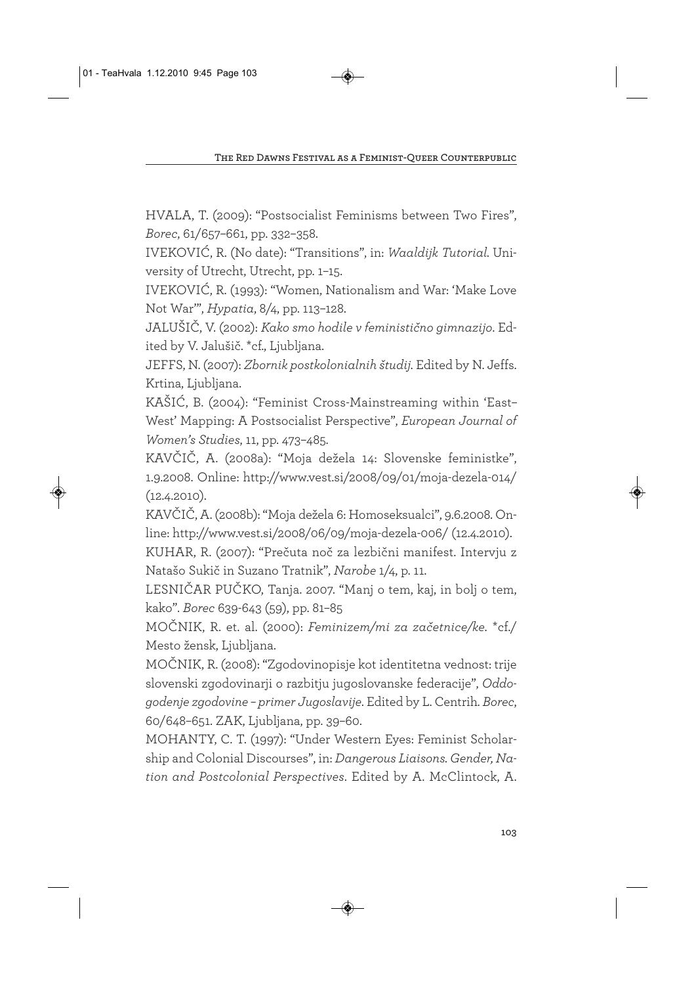HVALA, T. (2009): "Postsocialist Feminisms between Two Fires", *Borec*, 61/657–661, pp. 332–358.

IVEKOVIĆ, R. (No date): "Transitions", in: *Waaldijk Tutorial.* University of Utrecht, Utrecht, pp. 1–15.

IVEKOVIĆ, R. (1993): "Women, Nationalism and War: 'Make Love Not War'", *Hypatia*, 8/4, pp. 113–128.

JALUŠIČ, V. (2002): *Kako smo hodile v feministično gimnazijo*. Edited by V. Jalušič. \*cf., Ljubljana.

JEFFS, N. (2007): *Zbornik postkolonialnih študij.* Edited by N. Jeffs. Krtina, Ljubljana.

KAŠIĆ, B. (2004): "Feminist Cross-Mainstreaming within 'East– West' Mapping: A Postsocialist Perspective", *European Journal of Women's Studies*, 11, pp. 473–485.

KAVČIČ, A. (2008a): "Moja dežela 14: Slovenske feministke", 1.9.2008. Online: http://www.vest.si/2008/09/01/moja-dezela-014/ (12.4.2010).

KAVČIČ, A. (2008b): "Moja dežela 6: Homoseksualci", 9.6.2008. Online: http://www.vest.si/2008/06/09/moja-dezela-006/ (12.4.2010).

KUHAR, R. (2007): "Prečuta noč za lezbični manifest. Intervju z Natašo Sukič in Suzano Tratnik", *Narobe* 1/4, p. 11.

LESNIČAR PUČKO, Tanja. 2007. "Manj o tem, kaj, in bolj o tem, kako". *Borec* 639-643 (59), pp. 81–85

MOČNIK, R. et. al. (2000): *Feminizem/mi za začetnice/ke.* \*cf./ Mesto žensk, Ljubljana.

MOČNIK, R. (2008): "Zgodovinopisje kot identitetna vednost: trije slovenski zgodovinarji o razbitju jugoslovanske federacije", *Oddogodenje zgodovine – primer Jugoslavije*. Edited by L. Centrih. *Borec*, 60/648–651. ZAK, Ljubljana, pp. 39–60.

MOHANTY, C. T. (1997): "Under Western Eyes: Feminist Scholarship and Colonial Discourses", in: *Dangerous Liaisons. Gender, Nation and Postcolonial Perspectives*. Edited by A. McClintock, A.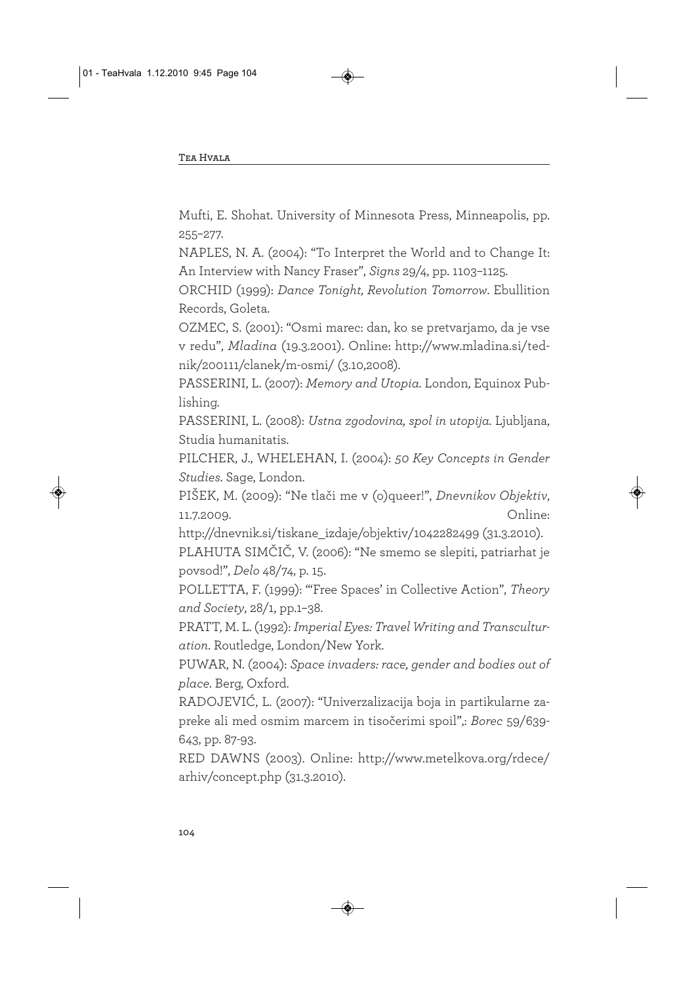Mufti, E. Shohat. University of Minnesota Press, Minneapolis, pp. 255–277.

NAPLES, N. A. (2004): "To Interpret the World and to Change It: An Interview with Nancy Fraser", *Signs* 29/4, pp. 1103–1125.

ORCHID (1999): *Dance Tonight, Revolution Tomorrow*. Ebullition Records, Goleta.

OZMEC, S. (2001): "Osmi marec: dan, ko se pretvarjamo, da je vse v redu", *Mladina* (19.3.2001). Online: http://www.mladina.si/tednik/200111/clanek/m-osmi/ (3.10,2008).

PASSERINI, L. (2007): *Memory and Utopia.* London, Equinox Publishing.

PASSERINI, L. (2008): *Ustna zgodovina, spol in utopija.* Ljubljana, Studia humanitatis.

PILCHER, J., WHELEHAN, I. (2004): *50 Key Concepts in Gender Studies*. Sage, London.

PIŠEK, M. (2009): "Ne tlači me v (o)queer!", *Dnevnikov Objektiv*, 11.7.2009. Online:

http://dnevnik.si/tiskane\_izdaje/objektiv/1042282499 (31.3.2010).

PLAHUTA SIMČIČ, V. (2006): "Ne smemo se slepiti, patriarhat je povsod!", *Delo* 48/74, p. 15.

POLLETTA, F. (1999): "'Free Spaces' in Collective Action", *Theory and Society*, 28/1, pp.1–38.

PRATT, M. L. (1992): *Imperial Eyes: Travel Writing and Transculturation*. Routledge, London/New York.

PUWAR, N. (2004): *Space invaders: race, gender and bodies out of place*. Berg, Oxford.

RADOJEVIĆ, L. (2007): "Univerzalizacija boja in partikularne zapreke ali med osmim marcem in tisočerimi spoil",: *Borec* 59/639- 643, pp. 87-93.

RED DAWNS (2003). Online: http://www.metelkova.org/rdece/ arhiv/concept.php (31.3.2010).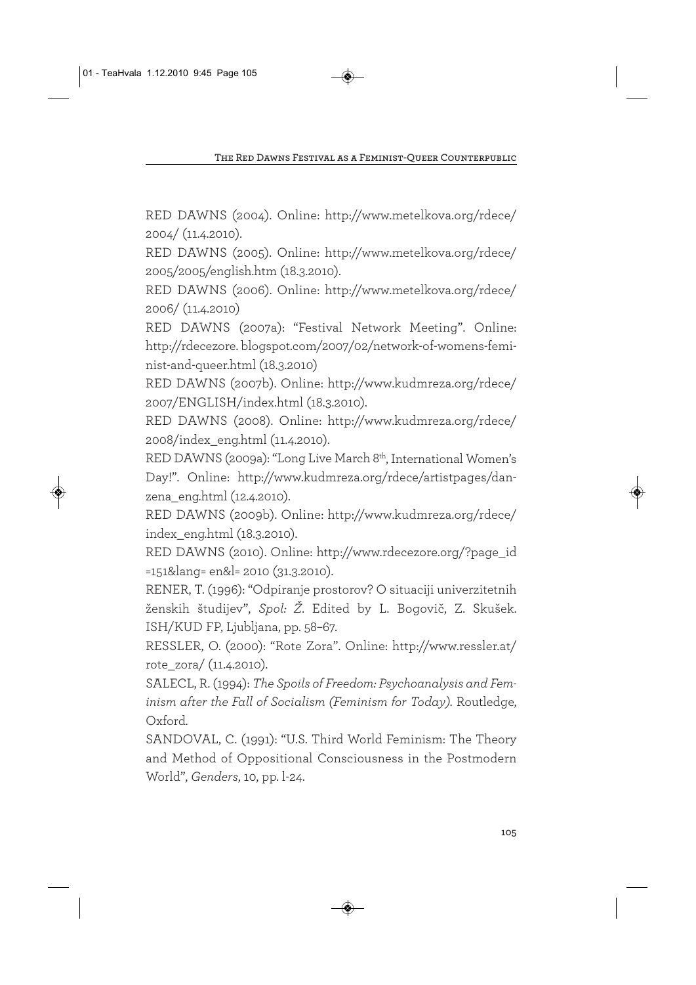RED DAWNS (2004). Online: http://www.metelkova.org/rdece/ 2004/ (11.4.2010).

RED DAWNS (2005). Online: http://www.metelkova.org/rdece/ 2005/2005/english.htm (18.3.2010).

RED DAWNS (2006). Online: http://www.metelkova.org/rdece/ 2006/ (11.4.2010)

RED DAWNS (2007a): "Festival Network Meeting". Online: http://rdecezore. blogspot.com/2007/02/network-of-womens-feminist-and-queer.html (18.3.2010)

RED DAWNS (2007b). Online: http://www.kudmreza.org/rdece/ 2007/ENGLISH/index.html (18.3.2010).

RED DAWNS (2008). Online: http://www.kudmreza.org/rdece/ 2008/index\_eng.html (11.4.2010).

RED DAWNS (2009a): "Long Live March 8<sup>th</sup>, International Women's Day!". Online: http://www.kudmreza.org/rdece/artistpages/danzena\_eng.html (12.4.2010).

RED DAWNS (2009b). Online: http://www.kudmreza.org/rdece/ index\_eng.html (18.3.2010).

RED DAWNS (2010). Online: http://www.rdecezore.org/?page\_id =151&lang= en&l= 2010 (31.3.2010).

RENER, T. (1996): "Odpiranje prostorov? O situaciji univerzitetnih ženskih študijev", *Spol: Ž*. Edited by L. Bogovič, Z. Skušek. ISH/KUD FP, Ljubljana, pp. 58–67.

RESSLER, O. (2000): "Rote Zora". Online: http://www.ressler.at/ rote\_zora/ (11.4.2010).

SALECL, R. (1994): *The Spoils of Freedom: Psychoanalysis and Feminism after the Fall of Socialism (Feminism for Today).* Routledge, Oxford.

SANDOVAL, C. (1991): "U.S. Third World Feminism: The Theory and Method of Oppositional Consciousness in the Postmodern World", *Genders*, 10, pp. l-24.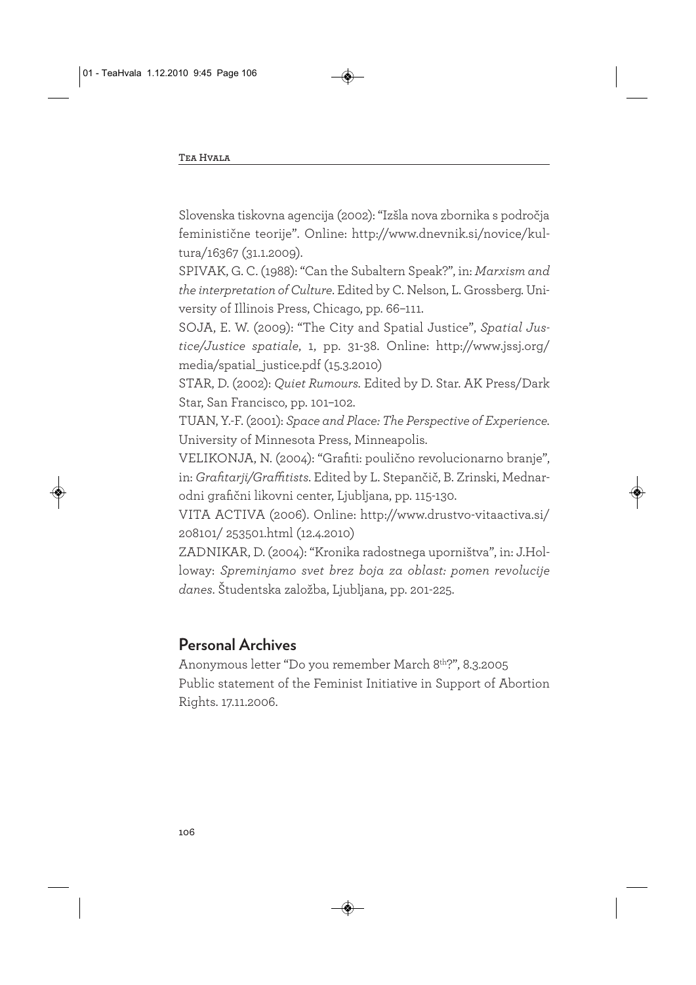Slovenska tiskovna agencija (2002): "Izšla nova zbornika s področja feministične teorije". Online: http://www.dnevnik.si/novice/kultura/16367 (31.1.2009).

SPIVAK, G. C. (1988): "Can the Subaltern Speak?", in: *Marxism and the interpretation of Culture*. Edited by C. Nelson, L. Grossberg. University of Illinois Press, Chicago, pp. 66–111.

SOJA, E. W. (2009): "The City and Spatial Justice", *Spatial Justice/Justice spatiale*, 1, pp. 31-38. Online: http://www.jssj.org/ media/spatial\_justice.pdf (15.3.2010)

STAR, D. (2002): *Quiet Rumours.* Edited by D. Star. AK Press/Dark Star, San Francisco, pp. 101–102.

TUAN, Y.-F. (2001): *Space and Place: The Perspective of Experience.* University of Minnesota Press, Minneapolis.

VELIKONJA, N. (2004): "Grafiti: poulično revolucionarno branje", in: *Grafitarji/Graffitists*. Edited by L. Stepančič, B. Zrinski, Mednarodni grafični likovni center, Ljubljana, pp. 115-130.

VITA ACTIVA (2006). Online: http://www.drustvo-vitaactiva.si/ 208101/ 253501.html (12.4.2010)

ZADNIKAR, D. (2004): "Kronika radostnega uporništva", in: J.Holloway: *Spreminjamo svet brez boja za oblast: pomen revolucije danes*. Študentska založba, Ljubljana, pp. 201-225.

### **Personal Archives**

Anonymous letter "Do you remember March 8th?", 8.3.2005 Public statement of the Feminist Initiative in Support of Abortion Rights. 17.11.2006.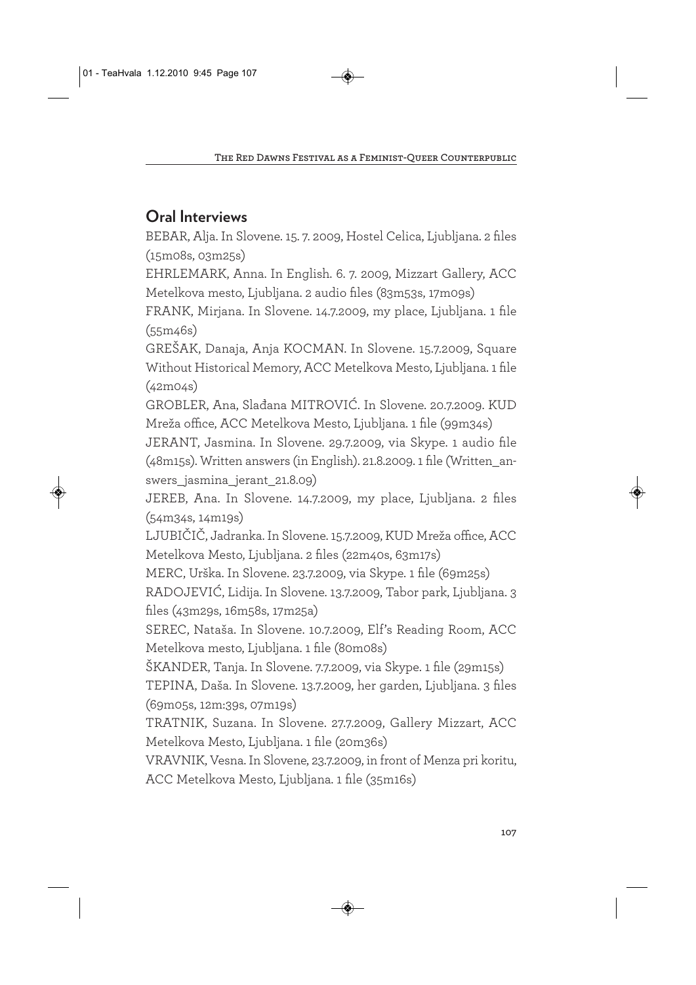# **Oral Interviews**

BEBAR, Alja. In Slovene. 15. 7. 2009, Hostel Celica, Ljubljana. 2 files (15m08s, 03m25s)

EHRLEMARK, Anna. In English. 6. 7. 2009, Mizzart Gallery, ACC Metelkova mesto, Ljubljana. 2 audio files (83m53s, 17m09s)

FRANK, Mirjana. In Slovene. 14.7.2009, my place, Ljubljana. 1 file (55m46s)

GREŠAK, Danaja, Anja KOCMAN. In Slovene. 15.7.2009, Square Without Historical Memory, ACC Metelkova Mesto, Ljubljana. 1 file (42m04s)

GROBLER, Ana, Slađana MITROVIĆ. In Slovene. 20.7.2009. KUD Mreža office, ACC Metelkova Mesto, Ljubljana. 1 file (99m34s)

JERANT, Jasmina. In Slovene. 29.7.2009, via Skype. 1 audio file (48m15s). Written answers (in English). 21.8.2009. 1 file (Written\_answers jasmina jerant 21.8.09)

JEREB, Ana. In Slovene. 14.7.2009, my place, Ljubljana. 2 files (54m34s, 14m19s)

LJUBIČIČ, Jadranka. In Slovene. 15.7.2009, KUD Mreža office, ACC Metelkova Mesto, Ljubljana. 2 files (22m40s, 63m17s)

MERC, Urška. In Slovene. 23.7.2009, via Skype. 1 file (69m25s)

RADOJEVIĆ, Lidija. In Slovene. 13.7.2009, Tabor park, Ljubljana. 3 files (43m29s, 16m58s, 17m25a)

SEREC, Nataša. In Slovene. 10.7.2009, Elf's Reading Room, ACC Metelkova mesto, Ljubljana. 1 file (80m08s)

ŠKANDER, Tanja. In Slovene. 7.7.2009, via Skype. 1 file (29m15s) TEPINA, Daša. In Slovene. 13.7.2009, her garden, Ljubljana. 3 files (69m05s, 12m:39s, 07m19s)

TRATNIK, Suzana. In Slovene. 27.7.2009, Gallery Mizzart, ACC Metelkova Mesto, Ljubljana. 1 file (20m36s)

VRAVNIK, Vesna. In Slovene, 23.7.2009, in front of Menza pri koritu, ACC Metelkova Mesto, Ljubljana. 1 file (35m16s)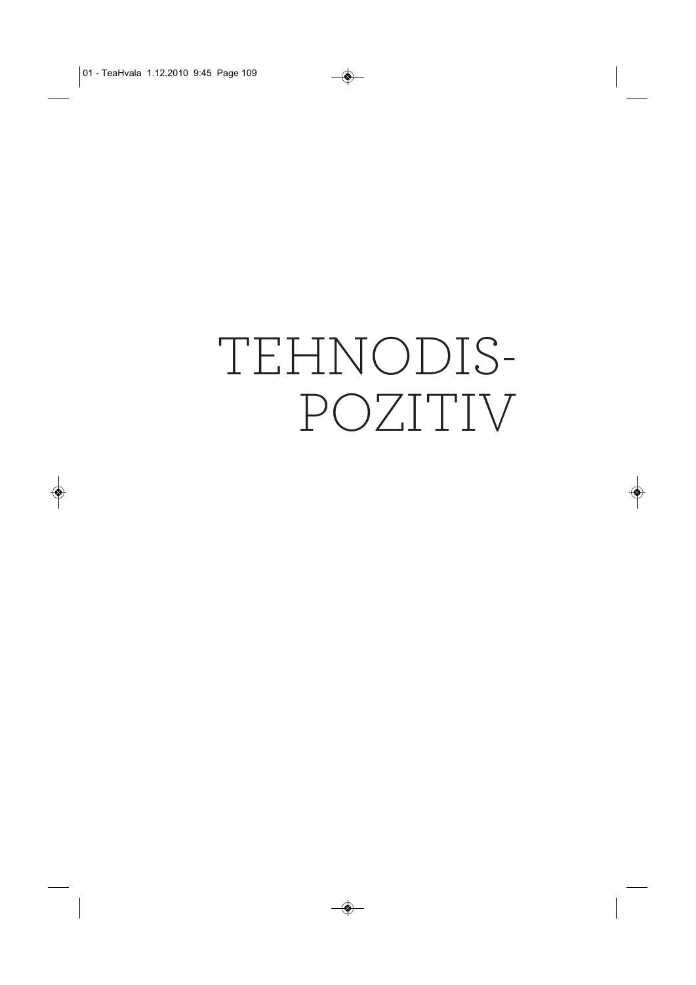# TEHNODIS-POZITIV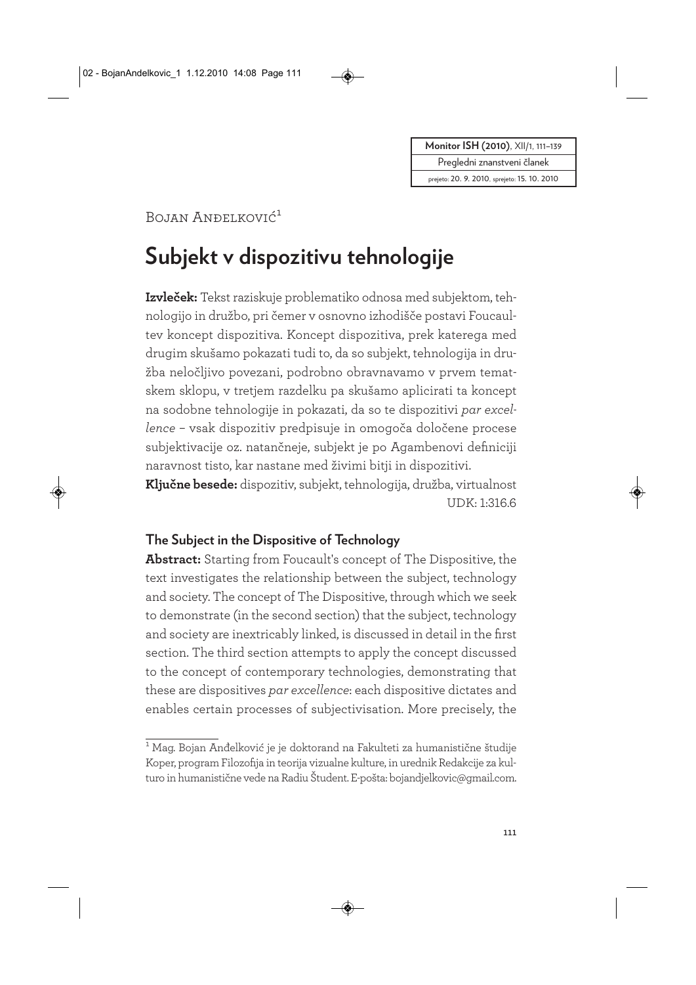Pregledni znanstveni članek

prejeto: 20. 9. 2010, sprejeto: 15. 10. 2010

# Bojan Anđelković<sup>1</sup>

# **Subjekt v dispozitivu tehnologije**

**Izvleček:** Tekst raziskuje problematiko odnosa med subjektom, tehnologijo in družbo, pri čemer v osnovno izhodišče postavi Foucaultev koncept dispozitiva. Koncept dispozitiva, prek katerega med drugim skušamo pokazati tudi to, da so subjekt, tehnologija in družba neločljivo povezani, podrobno obravnavamo v prvem tematskem sklopu, v tretjem razdelku pa skušamo aplicirati ta koncept na sodobne tehnologije in pokazati, da so te dispozitivi *par excellence* – vsak dispozitiv predpisuje in omogoča določene procese subjektivacije oz. natančneje, subjekt je po Agambenovi definiciji naravnost tisto, kar nastane med živimi bitji in dispozitivi.

**Ključne besede:** dispozitiv, subjekt, tehnologija, družba, virtualnost UDK: 1:316.6

#### **The Subject in the Dispositive of Technology**

**Abstract:** Starting from Foucault's concept of The Dispositive, the text investigates the relationship between the subject, technology and society. The concept of The Dispositive, through which we seek to demonstrate (in the second section) that the subject, technology and society are inextricably linked, is discussed in detail in the first section. The third section attempts to apply the concept discussed to the concept of contemporary technologies, demonstrating that these are dispositives *par excellence*: each dispositive dictates and enables certain processes of subjectivisation. More precisely, the

<sup>1</sup> Mag. Bojan Anđelković je je doktorand na Fakulteti za humanistične študije Koper, program Filozofija in teorija vizualne kulture, in urednik Redakcije za kulturo in humanistične vede na Radiu Študent. E-pošta: bojandjelkovic@gmail.com.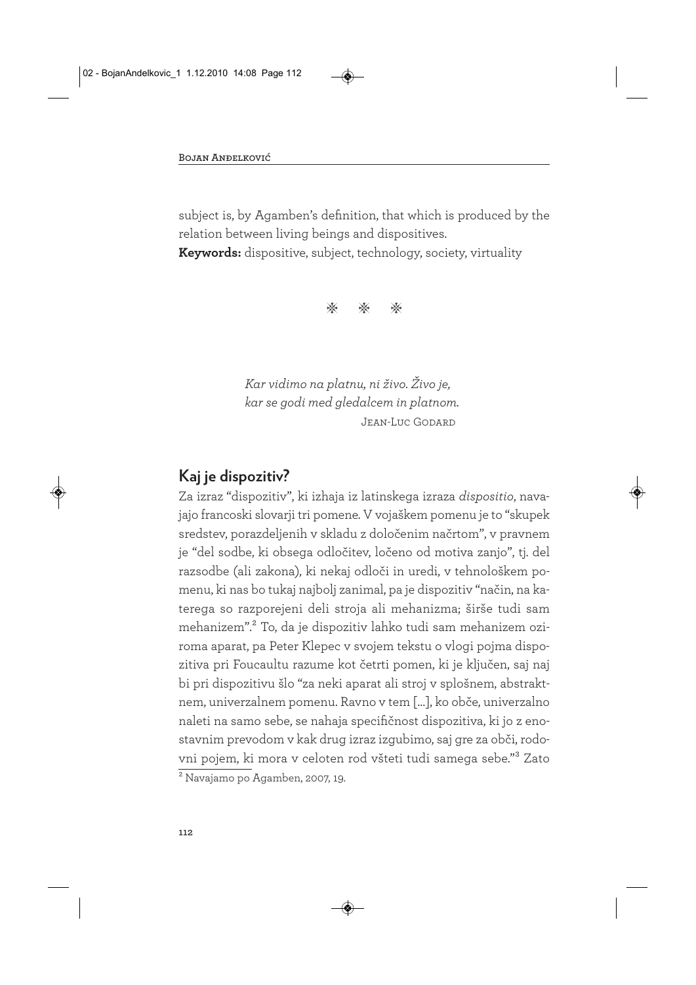subject is, by Agamben's definition, that which is produced by the relation between living beings and dispositives.

**Keywords:** dispositive, subject, technology, society, virtuality

\* \* \*

*Kar vidimo na platnu, ni živo. Živo je, kar se godi med gledalcem in platnom.*  Jean-Luc Godard

#### **Kaj je dispozitiv?**

Za izraz "dispozitiv", ki izhaja iz latinskega izraza *dispositio*, navajajo francoski slovarji tri pomene. V vojaškem pomenu je to "skupek sredstev, porazdeljenih v skladu z določenim načrtom", v pravnem je "del sodbe, ki obsega odločitev, ločeno od motiva zanjo", tj. del razsodbe (ali zakona), ki nekaj odloči in uredi, v tehnološkem pomenu, ki nas bo tukaj najbolj zanimal, pa je dispozitiv "način, na katerega so razporejeni deli stroja ali mehanizma; širše tudi sam mehanizem".2 To, da je dispozitiv lahko tudi sam mehanizem oziroma aparat, pa Peter Klepec v svojem tekstu o vlogi pojma dispozitiva pri Foucaultu razume kot četrti pomen, ki je ključen, saj naj bi pri dispozitivu šlo "za neki aparat ali stroj v splošnem, abstraktnem, univerzalnem pomenu. Ravno v tem […], ko obče, univerzalno naleti na samo sebe, se nahaja specifičnost dispozitiva, ki jo z enostavnim prevodom v kak drug izraz izgubimo, saj gre za obči, rodovni pojem, ki mora v celoten rod všteti tudi samega sebe."3 Zato 2 Navajamo po Agamben, 2007, 19.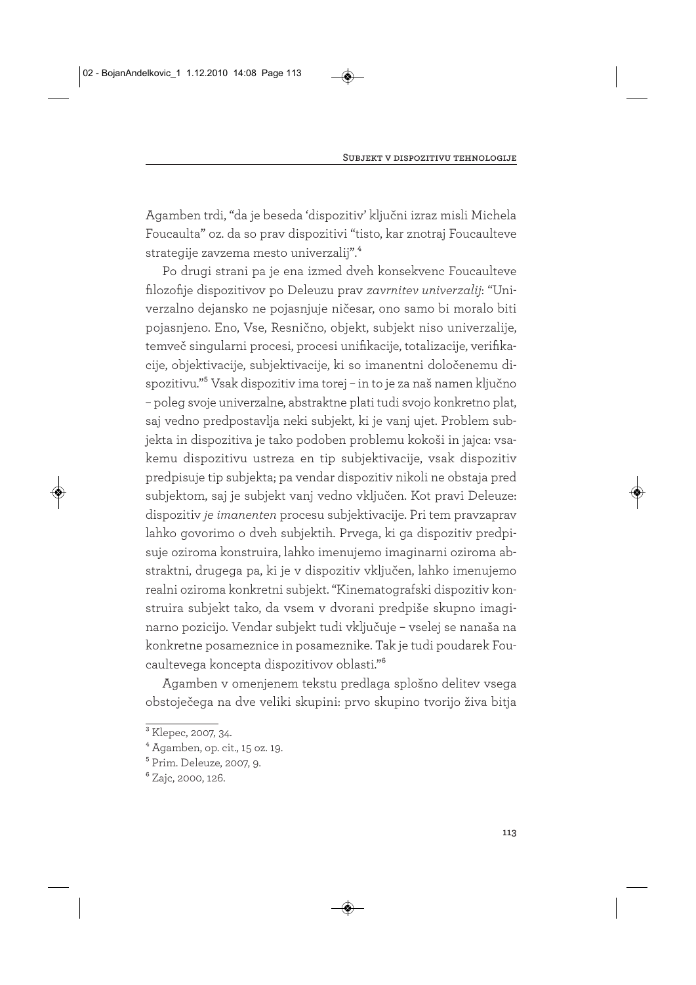Agamben trdi, "da je beseda 'dispozitiv' ključni izraz misli Michela Foucaulta" oz. da so prav dispozitivi "tisto, kar znotraj Foucaulteve strategije zavzema mesto univerzalij".4

Po drugi strani pa je ena izmed dveh konsekvenc Foucaulteve filozofije dispozitivov po Deleuzu prav *zavrnitev univerzalij*: "Univerzalno dejansko ne pojasnjuje ničesar, ono samo bi moralo biti pojasnjeno. Eno, Vse, Resnično, objekt, subjekt niso univerzalije, temveč singularni procesi, procesi unifikacije, totalizacije, verifikacije, objektivacije, subjektivacije, ki so imanentni določenemu dispozitivu."5 Vsak dispozitiv ima torej – in to je za naš namen ključno – poleg svoje univerzalne, abstraktne plati tudi svojo konkretno plat, saj vedno predpostavlja neki subjekt, ki je vanj ujet. Problem subjekta in dispozitiva je tako podoben problemu kokoši in jajca: vsakemu dispozitivu ustreza en tip subjektivacije, vsak dispozitiv predpisuje tip subjekta; pa vendar dispozitiv nikoli ne obstaja pred subjektom, saj je subjekt vanj vedno vključen. Kot pravi Deleuze: dispozitiv *je imanenten* procesu subjektivacije. Pri tem pravzaprav lahko govorimo o dveh subjektih. Prvega, ki ga dispozitiv predpisuje oziroma konstruira, lahko imenujemo imaginarni oziroma abstraktni, drugega pa, ki je v dispozitiv vključen, lahko imenujemo realni oziroma konkretni subjekt. "Kinematografski dispozitiv konstruira subjekt tako, da vsem v dvorani predpiše skupno imaginarno pozicijo. Vendar subjekt tudi vključuje – vselej se nanaša na konkretne posameznice in posameznike. Tak je tudi poudarek Foucaultevega koncepta dispozitivov oblasti."6

Agamben v omenjenem tekstu predlaga splošno delitev vsega obstoječega na dve veliki skupini: prvo skupino tvorijo živa bitja

<sup>3</sup> Klepec, 2007, 34.

 $4$  Agamben, op. cit., 15 oz. 19.

<sup>5</sup> Prim. Deleuze, 2007, 9.

<sup>6</sup> Zajc, 2000, 126.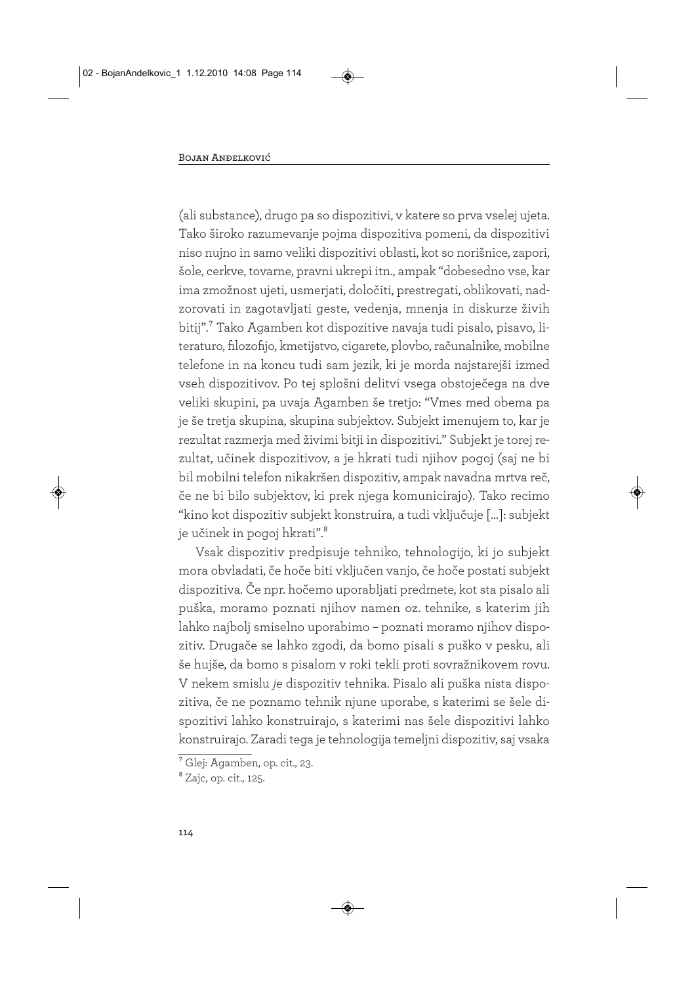(ali substance), drugo pa so dispozitivi, v katere so prva vselej ujeta. Tako široko razumevanje pojma dispozitiva pomeni, da dispozitivi niso nujno in samo veliki dispozitivi oblasti, kot so norišnice, zapori, šole, cerkve, tovarne, pravni ukrepi itn., ampak "dobesedno vse, kar ima zmožnost ujeti, usmerjati, določiti, prestregati, oblikovati, nadzorovati in zagotavljati geste, vedenja, mnenja in diskurze živih bitij".7 Tako Agamben kot dispozitive navaja tudi pisalo, pisavo, literaturo, filozofijo, kmetijstvo, cigarete, plovbo, računalnike, mobilne telefone in na koncu tudi sam jezik, ki je morda najstarejši izmed vseh dispozitivov. Po tej splošni delitvi vsega obstoječega na dve veliki skupini, pa uvaja Agamben še tretjo: "Vmes med obema pa je še tretja skupina, skupina subjektov. Subjekt imenujem to, kar je rezultat razmerja med živimi bitji in dispozitivi." Subjekt je torej rezultat, učinek dispozitivov, a je hkrati tudi njihov pogoj (saj ne bi bil mobilni telefon nikakršen dispozitiv, ampak navadna mrtva reč, če ne bi bilo subjektov, ki prek njega komunicirajo). Tako recimo "kino kot dispozitiv subjekt konstruira, a tudi vključuje […]: subjekt je učinek in pogoj hkrati".<sup>8</sup>

Vsak dispozitiv predpisuje tehniko, tehnologijo, ki jo subjekt mora obvladati, če hoče biti vključen vanjo, če hoče postati subjekt dispozitiva. Če npr. hočemo uporabljati predmete, kot sta pisalo ali puška, moramo poznati njihov namen oz. tehnike, s katerim jih lahko najbolj smiselno uporabimo – poznati moramo njihov dispozitiv. Drugače se lahko zgodi, da bomo pisali s puško v pesku, ali še hujše, da bomo s pisalom v roki tekli proti sovražnikovem rovu. V nekem smislu *je* dispozitiv tehnika. Pisalo ali puška nista dispozitiva, če ne poznamo tehnik njune uporabe, s katerimi se šele dispozitivi lahko konstruirajo, s katerimi nas šele dispozitivi lahko konstruirajo. Zaradi tega je tehnologija temeljni dispozitiv, saj vsaka

<sup>7</sup> Glej: Agamben, op. cit., 23.

<sup>&</sup>lt;sup>8</sup> Zajc, op. cit., 125.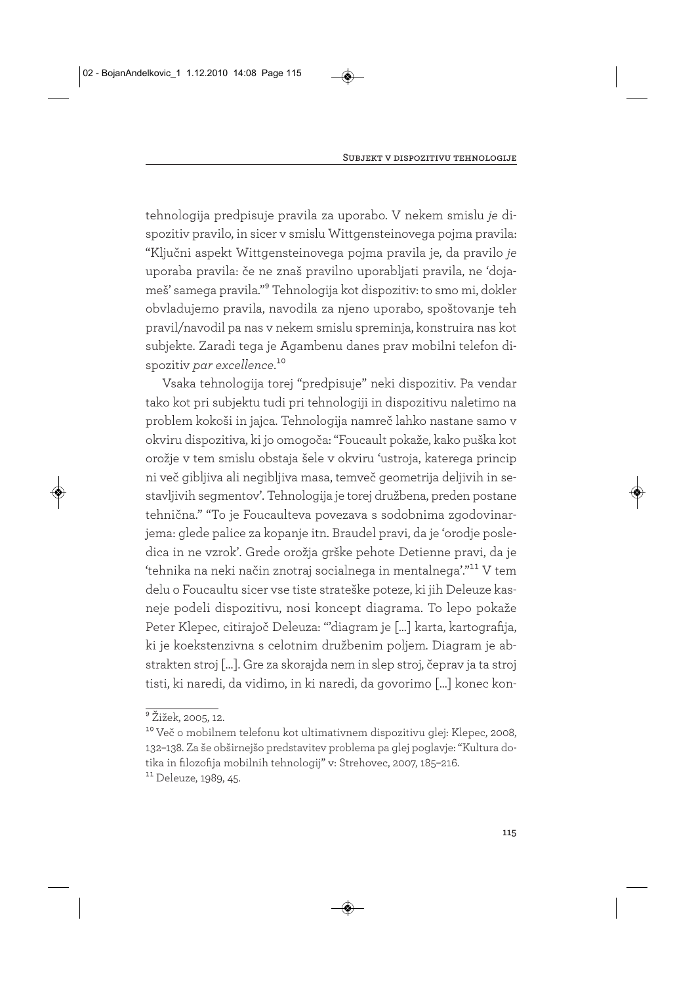tehnologija predpisuje pravila za uporabo. V nekem smislu *je* dispozitiv pravilo, in sicer v smislu Wittgensteinovega pojma pravila: "Ključni aspekt Wittgensteinovega pojma pravila je, da pravilo *je* uporaba pravila: če ne znaš pravilno uporabljati pravila, ne 'dojameš' samega pravila."9 Tehnologija kot dispozitiv: to smo mi, dokler obvladujemo pravila, navodila za njeno uporabo, spoštovanje teh pravil/navodil pa nas v nekem smislu spreminja, konstruira nas kot subjekte. Zaradi tega je Agambenu danes prav mobilni telefon dispozitiv *par excellence*.<sup>10</sup>

Vsaka tehnologija torej "predpisuje" neki dispozitiv. Pa vendar tako kot pri subjektu tudi pri tehnologiji in dispozitivu naletimo na problem kokoši in jajca. Tehnologija namreč lahko nastane samo v okviru dispozitiva, ki jo omogoča: "Foucault pokaže, kako puška kot orožje v tem smislu obstaja šele v okviru 'ustroja, katerega princip ni več gibljiva ali negibljiva masa, temveč geometrija deljivih in sestavljivih segmentov'. Tehnologija je torej družbena, preden postane tehnična." "To je Foucaulteva povezava s sodobnima zgodovinarjema: glede palice za kopanje itn. Braudel pravi, da je 'orodje posledica in ne vzrok'. Grede orožja grške pehote Detienne pravi, da je 'tehnika na neki način znotraj socialnega in mentalnega'."11 V tem delu o Foucaultu sicer vse tiste strateške poteze, ki jih Deleuze kasneje podeli dispozitivu, nosi koncept diagrama. To lepo pokaže Peter Klepec, citirajoč Deleuza: "'diagram je […] karta, kartografija, ki je koekstenzivna s celotnim družbenim poljem. Diagram je abstrakten stroj […]. Gre za skorajda nem in slep stroj, čeprav ja ta stroj tisti, ki naredi, da vidimo, in ki naredi, da govorimo […] konec kon-

<sup>9</sup> Žižek, 2005, 12.

<sup>&</sup>lt;sup>10</sup> Več o mobilnem telefonu kot ultimativnem dispozitivu glej: Klepec, 2008, 132–138. Za še obširnejšo predstavitev problema pa glej poglavje: "Kultura dotika in filozofija mobilnih tehnologij" v: Strehovec, 2007, 185–216.

<sup>&</sup>lt;sup>11</sup> Deleuze, 1989, 45.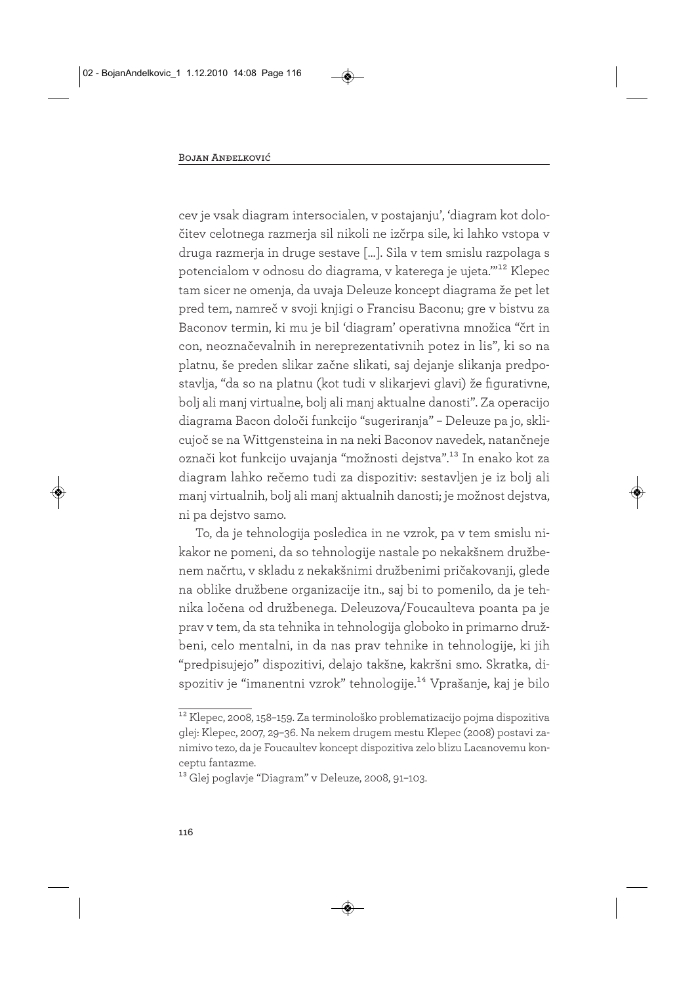cev je vsak diagram intersocialen, v postajanju', 'diagram kot določitev celotnega razmerja sil nikoli ne izčrpa sile, ki lahko vstopa v druga razmerja in druge sestave […]. Sila v tem smislu razpolaga s potencialom v odnosu do diagrama, v katerega je ujeta.'"12 Klepec tam sicer ne omenja, da uvaja Deleuze koncept diagrama že pet let pred tem, namreč v svoji knjigi o Francisu Baconu; gre v bistvu za Baconov termin, ki mu je bil 'diagram' operativna množica "črt in con, neoznačevalnih in nereprezentativnih potez in lis", ki so na platnu, še preden slikar začne slikati, saj dejanje slikanja predpostavlja, "da so na platnu (kot tudi v slikarjevi glavi) že figurativne, bolj ali manj virtualne, bolj ali manj aktualne danosti". Za operacijo diagrama Bacon določi funkcijo "sugeriranja" – Deleuze pa jo, sklicujoč se na Wittgensteina in na neki Baconov navedek, natančneje označi kot funkcijo uvajanja "možnosti dejstva".13 In enako kot za diagram lahko rečemo tudi za dispozitiv: sestavljen je iz bolj ali manj virtualnih, bolj ali manj aktualnih danosti; je možnost dejstva, ni pa dejstvo samo.

To, da je tehnologija posledica in ne vzrok, pa v tem smislu nikakor ne pomeni, da so tehnologije nastale po nekakšnem družbenem načrtu, v skladu z nekakšnimi družbenimi pričakovanji, glede na oblike družbene organizacije itn., saj bi to pomenilo, da je tehnika ločena od družbenega. Deleuzova/Foucaulteva poanta pa je prav v tem, da sta tehnika in tehnologija globoko in primarno družbeni, celo mentalni, in da nas prav tehnike in tehnologije, ki jih "predpisujejo" dispozitivi, delajo takšne, kakršni smo. Skratka, dispozitiv je "imanentni vzrok" tehnologije.<sup>14</sup> Vprašanje, kaj je bilo

<sup>12</sup> Klepec, 2008, 158–159. Za terminološko problematizacijo pojma dispozitiva glej: Klepec, 2007, 29–36. Na nekem drugem mestu Klepec (2008) postavi zanimivo tezo, da je Foucaultev koncept dispozitiva zelo blizu Lacanovemu konceptu fantazme.

<sup>13</sup> Glej poglavje "Diagram" v Deleuze, 2008, 91–103.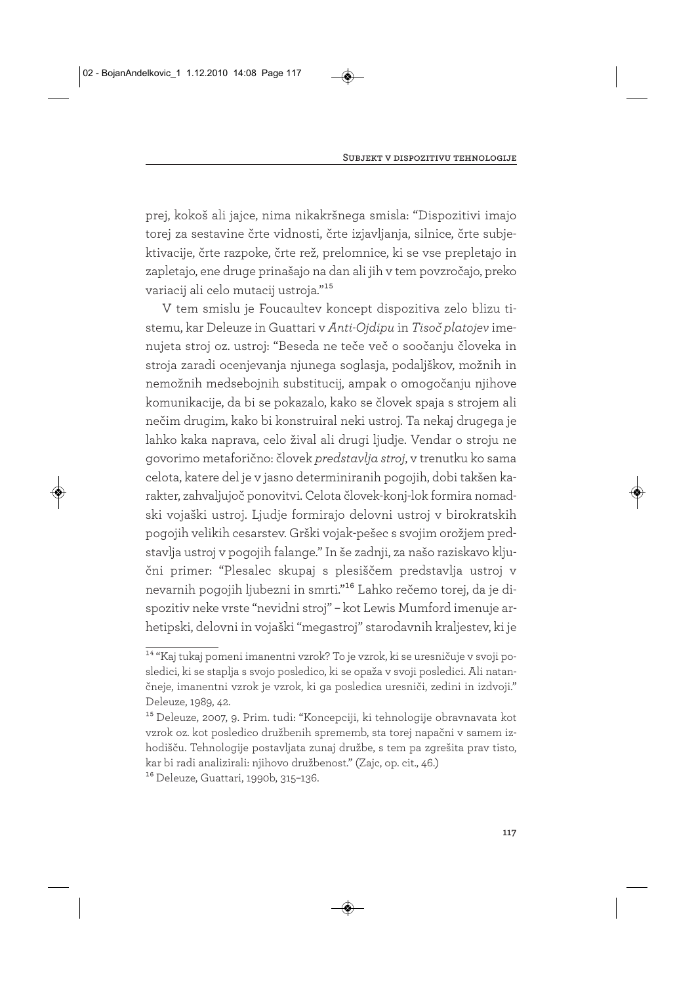prej, kokoš ali jajce, nima nikakršnega smisla: "Dispozitivi imajo torej za sestavine črte vidnosti, črte izjavljanja, silnice, črte subjektivacije, črte razpoke, črte rež, prelomnice, ki se vse prepletajo in zapletajo, ene druge prinašajo na dan ali jih v tem povzročajo, preko variacij ali celo mutacij ustroja."15

V tem smislu je Foucaultev koncept dispozitiva zelo blizu tistemu, kar Deleuze in Guattari v *Anti-Ojdipu* in *Tisoč platojev* imenujeta stroj oz. ustroj: "Beseda ne teče več o soočanju človeka in stroja zaradi ocenjevanja njunega soglasja, podaljškov, možnih in nemožnih medsebojnih substitucij, ampak o omogočanju njihove komunikacije, da bi se pokazalo, kako se človek spaja s strojem ali nečim drugim, kako bi konstruiral neki ustroj. Ta nekaj drugega je lahko kaka naprava, celo žival ali drugi ljudje. Vendar o stroju ne govorimo metaforično: človek *predstavlja stroj*, v trenutku ko sama celota, katere del je v jasno determiniranih pogojih, dobi takšen karakter, zahvaljujoč ponovitvi. Celota človek-konj-lok formira nomadski vojaški ustroj. Ljudje formirajo delovni ustroj v birokratskih pogojih velikih cesarstev. Grški vojak-pešec s svojim orožjem predstavlja ustroj v pogojih falange." In še zadnji, za našo raziskavo ključni primer: "Plesalec skupaj s plesiščem predstavlja ustroj v nevarnih pogojih ljubezni in smrti."16 Lahko rečemo torej, da je dispozitiv neke vrste "nevidni stroj" – kot Lewis Mumford imenuje arhetipski, delovni in vojaški "megastroj" starodavnih kraljestev, ki je

<sup>14 &</sup>quot;Kaj tukaj pomeni imanentni vzrok? To je vzrok, ki se uresničuje v svoji posledici, ki se staplja s svojo posledico, ki se opaža v svoji posledici. Ali natančneje, imanentni vzrok je vzrok, ki ga posledica uresniči, zedini in izdvoji." Deleuze, 1989, 42.

<sup>15</sup> Deleuze, 2007, 9. Prim. tudi: "Koncepciji, ki tehnologije obravnavata kot vzrok oz. kot posledico družbenih sprememb, sta torej napačni v samem izhodišču. Tehnologije postavljata zunaj družbe, s tem pa zgrešita prav tisto, kar bi radi analizirali: njihovo družbenost." (Zajc, op. cit., 46.)

<sup>16</sup> Deleuze, Guattari, 1990b, 315–136.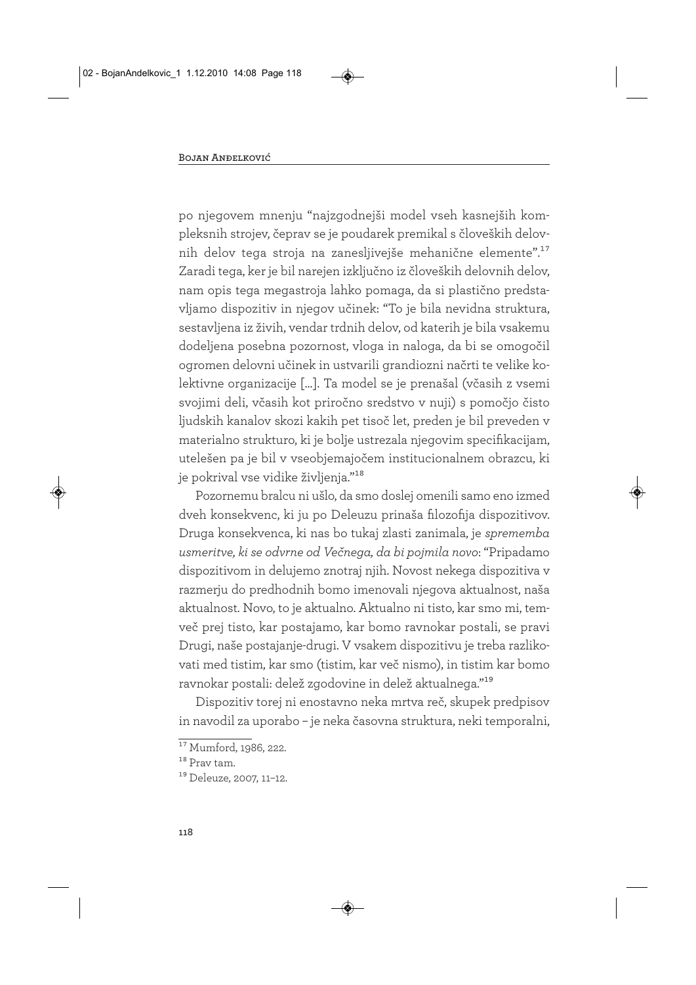po njegovem mnenju "najzgodnejši model vseh kasnejših kompleksnih strojev, čeprav se je poudarek premikal s človeških delovnih delov tega stroja na zanesljivejše mehanične elemente".17 Zaradi tega, ker je bil narejen izključno iz človeških delovnih delov, nam opis tega megastroja lahko pomaga, da si plastično predstavljamo dispozitiv in njegov učinek: "To je bila nevidna struktura, sestavljena iz živih, vendar trdnih delov, od katerih je bila vsakemu dodeljena posebna pozornost, vloga in naloga, da bi se omogočil ogromen delovni učinek in ustvarili grandiozni načrti te velike kolektivne organizacije […]. Ta model se je prenašal (včasih z vsemi svojimi deli, včasih kot priročno sredstvo v nuji) s pomočjo čisto ljudskih kanalov skozi kakih pet tisoč let, preden je bil preveden v materialno strukturo, ki je bolje ustrezala njegovim specifikacijam, utelešen pa je bil v vseobjemajočem institucionalnem obrazcu, ki je pokrival vse vidike življenja."18

Pozornemu bralcu ni ušlo, da smo doslej omenili samo eno izmed dveh konsekvenc, ki ju po Deleuzu prinaša filozofija dispozitivov. Druga konsekvenca, ki nas bo tukaj zlasti zanimala, je *sprememba usmeritve, ki se odvrne od Večnega, da bi pojmila novo*: "Pripadamo dispozitivom in delujemo znotraj njih. Novost nekega dispozitiva v razmerju do predhodnih bomo imenovali njegova aktualnost, naša aktualnost. Novo, to je aktualno. Aktualno ni tisto, kar smo mi, temveč prej tisto, kar postajamo, kar bomo ravnokar postali, se pravi Drugi, naše postajanje-drugi. V vsakem dispozitivu je treba razlikovati med tistim, kar smo (tistim, kar več nismo), in tistim kar bomo ravnokar postali: delež zgodovine in delež aktualnega."19

Dispozitiv torej ni enostavno neka mrtva reč, skupek predpisov in navodil za uporabo – je neka časovna struktura, neki temporalni,

 $\overline{17}$  Mumford, 1986, 222.

<sup>&</sup>lt;sup>18</sup> Prav tam.

<sup>19</sup> Deleuze, 2007, 11–12.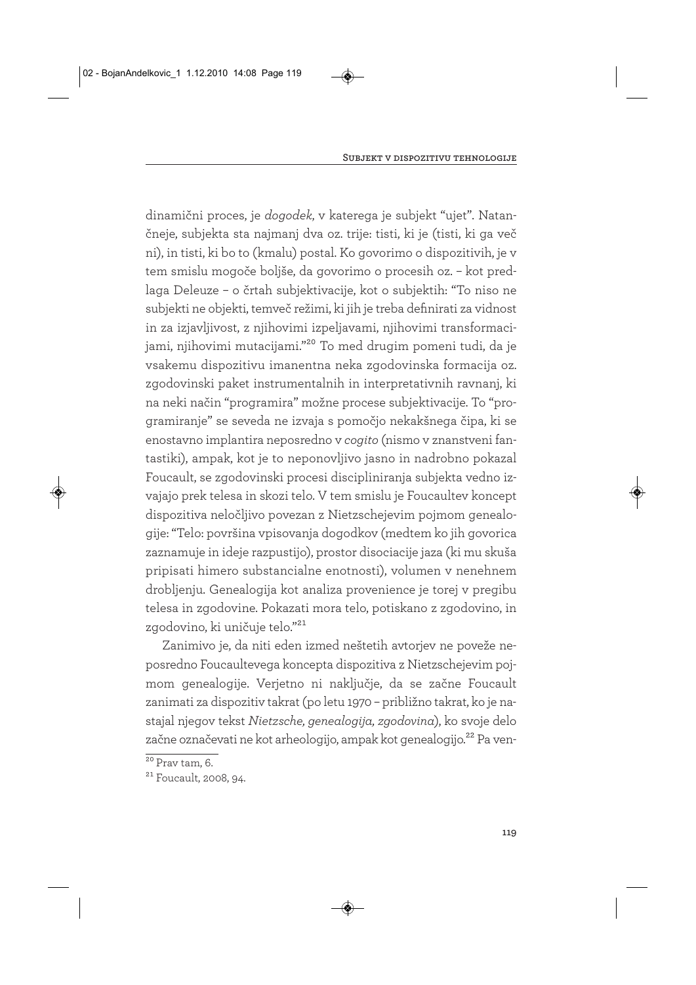dinamični proces, je *dogodek*, v katerega je subjekt "ujet". Natančneje, subjekta sta najmanj dva oz. trije: tisti, ki je (tisti, ki ga več ni), in tisti, ki bo to (kmalu) postal. Ko govorimo o dispozitivih, je v tem smislu mogoče boljše, da govorimo o procesih oz. – kot predlaga Deleuze – o črtah subjektivacije, kot o subjektih: "To niso ne subjekti ne objekti, temveč režimi, ki jih je treba definirati za vidnost in za izjavljivost, z njihovimi izpeljavami, njihovimi transformacijami, njihovimi mutacijami."<sup>20</sup> To med drugim pomeni tudi, da je vsakemu dispozitivu imanentna neka zgodovinska formacija oz. zgodovinski paket instrumentalnih in interpretativnih ravnanj, ki na neki način "programira" možne procese subjektivacije. To "programiranje" se seveda ne izvaja s pomočjo nekakšnega čipa, ki se enostavno implantira neposredno v *cogito* (nismo v znanstveni fantastiki), ampak, kot je to neponovljivo jasno in nadrobno pokazal Foucault, se zgodovinski procesi discipliniranja subjekta vedno izvajajo prek telesa in skozi telo. V tem smislu je Foucaultev koncept dispozitiva neločljivo povezan z Nietzschejevim pojmom genealogije: "Telo: površina vpisovanja dogodkov (medtem ko jih govorica zaznamuje in ideje razpustijo), prostor disociacije jaza (ki mu skuša pripisati himero substancialne enotnosti), volumen v nenehnem drobljenju. Genealogija kot analiza provenience je torej v pregibu telesa in zgodovine. Pokazati mora telo, potiskano z zgodovino, in zgodovino, ki uničuje telo."21

Zanimivo je, da niti eden izmed neštetih avtorjev ne poveže neposredno Foucaultevega koncepta dispozitiva z Nietzschejevim pojmom genealogije. Verjetno ni naključje, da se začne Foucault zanimati za dispozitiv takrat (po letu 1970 – približno takrat, ko je nastajal njegov tekst *Nietzsche, genealogija, zgodovina*), ko svoje delo začne označevati ne kot arheologijo, ampak kot genealogijo.<sup>22</sup> Pa ven-

 $20$  Prav tam, 6.

<sup>21</sup> Foucault, 2008, 94.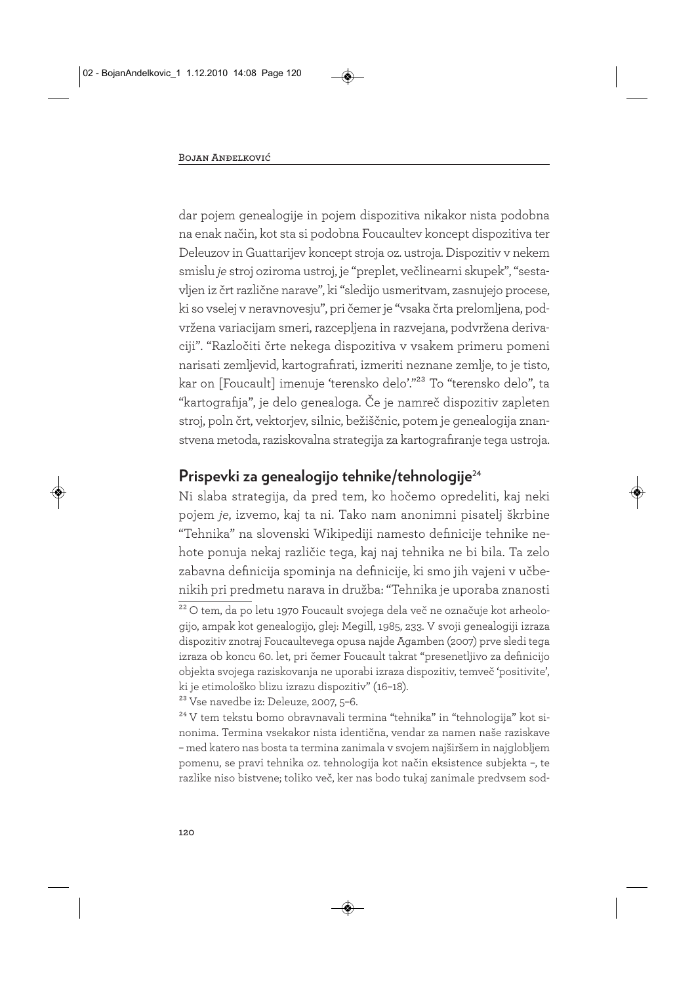dar pojem genealogije in pojem dispozitiva nikakor nista podobna na enak način, kot sta si podobna Foucaultev koncept dispozitiva ter Deleuzov in Guattarijev koncept stroja oz. ustroja. Dispozitiv v nekem smislu *je* stroj oziroma ustroj, je "preplet, večlinearni skupek", "sestavljen iz črt različne narave", ki "sledijo usmeritvam, zasnujejo procese, ki so vselej v neravnovesju", pri čemer je "vsaka črta prelomljena, podvržena variacijam smeri, razcepljena in razvejana, podvržena derivaciji". "Razločiti črte nekega dispozitiva v vsakem primeru pomeni narisati zemljevid, kartografirati, izmeriti neznane zemlje, to je tisto, kar on [Foucault] imenuje 'terensko delo'."23 To "terensko delo", ta "kartografija", je delo genealoga. Če je namreč dispozitiv zapleten stroj, poln črt, vektorjev, silnic, bežiščnic, potem je genealogija znanstvena metoda, raziskovalna strategija za kartografiranje tega ustroja.

#### **Prispevki za genealogijo tehnike/tehnologije**<sup>24</sup>

Ni slaba strategija, da pred tem, ko hočemo opredeliti, kaj neki pojem *je*, izvemo, kaj ta ni. Tako nam anonimni pisatelj škrbine "Tehnika" na slovenski Wikipediji namesto definicije tehnike nehote ponuja nekaj različic tega, kaj naj tehnika ne bi bila. Ta zelo zabavna definicija spominja na definicije, ki smo jih vajeni v učbenikih pri predmetu narava in družba: "Tehnika je uporaba znanosti

23 Vse navedbe iz: Deleuze, 2007, 5–6.

<sup>24</sup> V tem tekstu bomo obravnavali termina "tehnika" in "tehnologija" kot sinonima. Termina vsekakor nista identična, vendar za namen naše raziskave – med katero nas bosta ta termina zanimala v svojem najširšem in najglobljem pomenu, se pravi tehnika oz. tehnologija kot način eksistence subjekta –, te razlike niso bistvene; toliko več, ker nas bodo tukaj zanimale predvsem sod-

<sup>&</sup>lt;sup>22</sup> O tem, da po letu 1970 Foucault svojega dela več ne označuje kot arheologijo, ampak kot genealogijo, glej: Megill, 1985, 233. V svoji genealogiji izraza dispozitiv znotraj Foucaultevega opusa najde Agamben (2007) prve sledi tega izraza ob koncu 60. let, pri čemer Foucault takrat "presenetljivo za definicijo objekta svojega raziskovanja ne uporabi izraza dispozitiv, temveč 'positivite', ki je etimološko blizu izrazu dispozitiv" (16–18).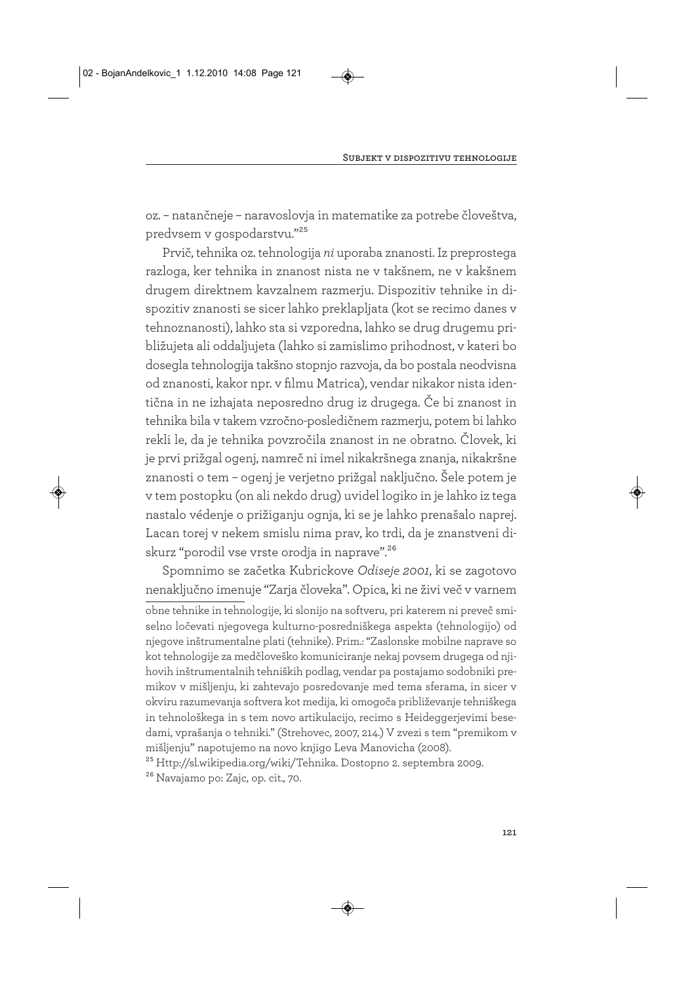oz. – natančneje – naravoslovja in matematike za potrebe človeštva, predvsem v gospodarstvu."25

Prvič, tehnika oz. tehnologija *ni* uporaba znanosti. Iz preprostega razloga, ker tehnika in znanost nista ne v takšnem, ne v kakšnem drugem direktnem kavzalnem razmerju. Dispozitiv tehnike in dispozitiv znanosti se sicer lahko preklapljata (kot se recimo danes v tehnoznanosti), lahko sta si vzporedna, lahko se drug drugemu približujeta ali oddaljujeta (lahko si zamislimo prihodnost, v kateri bo dosegla tehnologija takšno stopnjo razvoja, da bo postala neodvisna od znanosti, kakor npr. v filmu Matrica), vendar nikakor nista identična in ne izhajata neposredno drug iz drugega. Če bi znanost in tehnika bila v takem vzročno-posledičnem razmerju, potem bi lahko rekli le, da je tehnika povzročila znanost in ne obratno. Človek, ki je prvi prižgal ogenj, namreč ni imel nikakršnega znanja, nikakršne znanosti o tem – ogenj je verjetno prižgal naključno. Šele potem je v tem postopku (on ali nekdo drug) uvidel logiko in je lahko iz tega nastalo védenje o prižiganju ognja, ki se je lahko prenašalo naprej. Lacan torej v nekem smislu nima prav, ko trdi, da je znanstveni diskurz "porodil vse vrste orodja in naprave".<sup>26</sup>

Spomnimo se začetka Kubrickove *Odiseje 2001*, ki se zagotovo nenaključno imenuje "Zarja človeka". Opica, ki ne živi več v varnem obne tehnike in tehnologije, ki slonijo na softveru, pri katerem ni preveč smiselno ločevati njegovega kulturno-posredniškega aspekta (tehnologijo) od njegove inštrumentalne plati (tehnike). Prim.: "Zaslonske mobilne naprave so kot tehnologije za medčloveško komuniciranje nekaj povsem drugega od njihovih inštrumentalnih tehniških podlag, vendar pa postajamo sodobniki premikov v mišljenju, ki zahtevajo posredovanje med tema sferama, in sicer v okviru razumevanja softvera kot medija, ki omogoča približevanje tehniškega in tehnološkega in s tem novo artikulacijo, recimo s Heideggerjevimi besedami, vprašanja o tehniki." (Strehovec, 2007, 214.) V zvezi s tem "premikom v mišljenju" napotujemo na novo knjigo Leva Manovicha (2008).

25 Http://sl.wikipedia.org/wiki/Tehnika. Dostopno 2. septembra 2009.

26 Navajamo po: Zajc, op. cit., 70.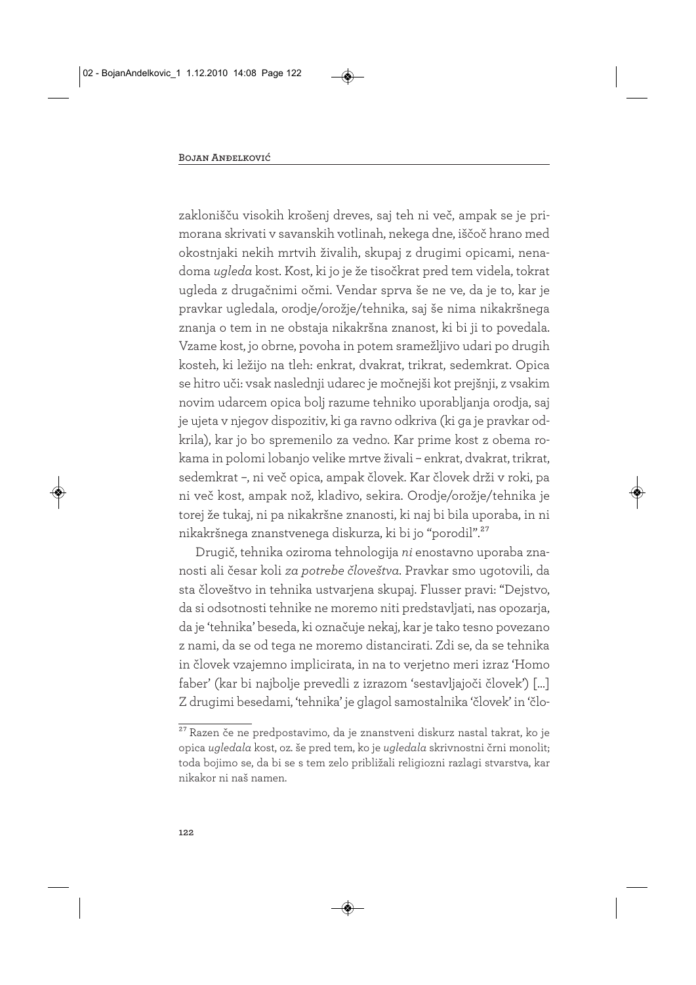zaklonišču visokih krošenj dreves, saj teh ni več, ampak se je primorana skrivati v savanskih votlinah, nekega dne, iščoč hrano med okostnjaki nekih mrtvih živalih, skupaj z drugimi opicami, nenadoma *ugleda* kost. Kost, ki jo je že tisočkrat pred tem videla, tokrat ugleda z drugačnimi očmi. Vendar sprva še ne ve, da je to, kar je pravkar ugledala, orodje/orožje/tehnika, saj še nima nikakršnega znanja o tem in ne obstaja nikakršna znanost, ki bi ji to povedala. Vzame kost, jo obrne, povoha in potem sramežljivo udari po drugih kosteh, ki ležijo na tleh: enkrat, dvakrat, trikrat, sedemkrat. Opica se hitro uči: vsak naslednji udarec je močnejši kot prejšnji, z vsakim novim udarcem opica bolj razume tehniko uporabljanja orodja, saj je ujeta v njegov dispozitiv, ki ga ravno odkriva (ki ga je pravkar odkrila), kar jo bo spremenilo za vedno. Kar prime kost z obema rokama in polomi lobanjo velike mrtve živali – enkrat, dvakrat, trikrat, sedemkrat –, ni več opica, ampak človek. Kar človek drži v roki, pa ni več kost, ampak nož, kladivo, sekira. Orodje/orožje/tehnika je torej že tukaj, ni pa nikakršne znanosti, ki naj bi bila uporaba, in ni nikakršnega znanstvenega diskurza, ki bi jo "porodil".27

Drugič, tehnika oziroma tehnologija *ni* enostavno uporaba znanosti ali česar koli *za potrebe človeštva*. Pravkar smo ugotovili, da sta človeštvo in tehnika ustvarjena skupaj. Flusser pravi: "Dejstvo, da si odsotnosti tehnike ne moremo niti predstavljati, nas opozarja, da je 'tehnika' beseda, ki označuje nekaj, kar je tako tesno povezano z nami, da se od tega ne moremo distancirati. Zdi se, da se tehnika in človek vzajemno implicirata, in na to verjetno meri izraz 'Homo faber' (kar bi najbolje prevedli z izrazom 'sestavljajoči človek') […] Z drugimi besedami, 'tehnika' je glagol samostalnika 'človek' in 'člo-

<sup>27</sup> Razen če ne predpostavimo, da je znanstveni diskurz nastal takrat, ko je opica *ugledala* kost, oz. še pred tem, ko je *ugledala* skrivnostni črni monolit; toda bojimo se, da bi se s tem zelo približali religiozni razlagi stvarstva, kar nikakor ni naš namen.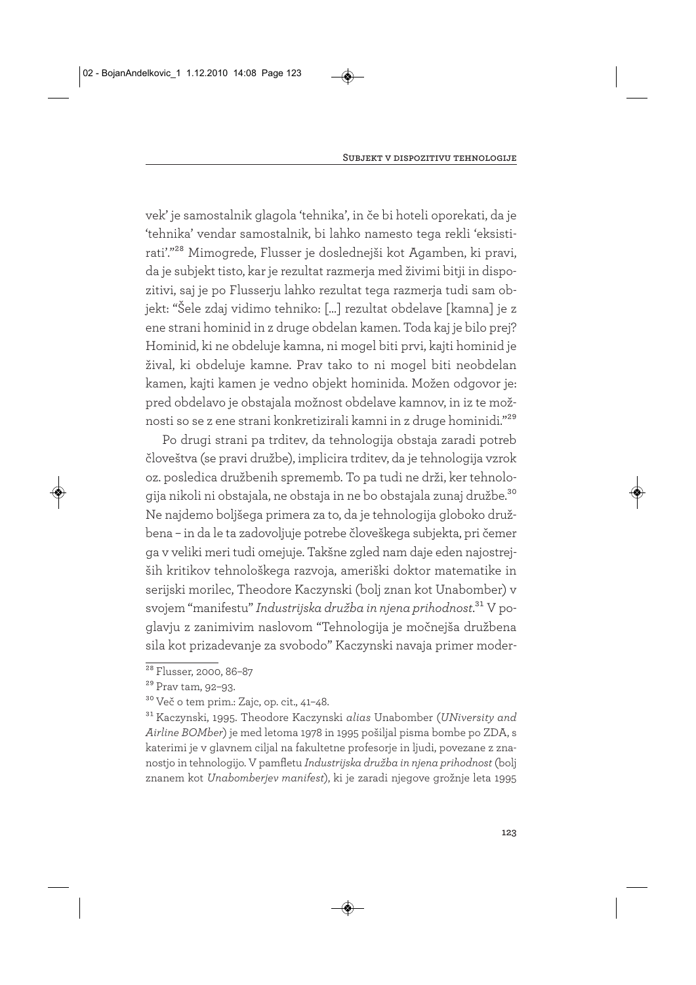vek' je samostalnik glagola 'tehnika', in če bi hoteli oporekati, da je 'tehnika' vendar samostalnik, bi lahko namesto tega rekli 'eksistirati'."28 Mimogrede, Flusser je doslednejši kot Agamben, ki pravi, da je subjekt tisto, kar je rezultat razmerja med živimi bitji in dispozitivi, saj je po Flusserju lahko rezultat tega razmerja tudi sam objekt: "Šele zdaj vidimo tehniko: […] rezultat obdelave [kamna] je z ene strani hominid in z druge obdelan kamen. Toda kaj je bilo prej? Hominid, ki ne obdeluje kamna, ni mogel biti prvi, kajti hominid je žival, ki obdeluje kamne. Prav tako to ni mogel biti neobdelan kamen, kajti kamen je vedno objekt hominida. Možen odgovor je: pred obdelavo je obstajala možnost obdelave kamnov, in iz te možnosti so se z ene strani konkretizirali kamni in z druge hominidi."29

Po drugi strani pa trditev, da tehnologija obstaja zaradi potreb človeštva (se pravi družbe), implicira trditev, da je tehnologija vzrok oz. posledica družbenih sprememb. To pa tudi ne drži, ker tehnologija nikoli ni obstajala, ne obstaja in ne bo obstajala zunaj družbe.30 Ne najdemo boljšega primera za to, da je tehnologija globoko družbena – in da le ta zadovoljuje potrebe človeškega subjekta, pri čemer ga v veliki meri tudi omejuje. Takšne zgled nam daje eden najostrejših kritikov tehnološkega razvoja, ameriški doktor matematike in serijski morilec, Theodore Kaczynski (bolj znan kot Unabomber) v svojem "manifestu" *Industrijska družba in njena prihodnost*.31 V poglavju z zanimivim naslovom "Tehnologija je močnejša družbena sila kot prizadevanje za svobodo" Kaczynski navaja primer moder-

<sup>&</sup>lt;sup>28</sup> Flusser, 2000, 86-87

<sup>29</sup> Prav tam, 92–93.

<sup>30</sup> Več o tem prim.: Zajc, op. cit., 41–48.

<sup>31</sup> Kaczynski, 1995. Theodore Kaczynski *alias* Unabomber (*UNiversity and Airline BOMber*) je med letoma 1978 in 1995 pošiljal pisma bombe po ZDA, s katerimi je v glavnem ciljal na fakultetne profesorje in ljudi, povezane z znanostjo in tehnologijo. V pamfletu *Industrijska družba in njena prihodnost* (bolj znanem kot *Unabomberjev manifest*), ki je zaradi njegove grožnje leta 1995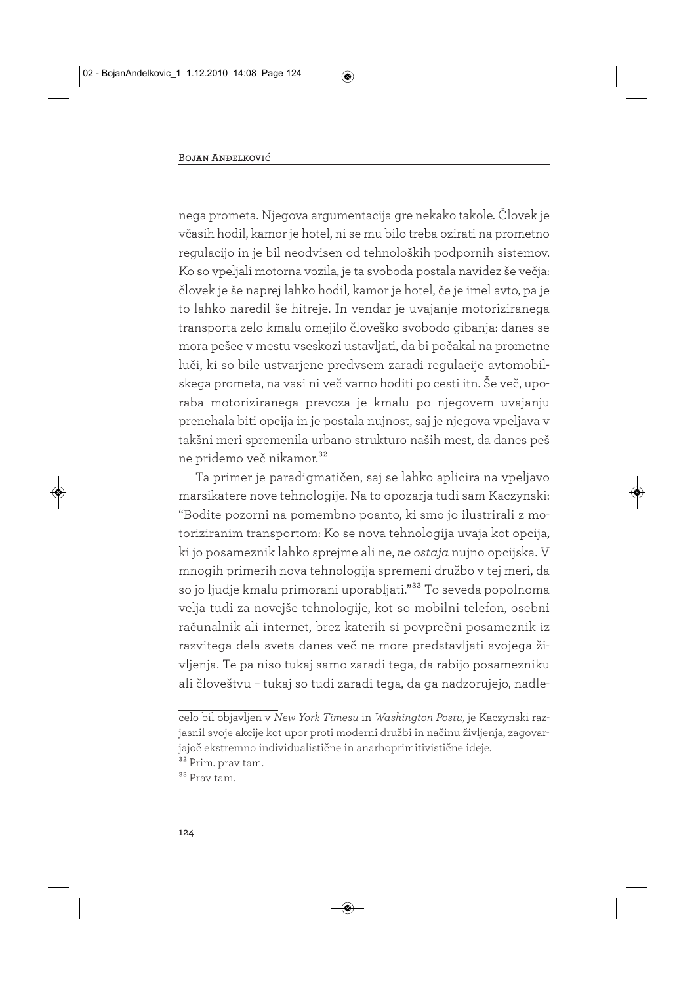nega prometa. Njegova argumentacija gre nekako takole. Človek je včasih hodil, kamor je hotel, ni se mu bilo treba ozirati na prometno regulacijo in je bil neodvisen od tehnoloških podpornih sistemov. Ko so vpeljali motorna vozila, je ta svoboda postala navidez še večja: človek je še naprej lahko hodil, kamor je hotel, če je imel avto, pa je to lahko naredil še hitreje. In vendar je uvajanje motoriziranega transporta zelo kmalu omejilo človeško svobodo gibanja: danes se mora pešec v mestu vseskozi ustavljati, da bi počakal na prometne luči, ki so bile ustvarjene predvsem zaradi regulacije avtomobilskega prometa, na vasi ni več varno hoditi po cesti itn. Še več, uporaba motoriziranega prevoza je kmalu po njegovem uvajanju prenehala biti opcija in je postala nujnost, saj je njegova vpeljava v takšni meri spremenila urbano strukturo naših mest, da danes peš ne pridemo več nikamor.<sup>32</sup>

Ta primer je paradigmatičen, saj se lahko aplicira na vpeljavo marsikatere nove tehnologije. Na to opozarja tudi sam Kaczynski: "Bodite pozorni na pomembno poanto, ki smo jo ilustrirali z motoriziranim transportom: Ko se nova tehnologija uvaja kot opcija, ki jo posameznik lahko sprejme ali ne, *ne ostaja* nujno opcijska. V mnogih primerih nova tehnologija spremeni družbo v tej meri, da so jo ljudje kmalu primorani uporabljati."<sup>33</sup> To seveda popolnoma velja tudi za novejše tehnologije, kot so mobilni telefon, osebni računalnik ali internet, brez katerih si povprečni posameznik iz razvitega dela sveta danes več ne more predstavljati svojega življenja. Te pa niso tukaj samo zaradi tega, da rabijo posamezniku ali človeštvu – tukaj so tudi zaradi tega, da ga nadzorujejo, nadle-

celo bil objavljen v *New York Timesu* in *Washington Postu*, je Kaczynski razjasnil svoje akcije kot upor proti moderni družbi in načinu življenja, zagovarjajoč ekstremno individualistične in anarhoprimitivistične ideje.

<sup>&</sup>lt;sup>32</sup> Prim. prav tam.

<sup>33</sup> Prav tam.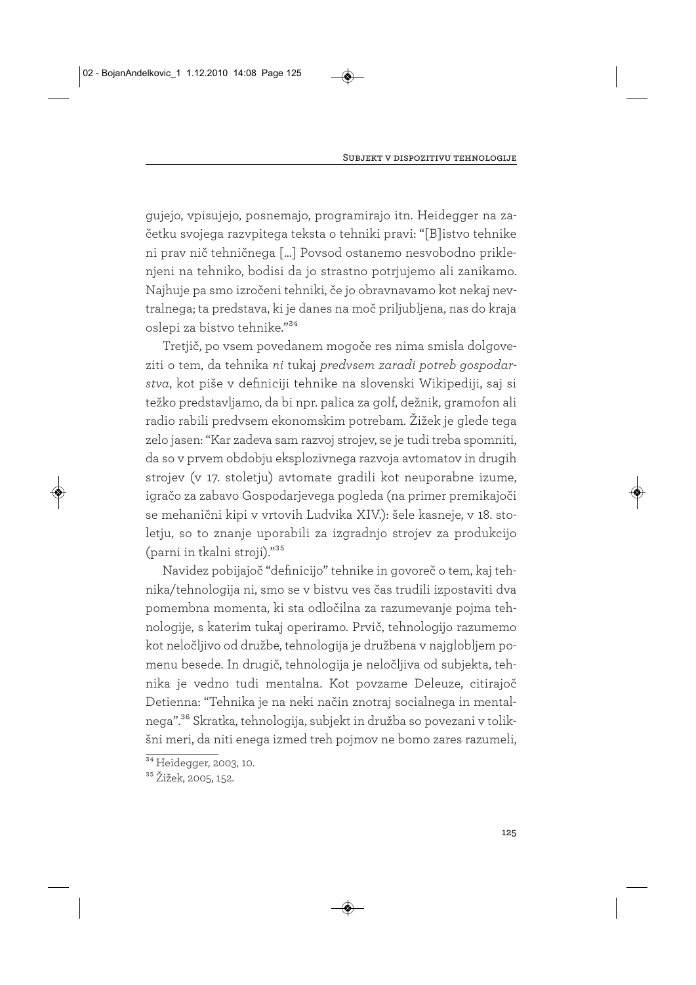gujejo, vpisujejo, posnemajo, programirajo itn. Heidegger na začetku svojega razvpitega teksta o tehniki pravi: "[B]istvo tehnike ni prav nič tehničnega […] Povsod ostanemo nesvobodno priklenjeni na tehniko, bodisi da jo strastno potrjujemo ali zanikamo. Najhuje pa smo izročeni tehniki, če jo obravnavamo kot nekaj nevtralnega; ta predstava, ki je danes na moč priljubljena, nas do kraja oslepi za bistvo tehnike."34

Tretjič, po vsem povedanem mogoče res nima smisla dolgoveziti o tem, da tehnika *ni* tukaj *predvsem zaradi potreb gospodarstva*, kot piše v definiciji tehnike na slovenski Wikipediji, saj si težko predstavljamo, da bi npr. palica za golf, dežnik, gramofon ali radio rabili predvsem ekonomskim potrebam. Žižek je glede tega zelo jasen: "Kar zadeva sam razvoj strojev, se je tudi treba spomniti, da so v prvem obdobju eksplozivnega razvoja avtomatov in drugih strojev (v 17. stoletju) avtomate gradili kot neuporabne izume, igračo za zabavo Gospodarjevega pogleda (na primer premikajoči se mehanični kipi v vrtovih Ludvika XIV.): šele kasneje, v 18. stoletju, so to znanje uporabili za izgradnjo strojev za produkcijo (parni in tkalni stroji)."35

Navidez pobijajoč "definicijo" tehnike in govoreč o tem, kaj tehnika/tehnologija ni, smo se v bistvu ves čas trudili izpostaviti dva pomembna momenta, ki sta odločilna za razumevanje pojma tehnologije, s katerim tukaj operiramo. Prvič, tehnologijo razumemo kot neločljivo od družbe, tehnologija je družbena v najglobljem pomenu besede. In drugič, tehnologija je neločljiva od subjekta, tehnika je vedno tudi mentalna. Kot povzame Deleuze, citirajoč Detienna: "Tehnika je na neki način znotraj socialnega in mentalnega".36 Skratka, tehnologija, subjekt in družba so povezani v tolikšni meri, da niti enega izmed treh pojmov ne bomo zares razumeli,

<sup>&</sup>lt;sup>34</sup> Heidegger, 2003, 10.

<sup>35</sup> Žižek, 2005, 152.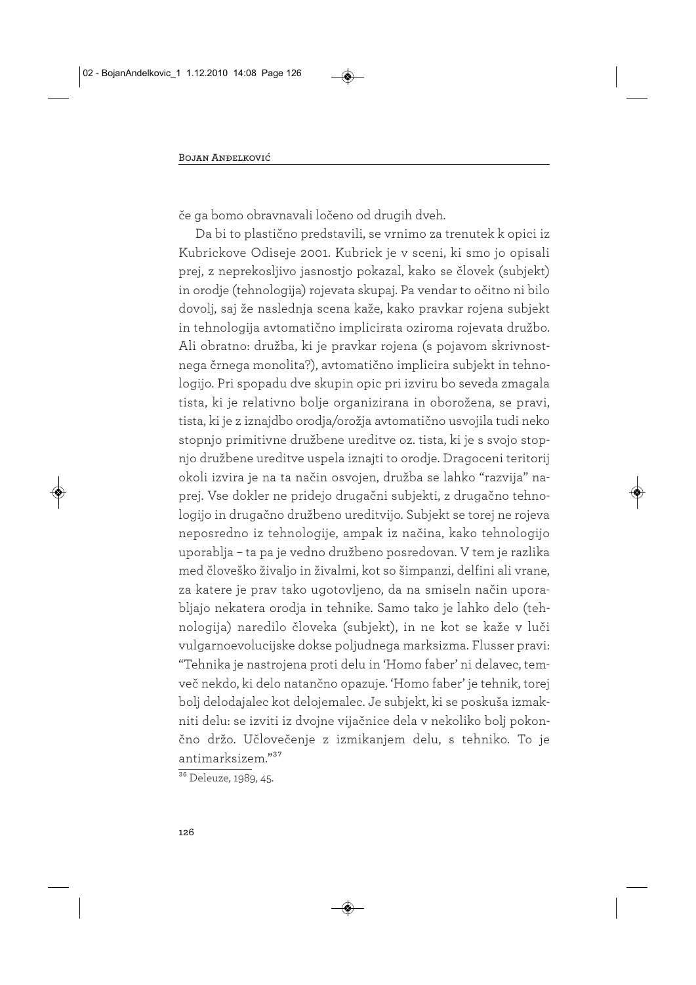če ga bomo obravnavali ločeno od drugih dveh.

Da bi to plastično predstavili, se vrnimo za trenutek k opici iz Kubrickove Odiseje 2001. Kubrick je v sceni, ki smo jo opisali prej, z neprekosljivo jasnostjo pokazal, kako se človek (subjekt) in orodje (tehnologija) rojevata skupaj. Pa vendar to očitno ni bilo dovolj, saj že naslednja scena kaže, kako pravkar rojena subjekt in tehnologija avtomatično implicirata oziroma rojevata družbo. Ali obratno: družba, ki je pravkar rojena (s pojavom skrivnostnega črnega monolita?), avtomatično implicira subjekt in tehnologijo. Pri spopadu dve skupin opic pri izviru bo seveda zmagala tista, ki je relativno bolje organizirana in oborožena, se pravi, tista, ki je z iznajdbo orodja/orožja avtomatično usvojila tudi neko stopnjo primitivne družbene ureditve oz. tista, ki je s svojo stopnjo družbene ureditve uspela iznajti to orodje. Dragoceni teritorij okoli izvira je na ta način osvojen, družba se lahko "razvija" naprej. Vse dokler ne pridejo drugačni subjekti, z drugačno tehnologijo in drugačno družbeno ureditvijo. Subjekt se torej ne rojeva neposredno iz tehnologije, ampak iz načina, kako tehnologijo uporablja – ta pa je vedno družbeno posredovan. V tem je razlika med človeško živaljo in živalmi, kot so šimpanzi, delfini ali vrane, za katere je prav tako ugotovljeno, da na smiseln način uporabljajo nekatera orodja in tehnike. Samo tako je lahko delo (tehnologija) naredilo človeka (subjekt), in ne kot se kaže v luči vulgarnoevolucijske dokse poljudnega marksizma. Flusser pravi: "Tehnika je nastrojena proti delu in 'Homo faber' ni delavec, temveč nekdo, ki delo natančno opazuje. 'Homo faber' je tehnik, torej bolj delodajalec kot delojemalec. Je subjekt, ki se poskuša izmakniti delu: se izviti iz dvojne vijačnice dela v nekoliko bolj pokončno držo. Učlovečenje z izmikanjem delu, s tehniko. To je antimarksizem."37

<sup>&</sup>lt;sup>36</sup> Deleuze, 1989, 45.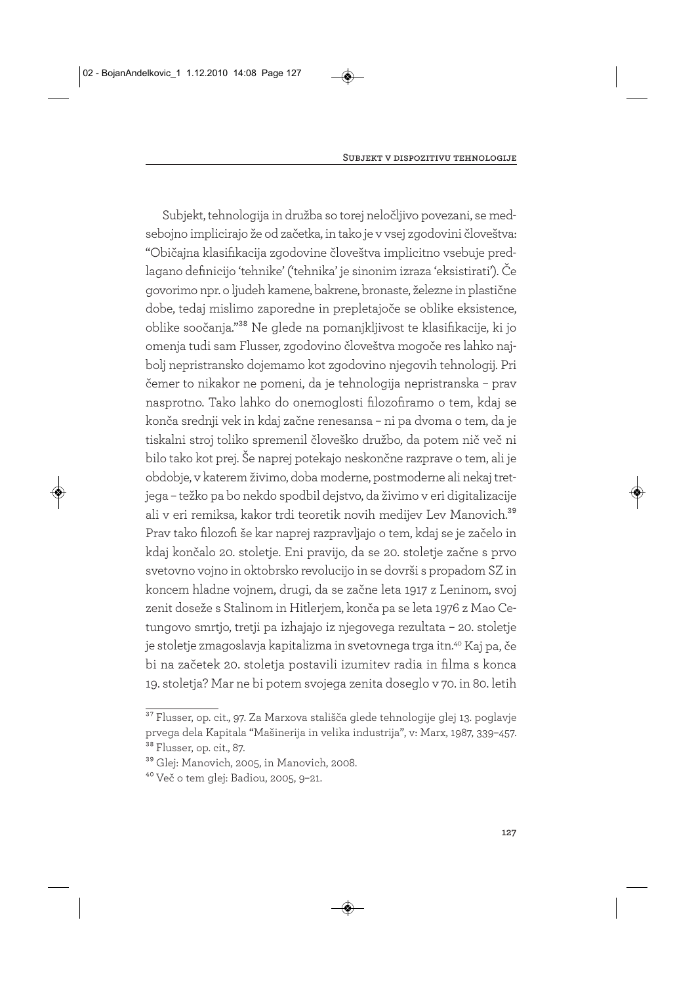Subjekt, tehnologija in družba so torej neločljivo povezani, se medsebojno implicirajo že od začetka, in tako je v vsej zgodovini človeštva: "Običajna klasifikacija zgodovine človeštva implicitno vsebuje predlagano definicijo 'tehnike' ('tehnika' je sinonim izraza 'eksistirati'). Če govorimo npr. o ljudeh kamene, bakrene, bronaste, železne in plastične dobe, tedaj mislimo zaporedne in prepletajoče se oblike eksistence, oblike soočanja."38 Ne glede na pomanjkljivost te klasifikacije, ki jo omenja tudi sam Flusser, zgodovino človeštva mogoče res lahko najbolj nepristransko dojemamo kot zgodovino njegovih tehnologij. Pri čemer to nikakor ne pomeni, da je tehnologija nepristranska – prav nasprotno. Tako lahko do onemoglosti filozofiramo o tem, kdaj se konča srednji vek in kdaj začne renesansa – ni pa dvoma o tem, da je tiskalni stroj toliko spremenil človeško družbo, da potem nič več ni bilo tako kot prej. Še naprej potekajo neskončne razprave o tem, ali je obdobje, v katerem živimo, doba moderne, postmoderne ali nekaj tretjega – težko pa bo nekdo spodbil dejstvo, da živimo v eri digitalizacije ali v eri remiksa, kakor trdi teoretik novih medijev Lev Manovich.<sup>39</sup> Prav tako filozofi še kar naprej razpravljajo o tem, kdaj se je začelo in kdaj končalo 20. stoletje. Eni pravijo, da se 20. stoletje začne s prvo svetovno vojno in oktobrsko revolucijo in se dovrši s propadom SZ in koncem hladne vojnem, drugi, da se začne leta 1917 z Leninom, svoj zenit doseže s Stalinom in Hitlerjem, konča pa se leta 1976 z Mao Cetungovo smrtjo, tretji pa izhajajo iz njegovega rezultata – 20. stoletje je stoletje zmagoslavja kapitalizma in svetovnega trga itn.40 Kaj pa, če bi na začetek 20. stoletja postavili izumitev radia in filma s konca 19. stoletja? Mar ne bi potem svojega zenita doseglo v 70. in 80. letih

<sup>37</sup> Flusser, op. cit., 97. Za Marxova stališča glede tehnologije glej 13. poglavje prvega dela Kapitala "Mašinerija in velika industrija", v: Marx, 1987, 339–457. <sup>38</sup> Flusser, op. cit., 87.

<sup>39</sup> Glej: Manovich, 2005, in Manovich, 2008.

<sup>40</sup> Več o tem glej: Badiou, 2005, 9–21.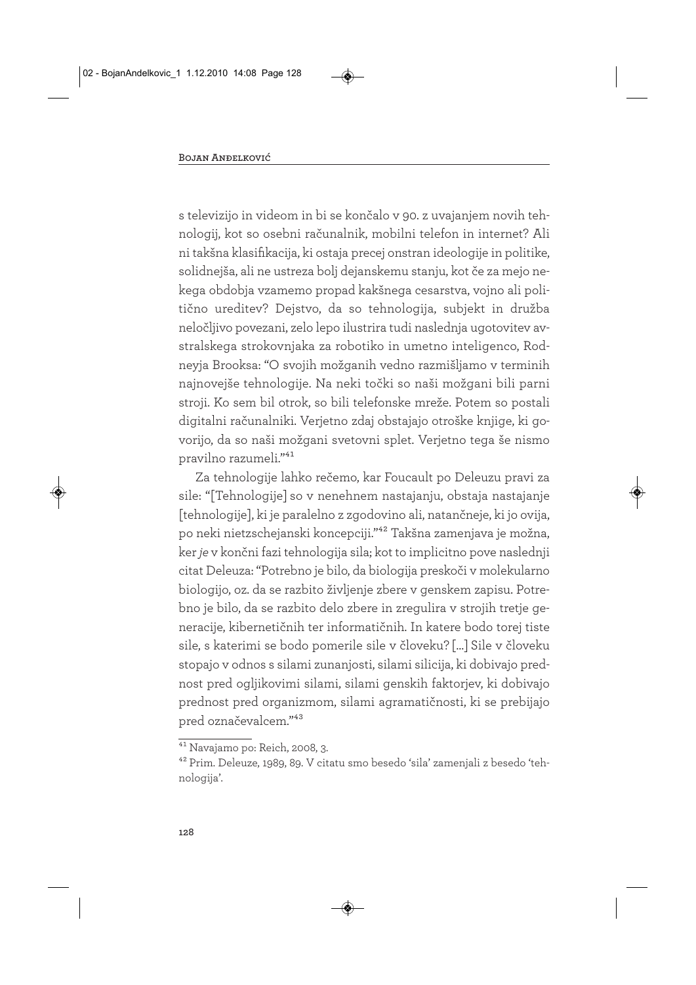s televizijo in videom in bi se končalo v 90. z uvajanjem novih tehnologij, kot so osebni računalnik, mobilni telefon in internet? Ali ni takšna klasifikacija, ki ostaja precej onstran ideologije in politike, solidnejša, ali ne ustreza bolj dejanskemu stanju, kot če za mejo nekega obdobja vzamemo propad kakšnega cesarstva, vojno ali politično ureditev? Dejstvo, da so tehnologija, subjekt in družba neločljivo povezani, zelo lepo ilustrira tudi naslednja ugotovitev avstralskega strokovnjaka za robotiko in umetno inteligenco, Rodneyja Brooksa: "O svojih možganih vedno razmišljamo v terminih najnovejše tehnologije. Na neki točki so naši možgani bili parni stroji. Ko sem bil otrok, so bili telefonske mreže. Potem so postali digitalni računalniki. Verjetno zdaj obstajajo otroške knjige, ki govorijo, da so naši možgani svetovni splet. Verjetno tega še nismo pravilno razumeli."41

Za tehnologije lahko rečemo, kar Foucault po Deleuzu pravi za sile: "[Tehnologije] so v nenehnem nastajanju, obstaja nastajanje [tehnologije], ki je paralelno z zgodovino ali, natančneje, ki jo ovija, po neki nietzschejanski koncepciji."42 Takšna zamenjava je možna, ker *je* v končni fazi tehnologija sila; kot to implicitno pove naslednji citat Deleuza: "Potrebno je bilo, da biologija preskoči v molekularno biologijo, oz. da se razbito življenje zbere v genskem zapisu. Potrebno je bilo, da se razbito delo zbere in zregulira v strojih tretje generacije, kibernetičnih ter informatičnih. In katere bodo torej tiste sile, s katerimi se bodo pomerile sile v človeku? […] Sile v človeku stopajo v odnos s silami zunanjosti, silami silicija, ki dobivajo prednost pred ogljikovimi silami, silami genskih faktorjev, ki dobivajo prednost pred organizmom, silami agramatičnosti, ki se prebijajo pred označevalcem."43

<sup>41</sup> Navajamo po: Reich, 2008, 3.

<sup>42</sup> Prim. Deleuze, 1989, 89. V citatu smo besedo 'sila' zamenjali z besedo 'tehnologija'.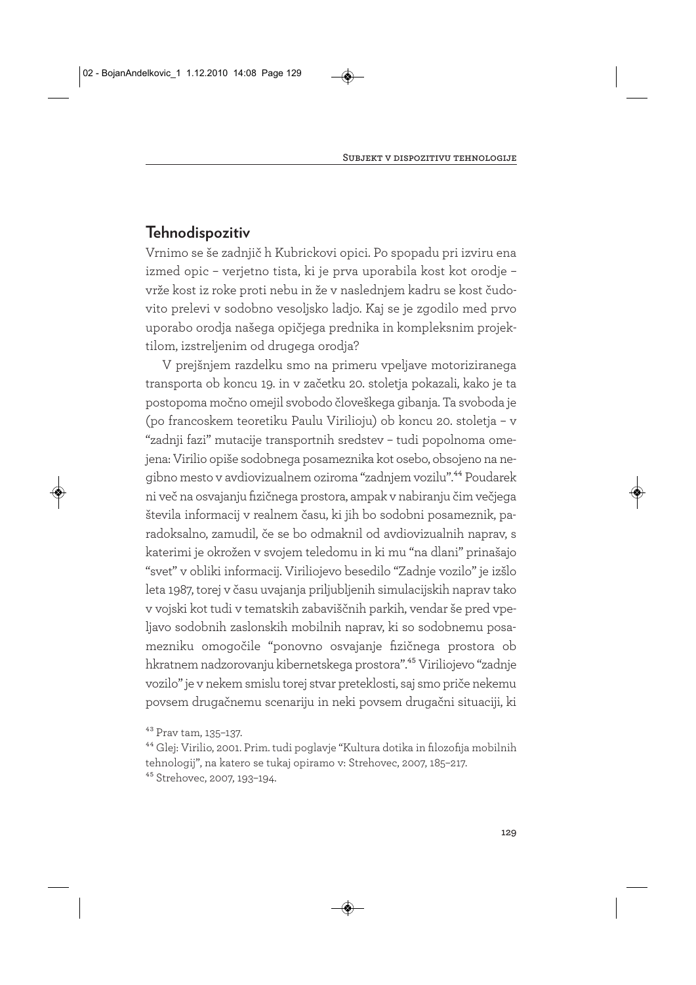#### **Tehnodispozitiv**

Vrnimo se še zadnjič h Kubrickovi opici. Po spopadu pri izviru ena izmed opic – verjetno tista, ki je prva uporabila kost kot orodje – vrže kost iz roke proti nebu in že v naslednjem kadru se kost čudovito prelevi v sodobno vesoljsko ladjo. Kaj se je zgodilo med prvo uporabo orodja našega opičjega prednika in kompleksnim projektilom, izstreljenim od drugega orodja?

V prejšnjem razdelku smo na primeru vpeljave motoriziranega transporta ob koncu 19. in v začetku 20. stoletja pokazali, kako je ta postopoma močno omejil svobodo človeškega gibanja. Ta svoboda je (po francoskem teoretiku Paulu Virilioju) ob koncu 20. stoletja – v "zadnji fazi" mutacije transportnih sredstev – tudi popolnoma omejena: Virilio opiše sodobnega posameznika kot osebo, obsojeno na negibno mesto v avdiovizualnem oziroma "zadnjem vozilu".44 Poudarek ni več na osvajanju fizičnega prostora, ampak v nabiranju čim večjega števila informacij v realnem času, ki jih bo sodobni posameznik, paradoksalno, zamudil, če se bo odmaknil od avdiovizualnih naprav, s katerimi je okrožen v svojem teledomu in ki mu "na dlani" prinašajo "svet" v obliki informacij. Viriliojevo besedilo "Zadnje vozilo" je izšlo leta 1987, torej v času uvajanja priljubljenih simulacijskih naprav tako v vojski kot tudi v tematskih zabaviščnih parkih, vendar še pred vpeljavo sodobnih zaslonskih mobilnih naprav, ki so sodobnemu posamezniku omogočile "ponovno osvajanje fizičnega prostora ob hkratnem nadzorovanju kibernetskega prostora".45 Viriliojevo "zadnje vozilo" je v nekem smislu torej stvar preteklosti, saj smo priče nekemu povsem drugačnemu scenariju in neki povsem drugačni situaciji, ki

<sup>43</sup> Prav tam, 135–137.

<sup>44</sup> Glej: Virilio, 2001. Prim. tudi poglavje "Kultura dotika in filozofija mobilnih tehnologij", na katero se tukaj opiramo v: Strehovec, 2007, 185–217. 45 Strehovec, 2007, 193–194.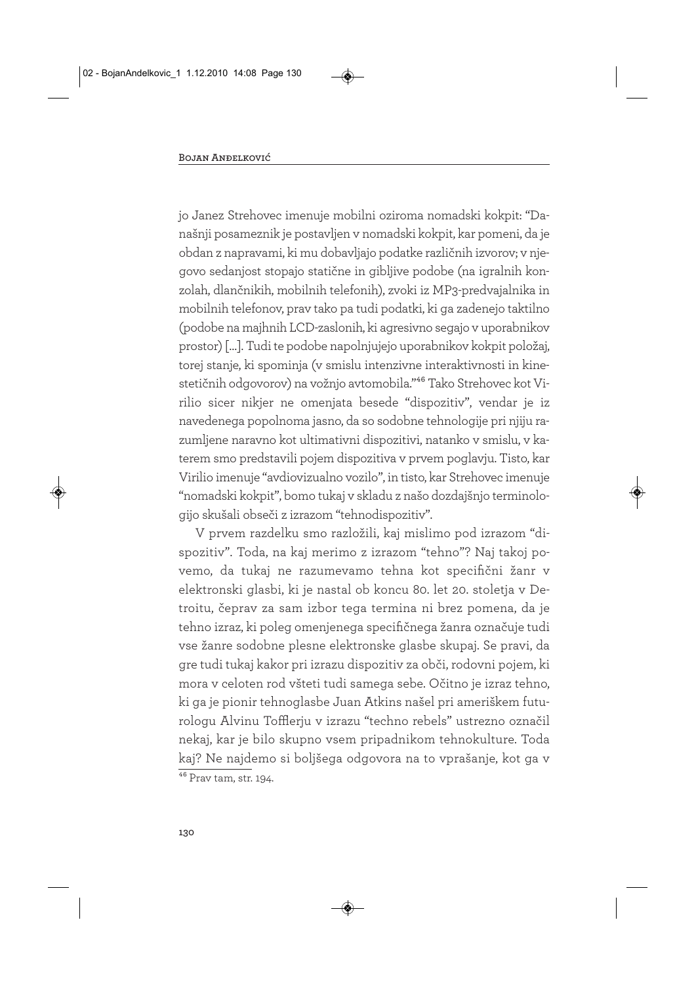jo Janez Strehovec imenuje mobilni oziroma nomadski kokpit: "Današnji posameznik je postavljen v nomadski kokpit, kar pomeni, da je obdan z napravami, ki mu dobavljajo podatke različnih izvorov; v njegovo sedanjost stopajo statične in gibljive podobe (na igralnih konzolah, dlančnikih, mobilnih telefonih), zvoki iz MP3-predvajalnika in mobilnih telefonov, prav tako pa tudi podatki, ki ga zadenejo taktilno (podobe na majhnih LCD-zaslonih, ki agresivno segajo v uporabnikov prostor) […]. Tudi te podobe napolnjujejo uporabnikov kokpit položaj, torej stanje, ki spominja (v smislu intenzivne interaktivnosti in kinestetičnih odgovorov) na vožnjo avtomobila."46 Tako Strehovec kot Virilio sicer nikjer ne omenjata besede "dispozitiv", vendar je iz navedenega popolnoma jasno, da so sodobne tehnologije pri njiju razumljene naravno kot ultimativni dispozitivi, natanko v smislu, v katerem smo predstavili pojem dispozitiva v prvem poglavju. Tisto, kar Virilio imenuje "avdiovizualno vozilo", in tisto, kar Strehovec imenuje "nomadski kokpit", bomo tukaj v skladu z našo dozdajšnjo terminologijo skušali obseči z izrazom "tehnodispozitiv".

V prvem razdelku smo razložili, kaj mislimo pod izrazom "dispozitiv". Toda, na kaj merimo z izrazom "tehno"? Naj takoj povemo, da tukaj ne razumevamo tehna kot specifični žanr v elektronski glasbi, ki je nastal ob koncu 80. let 20. stoletja v Detroitu, čeprav za sam izbor tega termina ni brez pomena, da je tehno izraz, ki poleg omenjenega specifičnega žanra označuje tudi vse žanre sodobne plesne elektronske glasbe skupaj. Se pravi, da gre tudi tukaj kakor pri izrazu dispozitiv za obči, rodovni pojem, ki mora v celoten rod všteti tudi samega sebe. Očitno je izraz tehno, ki ga je pionir tehnoglasbe Juan Atkins našel pri ameriškem futurologu Alvinu Tofflerju v izrazu "techno rebels" ustrezno označil nekaj, kar je bilo skupno vsem pripadnikom tehnokulture. Toda kaj? Ne najdemo si boljšega odgovora na to vprašanje, kot ga v  $\frac{46}{46}$  Prav tam, str. 194.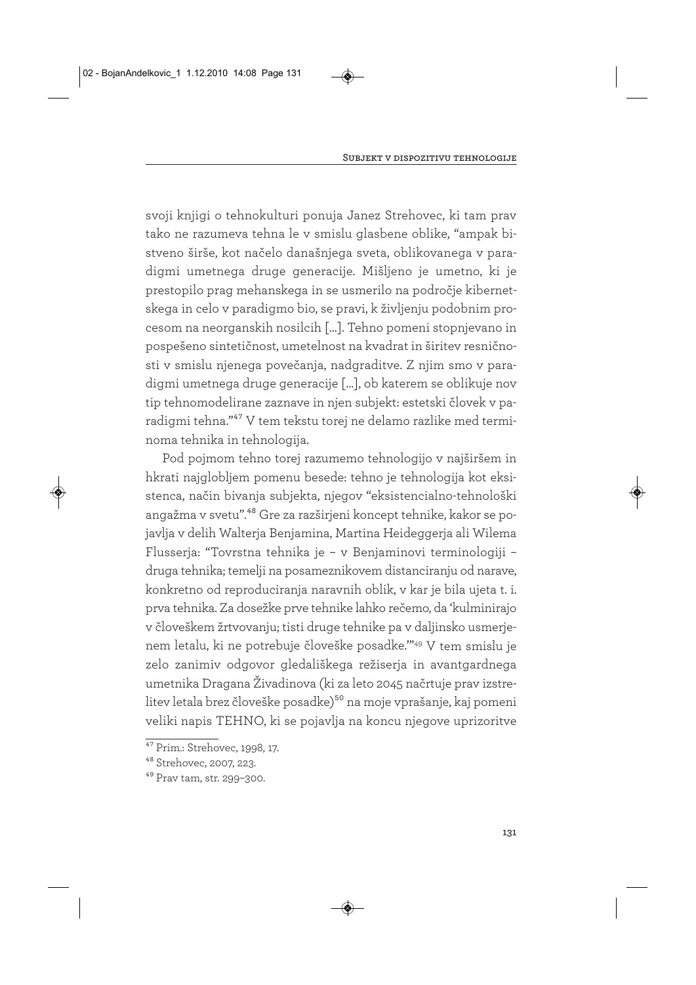svoji knjigi o tehnokulturi ponuja Janez Strehovec, ki tam prav tako ne razumeva tehna le v smislu glasbene oblike, "ampak bistveno širše, kot načelo današnjega sveta, oblikovanega v paradigmi umetnega druge generacije. Mišljeno je umetno, ki je prestopilo prag mehanskega in se usmerilo na področje kibernetskega in celo v paradigmo bio, se pravi, k življenju podobnim procesom na neorganskih nosilcih […]. Tehno pomeni stopnjevano in pospešeno sintetičnost, umetelnost na kvadrat in širitev resničnosti v smislu njenega povečanja, nadgraditve. Z njim smo v paradigmi umetnega druge generacije […], ob katerem se oblikuje nov tip tehnomodelirane zaznave in njen subjekt: estetski človek v paradigmi tehna."47 V tem tekstu torej ne delamo razlike med terminoma tehnika in tehnologija.

Pod pojmom tehno torej razumemo tehnologijo v najširšem in hkrati najglobljem pomenu besede: tehno je tehnologija kot eksistenca, način bivanja subjekta, njegov "eksistencialno-tehnološki angažma v svetu".48 Gre za razširjeni koncept tehnike, kakor se pojavlja v delih Walterja Benjamina, Martina Heideggerja ali Wilema Flusserja: "Tovrstna tehnika je – v Benjaminovi terminologiji – druga tehnika; temelji na posameznikovem distanciranju od narave, konkretno od reproduciranja naravnih oblik, v kar je bila ujeta t. i. prva tehnika. Za dosežke prve tehnike lahko rečemo, da 'kulminirajo v človeškem žrtvovanju; tisti druge tehnike pa v daljinsko usmerjenem letalu, ki ne potrebuje človeške posadke.'"49 V tem smislu je zelo zanimiv odgovor gledališkega režiserja in avantgardnega umetnika Dragana Živadinova (ki za leto 2045 načrtuje prav izstrelitev letala brez človeške posadke)<sup>50</sup> na moje vprašanje, kaj pomeni veliki napis TEHNO, ki se pojavlja na koncu njegove uprizoritve

<sup>47</sup> Prim.: Strehovec, 1998, 17.

<sup>48</sup> Strehovec, 2007, 223.

<sup>49</sup> Prav tam, str. 299–300.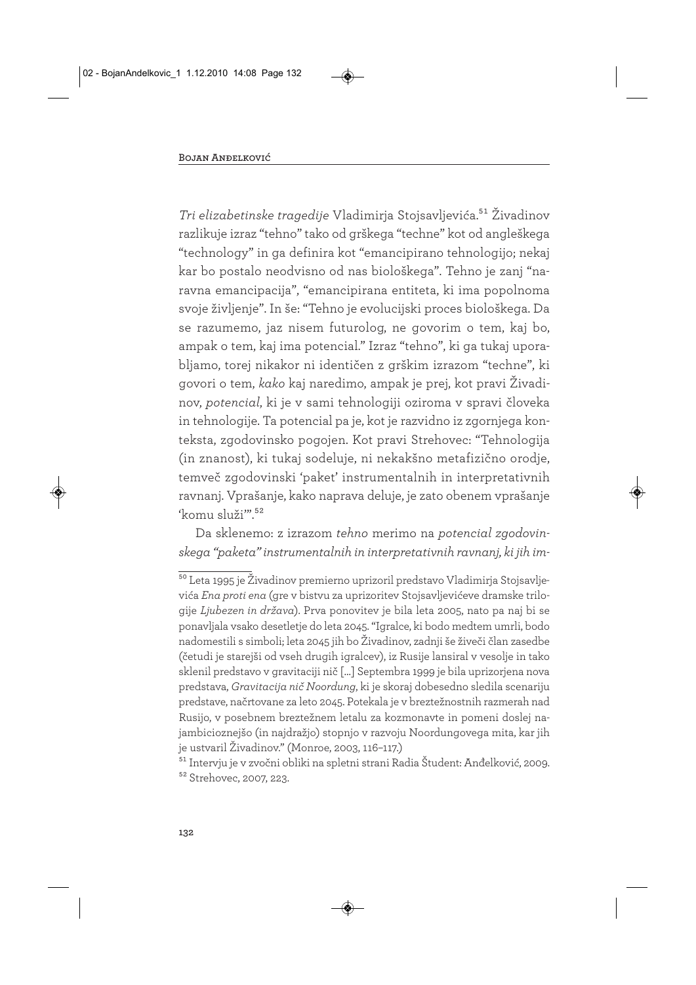*Tri elizabetinske tragedije* Vladimirja Stojsavljevića.51 Živadinov razlikuje izraz "tehno" tako od grškega "techne" kot od angleškega "technology" in ga definira kot "emancipirano tehnologijo; nekaj kar bo postalo neodvisno od nas biološkega". Tehno je zanj "naravna emancipacija", "emancipirana entiteta, ki ima popolnoma svoje življenje". In še: "Tehno je evolucijski proces biološkega. Da se razumemo, jaz nisem futurolog, ne govorim o tem, kaj bo, ampak o tem, kaj ima potencial." Izraz "tehno", ki ga tukaj uporabljamo, torej nikakor ni identičen z grškim izrazom "techne", ki govori o tem, *kako* kaj naredimo, ampak je prej, kot pravi Živadinov, *potencial*, ki je v sami tehnologiji oziroma v spravi človeka in tehnologije. Ta potencial pa je, kot je razvidno iz zgornjega konteksta, zgodovinsko pogojen. Kot pravi Strehovec: "Tehnologija (in znanost), ki tukaj sodeluje, ni nekakšno metafizično orodje, temveč zgodovinski 'paket' instrumentalnih in interpretativnih ravnanj. Vprašanje, kako naprava deluje, je zato obenem vprašanje 'komu služi'".<sup>52</sup>

Da sklenemo: z izrazom *tehno* merimo na *potencial zgodovinskega "paketa" instrumentalnih in interpretativnih ravnanj, ki jih im-*

<sup>50</sup> Leta 1995 je Živadinov premierno uprizoril predstavo Vladimirja Stojsavljevića *Ena proti ena* (gre v bistvu za uprizoritev Stojsavljevićeve dramske trilogije *Ljubezen in država*). Prva ponovitev je bila leta 2005, nato pa naj bi se ponavljala vsako desetletje do leta 2045. "Igralce, ki bodo medtem umrli, bodo nadomestili s simboli; leta 2045 jih bo Živadinov, zadnji še živeči član zasedbe (četudi je starejši od vseh drugih igralcev), iz Rusije lansiral v vesolje in tako sklenil predstavo v gravitaciji nič […] Septembra 1999 je bila uprizorjena nova predstava, *Gravitacija nič Noordung*, ki je skoraj dobesedno sledila scenariju predstave, načrtovane za leto 2045. Potekala je v breztežnostnih razmerah nad Rusijo, v posebnem breztežnem letalu za kozmonavte in pomeni doslej najambicioznejšo (in najdražjo) stopnjo v razvoju Noordungovega mita, kar jih je ustvaril Živadinov." (Monroe, 2003, 116–117.)

<sup>51</sup> Intervju je v zvočni obliki na spletni strani Radia Študent: Anđelković, 2009. 52 Strehovec, 2007, 223.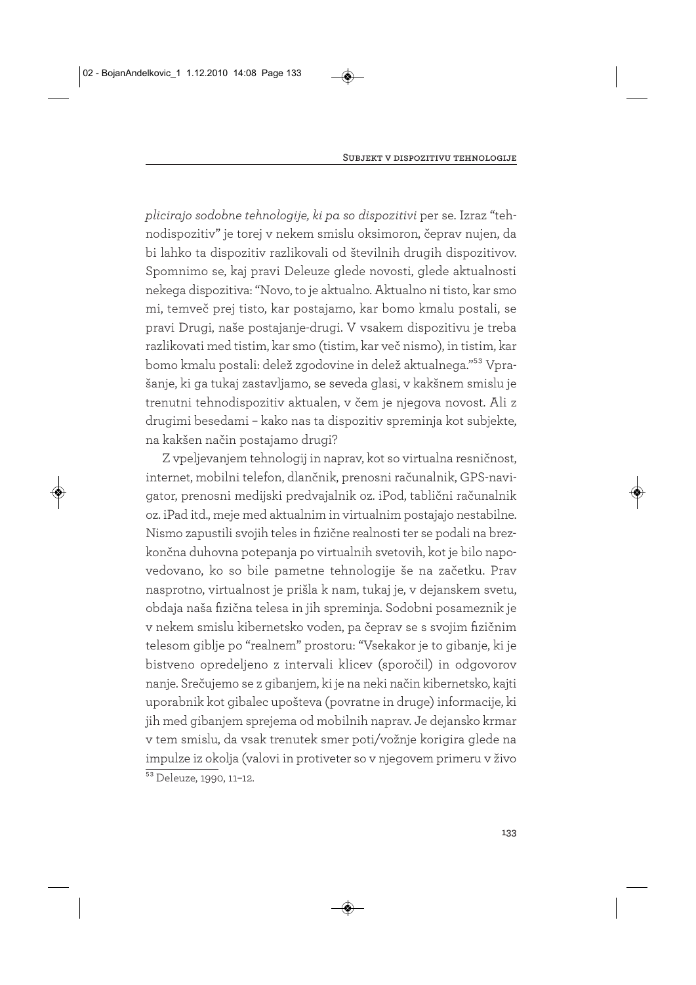*plicirajo sodobne tehnologije, ki pa so dispozitivi* per se. Izraz "tehnodispozitiv" je torej v nekem smislu oksimoron, čeprav nujen, da bi lahko ta dispozitiv razlikovali od številnih drugih dispozitivov. Spomnimo se, kaj pravi Deleuze glede novosti, glede aktualnosti nekega dispozitiva: "Novo, to je aktualno. Aktualno ni tisto, kar smo mi, temveč prej tisto, kar postajamo, kar bomo kmalu postali, se pravi Drugi, naše postajanje-drugi. V vsakem dispozitivu je treba razlikovati med tistim, kar smo (tistim, kar več nismo), in tistim, kar bomo kmalu postali: delež zgodovine in delež aktualnega."53 Vprašanje, ki ga tukaj zastavljamo, se seveda glasi, v kakšnem smislu je trenutni tehnodispozitiv aktualen, v čem je njegova novost. Ali z drugimi besedami – kako nas ta dispozitiv spreminja kot subjekte, na kakšen način postajamo drugi?

Z vpeljevanjem tehnologij in naprav, kot so virtualna resničnost, internet, mobilni telefon, dlančnik, prenosni računalnik, GPS-navigator, prenosni medijski predvajalnik oz. iPod, tablični računalnik oz. iPad itd., meje med aktualnim in virtualnim postajajo nestabilne. Nismo zapustili svojih teles in fizične realnosti ter se podali na brezkončna duhovna potepanja po virtualnih svetovih, kot je bilo napovedovano, ko so bile pametne tehnologije še na začetku. Prav nasprotno, virtualnost je prišla k nam, tukaj je, v dejanskem svetu, obdaja naša fizična telesa in jih spreminja. Sodobni posameznik je v nekem smislu kibernetsko voden, pa čeprav se s svojim fizičnim telesom giblje po "realnem" prostoru: "Vsekakor je to gibanje, ki je bistveno opredeljeno z intervali klicev (sporočil) in odgovorov nanje. Srečujemo se z gibanjem, ki je na neki način kibernetsko, kajti uporabnik kot gibalec upošteva (povratne in druge) informacije, ki jih med gibanjem sprejema od mobilnih naprav. Je dejansko krmar v tem smislu, da vsak trenutek smer poti/vožnje korigira glede na impulze iz okolja (valovi in protiveter so v njegovem primeru v živo <sup>53</sup> Deleuze, 1990, 11-12.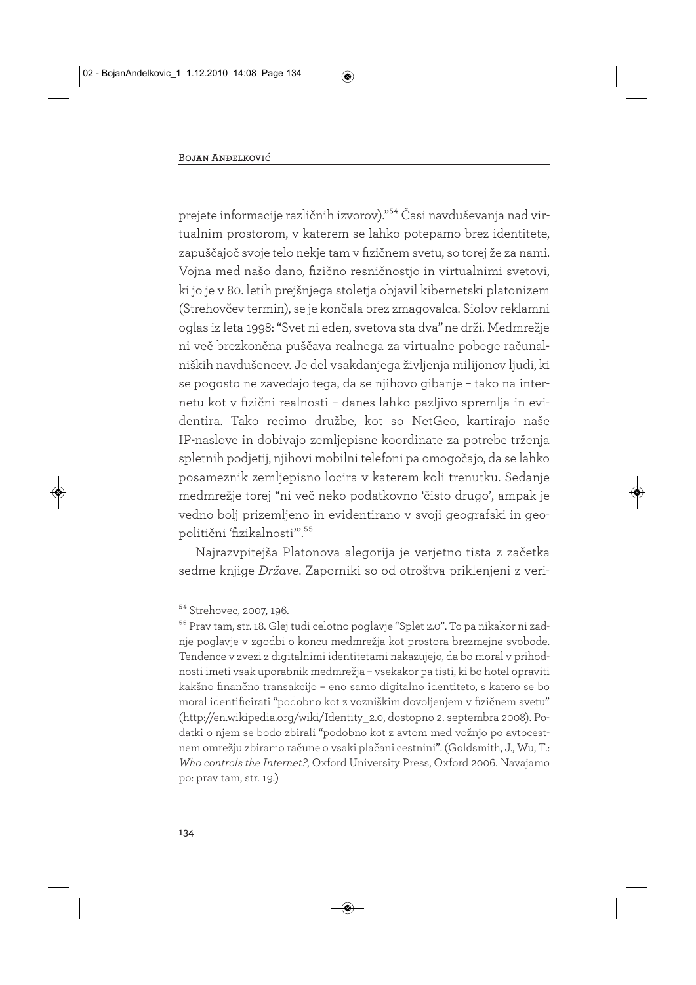prejete informacije različnih izvorov)."54 Časi navduševanja nad virtualnim prostorom, v katerem se lahko potepamo brez identitete, zapuščajoč svoje telo nekje tam v fizičnem svetu, so torej že za nami. Vojna med našo dano, fizično resničnostjo in virtualnimi svetovi, ki jo je v 80. letih prejšnjega stoletja objavil kibernetski platonizem (Strehovčev termin), se je končala brez zmagovalca. Siolov reklamni oglas iz leta 1998: "Svet ni eden, svetova sta dva"ne drži. Medmrežje ni več brezkončna puščava realnega za virtualne pobege računalniških navdušencev. Je del vsakdanjega življenja milijonov ljudi, ki se pogosto ne zavedajo tega, da se njihovo gibanje – tako na internetu kot v fizični realnosti – danes lahko pazljivo spremlja in evidentira. Tako recimo družbe, kot so NetGeo, kartirajo naše IP-naslove in dobivajo zemljepisne koordinate za potrebe trženja spletnih podjetij, njihovi mobilni telefoni pa omogočajo, da se lahko posameznik zemljepisno locira v katerem koli trenutku. Sedanje medmrežje torej "ni več neko podatkovno 'čisto drugo', ampak je vedno bolj prizemljeno in evidentirano v svoji geografski in geopolitični 'fizikalnosti".<sup>55</sup>

Najrazvpitejša Platonova alegorija je verjetno tista z začetka sedme knjige *Države*. Zaporniki so od otroštva priklenjeni z veri-

<sup>&</sup>lt;sup>54</sup> Strehovec, 2007, 196.

<sup>55</sup> Prav tam, str. 18. Glej tudi celotno poglavje "Splet 2.0". To pa nikakor ni zadnje poglavje v zgodbi o koncu medmrežja kot prostora brezmejne svobode. Tendence v zvezi z digitalnimi identitetami nakazujejo, da bo moral v prihodnosti imeti vsak uporabnik medmrežja – vsekakor pa tisti, ki bo hotel opraviti kakšno finančno transakcijo – eno samo digitalno identiteto, s katero se bo moral identificirati "podobno kot z vozniškim dovoljenjem v fizičnem svetu" (http://en.wikipedia.org/wiki/Identity\_2.0, dostopno 2. septembra 2008). Podatki o njem se bodo zbirali "podobno kot z avtom med vožnjo po avtocestnem omrežju zbiramo račune o vsaki plačani cestnini". (Goldsmith, J., Wu, T.: *Who controls the Internet?*, Oxford University Press, Oxford 2006. Navajamo po: prav tam, str. 19.)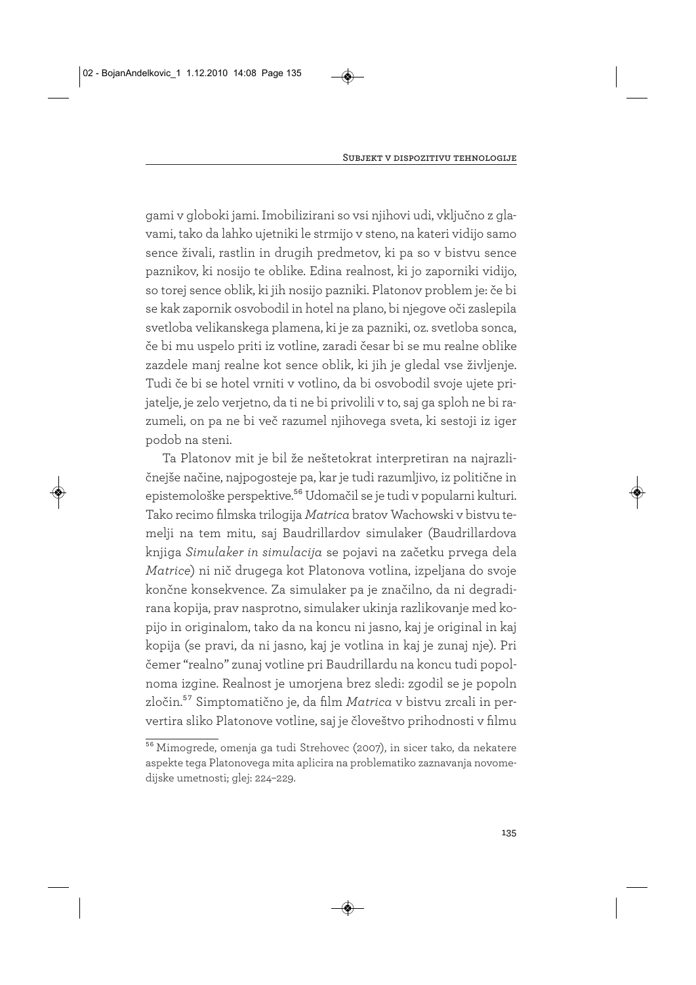gami v globoki jami. Imobilizirani so vsi njihovi udi, vključno z glavami, tako da lahko ujetniki le strmijo v steno, na kateri vidijo samo sence živali, rastlin in drugih predmetov, ki pa so v bistvu sence paznikov, ki nosijo te oblike. Edina realnost, ki jo zaporniki vidijo, so torej sence oblik, ki jih nosijo pazniki. Platonov problem je: če bi se kak zapornik osvobodil in hotel na plano, bi njegove oči zaslepila svetloba velikanskega plamena, ki je za pazniki, oz. svetloba sonca, če bi mu uspelo priti iz votline, zaradi česar bi se mu realne oblike zazdele manj realne kot sence oblik, ki jih je gledal vse življenje. Tudi če bi se hotel vrniti v votlino, da bi osvobodil svoje ujete prijatelje, je zelo verjetno, da ti ne bi privolili v to, saj ga sploh ne bi razumeli, on pa ne bi več razumel njihovega sveta, ki sestoji iz iger podob na steni.

Ta Platonov mit je bil že neštetokrat interpretiran na najrazličnejše načine, najpogosteje pa, kar je tudi razumljivo, iz politične in epistemološke perspektive.<sup>56</sup> Udomačil se je tudi v popularni kulturi. Tako recimo filmska trilogija *Matrica* bratov Wachowski v bistvu temelji na tem mitu, saj Baudrillardov simulaker (Baudrillardova knjiga *Simulaker in simulacija* se pojavi na začetku prvega dela *Matrice*) ni nič drugega kot Platonova votlina, izpeljana do svoje končne konsekvence. Za simulaker pa je značilno, da ni degradirana kopija, prav nasprotno, simulaker ukinja razlikovanje med kopijo in originalom, tako da na koncu ni jasno, kaj je original in kaj kopija (se pravi, da ni jasno, kaj je votlina in kaj je zunaj nje). Pri čemer "realno" zunaj votline pri Baudrillardu na koncu tudi popolnoma izgine. Realnost je umorjena brez sledi: zgodil se je popoln zločin.57 Simptomatično je, da film *Matrica* v bistvu zrcali in pervertira sliko Platonove votline, saj je človeštvo prihodnosti v filmu

<sup>&</sup>lt;sup>56</sup> Mimogrede, omenja ga tudi Strehovec (2007), in sicer tako, da nekatere aspekte tega Platonovega mita aplicira na problematiko zaznavanja novomedijske umetnosti; glej: 224–229.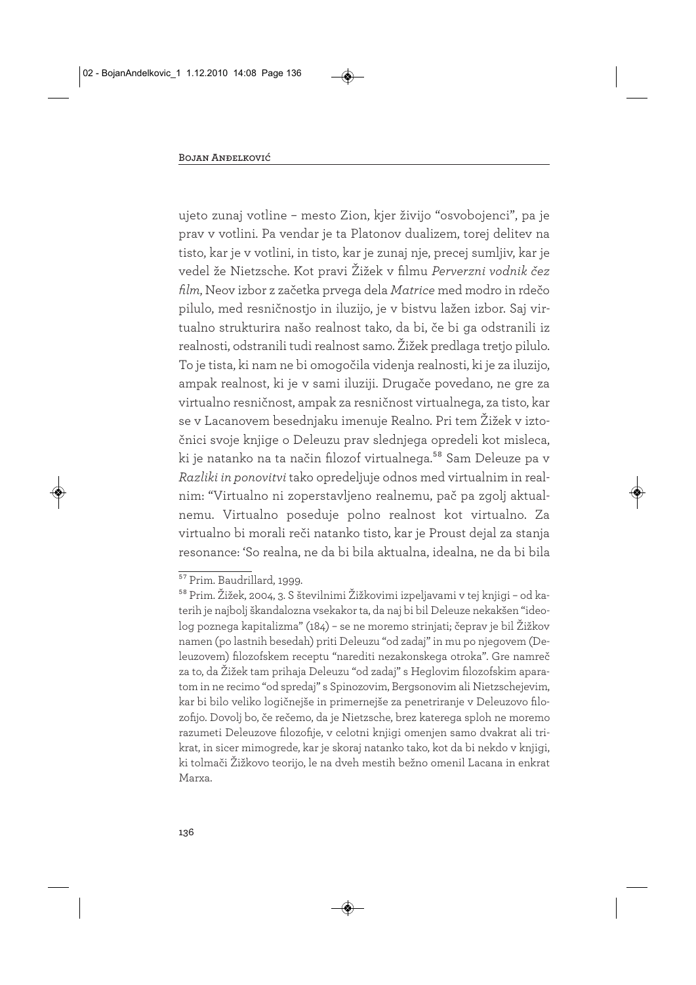ujeto zunaj votline – mesto Zion, kjer živijo "osvobojenci", pa je prav v votlini. Pa vendar je ta Platonov dualizem, torej delitev na tisto, kar je v votlini, in tisto, kar je zunaj nje, precej sumljiv, kar je vedel že Nietzsche. Kot pravi Žižek v filmu *Perverzni vodnik čez film*, Neov izbor z začetka prvega dela *Matrice* med modro in rdečo pilulo, med resničnostjo in iluzijo, je v bistvu lažen izbor. Saj virtualno strukturira našo realnost tako, da bi, če bi ga odstranili iz realnosti, odstranili tudi realnost samo. Žižek predlaga tretjo pilulo. To je tista, ki nam ne bi omogočila videnja realnosti, ki je za iluzijo, ampak realnost, ki je v sami iluziji. Drugače povedano, ne gre za virtualno resničnost, ampak za resničnost virtualnega, za tisto, kar se v Lacanovem besednjaku imenuje Realno. Pri tem Žižek v iztočnici svoje knjige o Deleuzu prav slednjega opredeli kot misleca, ki je natanko na ta način filozof virtualnega.<sup>58</sup> Sam Deleuze pa v *Razliki in ponovitvi* tako opredeljuje odnos med virtualnim in realnim: "Virtualno ni zoperstavljeno realnemu, pač pa zgolj aktualnemu. Virtualno poseduje polno realnost kot virtualno. Za virtualno bi morali reči natanko tisto, kar je Proust dejal za stanja resonance: 'So realna, ne da bi bila aktualna, idealna, ne da bi bila

<sup>57</sup> Prim. Baudrillard, 1999.

<sup>58</sup> Prim. Žižek, 2004, 3. S številnimi Žižkovimi izpeljavami v tej knjigi – od katerih je najbolj škandalozna vsekakor ta, da naj bi bil Deleuze nekakšen "ideolog poznega kapitalizma" (184) – se ne moremo strinjati; čeprav je bil Žižkov namen (po lastnih besedah) priti Deleuzu "od zadaj" in mu po njegovem (Deleuzovem) filozofskem receptu "narediti nezakonskega otroka". Gre namreč za to, da Žižek tam prihaja Deleuzu "od zadaj" s Heglovim filozofskim aparatom in ne recimo "od spredaj" s Spinozovim, Bergsonovim ali Nietzschejevim, kar bi bilo veliko logičnejše in primernejše za penetriranje v Deleuzovo filozofijo. Dovolj bo, če rečemo, da je Nietzsche, brez katerega sploh ne moremo razumeti Deleuzove filozofije, v celotni knjigi omenjen samo dvakrat ali trikrat, in sicer mimogrede, kar je skoraj natanko tako, kot da bi nekdo v knjigi, ki tolmači Žižkovo teorijo, le na dveh mestih bežno omenil Lacana in enkrat Marxa.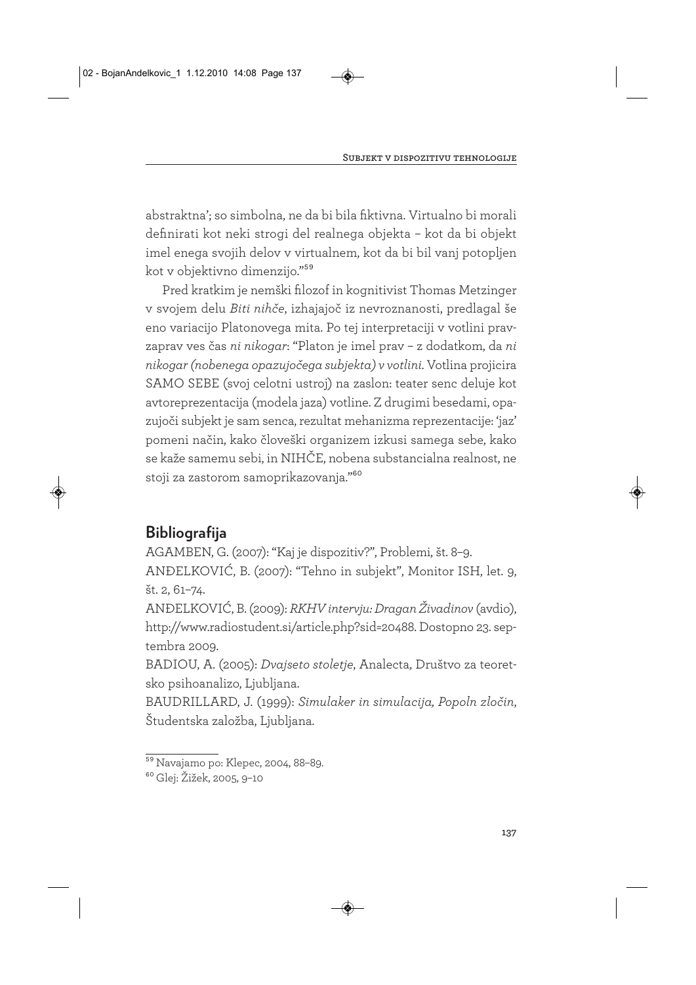abstraktna'; so simbolna, ne da bi bila fiktivna. Virtualno bi morali definirati kot neki strogi del realnega objekta – kot da bi objekt imel enega svojih delov v virtualnem, kot da bi bil vanj potopljen kot v objektivno dimenzijo."59

Pred kratkim je nemški filozof in kognitivist Thomas Metzinger v svojem delu *Biti nihče*, izhajajoč iz nevroznanosti, predlagal še eno variacijo Platonovega mita. Po tej interpretaciji v votlini pravzaprav ves čas *ni nikogar*: "Platon je imel prav – z dodatkom, da *ni nikogar (nobenega opazujočega subjekta) v votlini*. Votlina projicira SAMO SEBE (svoj celotni ustroj) na zaslon: teater senc deluje kot avtoreprezentacija (modela jaza) votline. Z drugimi besedami, opazujoči subjekt je sam senca, rezultat mehanizma reprezentacije: 'jaz' pomeni način, kako človeški organizem izkusi samega sebe, kako se kaže samemu sebi, in NIHČE, nobena substancialna realnost, ne stoji za zastorom samoprikazovanja."60

# **Bibliografija**

AGAMBEN, G. (2007): "Kaj je dispozitiv?", Problemi, št. 8–9.

ANĐELKOVIĆ, B. (2007): "Tehno in subjekt", Monitor ISH, let. 9, št. 2, 61–74.

ANĐELKOVIĆ, B. (2009): *RKHV intervju: Dragan Živadinov* (avdio), http://www.radiostudent.si/article.php?sid=20488. Dostopno 23. septembra 2009.

BADIOU, A. (2005): *Dvajseto stoletje*, Analecta, Društvo za teoretsko psihoanalizo, Ljubljana.

BAUDRILLARD, J. (1999): *Simulaker in simulacija, Popoln zločin*, Študentska založba, Ljubljana.

<sup>59</sup> Navajamo po: Klepec, 2004, 88–89.

<sup>60</sup> Glej: Žižek, 2005, 9–10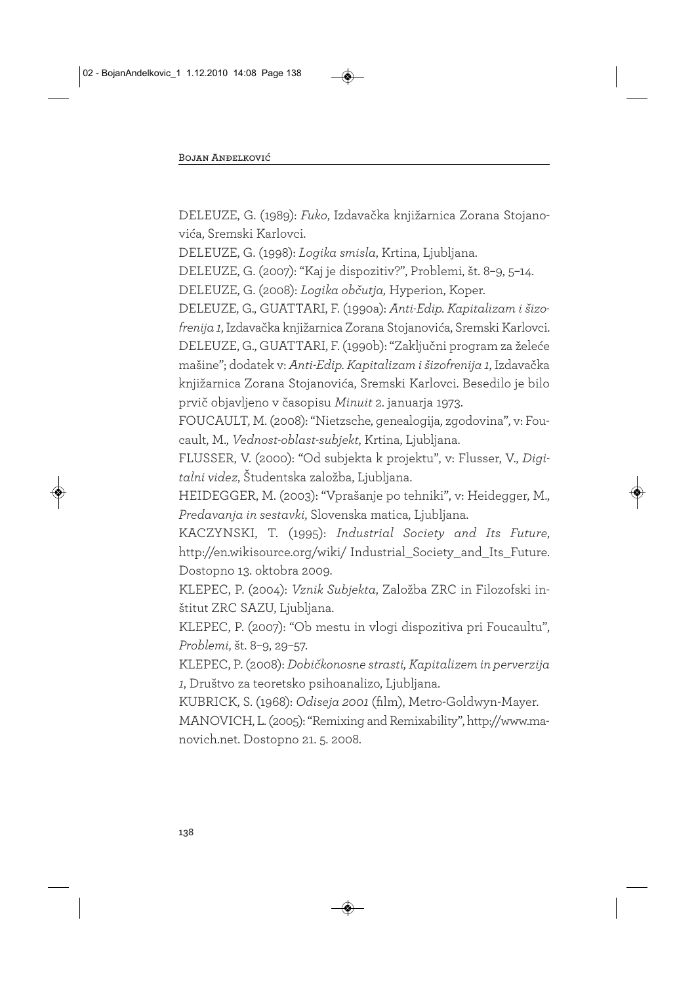DELEUZE, G. (1989): *Fuko*, Izdavačka knjižarnica Zorana Stojanovića, Sremski Karlovci.

DELEUZE, G. (1998): *Logika smisla*, Krtina, Ljubljana.

DELEUZE, G. (2007): "Kaj je dispozitiv?", Problemi, št. 8–9, 5–14.

DELEUZE, G. (2008): *Logika občutja,* Hyperion, Koper.

DELEUZE, G., GUATTARI, F. (1990a): *Anti-Edip. Kapitalizam i šizofrenija 1*, Izdavačka knjižarnica Zorana Stojanovića, Sremski Karlovci. DELEUZE, G., GUATTARI, F. (1990b): "Zaključni program za želeće mašine"; dodatek v: *Anti-Edip. Kapitalizam i šizofrenija 1*, Izdavačka knjižarnica Zorana Stojanovića, Sremski Karlovci. Besedilo je bilo prvič objavljeno v časopisu *Minuit* 2. januarja 1973.

FOUCAULT, M. (2008): "Nietzsche, genealogija, zgodovina", v: Foucault, M., *Vednost-oblast-subjekt*, Krtina, Ljubljana.

FLUSSER, V. (2000): "Od subjekta k projektu", v: Flusser, V., *Digitalni videz*, Študentska založba, Ljubljana.

HEIDEGGER, M. (2003): "Vprašanje po tehniki", v: Heidegger, M., *Predavanja in sestavki*, Slovenska matica, Ljubljana.

KACZYNSKI, T. (1995): *Industrial Society and Its Future*, http://en.wikisource.org/wiki/ Industrial\_Society\_and\_Its\_Future. Dostopno 13. oktobra 2009.

KLEPEC, P. (2004): *Vznik Subjekta*, Založba ZRC in Filozofski inštitut ZRC SAZU, Ljubljana.

KLEPEC, P. (2007): "Ob mestu in vlogi dispozitiva pri Foucaultu", *Problemi*, št. 8–9, 29–57.

KLEPEC, P. (2008): *Dobičkonosne strasti, Kapitalizem in perverzija 1*, Društvo za teoretsko psihoanalizo, Ljubljana.

KUBRICK, S. (1968): *Odiseja 2001* (film), Metro-Goldwyn-Mayer.

MANOVICH, L. (2005): "Remixing and Remixability", http://www.ma novich.net. Dostopno 21. 5. 2008.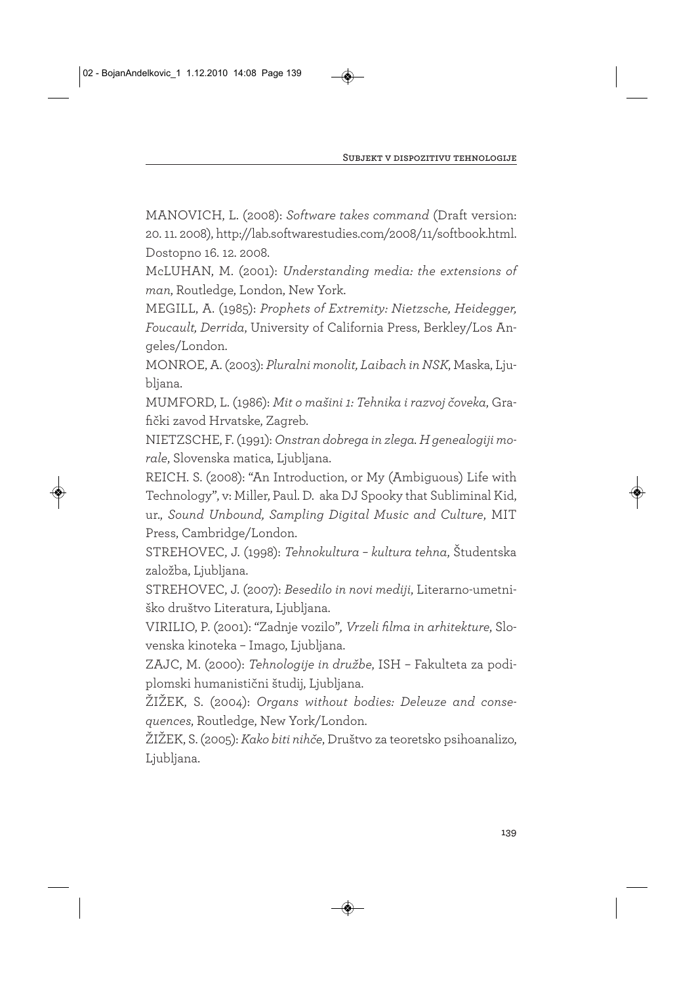MANOVICH, L. (2008): *Software takes command* (Draft version: 20. 11. 2008), http://lab.softwarestudies.com/2008/11/softbook.html. Dostopno 16. 12. 2008.

McLUHAN, M. (2001): *Understanding media: the extensions of man*, Routledge, London, New York.

MEGILL, A. (1985): *Prophets of Extremity: Nietzsche, Heidegger, Foucault, Derrida*, University of California Press, Berkley/Los Angeles/London.

MONROE, A. (2003): *Pluralni monolit, Laibach in NSK*, Maska, Ljubljana.

MUMFORD, L. (1986): *Mit o mašini 1: Tehnika i razvoj čoveka*, Grafički zavod Hrvatske, Zagreb.

NIETZSCHE, F. (1991): *Onstran dobrega in zlega. H genealogiji morale*, Slovenska matica, Ljubljana.

REICH. S. (2008): "An Introduction, or My (Ambiguous) Life with Technology", v: Miller, Paul. D. aka DJ Spooky that Subliminal Kid, ur., *Sound Unbound, Sampling Digital Music and Culture*, MIT Press, Cambridge/London.

STREHOVEC, J. (1998): *Tehnokultura – kultura tehna*, Študentska založba, Ljubljana.

STREHOVEC, J. (2007): *Besedilo in novi mediji*, Literarno-umetniško društvo Literatura, Ljubljana.

VIRILIO, P. (2001): "Zadnje vozilo"*, Vrzeli filma in arhitekture*, Slovenska kinoteka – Imago, Ljubljana.

ZAJC, M. (2000): *Tehnologije in družbe*, ISH – Fakulteta za podiplomski humanistični študij, Ljubljana.

ŽIŽEK, S. (2004): *Organs without bodies: Deleuze and consequences*, Routledge, New York/London.

ŽIŽEK, S. (2005): *Kako biti nihče*, Društvo za teoretsko psihoanalizo, Ljubljana.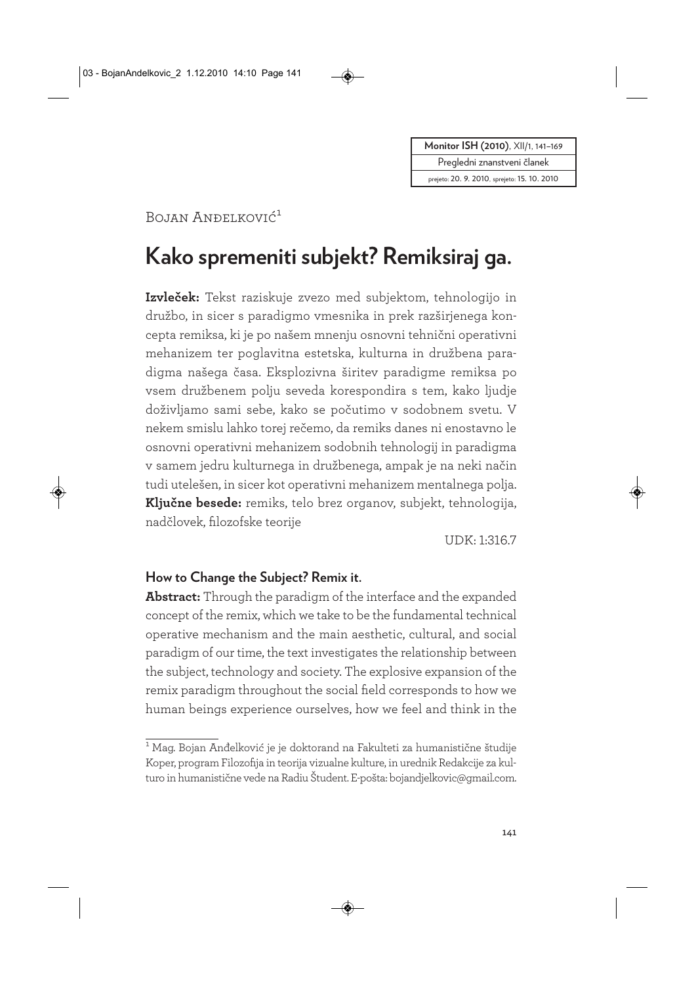**Moni tor ISH (2010)**, XII/1, 141–169

Pregledni znanstveni članek

prejeto: 20. 9. 2010, sprejeto: 15. 10. 2010

# Bojan Anđelković<sup>1</sup>

# **Kako spremeniti subjekt? Remiksiraj ga.**

**Izvleček:** Tekst raziskuje zvezo med subjektom, tehnologijo in družbo, in sicer s paradigmo vmesnika in prek razširjenega koncepta remiksa, ki je po našem mnenju osnovni tehnični operativni mehanizem ter poglavitna estetska, kulturna in družbena paradigma našega časa. Eksplozivna širitev paradigme remiksa po vsem družbenem polju seveda korespondira s tem, kako ljudje doživljamo sami sebe, kako se počutimo v sodobnem svetu. V nekem smislu lahko torej rečemo, da remiks danes ni enostavno le osnovni operativni mehanizem sodobnih tehnologij in paradigma v samem jedru kulturnega in družbenega, ampak je na neki način tudi utelešen, in sicer kot operativni mehanizem mentalnega polja. **Ključne besede:** remiks, telo brez organov, subjekt, tehnologija, nadčlovek, filozofske teorije

UDK: 1:316.7

#### **How to Change the Subject? Remix it.**

**Abstract:** Through the paradigm of the interface and the expanded concept of the remix, which we take to be the fundamental technical operative mechanism and the main aesthetic, cultural, and social paradigm of our time, the text investigates the relationship between the subject, technology and society. The explosive expansion of the remix paradigm throughout the social field corresponds to how we human beings experience ourselves, how we feel and think in the

<sup>&</sup>lt;sup>1</sup> Mag. Bojan Anđelković je je doktorand na Fakulteti za humanistične študije Koper, program Filozofija in teorija vizualne kulture, in urednik Redakcije za kulturo in humanistične vede na Radiu Študent. E-pošta: bojandjelkovic@gmail.com.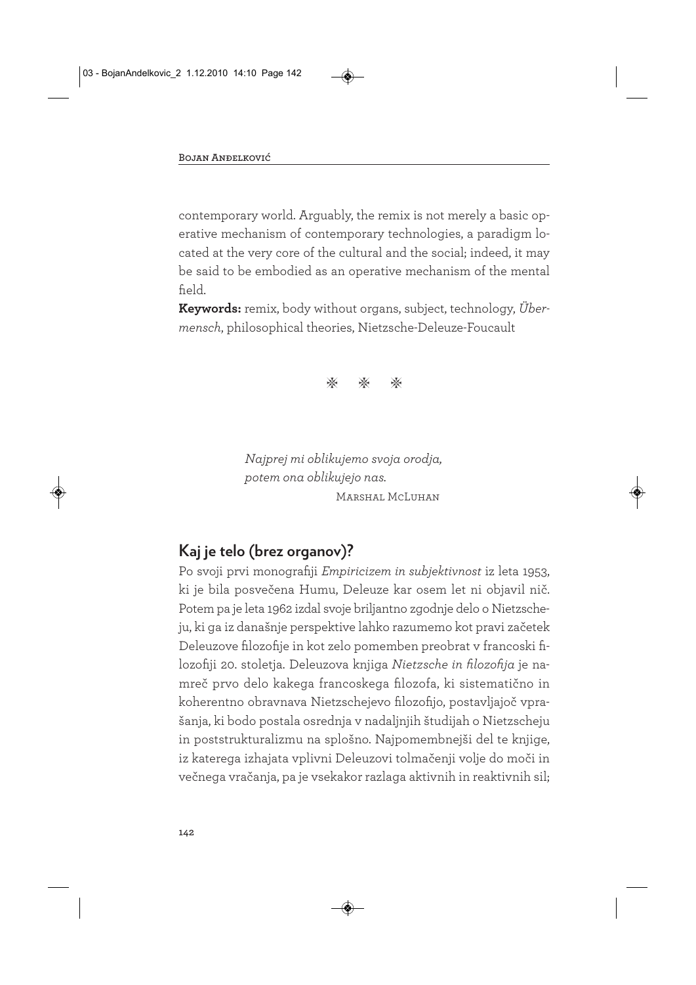contemporary world. Arguably, the remix is not merely a basic operative mechanism of contemporary technologies, a paradigm located at the very core of the cultural and the social; indeed, it may be said to be embodied as an operative mechanism of the mental field.

**Keywords:** remix, body without organs, subject, technology, *Übermensch*, philosophical theories, Nietzsche-Deleuze-Foucault



*Najprej mi oblikujemo svoja orodja, potem ona oblikujejo nas.* Marshal McLuhan

# **Kaj je telo (brez organov)?**

Po svoji prvi monografiji *Empiricizem in subjektivnost* iz leta 1953, ki je bila posvečena Humu, Deleuze kar osem let ni objavil nič. Potem pa je leta 1962 izdal svoje briljantno zgodnje delo o Nietzsche ju, ki ga iz današnje perspektive lahko razumemo kot pravi začetek Deleuzove filozofije in kot zelo pomemben preobrat v francoski filozofiji 20. stoletja. Deleuzova knjiga *Nietzsche in filozofija* je namreč prvo delo kakega francoskega filozofa, ki sistematično in koherentno obravnava Nietzschejevo filozofijo, postavljajoč vprašanja, ki bodo postala osrednja v nadaljnjih študijah o Nietzscheju in poststrukturalizmu na splošno. Najpomembnejši del te knjige, iz katerega izhajata vplivni Deleuzovi tolmačenji volje do moči in večnega vračanja, pa je vsekakor razlaga aktivnih in reaktivnih sil;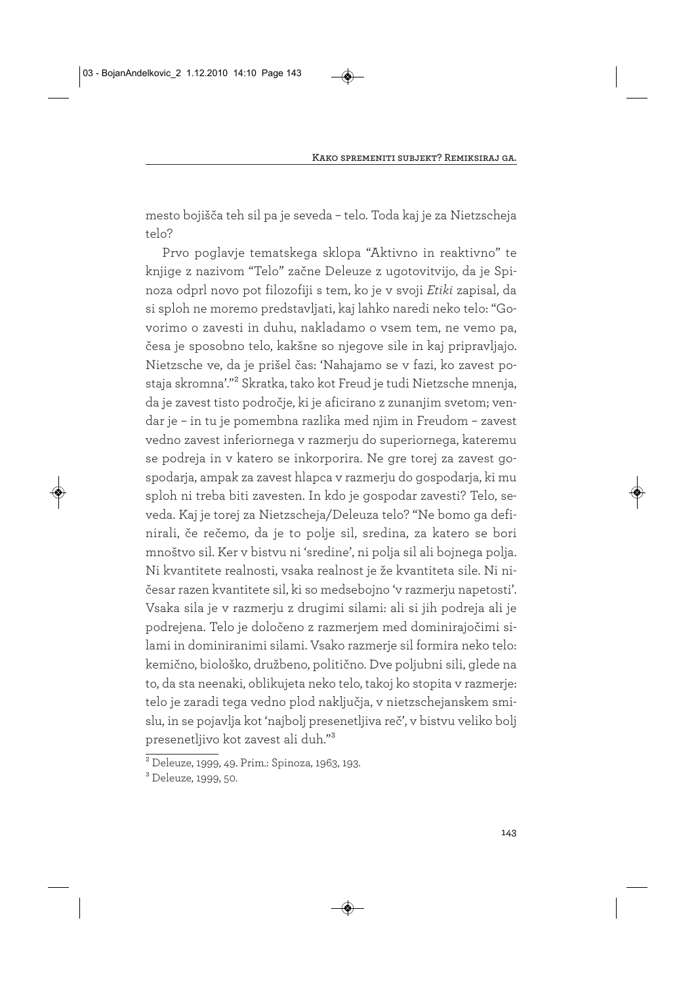mesto bojišča teh sil pa je seveda – telo. Toda kaj je za Nietzscheja telo?

Prvo poglavje tematskega sklopa "Aktivno in reaktivno" te knjige z nazivom "Telo" začne Deleuze z ugotovitvijo, da je Spinoza odprl novo pot filozofiji s tem, ko je v svoji *Etiki* zapisal, da si sploh ne moremo predstavljati, kaj lahko naredi neko telo: "Govorimo o zavesti in duhu, nakladamo o vsem tem, ne vemo pa, česa je sposobno telo, kakšne so njegove sile in kaj pripravljajo. Nietzsche ve, da je prišel čas: 'Nahajamo se v fazi, ko zavest postaja skromna'."2 Skratka, tako kot Freud je tudi Nietzsche mnenja, da je zavest tisto področje, ki je aficirano z zunanjim svetom; vendar je – in tu je pomembna razlika med njim in Freudom – zavest vedno zavest inferiornega v razmerju do superiornega, kateremu se podreja in v katero se inkorporira. Ne gre torej za zavest gospodarja, ampak za zavest hlapca v razmerju do gospodarja, ki mu sploh ni treba biti zavesten. In kdo je gospodar zavesti? Telo, seveda. Kaj je torej za Nietzscheja/Deleuza telo? "Ne bomo ga definirali, če rečemo, da je to polje sil, sredina, za katero se bori mnoštvo sil. Ker v bistvu ni 'sredine', ni polja sil ali bojnega polja. Ni kvantitete realnosti, vsaka realnost je že kvantiteta sile. Ni ničesar razen kvantitete sil, ki so medsebojno 'v razmerju napetosti'. Vsaka sila je v razmerju z drugimi silami: ali si jih podreja ali je podrejena. Telo je določeno z razmerjem med dominirajočimi silami in dominiranimi silami. Vsako razmerje sil formira neko telo: kemično, biološko, družbeno, politično. Dve poljubni sili, glede na to, da sta neenaki, oblikujeta neko telo, takoj ko stopita v razmerje: telo je zaradi tega vedno plod naključja, v nietzschejanskem smislu, in se pojavlja kot 'najbolj presenetljiva reč', v bistvu veliko bolj presenetljivo kot zavest ali duh."3

<sup>2</sup> Deleuze, 1999, 49. Prim.: Spinoza, 1963, 193.

<sup>3</sup> Deleuze, 1999, 50.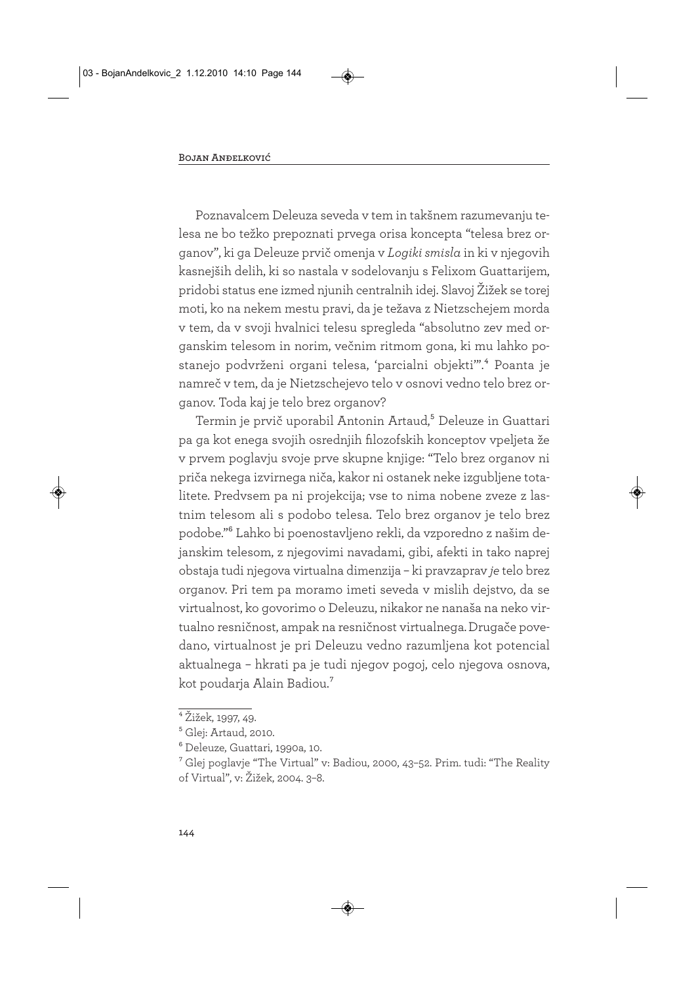Poznavalcem Deleuza seveda v tem in takšnem razumevanju telesa ne bo težko prepoznati prvega orisa koncepta "telesa brez organov", ki ga Deleuze prvič omenja v *Logiki smisla* in ki v njegovih kasnejših delih, ki so nastala v sodelovanju s Felixom Guattarijem, pridobi status ene izmed njunih centralnih idej. Slavoj Žižek se torej moti, ko na nekem mestu pravi, da je težava z Nietzschejem morda v tem, da v svoji hvalnici telesu spregleda "absolutno zev med organskim telesom in norim, večnim ritmom gona, ki mu lahko postanejo podvrženi organi telesa, 'parcialni objekti'".4 Poanta je namreč v tem, da je Nietzschejevo telo v osnovi vedno telo brez organov. Toda kaj je telo brez organov?

Termin je prvič uporabil Antonin Artaud,<sup>5</sup> Deleuze in Guattari pa ga kot enega svojih osrednjih filozofskih konceptov vpeljeta že v prvem poglavju svoje prve skupne knjige: "Telo brez organov ni priča nekega izvirnega niča, kakor ni ostanek neke izgubljene totalitete. Predvsem pa ni projekcija; vse to nima nobene zveze z lastnim telesom ali s podobo telesa. Telo brez organov je telo brez podobe."6 Lahko bi poenostavljeno rekli, da vzporedno z našim dejanskim telesom, z njegovimi navadami, gibi, afekti in tako naprej obstaja tudi njegova virtualna dimenzija – ki pravzaprav *je* telo brez organov. Pri tem pa moramo imeti seveda v mislih dejstvo, da se virtualnost, ko govorimo o Deleuzu, nikakor ne nanaša na neko virtualno resničnost, ampak na resničnost virtualnega. Drugače povedano, virtualnost je pri Deleuzu vedno razumljena kot potencial aktualnega – hkrati pa je tudi njegov pogoj, celo njegova osnova, kot poudarja Alain Badiou.7

<sup>4</sup> Žižek, 1997, 49.

<sup>5</sup> Glej: Artaud, 2010.

<sup>6</sup> Deleuze, Guattari, 1990a, 10.

<sup>7</sup> Glej poglavje "The Virtual" v: Badiou, 2000, 43–52. Prim. tudi: "The Reality of Virtual", v: Žižek, 2004. 3–8.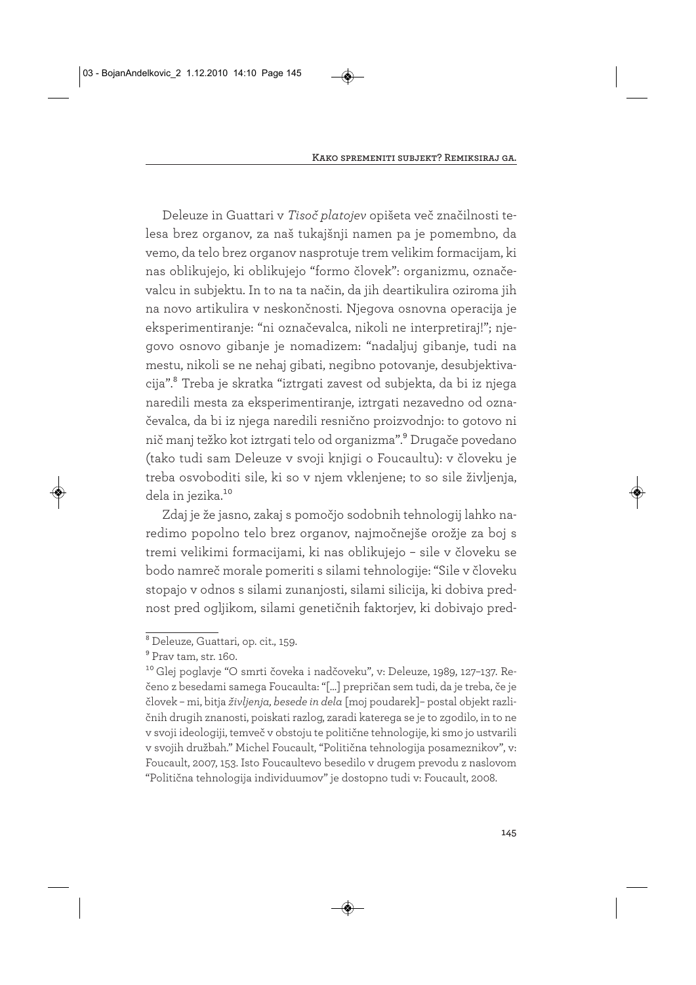Deleuze in Guattari v *Tisoč platojev* opišeta več značilnosti telesa brez organov, za naš tukajšnji namen pa je pomembno, da vemo, da telo brez organov nasprotuje trem velikim formacijam, ki nas oblikujejo, ki oblikujejo "formo človek": organizmu, označevalcu in subjektu. In to na ta način, da jih deartikulira oziroma jih na novo artikulira v neskončnosti. Njegova osnovna operacija je eksperimentiranje: "ni označevalca, nikoli ne interpretiraj!"; njegovo osnovo gibanje je nomadizem: "nadaljuj gibanje, tudi na mestu, nikoli se ne nehaj gibati, negibno potovanje, desubjektivacija".8 Treba je skratka "iztrgati zavest od subjekta, da bi iz njega naredili mesta za eksperimentiranje, iztrgati nezavedno od označevalca, da bi iz njega naredili resnično proizvodnjo: to gotovo ni nič manj težko kot iztrgati telo od organizma".9 Drugače povedano (tako tudi sam Deleuze v svoji knjigi o Foucaultu): v človeku je treba osvoboditi sile, ki so v njem vklenjene; to so sile življenja, dela in jezika.<sup>10</sup>

Zdaj je že jasno, zakaj s pomočjo sodobnih tehnologij lahko naredimo popolno telo brez organov, najmočnejše orožje za boj s tremi velikimi formacijami, ki nas oblikujejo – sile v človeku se bodo namreč morale pomeriti s silami tehnologije: "Sile v človeku stopajo v odnos s silami zunanjosti, silami silicija, ki dobiva prednost pred ogljikom, silami genetičnih faktorjev, ki dobivajo pred-

<sup>8</sup> Deleuze, Guattari, op. cit., 159.

 $^9$  Prav tam, str. 160.

<sup>10</sup> Glej poglavje "O smrti čoveka i nadčoveku", v: Deleuze, 1989, 127–137. Rečeno z besedami samega Foucaulta: "[…] prepričan sem tudi, da je treba, če je človek – mi, bitja *življenja, besede in dela* [moj poudarek]– postal objekt različnih drugih znanosti, poiskati razlog, zaradi katerega se je to zgodilo, in to ne v svoji ideologiji, temveč v obstoju te politične tehnologije, ki smo jo ustvarili v svojih družbah." Michel Foucault, "Politična tehnologija posameznikov", v: Foucault, 2007, 153. Isto Foucaultevo besedilo v drugem prevodu z naslovom "Politična tehnologija individuumov" je dostopno tudi v: Foucault, 2008.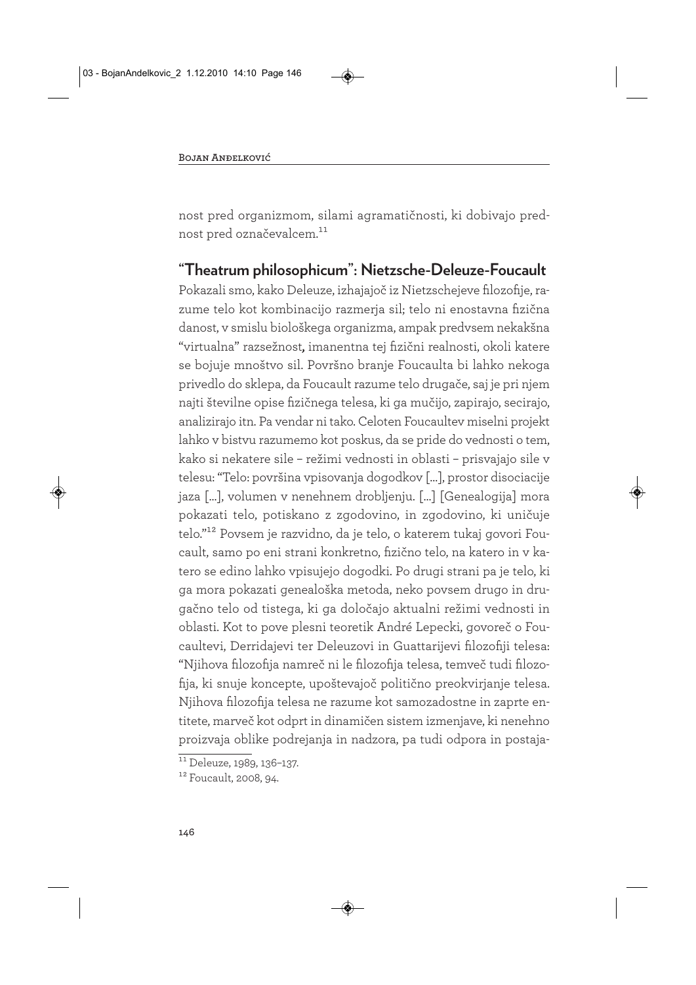nost pred organizmom, silami agramatičnosti, ki dobivajo prednost pred označevalcem.11

# **"Theatrum philosophicum": Nietzsche-Deleuze-Foucault**

Pokazali smo, kako Deleuze, izhajajoč iz Nietzschejeve filozofije, razume telo kot kombinacijo razmerja sil; telo ni enostavna fizična danost, v smislu biološkega organizma, ampak predvsem nekakšna "virtualna" razsežnost, imanentna tej fizični realnosti, okoli katere se bojuje mnoštvo sil. Površno branje Foucaulta bi lahko nekoga privedlo do sklepa, da Foucault razume telo drugače, saj je pri njem najti številne opise fizičnega telesa, ki ga mučijo, zapirajo, secirajo, analizirajo itn. Pa vendar ni tako. Celoten Foucaultev miselni projekt lahko v bistvu razumemo kot poskus, da se pride do vednosti o tem, kako si nekatere sile – režimi vednosti in oblasti – prisvajajo sile v telesu: "Telo: površina vpisovanja dogodkov […], prostor disociacije jaza […], volumen v nenehnem drobljenju. […] [Genealogija] mora pokazati telo, potiskano z zgodovino, in zgodovino, ki uničuje telo."12 Povsem je razvidno, da je telo, o katerem tukaj govori Foucault, samo po eni strani konkretno, fizično telo, na katero in v katero se edino lahko vpisujejo dogodki. Po drugi strani pa je telo, ki ga mora pokazati genealoška metoda, neko povsem drugo in drugačno telo od tistega, ki ga določajo aktualni režimi vednosti in oblasti. Kot to pove plesni teoretik André Lepecki, govoreč o Foucaultevi, Derridajevi ter Deleuzovi in Guattarijevi filozofiji telesa: "Njihova filozofija namreč ni le filozofija telesa, temveč tudi filozofija, ki snuje koncepte, upoštevajoč politično preokvirjanje telesa. Njihova filozofija telesa ne razume kot samozadostne in zaprte entitete, marveč kot odprt in dinamičen sistem izmenjave, ki nenehno proizvaja oblike podrejanja in nadzora, pa tudi odpora in postaja-

 $11$  Deleuze, 1989, 136-137.

<sup>12</sup> Foucault, 2008, 94.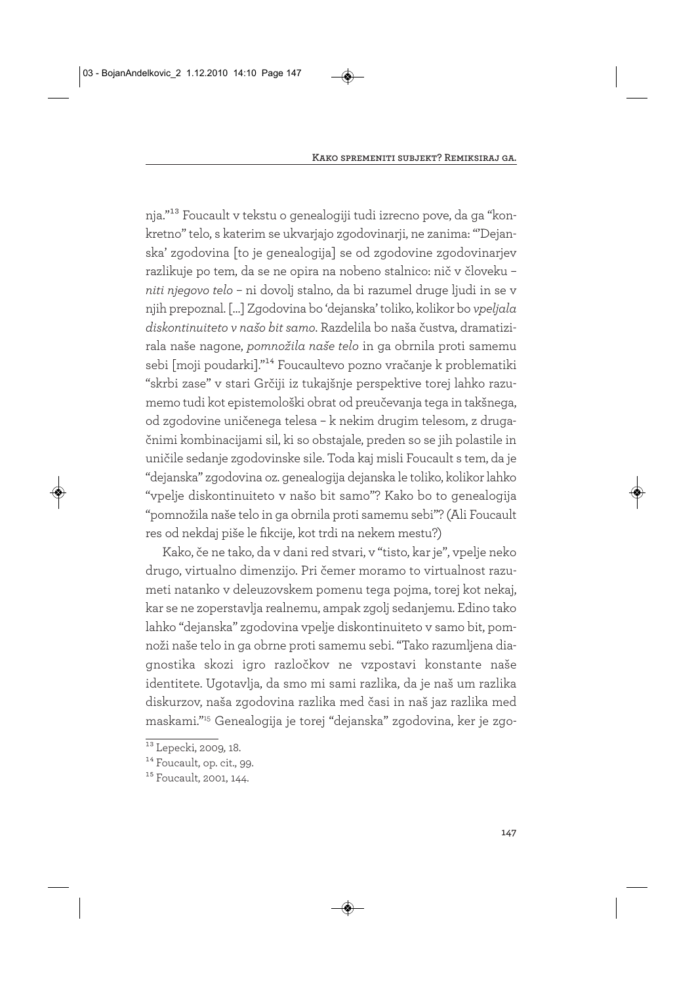nja."13 Foucault v tekstu o genealogiji tudi izrecno pove, da ga "konkretno" telo, s katerim se ukvarjajo zgodovinarji, ne zanima: "'Dejanska' zgodovina [to je genealogija] se od zgodovine zgodovinarjev razlikuje po tem, da se ne opira na nobeno stalnico: nič v človeku – *niti njegovo telo* – ni dovolj stalno, da bi razumel druge ljudi in se v njih prepoznal. […] Zgodovina bo 'dejanska' toliko, kolikor bo *vpeljala diskontinuiteto v našo bit samo*. Razdelila bo naša čustva, dramatizirala naše nagone, *pomnožila naše telo* in ga obrnila proti samemu sebi [moji poudarki]."14 Foucaultevo pozno vračanje k problematiki "skrbi zase" v stari Grčiji iz tukajšnje perspektive torej lahko razumemo tudi kot epistemološki obrat od preučevanja tega in takšnega, od zgodovine uničenega telesa – k nekim drugim telesom, z drugačnimi kombinacijami sil, ki so obstajale, preden so se jih polastile in uničile sedanje zgodovinske sile. Toda kaj misli Foucault s tem, da je "dejanska" zgodovina oz. genealogija dejanska le toliko, kolikor lahko "vpelje diskontinuiteto v našo bit samo"? Kako bo to genealogija "pomnožila naše telo in ga obrnila proti samemu sebi"? (Ali Foucault res od nekdaj piše le fikcije, kot trdi na nekem mestu?)

Kako, če ne tako, da v dani red stvari, v "tisto, kar je", vpelje neko drugo, virtualno dimenzijo. Pri čemer moramo to virtualnost razumeti natanko v deleuzovskem pomenu tega pojma, torej kot nekaj, kar se ne zoperstavlja realnemu, ampak zgolj sedanjemu. Edino tako lahko "dejanska" zgodovina vpelje diskontinuiteto v samo bit, pomnoži naše telo in ga obrne proti samemu sebi. "Tako razumljena diagnostika skozi igro razločkov ne vzpostavi konstante naše identitete. Ugotavlja, da smo mi sami razlika, da je naš um razlika diskurzov, naša zgodovina razlika med časi in naš jaz razlika med maskami."15 Genealogija je torej "dejanska" zgodovina, ker je zgo-

<sup>13</sup> Lepecki, 2009*,* 18.

<sup>&</sup>lt;sup>14</sup> Foucault, op. cit., 99.

<sup>15</sup> Foucault, 2001, 144.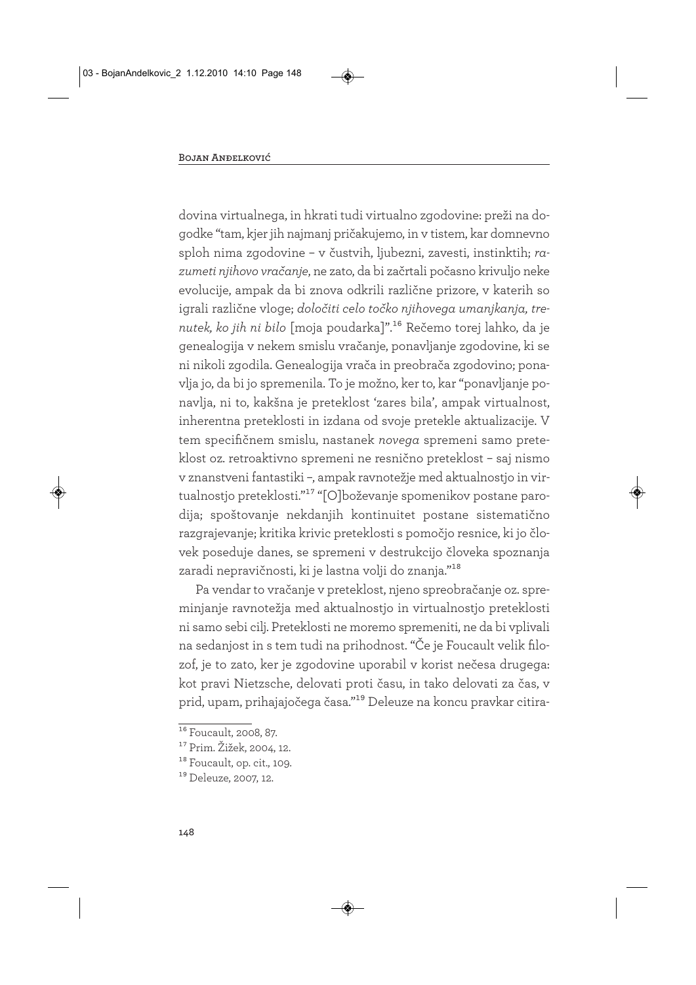dovina virtualnega, in hkrati tudi virtualno zgodovine: preži na dogodke "tam, kjer jih najmanj pričakujemo, in v tistem, kar domnevno sploh nima zgodovine – v čustvih, ljubezni, zavesti, instinktih; *razumeti njihovo vračanje*, ne zato, da bi začrtali počasno krivuljo neke evolucije, ampak da bi znova odkrili različne prizore, v katerih so igrali različne vloge; *določiti celo točko njihovega umanjkanja, trenutek, ko jih ni bilo* [moja poudarka]".16 Rečemo torej lahko, da je genealogija v nekem smislu vračanje, ponavljanje zgodovine, ki se ni nikoli zgodila. Genealogija vrača in preobrača zgodovino; ponavlja jo, da bi jo spremenila. To je možno, ker to, kar "ponavljanje ponavlja, ni to, kakšna je preteklost 'zares bila', ampak virtualnost, inherentna preteklosti in izdana od svoje pretekle aktualizacije. V tem specifičnem smislu, nastanek *novega* spremeni samo preteklost oz. retroaktivno spremeni ne resnično preteklost – saj nismo v znanstveni fantastiki –, ampak ravnotežje med aktualnostjo in virtualnostjo preteklosti."17 "[O]boževanje spomenikov postane parodija; spoštovanje nekdanjih kontinuitet postane sistematično razgrajevanje; kritika krivic preteklosti s pomočjo resnice, ki jo človek poseduje danes, se spremeni v destrukcijo človeka spoznanja zaradi nepravičnosti, ki je lastna volji do znanja."18

Pa vendar to vračanje v preteklost, njeno spreobračanje oz. spreminjanje ravnotežja med aktualnostjo in virtualnostjo preteklosti ni samo sebi cilj. Preteklosti ne moremo spremeniti, ne da bi vplivali na sedanjost in s tem tudi na prihodnost. "Če je Foucault velik filozof, je to zato, ker je zgodovine uporabil v korist nečesa drugega: kot pravi Nietzsche, delovati proti času, in tako delovati za čas, v prid, upam, prihajajočega časa."19 Deleuze na koncu pravkar citira-

<sup>&</sup>lt;sup>16</sup> Foucault, 2008, 87.

<sup>17</sup> Prim. Žižek, 2004, 12.

<sup>&</sup>lt;sup>18</sup> Foucault, op. cit., 109.

<sup>19</sup> Deleuze, 2007, 12.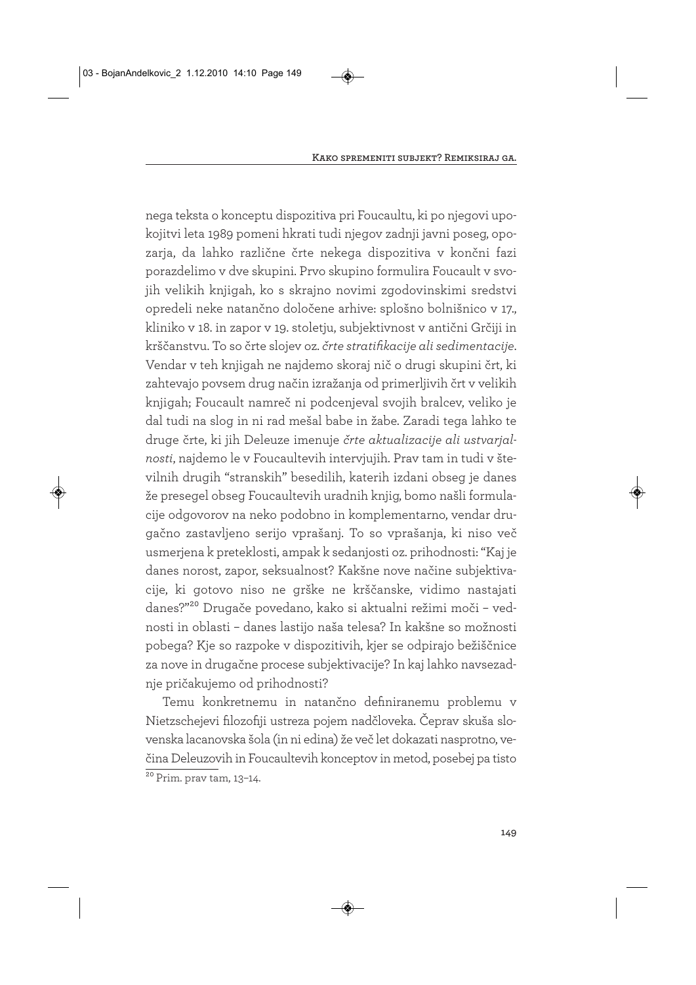nega teksta o konceptu dispozitiva pri Foucaultu, ki po njegovi upokojitvi leta 1989 pomeni hkrati tudi njegov zadnji javni poseg, opozarja, da lahko različne črte nekega dispozitiva v končni fazi porazdelimo v dve skupini. Prvo skupino formulira Foucault v svojih velikih knjigah, ko s skrajno novimi zgodovinskimi sredstvi opredeli neke natančno določene arhive: splošno bolnišnico v 17., kliniko v 18. in zapor v 19. stoletju, subjektivnost v antični Grčiji in krščanstvu. To so črte slojev oz. *črte stratifikacije ali sedimentacije*. Vendar v teh knjigah ne najdemo skoraj nič o drugi skupini črt, ki zahtevajo povsem drug način izražanja od primerljivih črt v velikih knjigah; Foucault namreč ni podcenjeval svojih bralcev, veliko je dal tudi na slog in ni rad mešal babe in žabe. Zaradi tega lahko te druge črte, ki jih Deleuze imenuje *črte aktualizacije ali ustvarjalnosti*, najdemo le v Foucaultevih intervjujih. Prav tam in tudi v številnih drugih "stranskih" besedilih, katerih izdani obseg je danes že presegel obseg Foucaultevih uradnih knjig, bomo našli formulacije odgovorov na neko podobno in komplementarno, vendar drugačno zastavljeno serijo vprašanj. To so vprašanja, ki niso več usmerjena k preteklosti, ampak k sedanjosti oz. prihodnosti: "Kaj je danes norost, zapor, seksualnost? Kakšne nove načine subjektivacije, ki gotovo niso ne grške ne krščanske, vidimo nastajati danes?"20 Drugače povedano, kako si aktualni režimi moči – vednosti in oblasti – danes lastijo naša telesa? In kakšne so možnosti pobega? Kje so razpoke v dispozitivih, kjer se odpirajo bežiščnice za nove in drugačne procese subjektivacije? In kaj lahko navsezadnje pričakujemo od prihodnosti?

Temu konkretnemu in natančno definiranemu problemu v Nietzschejevi filozofiji ustreza pojem nadčloveka. Čeprav skuša slovenska lacanovska šola (in ni edina) že več let dokazati nasprotno, večina Deleuzovih in Foucaultevih konceptov in metod, posebej pa tisto  $20$  Prim. prav tam, 13-14.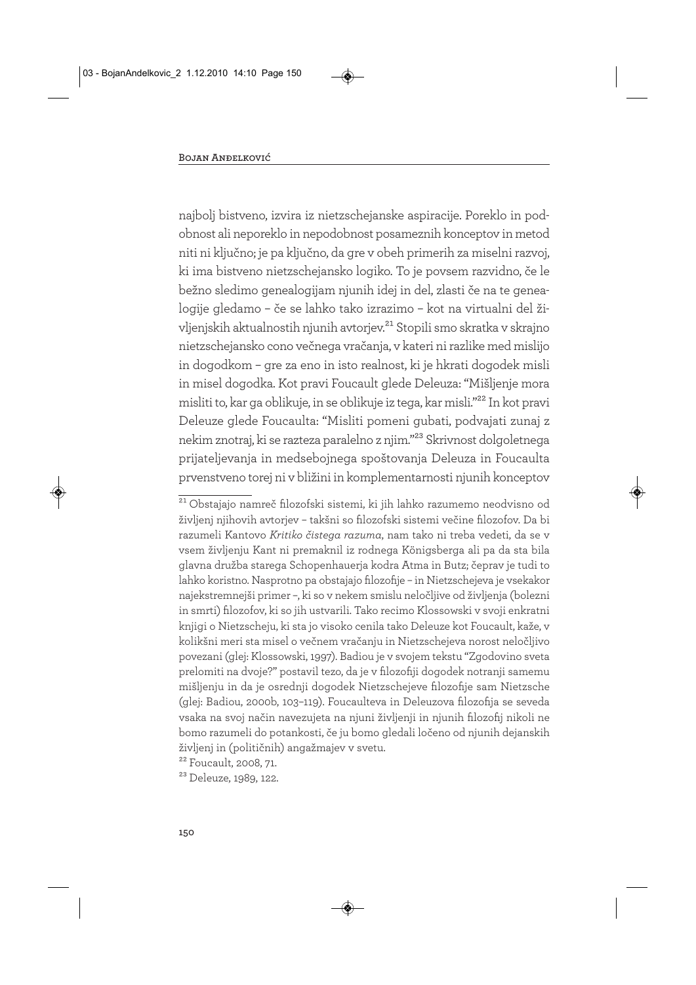najbolj bistveno, izvira iz nietzschejanske aspiracije. Poreklo in podobnost ali neporeklo in nepodobnost posameznih konceptov in metod niti ni ključno; je pa ključno, da gre v obeh primerih za miselni razvoj, ki ima bistveno nietzschejansko logiko. To je povsem razvidno, če le bežno sledimo genealogijam njunih idej in del, zlasti če na te genealogije gledamo – če se lahko tako izrazimo – kot na virtualni del življenjskih aktualnostih njunih avtorjev.21 Stopili smo skratka v skrajno nietzschejansko cono večnega vračanja, v kateri ni razlike med mislijo in dogodkom – gre za eno in isto realnost, ki je hkrati dogodek misli in misel dogodka. Kot pravi Foucault glede Deleuza: "Mišljenje mora misliti to, kar ga oblikuje, in se oblikuje iz tega, kar misli."22 In kot pravi Deleuze glede Foucaulta: "Misliti pomeni gubati, podvajati zunaj z nekim znotraj, ki se razteza paralelno z njim."23 Skrivnost dolgoletnega prijateljevanja in medsebojnega spoštovanja Deleuza in Foucaulta prvenstveno torej ni v bližini in komplementarnosti njunih konceptov

<sup>&</sup>lt;sup>21</sup> Obstajajo namreč filozofski sistemi, ki jih lahko razumemo neodvisno od življenj njihovih avtorjev – takšni so filozofski sistemi večine filozofov. Da bi razumeli Kantovo *Kritiko čistega razuma*, nam tako ni treba vedeti, da se v vsem življenju Kant ni premaknil iz rodnega Königsberga ali pa da sta bila glavna družba starega Schopenhauerja kodra Atma in Butz; čeprav je tudi to lahko koristno. Nasprotno pa obstajajo filozofije – in Nietzschejeva je vsekakor najekstremnejši primer –, ki so v nekem smislu neločljive od življenja (bolezni in smrti) filozofov, ki so jih ustvarili. Tako recimo Klossowski v svoji enkratni knjigi o Nietzscheju, ki sta jo visoko cenila tako Deleuze kot Foucault, kaže, v kolikšni meri sta misel o večnem vračanju in Nietzschejeva norost neločljivo povezani (glej: Klossowski, 1997). Badiou je v svojem tekstu "Zgodovino sveta prelomiti na dvoje?" postavil tezo, da je v filozofiji dogodek notranji samemu mišljenju in da je osrednji dogodek Nietzschejeve filozofije sam Nietzsche (glej: Badiou, 2000b, 103–119). Foucaulteva in Deleuzova filozofija se seveda vsaka na svoj način navezujeta na njuni življenji in njunih filozofij nikoli ne bomo razumeli do potankosti, če ju bomo gledali ločeno od njunih dejanskih življenj in (političnih) angažmajev v svetu.

<sup>22</sup> Foucault, 2008, 71.

<sup>23</sup> Deleuze, 1989, 122.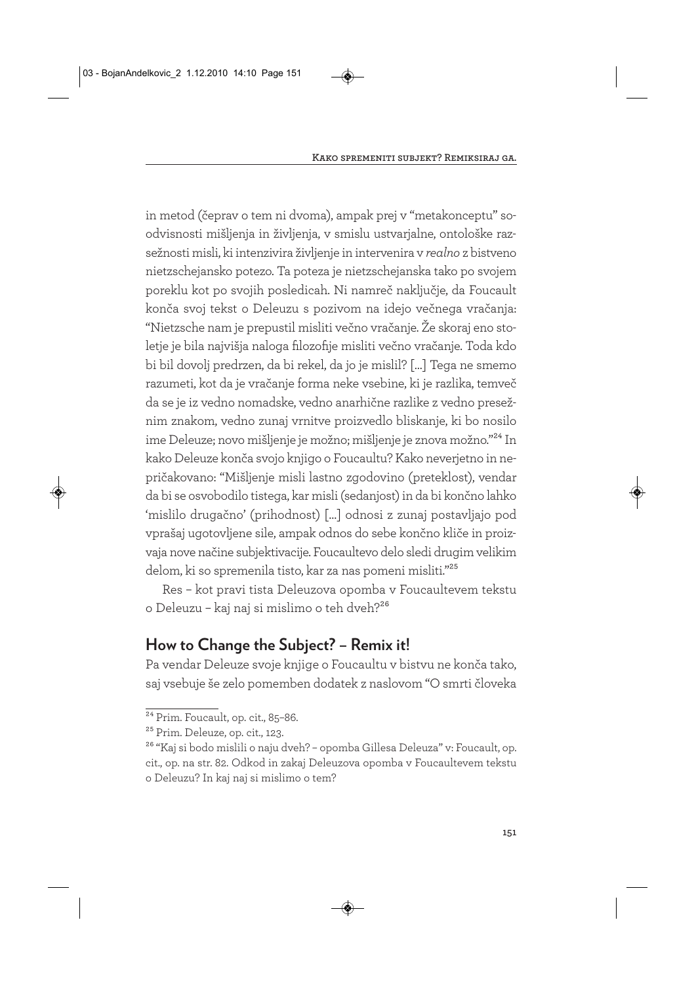in metod (čeprav o tem ni dvoma), ampak prej v "metakonceptu" soodvisnosti mišljenja in življenja, v smislu ustvarjalne, ontološke razsežnosti misli, ki intenzivira življenje in intervenira v *realno* z bistveno nietzschejansko potezo. Ta poteza je nietzschejanska tako po svojem poreklu kot po svojih posledicah. Ni namreč naključje, da Foucault konča svoj tekst o Deleuzu s pozivom na idejo večnega vračanja: "Nietzsche nam je prepustil misliti večno vračanje. Že skoraj eno stoletje je bila najvišja naloga filozofije misliti večno vračanje. Toda kdo bi bil dovolj predrzen, da bi rekel, da jo je mislil? […] Tega ne smemo razumeti, kot da je vračanje forma neke vsebine, ki je razlika, temveč da se je iz vedno nomadske, vedno anarhične razlike z vedno presežnim znakom, vedno zunaj vrnitve proizvedlo bliskanje, ki bo nosilo ime Deleuze; novo mišljenje je možno; mišljenje je znova možno."24 In kako Deleuze konča svojo knjigo o Foucaultu? Kako neverjetno in nepričakovano: "Mišljenje misli lastno zgodovino (preteklost), vendar da bi se osvobodilo tistega, kar misli (sedanjost) in da bi končno lahko 'mislilo drugačno' (prihodnost) […] odnosi z zunaj postavljajo pod vprašaj ugotovljene sile, ampak odnos do sebe končno kliče in proizvaja nove načine subjektivacije. Foucaultevo delo sledi drugim velikim delom, ki so spremenila tisto, kar za nas pomeni misliti."25

Res – kot pravi tista Deleuzova opomba v Foucaultevem tekstu o Deleuzu - kaj naj si mislimo o teh dveh?<sup>26</sup>

# **How to Change the Subject? – Remix it!**

Pa vendar Deleuze svoje knjige o Foucaultu v bistvu ne konča tako, saj vsebuje še zelo pomemben dodatek z naslovom "O smrti človeka

<sup>&</sup>lt;sup>24</sup> Prim. Foucault, op. cit., 85-86.

<sup>25</sup> Prim. Deleuze, op. cit., 123.

<sup>&</sup>lt;sup>26</sup> "Kaj si bodo mislili o naju dveh? – opomba Gillesa Deleuza" v: Foucault, op. cit., op. na str. 82. Odkod in zakaj Deleuzova opomba v Foucaultevem tekstu o Deleuzu? In kaj naj si mislimo o tem?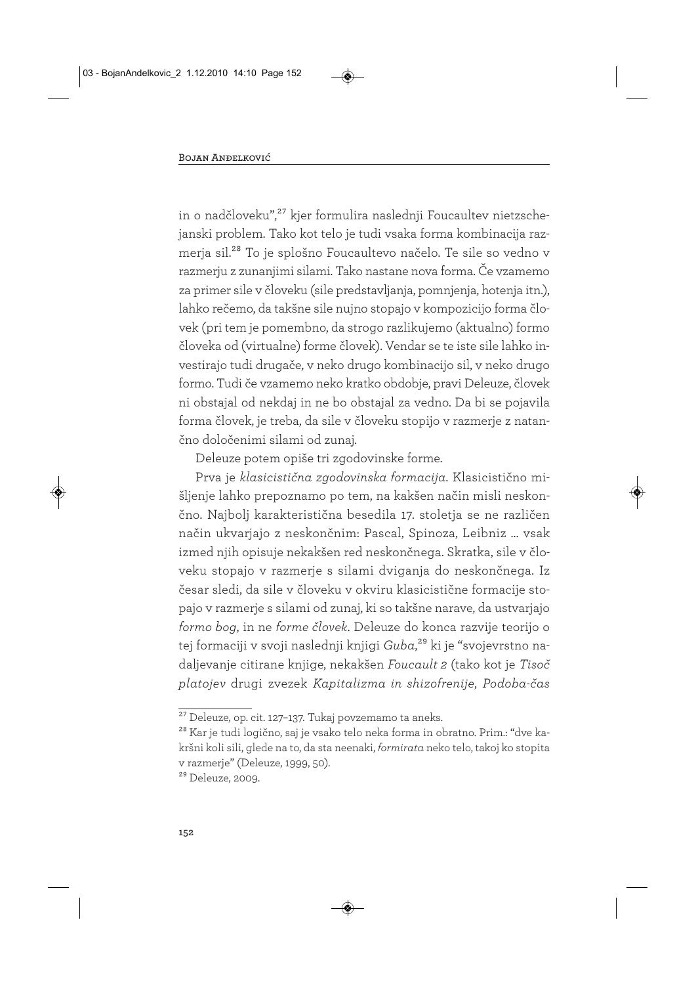in o nadčloveku",<sup>27</sup> kjer formulira naslednji Foucaultev nietzschejanski problem. Tako kot telo je tudi vsaka forma kombinacija razmerja sil.28 To je splošno Foucaultevo načelo. Te sile so vedno v razmerju z zunanjimi silami. Tako nastane nova forma. Če vzamemo za primer sile v človeku (sile predstavljanja, pomnjenja, hotenja itn.), lahko rečemo, da takšne sile nujno stopajo v kompozicijo forma človek (pri tem je pomembno, da strogo razlikujemo (aktualno) formo človeka od (virtualne) forme človek). Vendar se te iste sile lahko investirajo tudi drugače, v neko drugo kombinacijo sil, v neko drugo formo. Tudi če vzamemo neko kratko obdobje, pravi Deleuze, človek ni obstajal od nekdaj in ne bo obstajal za vedno. Da bi se pojavila forma človek, je treba, da sile v človeku stopijo v razmerje z natančno določenimi silami od zunaj.

Deleuze potem opiše tri zgodovinske forme.

Prva je *klasicistična zgodovinska formacija*. Klasicistično mišljenje lahko prepoznamo po tem, na kakšen način misli neskončno. Najbolj karakteristična besedila 17. stoletja se ne različen način ukvarjajo z neskončnim: Pascal, Spinoza, Leibniz … vsak izmed njih opisuje nekakšen red neskončnega. Skratka, sile v človeku stopajo v razmerje s silami dviganja do neskončnega. Iz česar sledi, da sile v človeku v okviru klasicistične formacije stopajo v razmerje s silami od zunaj, ki so takšne narave, da ustvarjajo *formo bog*, in ne *forme človek*. Deleuze do konca razvije teorijo o tej formaciji v svoji naslednji knjigi *Guba*,29 ki je "svojevrstno nadaljevanje citirane knjige, nekakšen *Foucault 2* (tako kot je *Tisoč platojev* drugi zvezek *Kapitalizma in shizofrenije*, *Podoba-čas*

<sup>27</sup> Deleuze, op. cit. 127–137. Tukaj povzemamo ta aneks.

<sup>28</sup> Kar je tudi logično, saj je vsako telo neka forma in obratno. Prim.: "dve kakršni koli sili, glede na to, da sta neenaki, *formirata* neko telo, takoj ko stopita v razmerje" (Deleuze, 1999, 50).

<sup>29</sup> Deleuze, 2009.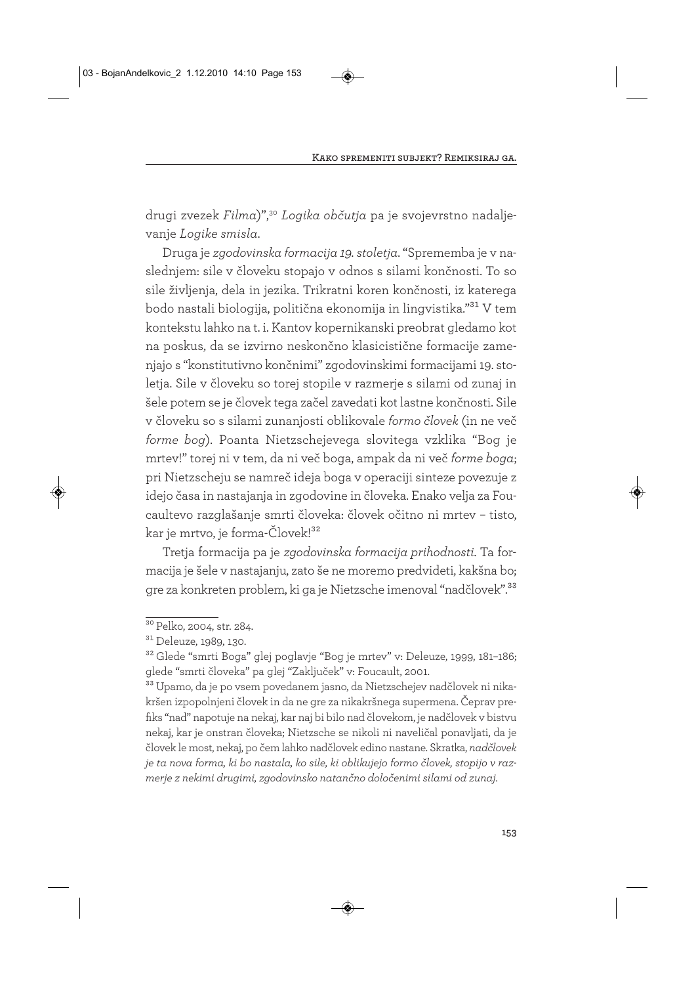drugi zvezek *Filma*)",30 *Logika občutja* pa je svojevrstno nadaljevanje *Logike smisla*.

Druga je *zgodovinska formacija 19. stoletja*. "Sprememba je v naslednjem: sile v človeku stopajo v odnos s silami končnosti. To so sile življenja, dela in jezika. Trikratni koren končnosti, iz katerega bodo nastali biologija, politična ekonomija in lingvistika."31 V tem kontekstu lahko na t. i. Kantov kopernikanski preobrat gledamo kot na poskus, da se izvirno neskončno klasicistične formacije zamenjajo s "konstitutivno končnimi" zgodovinskimi formacijami 19. stoletja. Sile v človeku so torej stopile v razmerje s silami od zunaj in šele potem se je človek tega začel zavedati kot lastne končnosti. Sile v človeku so s silami zunanjosti oblikovale *formo človek* (in ne več *forme bog*). Poanta Nietzschejevega slovitega vzklika "Bog je mrtev!" torej ni v tem, da ni več boga, ampak da ni več *forme boga*; pri Nietzscheju se namreč ideja boga v operaciji sinteze povezuje z idejo časa in nastajanja in zgodovine in človeka. Enako velja za Foucaultevo razglašanje smrti človeka: človek očitno ni mrtev – tisto, kar je mrtvo, je forma-Človek!32

Tretja formacija pa je *zgodovinska formacija prihodnosti*. Ta formacija je šele v nastajanju, zato še ne moremo predvideti, kakšna bo; gre za konkreten problem, ki ga je Nietzsche imenoval "nadčlovek".33

32 Glede "smrti Boga" glej poglavje "Bog je mrtev" v: Deleuze, 1999, 181–186; glede "smrti človeka" pa glej "Zaključek" v: Foucault, 2001.

33 Upamo, da je po vsem povedanem jasno, da Nietzschejev nadčlovek ni nikakršen izpopolnjeni človek in da ne gre za nikakršnega supermena. Čeprav prefiks "nad" napotuje na nekaj, kar naj bi bilo nad človekom, je nadčlovek v bistvu nekaj, kar je onstran človeka; Nietzsche se nikoli ni naveličal ponavljati, da je človek le most, nekaj, po čem lahko nadčlovek edino nastane. Skratka, *nadčlovek je ta nova forma, ki bo nastala, ko sile, ki oblikujejo formo človek, stopijo v razmerje z nekimi drugimi, zgodovinsko natančno določenimi silami od zunaj*.

<sup>&</sup>lt;sup>30</sup> Pelko, 2004, str. 284.

<sup>31</sup> Deleuze, 1989, 130.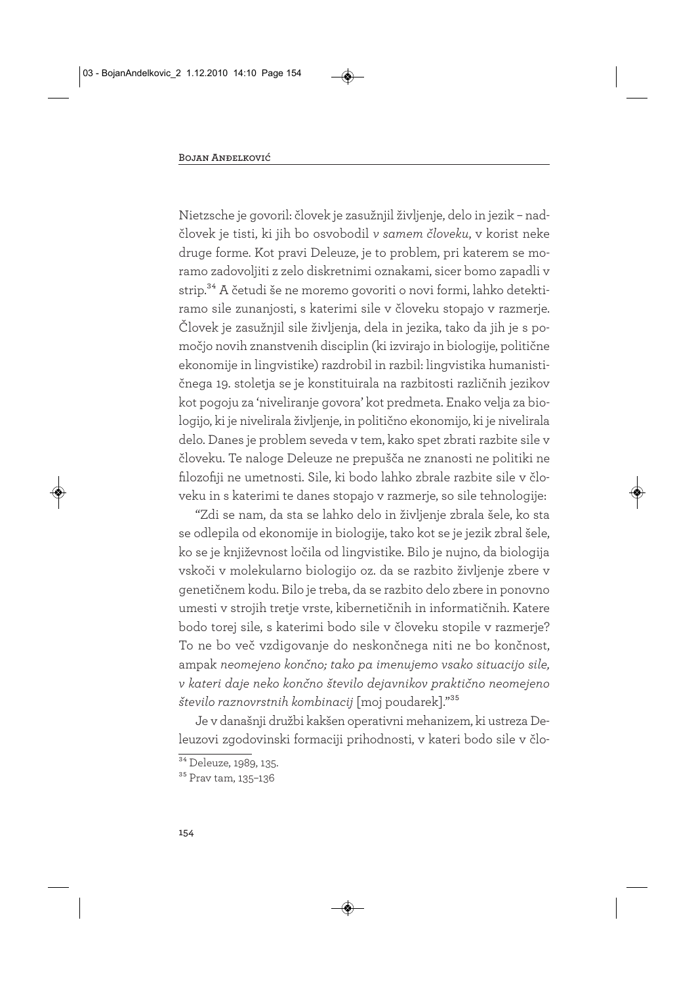Nietzsche je govoril: človek je zasužnjil življenje, delo in jezik – nadčlovek je tisti, ki jih bo osvobodil *v samem človeku*, v korist neke druge forme. Kot pravi Deleuze, je to problem, pri katerem se moramo zadovoljiti z zelo diskretnimi oznakami, sicer bomo zapadli v strip.34 A četudi še ne moremo govoriti o novi formi, lahko detektiramo sile zunanjosti, s katerimi sile v človeku stopajo v razmerje. Človek je zasužnjil sile življenja, dela in jezika, tako da jih je s pomočjo novih znanstvenih disciplin (ki izvirajo in biologije, politične ekonomije in lingvistike) razdrobil in razbil: lingvistika humanističnega 19. stoletja se je konstituirala na razbitosti različnih jezikov kot pogoju za 'niveliranje govora' kot predmeta. Enako velja za biologijo, ki je nivelirala življenje, in politično ekonomijo, ki je nivelirala delo. Danes je problem seveda v tem, kako spet zbrati razbite sile v človeku. Te naloge Deleuze ne prepušča ne znanosti ne politiki ne filozofiji ne umetnosti. Sile, ki bodo lahko zbrale razbite sile v človeku in s katerimi te danes stopajo v razmerje, so sile tehnologije:

"Zdi se nam, da sta se lahko delo in življenje zbrala šele, ko sta se odlepila od ekonomije in biologije, tako kot se je jezik zbral šele, ko se je književnost ločila od lingvistike. Bilo je nujno, da biologija vskoči v molekularno biologijo oz. da se razbito življenje zbere v genetičnem kodu. Bilo je treba, da se razbito delo zbere in ponovno umesti v strojih tretje vrste, kibernetičnih in informatičnih. Katere bodo torej sile, s katerimi bodo sile v človeku stopile v razmerje? To ne bo več vzdigovanje do neskončnega niti ne bo končnost, ampak *neomejeno končno; tako pa imenujemo vsako situacijo sile, v kateri daje neko končno število dejavnikov praktično neomejeno število raznovrstnih kombinacij* [moj poudarek]."35

Je v današnji družbi kakšen operativni mehanizem, ki ustreza Deleuzovi zgodovinski formaciji prihodnosti, v kateri bodo sile v člo-

<sup>&</sup>lt;sup>34</sup> Deleuze, 1989, 135.

<sup>35</sup> Prav tam, 135–136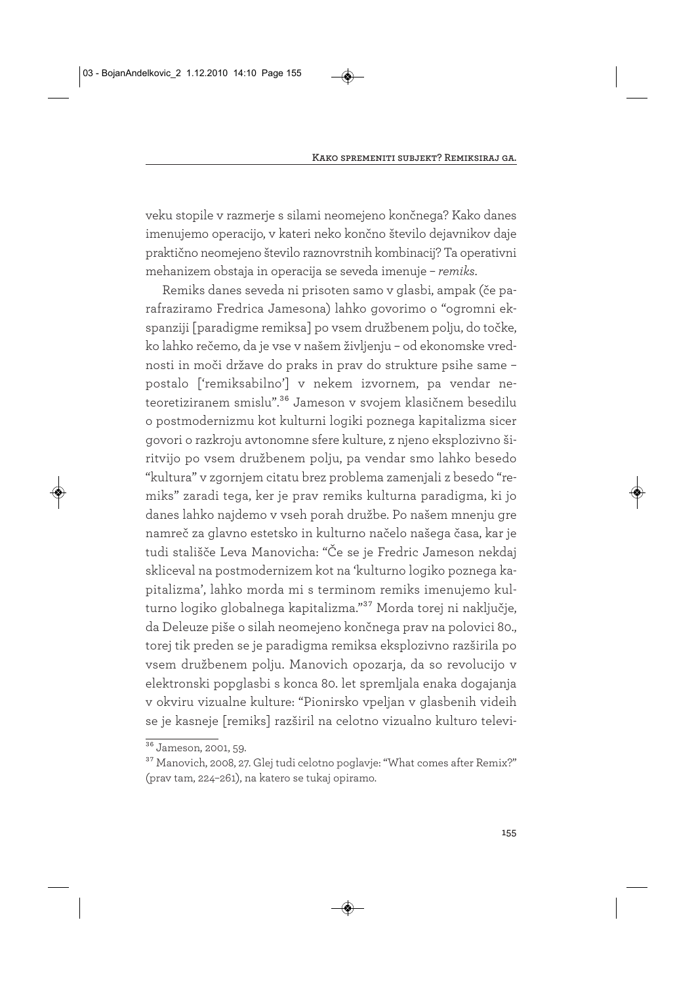veku stopile v razmerje s silami neomejeno končnega? Kako danes imenujemo operacijo, v kateri neko končno število dejavnikov daje praktično neomejeno število raznovrstnih kombinacij? Ta operativni mehanizem obstaja in operacija se seveda imenuje – *remiks*.

Remiks danes seveda ni prisoten samo v glasbi, ampak (če parafraziramo Fredrica Jamesona) lahko govorimo o "ogromni ekspanziji [paradigme remiksa] po vsem družbenem polju, do točke, ko lahko rečemo, da je vse v našem življenju – od ekonomske vrednosti in moči države do praks in prav do strukture psihe same – postalo ['remiksabilno'] v nekem izvornem, pa vendar ne teoretiziranem smislu".<sup>36</sup> Jameson v svojem klasičnem besedilu o postmodernizmu kot kulturni logiki poznega kapitalizma sicer govori o razkroju avtonomne sfere kulture, z njeno eksplozivno širitvijo po vsem družbenem polju, pa vendar smo lahko besedo "kultura" v zgornjem citatu brez problema zamenjali z besedo "remiks" zaradi tega, ker je prav remiks kulturna paradigma, ki jo danes lahko najdemo v vseh porah družbe. Po našem mnenju gre namreč za glavno estetsko in kulturno načelo našega časa, kar je tudi stališče Leva Manovicha: "Če se je Fredric Jameson nekdaj skliceval na postmodernizem kot na 'kulturno logiko poznega kapitalizma', lahko morda mi s terminom remiks imenujemo kulturno logiko globalnega kapitalizma."37 Morda torej ni naključje, da Deleuze piše o silah neomejeno končnega prav na polovici 80., torej tik preden se je paradigma remiksa eksplozivno razširila po vsem družbenem polju. Manovich opozarja, da so revolucijo v elektronski popglasbi s konca 80. let spremljala enaka dogajanja v okviru vizualne kulture: "Pionirsko vpeljan v glasbenih videih se je kasneje [remiks] razširil na celotno vizualno kulturo televi-

 $\frac{36}{36}$  Jameson, 2001, 59.

<sup>&</sup>lt;sup>37</sup> Manovich, 2008, 27. Glej tudi celotno poglavje: "What comes after Remix?" (prav tam, 224–261), na katero se tukaj opiramo.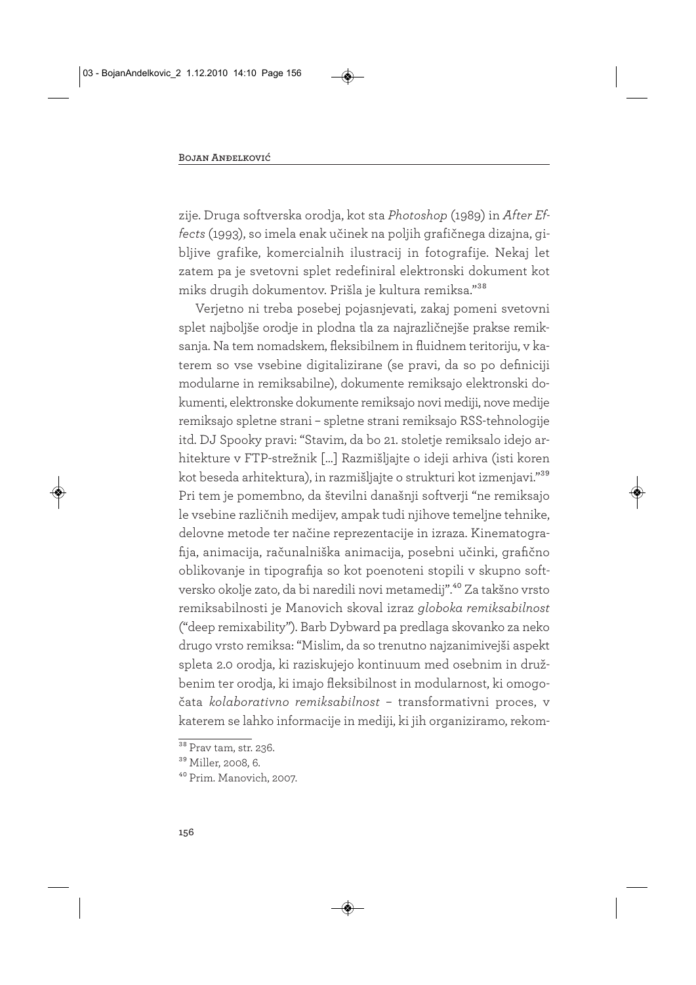zije. Druga softverska orodja, kot sta *Photoshop* (1989) in *After Effects* (1993), so imela enak učinek na poljih grafičnega dizajna, gibljive grafike, komercialnih ilustracij in fotografije. Nekaj let zatem pa je svetovni splet redefiniral elektronski dokument kot miks drugih dokumentov. Prišla je kultura remiksa."38

Verjetno ni treba posebej pojasnjevati, zakaj pomeni svetovni splet najboljše orodje in plodna tla za najrazličnejše prakse remiksanja. Na tem nomadskem, fleksibilnem in fluidnem teritoriju, v katerem so vse vsebine digitalizirane (se pravi, da so po definiciji modularne in remiksabilne), dokumente remiksajo elektronski dokumenti, elektronske dokumente remiksajo novi mediji, nove medije remiksajo spletne strani - spletne strani remiksajo RSS-tehnologije itd. DJ Spooky pravi: "Stavim, da bo 21. stoletje remiksalo idejo arhitekture v FTP-strežnik […] Razmišljajte o ideji arhiva (isti koren kot beseda arhitektura), in razmišljajte o strukturi kot izmenjavi."39 Pri tem je pomembno, da številni današnji softverji "ne remiksajo le vsebine različnih medijev, ampak tudi njihove temeljne tehnike, delovne metode ter načine reprezentacije in izraza. Kinematografija, animacija, računalniška animacija, posebni učinki, grafično oblikovanje in tipografija so kot poenoteni stopili v skupno softversko okolje zato, da bi naredili novi metamedij".40 Za takšno vrsto remiksabilnosti je Manovich skoval izraz *globoka remiksabilnost* ("deep remixability"). Barb Dybward pa predlaga skovanko za neko drugo vrsto remiksa: "Mislim, da so trenutno najzanimivejši aspekt spleta 2.0 orodja, ki raziskujejo kontinuum med osebnim in družbenim ter orodja, ki imajo fleksibilnost in modularnost, ki omogočata *kolaborativno remiksabilnost* – transformativni proces, v katerem se lahko informacije in mediji, ki jih organiziramo, rekom-

 $\overline{\text{38}}$  Prav tam, str. 236.

<sup>39</sup> Miller, 2008, 6.

<sup>40</sup> Prim. Manovich, 2007.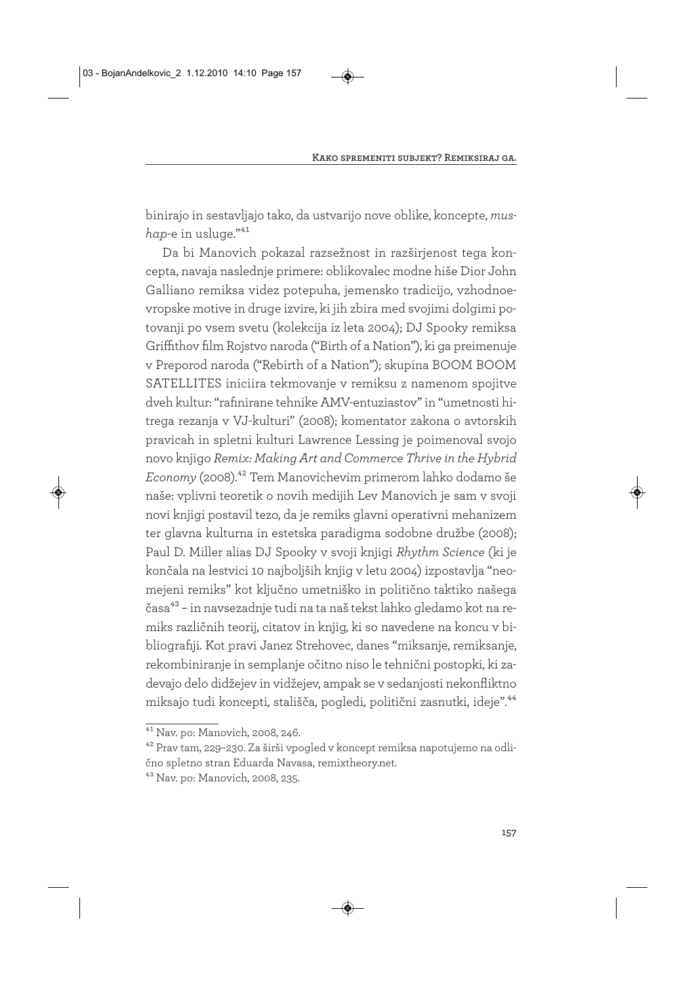binirajo in sestavljajo tako, da ustvarijo nove oblike, koncepte, *mushap*-e in usluge."41

Da bi Manovich pokazal razsežnost in razširjenost tega koncepta, navaja naslednje primere: oblikovalec modne hiše Dior John Galliano remiksa videz potepuha, jemensko tradicijo, vzhodnoevropske motive in druge izvire, ki jih zbira med svojimi dolgimi potovanji po vsem svetu (kolekcija iz leta 2004); DJ Spooky remiksa Griffithov film Rojstvo naroda ("Birth of a Nation"), ki ga preimenuje v Preporod naroda ("Rebirth of a Nation"); skupina BOOM BOOM SATELLITES iniciira tekmovanje v remiksu z namenom spojitve dveh kultur: "rafinirane tehnike AMV-entuziastov" in "umetnosti hitrega rezanja v VJ-kulturi" (2008); komentator zakona o avtorskih pravicah in spletni kulturi Lawrence Lessing je poimenoval svojo novo knjigo *Remix: Making Art and Commerce Thrive in the Hybrid Economy* (2008).42 Tem Manovichevim primerom lahko dodamo še naše: vplivni teoretik o novih medijih Lev Manovich je sam v svoji novi knjigi postavil tezo, da je remiks glavni operativni mehanizem ter glavna kulturna in estetska paradigma sodobne družbe (2008); Paul D. Miller alias DJ Spooky v svoji knjigi *Rhythm Science* (ki je končala na lestvici 10 najboljših knjig v letu 2004) izpostavlja "neomejeni remiks" kot ključno umetniško in politično taktiko našega časa<sup>43</sup> – in navsezadnje tudi na ta naš tekst lahko gledamo kot na remiks različnih teorij, citatov in knjig, ki so navedene na koncu v bibliografiji. Kot pravi Janez Strehovec, danes "miksanje, remiksanje, rekombiniranje in semplanje očitno niso le tehnični postopki, ki zadevajo delo didžejev in vidžejev, ampak se v sedanjosti nekonfliktno miksajo tudi koncepti, stališča, pogledi, politični zasnutki, ideje".44

<sup>41</sup> Nav. po: Manovich, 2008, 246.

<sup>42</sup> Prav tam, 229–230. Za širši vpogled v koncept remiksa napotujemo na odlično spletno stran Eduarda Navasa, remixtheory.net.

<sup>43</sup> Nav. po: Manovich, 2008, 235.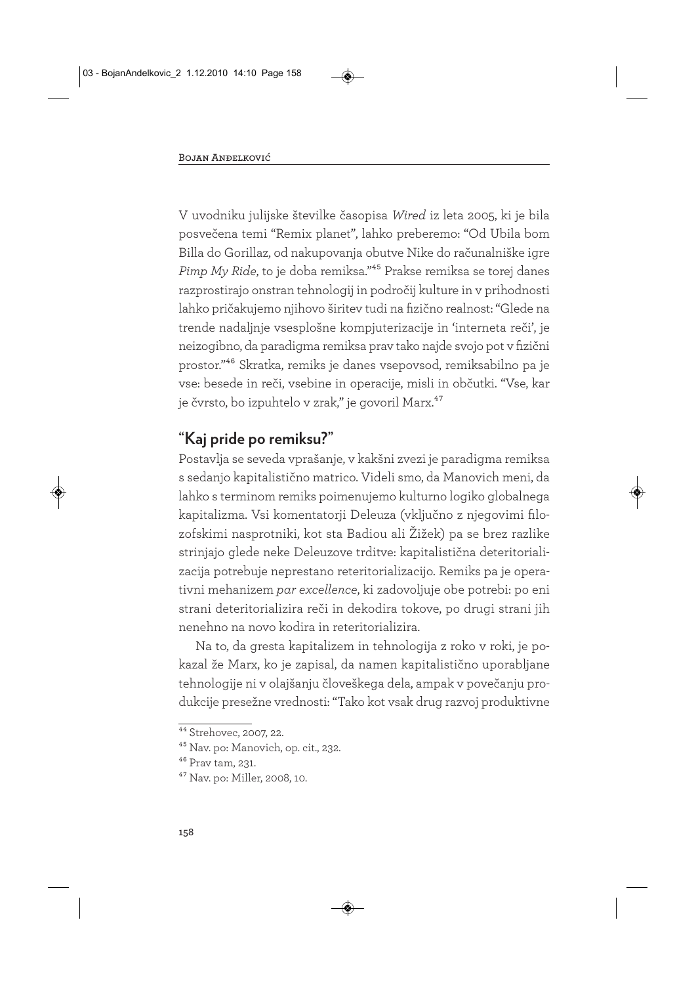V uvodniku julijske številke časopisa *Wired* iz leta 2005, ki je bila posvečena temi "Remix planet", lahko preberemo: "Od Ubila bom Billa do Gorillaz, od nakupovanja obutve Nike do računalniške igre *Pimp My Ride*, to je doba remiksa."45 Prakse remiksa se torej danes razprostirajo onstran tehnologij in področij kulture in v prihodnosti lahko pričakujemo njihovo širitev tudi na fizično realnost: "Glede na trende nadaljnje vsesplošne kompjuterizacije in 'interneta reči', je neizogibno, da paradigma remiksa prav tako najde svojo pot v fizični prostor."46 Skratka, remiks je danes vsepovsod, remiksabilno pa je vse: besede in reči, vsebine in operacije, misli in občutki. "Vse, kar je čvrsto, bo izpuhtelo v zrak," je govoril Marx.<sup>47</sup>

# **"Kaj pride po remiksu?"**

Postavlja se seveda vprašanje, v kakšni zvezi je paradigma remiksa s sedanjo kapitalistično matrico. Videli smo, da Manovich meni, da lahko s terminom remiks poimenujemo kulturno logiko globalnega kapitalizma. Vsi komentatorji Deleuza (vključno z njegovimi filozofskimi nasprotniki, kot sta Badiou ali Žižek) pa se brez razlike strinjajo glede neke Deleuzove trditve: kapitalistična deteritorializacija potrebuje neprestano reteritorializacijo. Remiks pa je operativni mehanizem *par excellence*, ki zadovoljuje obe potrebi: po eni strani deteritorializira reči in dekodira tokove, po drugi strani jih nenehno na novo kodira in reteritorializira.

Na to, da gresta kapitalizem in tehnologija z roko v roki, je pokazal že Marx, ko je zapisal, da namen kapitalistično uporabljane tehnologije ni v olajšanju človeškega dela, ampak v povečanju produkcije presežne vrednosti: "Tako kot vsak drug razvoj produktivne

<sup>44</sup> Strehovec, 2007, 22.

<sup>45</sup> Nav. po: Manovich, op. cit., 232.

<sup>46</sup> Prav tam, 231.

<sup>47</sup> Nav. po: Miller, 2008, 10.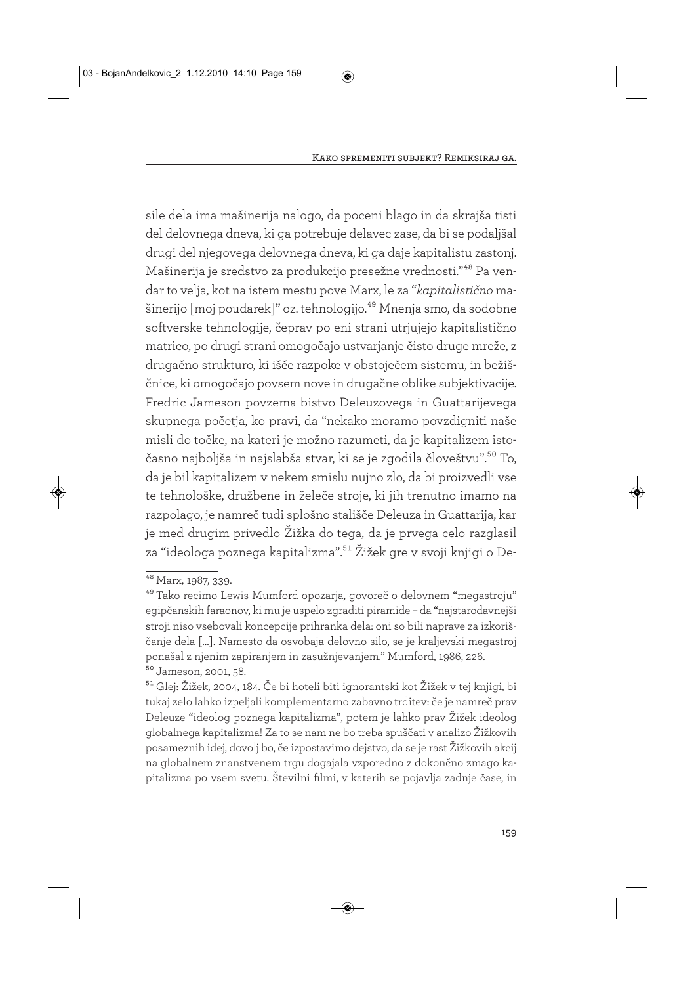sile dela ima mašinerija nalogo, da poceni blago in da skrajša tisti del delovnega dneva, ki ga potrebuje delavec zase, da bi se podaljšal drugi del njegovega delovnega dneva, ki ga daje kapitalistu zastonj. Mašinerija je sredstvo za produkcijo presežne vrednosti."48 Pa vendar to velja, kot na istem mestu pove Marx, le za "*kapitalistično* mašinerijo [moj poudarek]" oz. tehnologijo.<sup>49</sup> Mnenja smo, da sodobne softverske tehnologije, čeprav po eni strani utrjujejo kapitalistično matrico, po drugi strani omogočajo ustvarjanje čisto druge mreže, z drugačno strukturo, ki išče razpoke v obstoječem sistemu, in bežiščnice, ki omogočajo povsem nove in drugačne oblike subjektivacije. Fredric Jameson povzema bistvo Deleuzovega in Guattarijevega skupnega početja, ko pravi, da "nekako moramo povzdigniti naše misli do točke, na kateri je možno razumeti, da je kapitalizem istočasno najboljša in najslabša stvar, ki se je zgodila človeštvu".50 To, da je bil kapitalizem v nekem smislu nujno zlo, da bi proizvedli vse te tehnološke, družbene in želeče stroje, ki jih trenutno imamo na razpolago, je namreč tudi splošno stališče Deleuza in Guattarija, kar je med drugim privedlo Žižka do tega, da je prvega celo razglasil za "ideologa poznega kapitalizma".51 Žižek gre v svoji knjigi o De-

<sup>48</sup> Marx, 1987, 339.

<sup>49</sup> Tako recimo Lewis Mumford opozarja, govoreč o delovnem "megastroju" egipčanskih faraonov, ki mu je uspelo zgraditi piramide – da "najstarodavnejši stroji niso vsebovali koncepcije prihranka dela: oni so bili naprave za izkoriščanje dela […]. Namesto da osvobaja delovno silo, se je kraljevski megastroj ponašal z njenim zapiranjem in zasužnjevanjem." Mumford, 1986, 226. 50 Jameson, 2001, 58.

<sup>51</sup> Glej: Žižek, 2004, 184. Če bi hoteli biti ignorantski kot Žižek v tej knjigi, bi tukaj zelo lahko izpeljali komplementarno zabavno trditev: če je namreč prav Deleuze "ideolog poznega kapitalizma", potem je lahko prav Žižek ideolog globalnega kapitalizma! Za to se nam ne bo treba spuščati v analizo Žižkovih posameznih idej, dovolj bo, če izpostavimo dejstvo, da se je rast Žižkovih akcij na globalnem znanstvenem trgu dogajala vzporedno z dokončno zmago kapitalizma po vsem svetu. Številni filmi, v katerih se pojavlja zadnje čase, in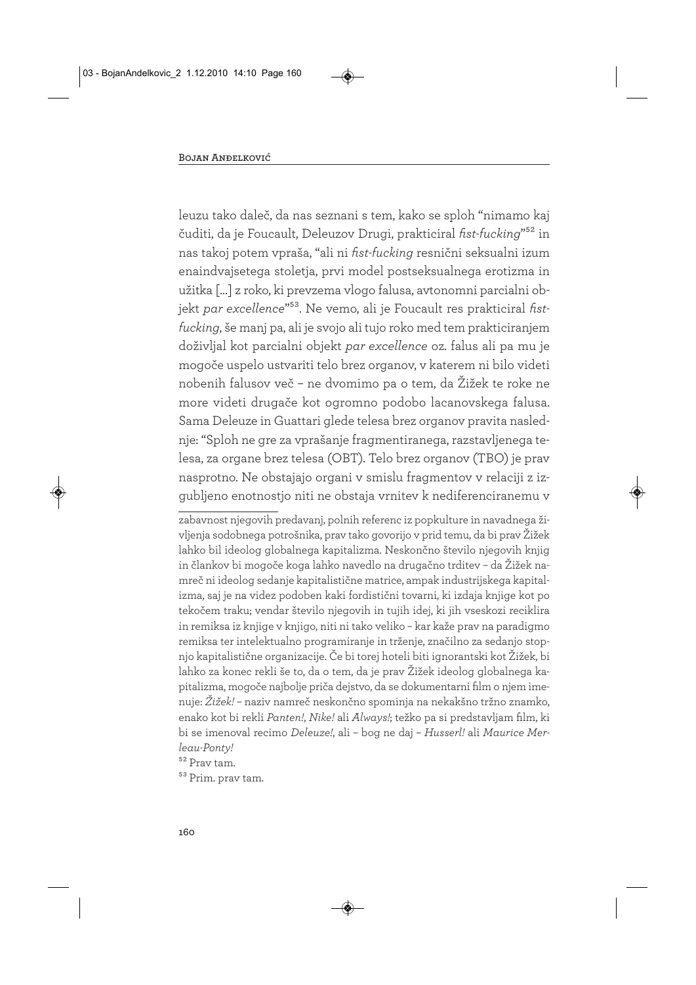leuzu tako daleč, da nas seznani s tem, kako se sploh "nimamo kaj čuditi, da je Foucault, Deleuzov Drugi, prakticiral *fist-fucking*"52 in nas takoj potem vpraša, "ali ni *fist-fucking* resnični seksualni izum enaindvajsetega stoletja, prvi model postseksualnega erotizma in užitka […] z roko, ki prevzema vlogo falusa, avtonomni parcialni objekt *par excellence*"53. Ne vemo, ali je Foucault res prakticiral *fistfucking*, še manj pa, ali je svojo ali tujo roko med tem prakticiranjem doživljal kot parcialni objekt *par excellence* oz. falus ali pa mu je mogoče uspelo ustvariti telo brez organov, v katerem ni bilo videti nobenih falusov več – ne dvomimo pa o tem, da Žižek te roke ne more videti drugače kot ogromno podobo lacanovskega falusa. Sama Deleuze in Guattari glede telesa brez organov pravita naslednje: "Sploh ne gre za vprašanje fragmentiranega, razstavljenega telesa, za organe brez telesa (OBT). Telo brez organov (TBO) je prav nasprotno. Ne obstajajo organi v smislu fragmentov v relaciji z izgubljeno enotnostjo niti ne obstaja vrnitev k nediferenciranemu v

zabavnost njegovih predavanj, polnih referenc iz popkulture in navadnega življenja sodobnega potrošnika, prav tako govorijo v prid temu, da bi prav Žižek lahko bil ideolog globalnega kapitalizma. Neskončno število njegovih knjig in člankov bi mogoče koga lahko navedlo na drugačno trditev – da Žižek namreč ni ideolog sedanje kapitalistične matrice, ampak industrijskega kapitalizma, saj je na videz podoben kaki fordistični tovarni, ki izdaja knjige kot po tekočem traku; vendar število njegovih in tujih idej, ki jih vseskozi reciklira in remiksa iz knjige v knjigo, niti ni tako veliko – kar kaže prav na paradigmo remiksa ter intelektualno programiranje in trženje, značilno za sedanjo stopnjo kapitalistične organizacije. Če bi torej hoteli biti ignorantski kot Žižek, bi lahko za konec rekli še to, da o tem, da je prav Žižek ideolog globalnega kapitalizma, mogoče najbolje priča dejstvo, da se dokumentarni film o njem imenuje: *Žižek!* – naziv namreč neskončno spominja na nekakšno tržno znamko, enako kot bi rekli *Panten!*, *Nike!* ali *Always!*; težko pa si predstavljam film, ki bi se imenoval recimo *Deleuze!*, ali – bog ne daj – *Husserl!* ali *Maurice Merleau-Ponty!*

52 Prav tam.

53 Prim. prav tam.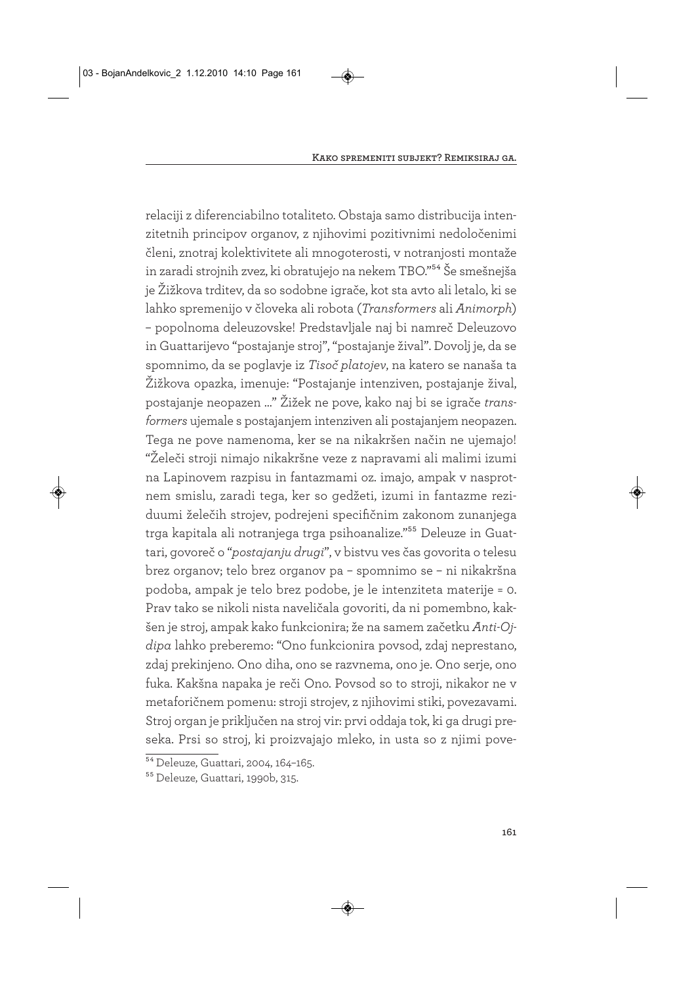relaciji z diferenciabilno totaliteto. Obstaja samo distribucija intenzitetnih principov organov, z njihovimi pozitivnimi nedoločenimi členi, znotraj kolektivitete ali mnogoterosti, v notranjosti montaže in zaradi strojnih zvez, ki obratujejo na nekem TBO."54 Še smešnejša je Žižkova trditev, da so sodobne igrače, kot sta avto ali letalo, ki se lahko spremenijo v človeka ali robota (*Transformers* ali *Animorph*) – popolnoma deleuzovske! Predstavljale naj bi namreč Deleuzovo in Guattarijevo "postajanje stroj", "postajanje žival". Dovolj je, da se spomnimo, da se poglavje iz *Tisoč platojev*, na katero se nanaša ta Žižkova opazka, imenuje: "Postajanje intenziven, postajanje žival, postajanje neopazen …" Žižek ne pove, kako naj bi se igrače *transformers* ujemale s postajanjem intenziven ali postajanjem neopazen. Tega ne pove namenoma, ker se na nikakršen način ne ujemajo! "Želeči stroji nimajo nikakršne veze z napravami ali malimi izumi na Lapinovem razpisu in fantazmami oz. imajo, ampak v nasprotnem smislu, zaradi tega, ker so gedžeti, izumi in fantazme reziduumi želečih strojev, podrejeni specifičnim zakonom zunanjega trga kapitala ali notranjega trga psihoanalize."55 Deleuze in Guattari, govoreč o "*postajanju drugi*", v bistvu ves čas govorita o telesu brez organov; telo brez organov pa – spomnimo se – ni nikakršna podoba, ampak je telo brez podobe, je le intenziteta materije = 0. Prav tako se nikoli nista naveličala govoriti, da ni pomembno, kakšen je stroj, ampak kako funkcionira; že na samem začetku *Anti-Ojdipa* lahko preberemo: "Ono funkcionira povsod, zdaj neprestano, zdaj prekinjeno. Ono diha, ono se razvnema, ono je. Ono serje, ono fuka. Kakšna napaka je reči Ono. Povsod so to stroji, nikakor ne v metaforičnem pomenu: stroji strojev, z njihovimi stiki, povezavami. Stroj organ je priključen na stroj vir: prvi oddaja tok, ki ga drugi preseka. Prsi so stroj, ki proizvajajo mleko, in usta so z njimi pove-

<sup>54</sup> Deleuze, Guattari, 2004, 164–165.

<sup>55</sup> Deleuze, Guattari, 1990b, 315.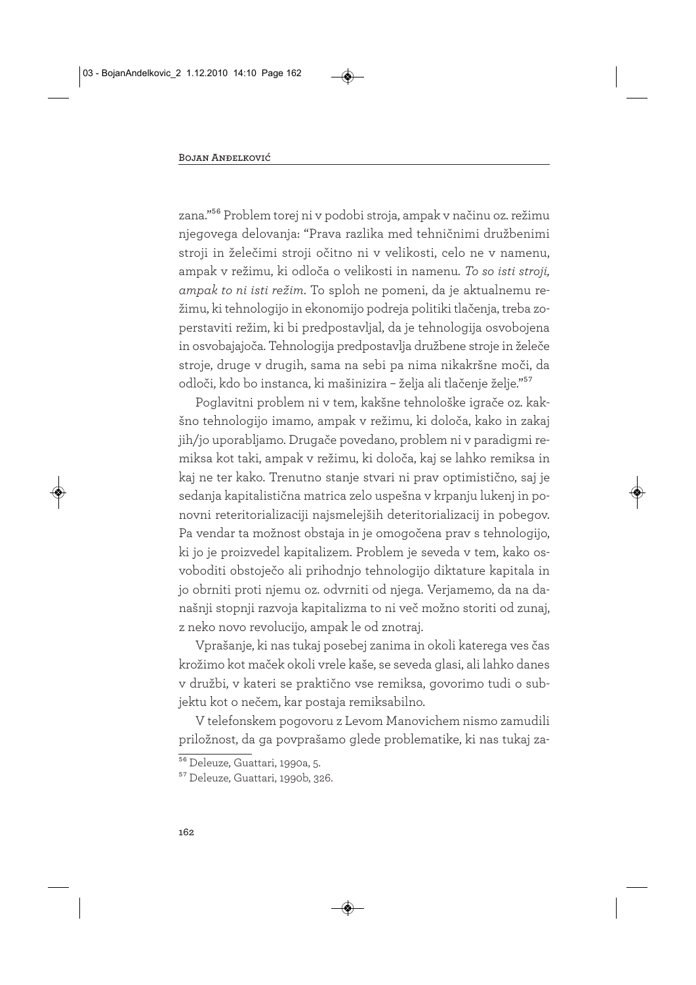zana."56 Problem torej ni v podobi stroja, ampak v načinu oz. režimu njegovega delovanja: "Prava razlika med tehničnimi družbenimi stroji in želečimi stroji očitno ni v velikosti, celo ne v namenu, ampak v režimu, ki odloča o velikosti in namenu. *To so isti stroji, ampak to ni isti režim*. To sploh ne pomeni, da je aktualnemu režimu, ki tehnologijo in ekonomijo podreja politiki tlačenja, treba zoperstaviti režim, ki bi predpostavljal, da je tehnologija osvobojena in osvobajajoča. Tehnologija predpostavlja družbene stroje in želeče stroje, druge v drugih, sama na sebi pa nima nikakršne moči, da odloči, kdo bo instanca, ki mašinizira – želja ali tlačenje želje."57

Poglavitni problem ni v tem, kakšne tehnološke igrače oz. kakšno tehnologijo imamo, ampak v režimu, ki določa, kako in zakaj jih/jo uporabljamo. Drugače povedano, problem ni v paradigmi remiksa kot taki, ampak v režimu, ki določa, kaj se lahko remiksa in kaj ne ter kako. Trenutno stanje stvari ni prav optimistično, saj je sedanja kapitalistična matrica zelo uspešna v krpanju lukenj in ponovni reteritorializaciji najsmelejših deteritorializacij in pobegov. Pa vendar ta možnost obstaja in je omogočena prav s tehnologijo, ki jo je proizvedel kapitalizem. Problem je seveda v tem, kako osvoboditi obstoječo ali prihodnjo tehnologijo diktature kapitala in jo obrniti proti njemu oz. odvrniti od njega. Verjamemo, da na današnji stopnji razvoja kapitalizma to ni več možno storiti od zunaj, z neko novo revolucijo, ampak le od znotraj.

Vprašanje, ki nas tukaj posebej zanima in okoli katerega ves čas krožimo kot maček okoli vrele kaše, se seveda glasi, ali lahko danes v družbi, v kateri se praktično vse remiksa, govorimo tudi o subjektu kot o nečem, kar postaja remiksabilno.

V telefonskem pogovoru z Levom Manovichem nismo zamudili priložnost, da ga povprašamo glede problematike, ki nas tukaj za-

<sup>56</sup> Deleuze, Guattari, 1990a, 5.

<sup>57</sup> Deleuze, Guattari, 1990b, 326.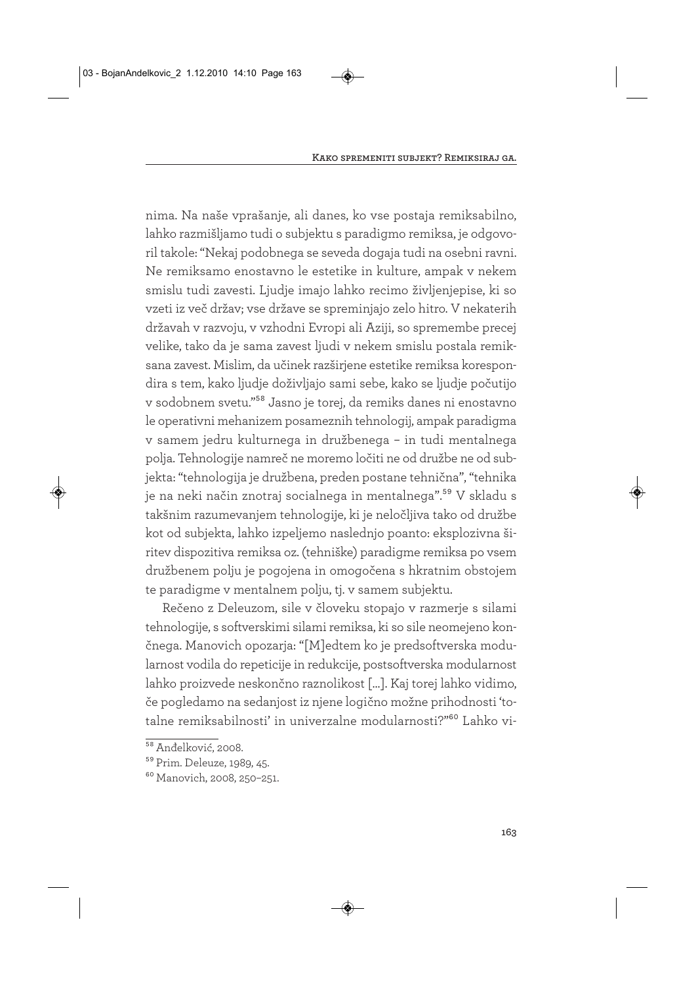nima. Na naše vprašanje, ali danes, ko vse postaja remiksabilno, lahko razmišljamo tudi o subjektu s paradigmo remiksa, je odgovoril takole: "Nekaj podobnega se seveda dogaja tudi na osebni ravni. Ne remiksamo enostavno le estetike in kulture, ampak v nekem smislu tudi zavesti. Ljudje imajo lahko recimo življenjepise, ki so vzeti iz več držav; vse države se spreminjajo zelo hitro. V nekaterih državah v razvoju, v vzhodni Evropi ali Aziji, so spremembe precej velike, tako da je sama zavest ljudi v nekem smislu postala remiksana zavest. Mislim, da učinek razširjene estetike remiksa korespondira s tem, kako ljudje doživljajo sami sebe, kako se ljudje počutijo v sodobnem svetu."58 Jasno je torej, da remiks danes ni enostavno le operativni mehanizem posameznih tehnologij, ampak paradigma v samem jedru kulturnega in družbenega – in tudi mentalnega polja. Tehnologije namreč ne moremo ločiti ne od družbe ne od subjekta: "tehnologija je družbena, preden postane tehnična", "tehnika je na neki način znotraj socialnega in mentalnega".<sup>59</sup> V skladu s takšnim razumevanjem tehnologije, ki je neločljiva tako od družbe kot od subjekta, lahko izpeljemo naslednjo poanto: eksplozivna širitev dispozitiva remiksa oz. (tehniške) paradigme remiksa po vsem družbenem polju je pogojena in omogočena s hkratnim obstojem te paradigme v mentalnem polju, tj. v samem subjektu.

Rečeno z Deleuzom, sile v človeku stopajo v razmerje s silami tehnologije, s softverskimi silami remiksa, ki so sile neomejeno končnega. Manovich opozarja: "[M]edtem ko je predsoftverska modularnost vodila do repeticije in redukcije, postsoftverska modularnost lahko proizvede neskončno raznolikost […]. Kaj torej lahko vidimo, če pogledamo na sedanjost iz njene logično možne prihodnosti 'totalne remiksabilnosti' in univerzalne modularnosti?"60 Lahko vi-

<sup>&</sup>lt;sup>58</sup> Anđelković, 2008.

<sup>59</sup> Prim. Deleuze, 1989, 45.

<sup>60</sup> Manovich, 2008, 250–251.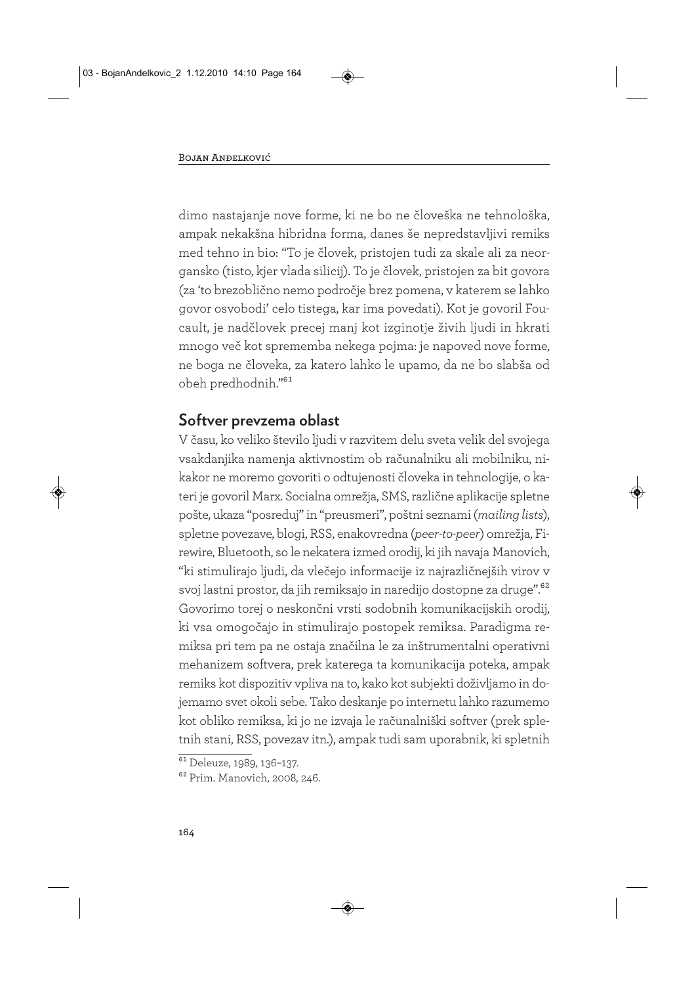dimo nastajanje nove forme, ki ne bo ne človeška ne tehnološka, ampak nekakšna hibridna forma, danes še nepredstavljivi remiks med tehno in bio: "To je človek, pristojen tudi za skale ali za neorgansko (tisto, kjer vlada silicij). To je človek, pristojen za bit govora (za 'to brezoblično nemo področje brez pomena, v katerem se lahko govor osvobodi' celo tistega, kar ima povedati). Kot je govoril Foucault, je nadčlovek precej manj kot izginotje živih ljudi in hkrati mnogo več kot sprememba nekega pojma: je napoved nove forme, ne boga ne človeka, za katero lahko le upamo, da ne bo slabša od obeh predhodnih."61

# **Softver prevzema oblast**

V času, ko veliko število ljudi v razvitem delu sveta velik del svojega vsakdanjika namenja aktivnostim ob računalniku ali mobilniku, nikakor ne moremo govoriti o odtujenosti človeka in tehnologije, o kateri je govoril Marx. Socialna omrežja, SMS, različne aplikacije spletne pošte, ukaza "posreduj" in "preusmeri", poštni seznami (*mailing lists*), spletne povezave, blogi, RSS, enakovredna (*peer-to-peer*) omrežja, Firewire, Bluetooth, so le nekatera izmed orodij, ki jih navaja Manovich, "ki stimulirajo ljudi, da vlečejo informacije iz najrazličnejših virov v svoj lastni prostor, da jih remiksajo in naredijo dostopne za druge".62 Govorimo torej o neskončni vrsti sodobnih komunikacijskih orodij, ki vsa omogočajo in stimulirajo postopek remiksa. Paradigma remiksa pri tem pa ne ostaja značilna le za inštrumentalni operativni mehanizem softvera, prek katerega ta komunikacija poteka, ampak remiks kot dispozitiv vpliva na to, kako kot subjekti doživljamo in dojemamo svet okoli sebe. Tako deskanje po internetu lahko razumemo kot obliko remiksa, ki jo ne izvaja le računalniški softver (prek spletnih stani, RSS, povezav itn.), ampak tudi sam uporabnik, ki spletnih

<sup>&</sup>lt;sup>61</sup> Deleuze, 1989, 136-137.

<sup>62</sup> Prim. Manovich, 2008, 246.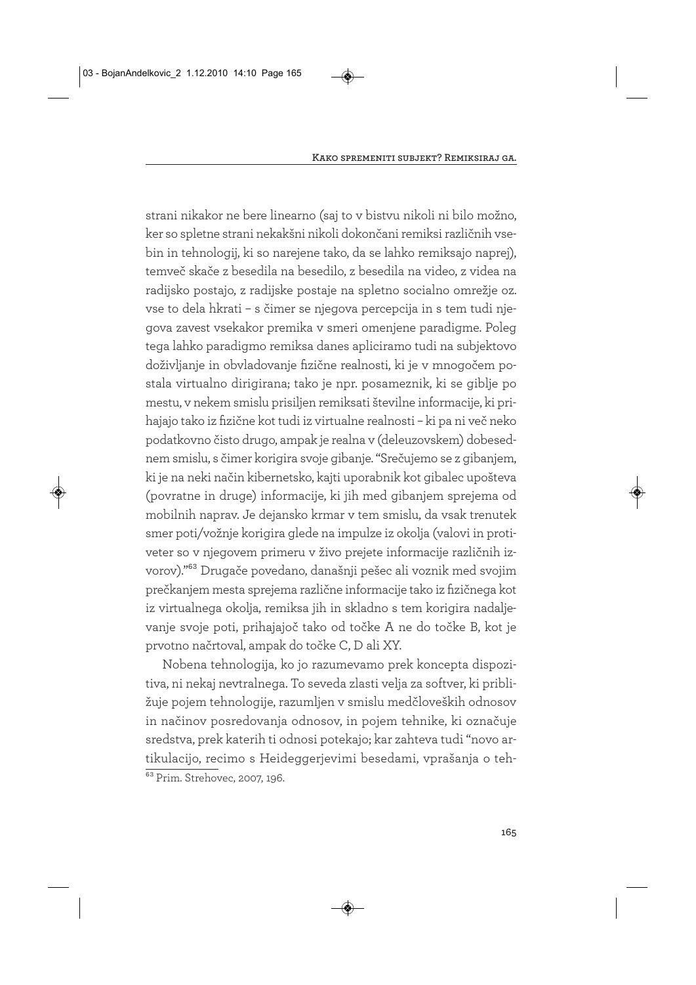strani nikakor ne bere linearno (saj to v bistvu nikoli ni bilo možno, ker so spletne strani nekakšni nikoli dokončani remiksi različnih vsebin in tehnologij, ki so narejene tako, da se lahko remiksajo naprej), temveč skače z besedila na besedilo, z besedila na video, z videa na radijsko postajo, z radijske postaje na spletno socialno omrežje oz. vse to dela hkrati – s čimer se njegova percepcija in s tem tudi njegova zavest vsekakor premika v smeri omenjene paradigme. Poleg tega lahko paradigmo remiksa danes apliciramo tudi na subjektovo doživljanje in obvladovanje fizične realnosti, ki je v mnogočem postala virtualno dirigirana; tako je npr. posameznik, ki se giblje po mestu, v nekem smislu prisiljen remiksati številne informacije, ki prihajajo tako iz fizične kot tudi iz virtualne realnosti – ki pa ni več neko podatkovno čisto drugo, ampak je realna v (deleuzovskem) dobesednem smislu, s čimer korigira svoje gibanje. "Srečujemo se z gibanjem, ki je na neki način kibernetsko, kajti uporabnik kot gibalec upošteva (povratne in druge) informacije, ki jih med gibanjem sprejema od mobilnih naprav. Je dejansko krmar v tem smislu, da vsak trenutek smer poti/vožnje korigira glede na impulze iz okolja (valovi in protiveter so v njegovem primeru v živo prejete informacije različnih izvorov)."63 Drugače povedano, današnji pešec ali voznik med svojim prečkanjem mesta sprejema različne informacije tako iz fizičnega kot iz virtualnega okolja, remiksa jih in skladno s tem korigira nadaljevanje svoje poti, prihajajoč tako od točke A ne do točke B, kot je prvotno načrtoval, ampak do točke C, D ali XY.

Nobena tehnologija, ko jo razumevamo prek koncepta dispozitiva, ni nekaj nevtralnega. To seveda zlasti velja za softver, ki približuje pojem tehnologije, razumljen v smislu medčloveških odnosov in načinov posredovanja odnosov, in pojem tehnike, ki označuje sredstva, prek katerih ti odnosi potekajo; kar zahteva tudi "novo artikulacijo, recimo s Heideggerjevimi besedami, vprašanja o teh-63 Prim. Strehovec, 2007, 196.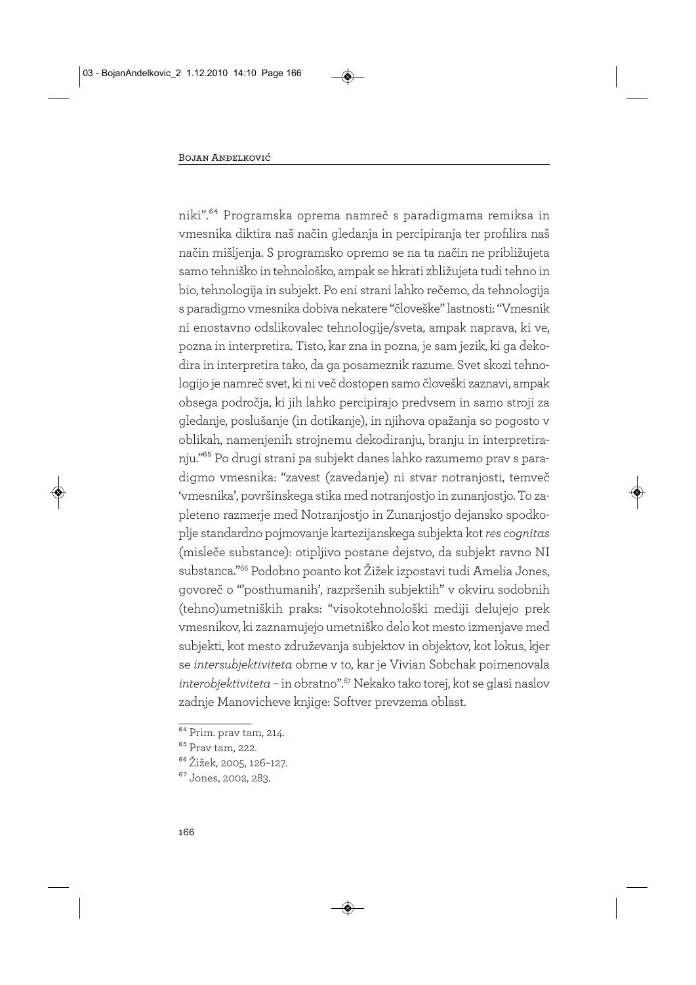niki".64 Programska oprema namreč s paradigmama remiksa in vmesnika diktira naš način gledanja in percipiranja ter profilira naš način mišljenja. S programsko opremo se na ta način ne približujeta samo tehniško in tehnološko, ampak se hkrati zbližujeta tudi tehno in bio, tehnologija in subjekt. Po eni strani lahko rečemo, da tehnologija s paradigmo vmesnika dobiva nekatere "človeške" lastnosti: "Vmesnik ni enostavno odslikovalec tehnologije/sveta, ampak naprava, ki ve, pozna in interpretira. Tisto, kar zna in pozna, je sam jezik, ki ga dekodira in interpretira tako, da ga posameznik razume. Svet skozi tehnologijo je namreč svet, ki ni več dostopen samo človeški zaznavi, ampak obsega področja, ki jih lahko percipirajo predvsem in samo stroji za gledanje, poslušanje (in dotikanje), in njihova opažanja so pogosto v oblikah, namenjenih strojnemu dekodiranju, branju in interpretiranju."65 Po drugi strani pa subjekt danes lahko razumemo prav s paradigmo vmesnika: "zavest (zavedanje) ni stvar notranjosti, temveč 'vmesnika', površinskega stika med notranjostjo in zunanjostjo. To zapleteno razmerje med Notranjostjo in Zunanjostjo dejansko spodkoplje standardno pojmovanje kartezijanskega subjekta kot *res cognitas* (misleče substance): otipljivo postane dejstvo, da subjekt ravno NI substanca."66 Podobno poanto kot Žižek izpostavi tudi Amelia Jones, govoreč o "'posthumanih', razpršenih subjektih" v okviru sodobnih (tehno)umetniških praks: "visokotehnološki mediji delujejo prek vmesnikov, ki zaznamujejo umetniško delo kot mesto izmenjave med subjekti, kot mesto združevanja subjektov in objektov, kot lokus, kjer se *intersubjektiviteta* obrne v to, kar je Vivian Sobchak poimenovala *interobjektiviteta* – in obratno".67 Nekako tako torej, kot se glasi naslov zadnje Manovicheve knjige: Softver prevzema oblast.

 $\sqrt[64]{9}$ Prim. prav tam, 214.

<sup>65</sup> Prav tam, 222.

<sup>66</sup> Žižek, 2005, 126–127.

<sup>67</sup> Jones, 2002, 283.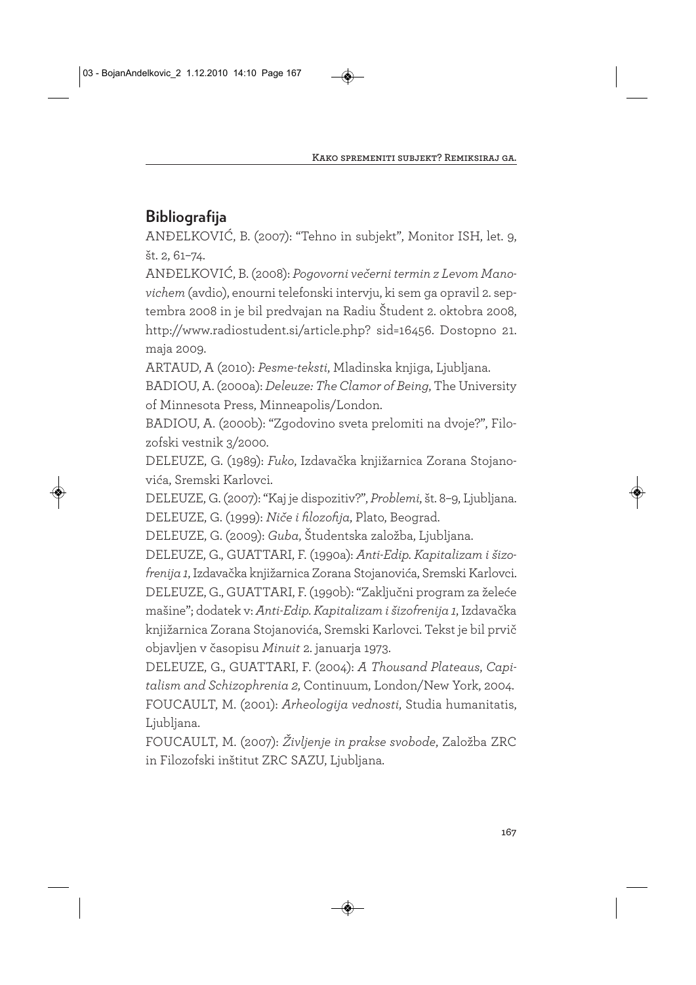# **Bibliografija**

ANĐELKOVIĆ, B. (2007): "Tehno in subjekt", Monitor ISH, let. 9, št. 2, 61–74.

ANĐELKOVIĆ, B. (2008): *Pogovorni večerni termin z Levom Manovichem* (avdio), enourni telefonski intervju, ki sem ga opravil 2. septembra 2008 in je bil predvajan na Radiu Študent 2. oktobra 2008, http://www.radiostudent.si/article.php? sid=16456. Dostopno 21. maja 2009.

ARTAUD, A (2010): *Pesme-teksti*, Mladinska knjiga, Ljubljana.

BADIOU, A. (2000a): *Deleuze: The Clamor of Being*, The University of Minnesota Press, Minneapolis/London.

BADIOU, A. (2000b): "Zgodovino sveta prelomiti na dvoje?", Filozofski vestnik 3/2000.

DELEUZE, G. (1989): *Fuko*, Izdavačka knjižarnica Zorana Stojanovića, Sremski Karlovci.

DELEUZE, G. (2007): "Kaj je dispozitiv?", *Problemi*, št. 8–9, Ljubljana. DELEUZE, G. (1999): *Niče i filozofija*, Plato, Beograd.

DELEUZE, G. (2009): *Guba*, Študentska založba, Ljubljana.

DELEUZE, G., GUATTARI, F. (1990a): *Anti-Edip. Kapitalizam i šizofrenija 1*, Izdavačka knjižarnica Zorana Stojanovića, Sremski Karlovci. DELEUZE, G., GUATTARI, F. (1990b): "Zaključni program za želeće mašine"; dodatek v: *Anti-Edip. Kapitalizam i šizofrenija 1*, Izdavačka knjižarnica Zorana Stojanovića, Sremski Karlovci. Tekst je bil prvič objavljen v časopisu *Minuit* 2. januarja 1973.

DELEUZE, G., GUATTARI, F. (2004): *A Thousand Plateaus*, *Capitalism and Schizophrenia 2*, Continuum, London/New York, 2004. FOUCAULT, M. (2001): *Arheologija vednosti*, Studia humanitatis, Ljubljana.

FOUCAULT, M. (2007): *Življenje in prakse svobode*, Založba ZRC in Filozofski inštitut ZRC SAZU, Ljubljana.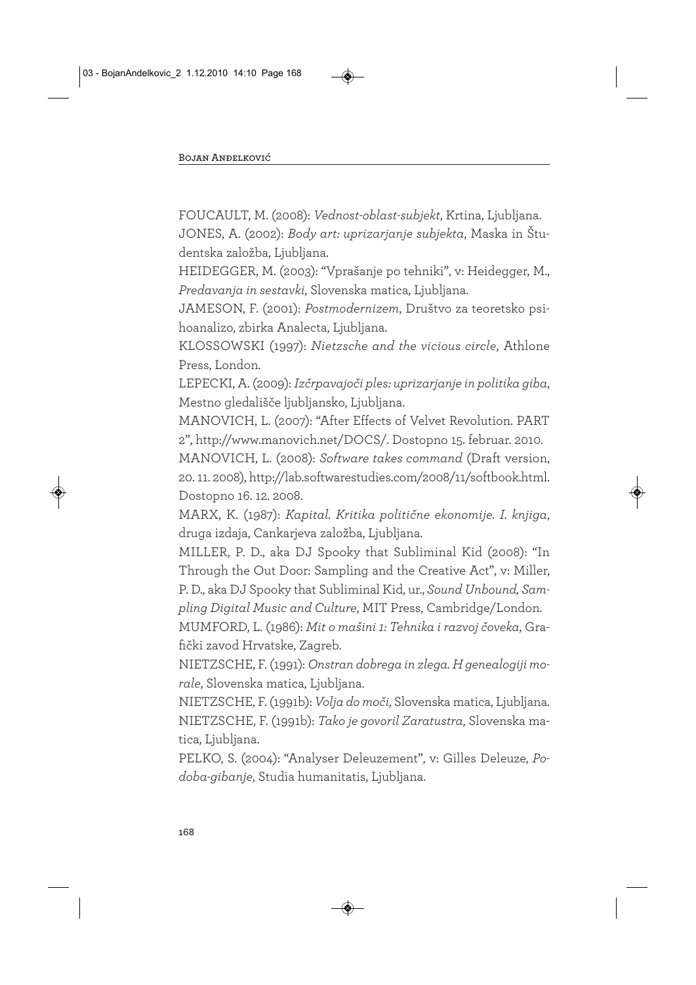FOUCAULT, M. (2008): *Vednost-oblast-subjekt*, Krtina, Ljubljana. JONES, A. (2002): *Body art: uprizarjanje subjekta*, Maska in Študentska založba, Ljubljana.

HEIDEGGER, M. (2003): "Vprašanje po tehniki", v: Heidegger, M., *Predavanja in sestavki*, Slovenska matica, Ljubljana.

JAMESON, F. (2001): *Postmodernizem*, Društvo za teoretsko psihoanalizo, zbirka Analecta, Ljubljana.

KLOSSOWSKI (1997): *Nietzsche and the vicious circle*, Athlone Press, London.

LEPECKI, A. (2009): *Izčrpavajoči ples: uprizarjanje in politika giba*, Mestno gledališče ljubljansko, Ljubljana.

MANOVICH, L. (2007): "After Effects of Velvet Revolution. PART 2", http://www.manovich.net/DOCS/. Dostopno 15. februar. 2010.

MANOVICH, L. (2008): *Software takes command* (Draft version, 20. 11. 2008), http://lab.softwarestudies.com/2008/11/softbook.html. Dostopno 16. 12. 2008.

MARX, K. (1987): *Kapital. Kritika politične ekonomije. I. knjiga*, druga izdaja, Cankarjeva založba, Ljubljana.

MILLER, P. D., aka DJ Spooky that Subliminal Kid (2008): "In Through the Out Door: Sampling and the Creative Act", v: Miller, P. D., aka DJ Spooky that Subliminal Kid, ur., *Sound Unbound, Sam-*

*pling Digital Music and Culture*, MIT Press, Cambridge/London.

MUMFORD, L. (1986): *Mit o mašini 1: Tehnika i razvoj čoveka*, Grafički zavod Hrvatske, Zagreb.

NIETZSCHE, F. (1991): *Onstran dobrega in zlega. H genealogiji morale*, Slovenska matica, Ljubljana.

NIETZSCHE, F. (1991b): *Volja do moči*, Slovenska matica, Ljubljana. NIETZSCHE, F. (1991b): *Tako je govoril Zaratustra*, Slovenska matica, Ljubljana.

PELKO, S. (2004): "Analyser Deleuzement", v: Gilles Deleuze, *Podoba-gibanje*, Studia humanitatis, Ljubljana.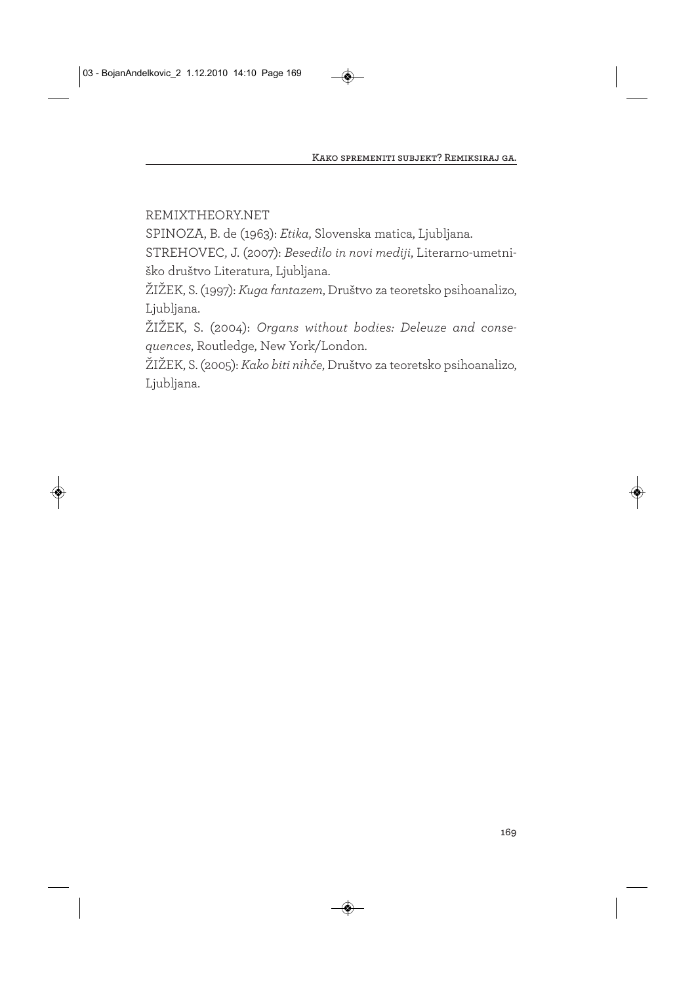REMIXTHEORY.NET

SPINOZA, B. de (1963): *Etika*, Slovenska matica, Ljubljana.

STREHOVEC, J. (2007): *Besedilo in novi mediji*, Literarno-umetniško društvo Literatura, Ljubljana.

ŽIŽEK, S. (1997): *Kuga fantazem*, Društvo za teoretsko psihoanalizo, Ljubljana.

ŽIŽEK, S. (2004): *Organs without bodies: Deleuze and consequences*, Routledge, New York/London.

ŽIŽEK, S. (2005): *Kako biti nihče*, Društvo za teoretsko psihoanalizo, Ljubljana.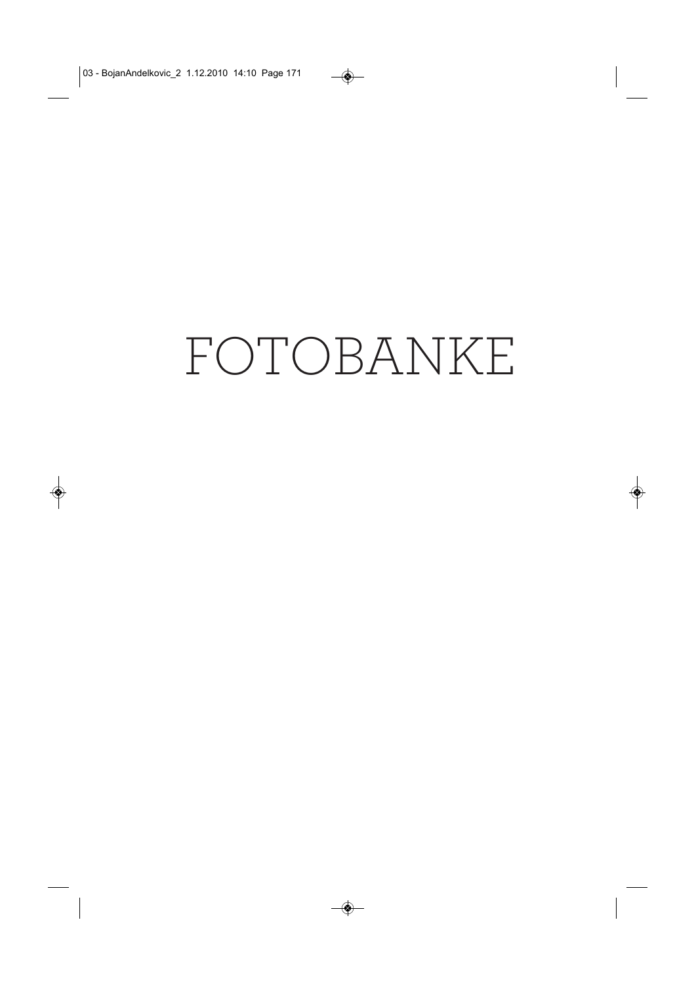# FOTOBANKE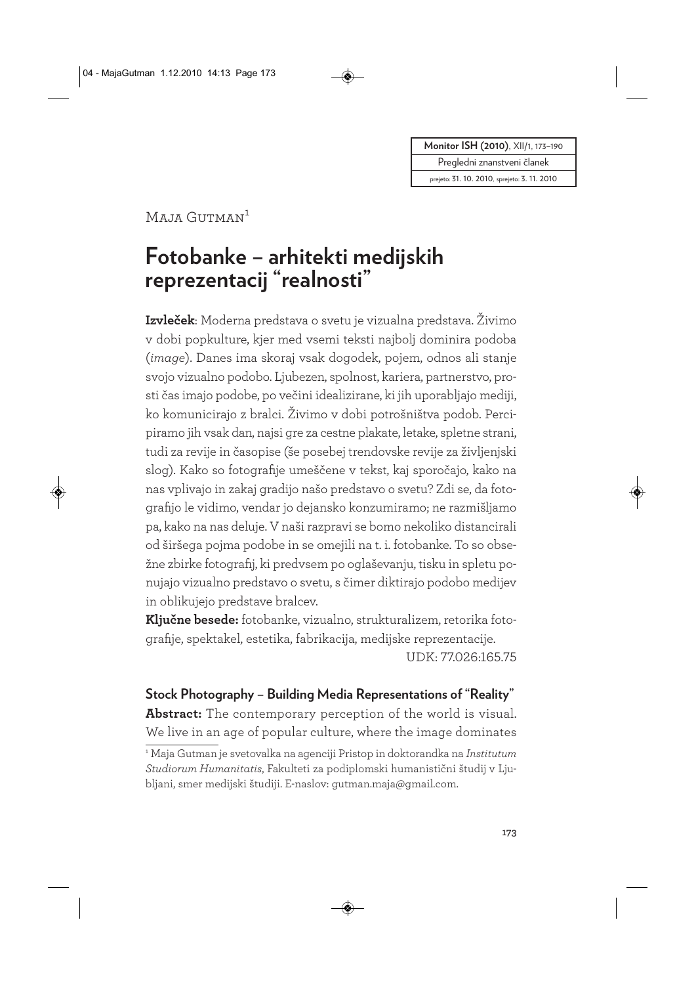**Monitor ISH (2010)**, XII/1, 173-190

Pregledni znanstveni članek

prejeto: 31. 10. 2010, sprejeto: 3. 11. 2010

Maja Gutman<sup>1</sup>

# **Fotobanke – arhitekti medijskih reprezentacij "realnosti"**

**Izvleček**: Moderna predstava o svetu je vizualna predstava. Živimo v dobi popkulture, kjer med vsemi teksti najbolj dominira podoba (*image*). Danes ima skoraj vsak dogodek, pojem, odnos ali stanje svojo vizualno podobo. Ljubezen, spolnost, kariera, partnerstvo, prosti čas imajo podobe, po večini idealizirane, ki jih uporabljajo mediji, ko komunicirajo z bralci. Živimo v dobi potrošništva podob. Percipiramo jih vsak dan, najsi gre za cestne plakate, letake, spletne strani, tudi za revije in časopise (še posebej trendovske revije za življenjski slog). Kako so fotografije umeščene v tekst, kaj sporočajo, kako na nas vplivajo in zakaj gradijo našo predstavo o svetu? Zdi se, da fotografijo le vidimo, vendar jo dejansko konzumiramo; ne razmišljamo pa, kako na nas deluje. V naši razpravi se bomo nekoliko distancirali od širšega pojma podobe in se omejili na t. i. fotobanke. To so obsežne zbirke fotografij, ki predvsem po oglaševanju, tisku in spletu ponujajo vizualno predstavo o svetu, s čimer diktirajo podobo medijev in oblikujejo predstave bralcev.

**Ključne besede:** fotobanke, vizualno, strukturalizem, retorika fotografije, spektakel, estetika, fabrikacija, medijske reprezentacije.

UDK: 77.026:165.75

**Stock Photography – Building Media Representations of "Reality" Abstract:** The contemporary perception of the world is visual. We live in an age of popular culture, where the image dominates <sup>1</sup> Maja Gutman je svetovalka na agenciji Pristop in doktorandka na *Institutum Studiorum Humanitatis*, Fakulteti za podiplomski humanistični študij v Ljubljani, smer medijski študiji. E-naslov: gutman.maja@gmail.com.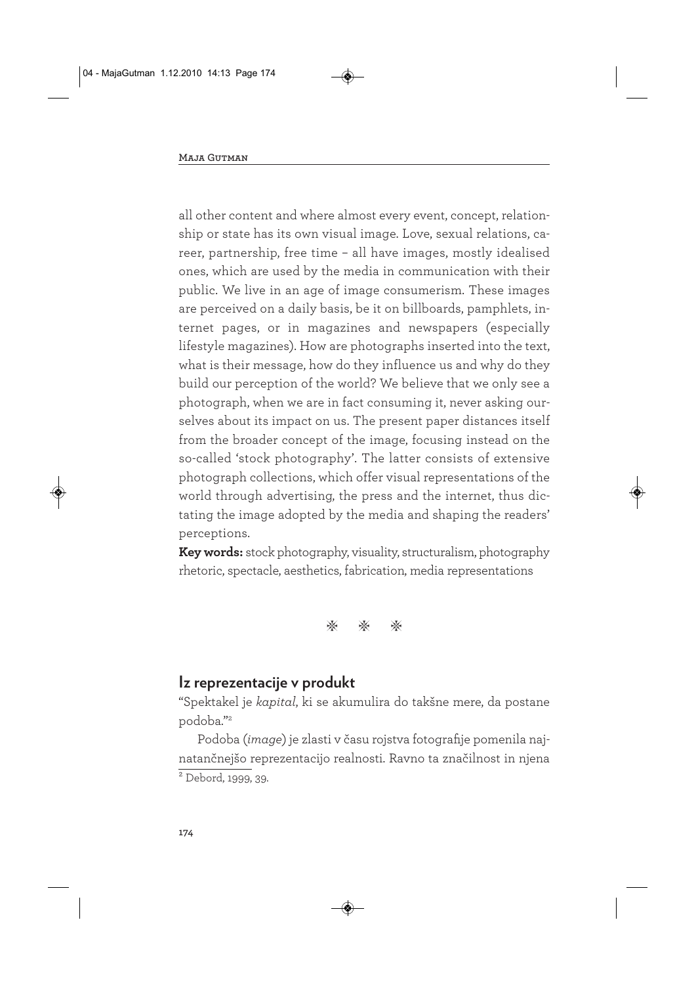all other content and where almost every event, concept, relationship or state has its own visual image. Love, sexual relations, career, partnership, free time – all have images, mostly idealised ones, which are used by the media in communication with their public. We live in an age of image consumerism. These images are perceived on a daily basis, be it on billboards, pamphlets, internet pages, or in magazines and newspapers (especially lifestyle magazines). How are photographs inserted into the text, what is their message, how do they influence us and why do they build our perception of the world? We believe that we only see a photograph, when we are in fact consuming it, never asking ourselves about its impact on us. The present paper distances itself from the broader concept of the image, focusing instead on the so-called 'stock photography'. The latter consists of extensive photograph collections, which offer visual representations of the world through advertising, the press and the internet, thus dictating the image adopted by the media and shaping the readers' perceptions.

**Key words:** stock photography, visuality, structuralism, photography rhetoric, spectacle, aesthetics, fabrication, media representations



#### **Iz reprezentacije v produkt**

"Spektakel je *kapital*, ki se akumulira do takšne mere, da postane podoba."2

Podoba (*image*) je zlasti v času rojstva fotografije pomenila najnatančnejšo reprezentacijo realnosti. Ravno ta značilnost in njena  $\overline{\text{2}$  Debord, 1999, 39.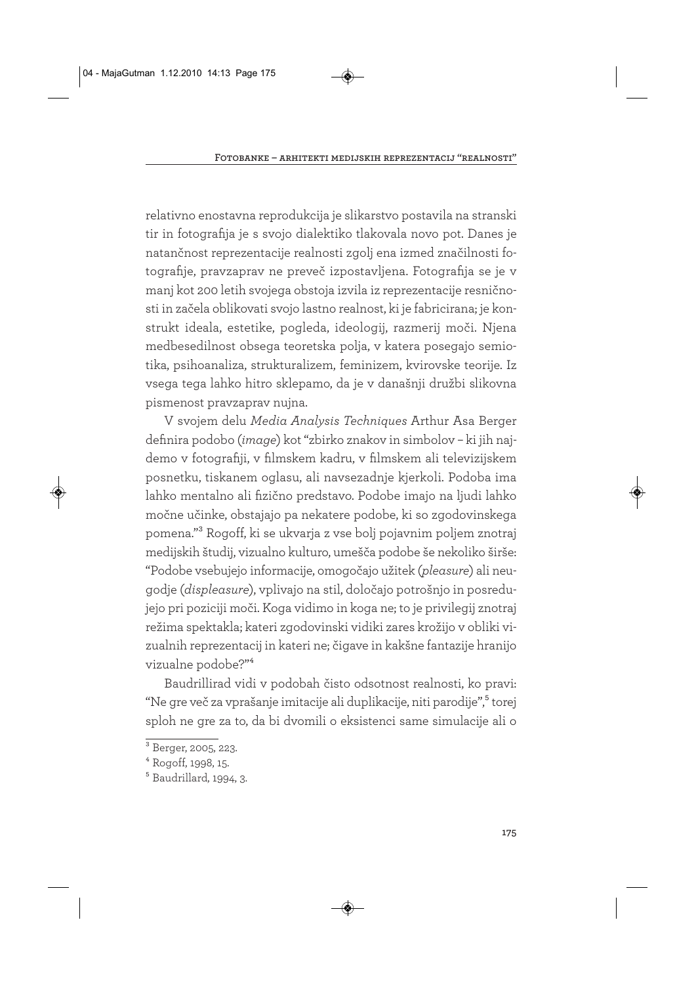relativno enostavna reprodukcija je slikarstvo postavila na stranski tir in fotografija je s svojo dialektiko tlakovala novo pot. Danes je natančnost reprezentacije realnosti zgolj ena izmed značilnosti fotografije, pravzaprav ne preveč izpostavljena. Fotografija se je v manj kot 200 letih svojega obstoja izvila iz reprezentacije resničnosti in začela oblikovati svojo lastno realnost, ki je fabricirana; je konstrukt ideala, estetike, pogleda, ideologij, razmerij moči. Njena medbesedilnost obsega teoretska polja, v katera posegajo semiotika, psihoanaliza, strukturalizem, feminizem, kvirovske teorije. Iz vsega tega lahko hitro sklepamo, da je v današnji družbi slikovna pismenost pravzaprav nujna.

V svojem delu *Media Analysis Techniques* Arthur Asa Berger definira podobo (*image*) kot "zbirko znakov in simbolov – ki jih najdemo v fotografiji, v filmskem kadru, v filmskem ali televizijskem posnetku, tiskanem oglasu, ali navsezadnje kjerkoli. Podoba ima lahko mentalno ali fizično predstavo. Podobe imajo na ljudi lahko močne učinke, obstajajo pa nekatere podobe, ki so zgodovinskega pomena."3 Rogoff, ki se ukvarja z vse bolj pojavnim poljem znotraj medijskih študij, vizualno kulturo, umešča podobe še nekoliko širše: "Podobe vsebujejo informacije, omogočajo užitek (*pleasure*) ali neugodje (*displeasure*), vplivajo na stil, določajo potrošnjo in posredujejo pri poziciji moči. Koga vidimo in koga ne; to je privilegij znotraj režima spektakla; kateri zgodovinski vidiki zares krožijo v obliki vizualnih reprezentacij in kateri ne; čigave in kakšne fantazije hranijo vizualne podobe?"4

Baudrillirad vidi v podobah čisto odsotnost realnosti, ko pravi: "Ne gre več za vprašanje imitacije ali duplikacije, niti parodije",5 torej sploh ne gre za to, da bi dvomili o eksistenci same simulacije ali o

 $3\overline{)}$  Berger, 2005, 223.

<sup>4</sup> Rogoff, 1998, 15.

<sup>5</sup> Baudrillard, 1994, 3.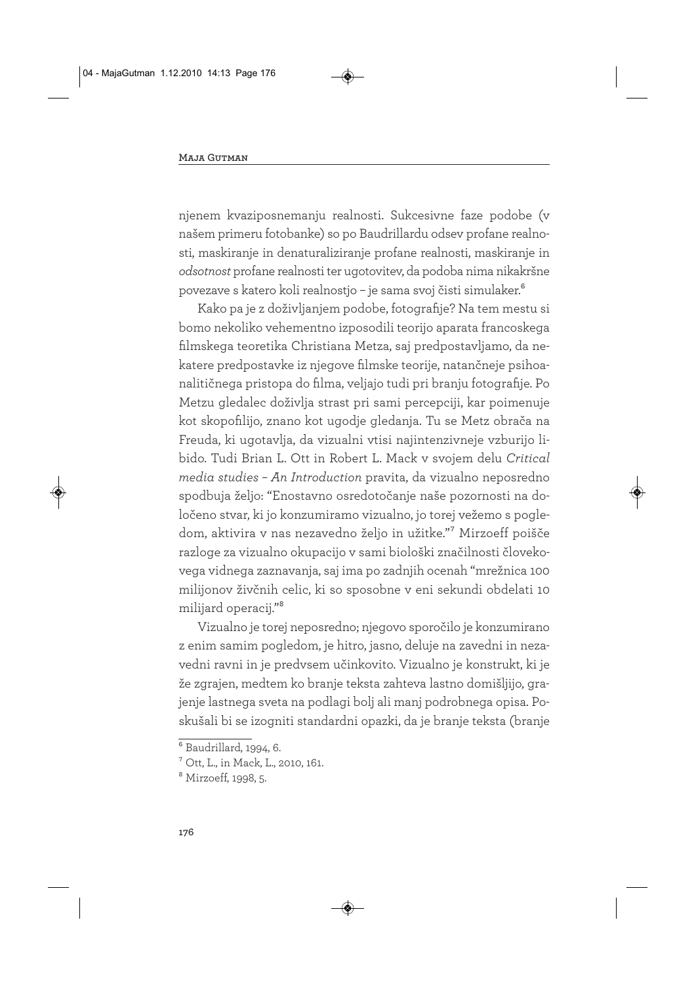njenem kvaziposnemanju realnosti. Sukcesivne faze podobe (v našem primeru fotobanke) so po Baudrillardu odsev profane realnosti, maskiranje in denaturaliziranje profane realnosti, maskiranje in *odsotnost* profane realnosti ter ugotovitev, da podoba nima nikakršne povezave s katero koli realnostjo – je sama svoj čisti simulaker.6

Kako pa je z doživljanjem podobe, fotografije? Na tem mestu si bomo nekoliko vehementno izposodili teorijo aparata francoskega filmskega teoretika Christiana Metza, saj predpostavljamo, da nekatere predpostavke iz njegove filmske teorije, natančneje psihoanalitičnega pristopa do filma, veljajo tudi pri branju fotografije. Po Metzu gledalec doživlja strast pri sami percepciji, kar poimenuje kot skopofilijo, znano kot ugodje gledanja. Tu se Metz obrača na Freuda, ki ugotavlja, da vizualni vtisi najintenzivneje vzburijo libido. Tudi Brian L. Ott in Robert L. Mack v svojem delu *Critical media studies – An Introduction* pravita, da vizualno neposredno spodbuja željo: "Enostavno osredotočanje naše pozornosti na določeno stvar, ki jo konzumiramo vizualno, jo torej vežemo s pogledom, aktivira v nas nezavedno željo in užitke."7 Mirzoeff poišče razloge za vizualno okupacijo v sami biološki značilnosti človekovega vidnega zaznavanja, saj ima po zadnjih ocenah "mrežnica 100 milijonov živčnih celic, ki so sposobne v eni sekundi obdelati 10 milijard operacij."8

Vizualno je torej neposredno; njegovo sporočilo je konzumirano z enim samim pogledom, je hitro, jasno, deluje na zavedni in nezavedni ravni in je predvsem učinkovito. Vizualno je konstrukt, ki je že zgrajen, medtem ko branje teksta zahteva lastno domišljijo, grajenje lastnega sveta na podlagi bolj ali manj podrobnega opisa. Poskušali bi se izogniti standardni opazki, da je branje teksta (branje

<sup>6</sup> Baudrillard, 1994, 6.

<sup>7</sup> Ott, L., in Mack, L., 2010, 161.

<sup>8</sup> Mirzoeff, 1998, 5.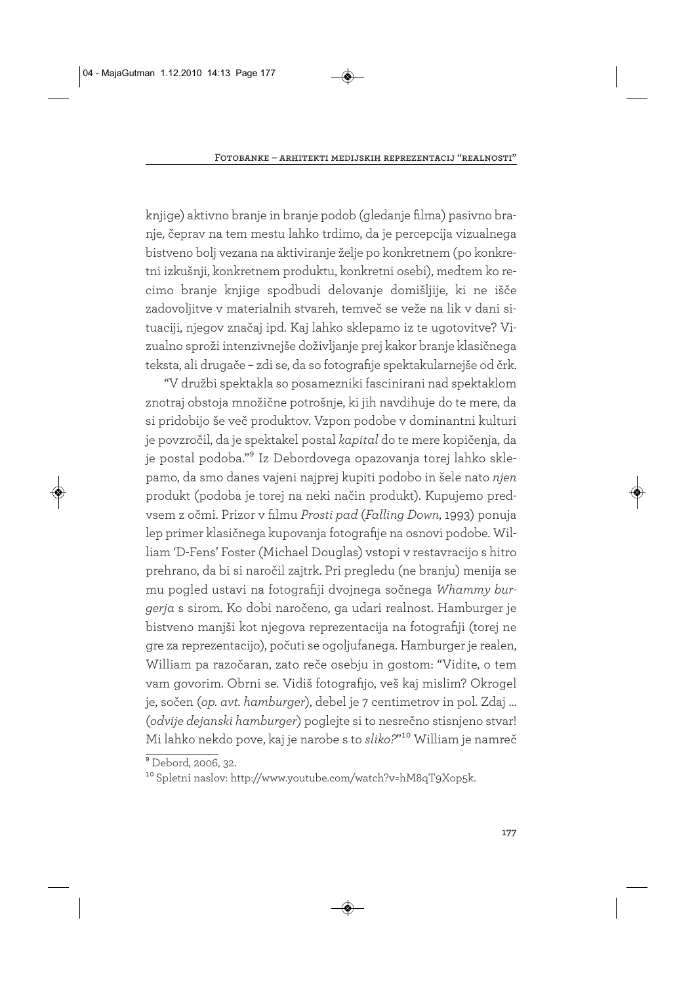knjige) aktivno branje in branje podob (gledanje filma) pasivno branje, čeprav na tem mestu lahko trdimo, da je percepcija vizualnega bistveno bolj vezana na aktiviranje želje po konkretnem (po konkretni izkušnji, konkretnem produktu, konkretni osebi), medtem ko recimo branje knjige spodbudi delovanje domišljije, ki ne išče zadovoljitve v materialnih stvareh, temveč se veže na lik v dani situaciji, njegov značaj ipd. Kaj lahko sklepamo iz te ugotovitve? Vizualno sproži intenzivnejše doživljanje prej kakor branje klasičnega teksta, ali drugače – zdi se, da so fotografije spektakularnejše od črk.

"V družbi spektakla so posamezniki fascinirani nad spektaklom znotraj obstoja množične potrošnje, ki jih navdihuje do te mere, da si pridobijo še več produktov. Vzpon podobe v dominantni kulturi je povzročil, da je spektakel postal *kapital* do te mere kopičenja, da je postal podoba."9 Iz Debordovega opazovanja torej lahko sklepamo, da smo danes vajeni najprej kupiti podobo in šele nato *njen* produkt (podoba je torej na neki način produkt). Kupujemo predvsem z očmi. Prizor v filmu *Prosti pad* (*Falling Down*, 1993) ponuja lep primer klasičnega kupovanja fotografije na osnovi podobe. William 'D-Fens' Foster (Michael Douglas) vstopi v restavracijo s hitro prehrano, da bi si naročil zajtrk. Pri pregledu (ne branju) menija se mu pogled ustavi na fotografiji dvojnega sočnega *Whammy burgerja* s sirom. Ko dobi naročeno, ga udari realnost. Hamburger je bistveno manjši kot njegova reprezentacija na fotografiji (torej ne gre za reprezentacijo), počuti se ogoljufanega. Hamburger je realen, William pa razočaran, zato reče osebju in gostom: "Vidite, o tem vam govorim. Obrni se. Vidiš fotografijo, veš kaj mislim? Okrogel je, sočen (*op. avt. hamburger*), debel je 7 centimetrov in pol. Zdaj … (*odvije dejanski hamburger*) poglejte si to nesrečno stisnjeno stvar! Mi lahko nekdo pove, kaj je narobe s to *sliko?*"10 William je namreč

<sup>9</sup> Debord, 2006, 32.

<sup>10</sup> Spletni naslov: http://www.youtube.com/watch?v=hM8qT9Xop5k.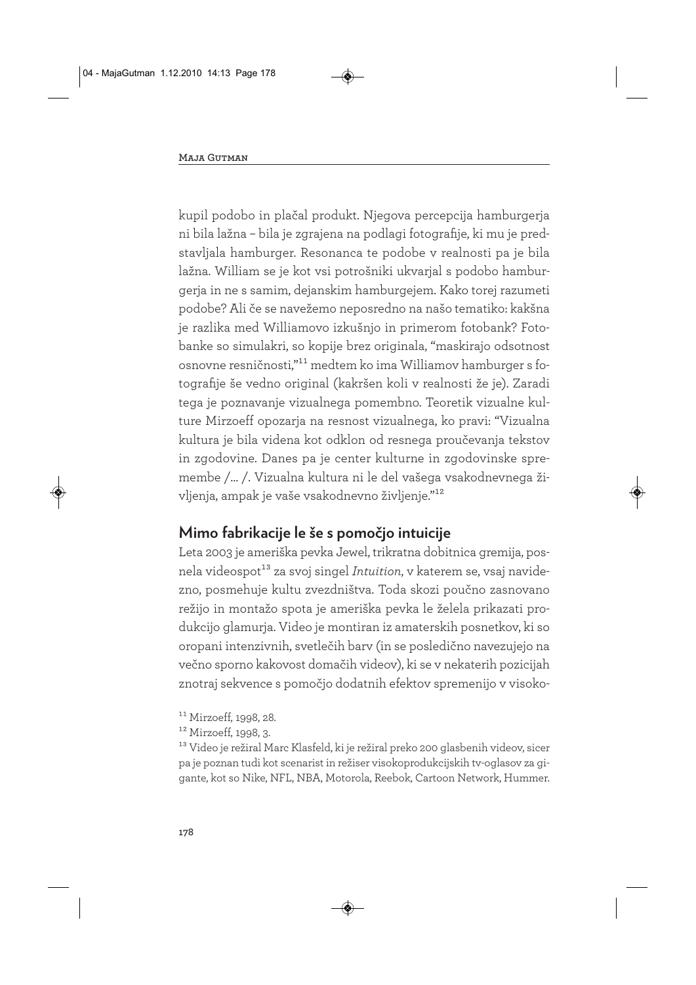kupil podobo in plačal produkt. Njegova percepcija hamburgerja ni bila lažna – bila je zgrajena na podlagi fotografije, ki mu je predstavljala hamburger. Resonanca te podobe v realnosti pa je bila lažna. William se je kot vsi potrošniki ukvarjal s podobo hamburgerja in ne s samim, dejanskim hamburgejem. Kako torej razumeti podobe? Ali če se navežemo neposredno na našo tematiko: kakšna je razlika med Williamovo izkušnjo in primerom fotobank? Fotobanke so simulakri, so kopije brez originala, "maskirajo odsotnost osnovne resničnosti,"11 medtem ko ima Williamov hamburger s fotografije še vedno original (kakršen koli v realnosti že je). Zaradi tega je poznavanje vizualnega pomembno. Teoretik vizualne kulture Mirzoeff opozarja na resnost vizualnega, ko pravi: "Vizualna kultura je bila videna kot odklon od resnega proučevanja tekstov in zgodovine. Danes pa je center kulturne in zgodovinske spremembe /… /. Vizualna kultura ni le del vašega vsakodnevnega življenja, ampak je vaše vsakodnevno življenje."12

# **Mimo fabrikacije le še s pomočjo intuicije**

Leta 2003 je ameriška pevka Jewel, trikratna dobitnica gremija, posnela videospot<sup>13</sup> za svoj singel *Intuition*, v katerem se, vsaj navidezno, posmehuje kultu zvezdništva. Toda skozi poučno zasnovano režijo in montažo spota je ameriška pevka le želela prikazati produkcijo glamurja. Video je montiran iz amaterskih posnetkov, ki so oropani intenzivnih, svetlečih barv (in se posledično navezujejo na večno sporno kakovost domačih videov), ki se v nekaterih pozicijah znotraj sekvence s pomočjo dodatnih efektov spremenijo v visoko-

13 Video je režiral Marc Klasfeld, ki je režiral preko 200 glasbenih videov, sicer pa je poznan tudi kot scenarist in režiser visokoprodukcijskih tv-oglasov za gigante, kot so Nike, NFL, NBA, Motorola, Reebok, Cartoon Network, Hummer.

 $11$  Mirzoeff, 1998, 28.

<sup>&</sup>lt;sup>12</sup> Mirzoeff, 1998, 3.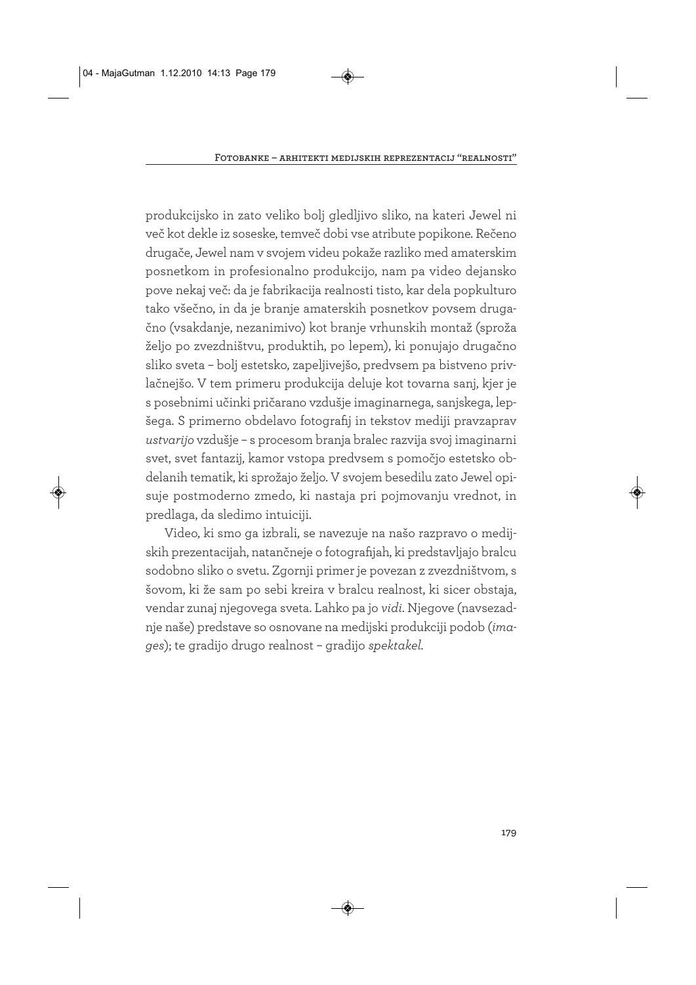produkcijsko in zato veliko bolj gledljivo sliko, na kateri Jewel ni več kot dekle iz soseske, temveč dobi vse atribute popikone. Rečeno drugače, Jewel nam v svojem videu pokaže razliko med amaterskim posnetkom in profesionalno produkcijo, nam pa video dejansko pove nekaj več: da je fabrikacija realnosti tisto, kar dela popkulturo tako všečno, in da je branje amaterskih posnetkov povsem drugačno (vsakdanje, nezanimivo) kot branje vrhunskih montaž (sproža željo po zvezdništvu, produktih, po lepem), ki ponujajo drugačno sliko sveta – bolj estetsko, zapeljivejšo, predvsem pa bistveno privlačnejšo. V tem primeru produkcija deluje kot tovarna sanj, kjer je s posebnimi učinki pričarano vzdušje imaginarnega, sanjskega, lepšega. S primerno obdelavo fotografij in tekstov mediji pravzaprav *ustvarijo* vzdušje – s procesom branja bralec razvija svoj imaginarni svet, svet fantazij, kamor vstopa predvsem s pomočjo estetsko obdelanih tematik, ki sprožajo željo. V svojem besedilu zato Jewel opisuje postmoderno zmedo, ki nastaja pri pojmovanju vrednot, in predlaga, da sledimo intuiciji.

Video, ki smo ga izbrali, se navezuje na našo razpravo o medijskih prezentacijah, natančneje o fotografijah, ki predstavljajo bralcu sodobno sliko o svetu. Zgornji primer je povezan z zvezdništvom, s šovom, ki že sam po sebi kreira v bralcu realnost, ki sicer obstaja, vendar zunaj njegovega sveta. Lahko pa jo *vidi*. Njegove (navsezadnje naše) predstave so osnovane na medijski produkciji podob (*images*); te gradijo drugo realnost – gradijo *spektakel.*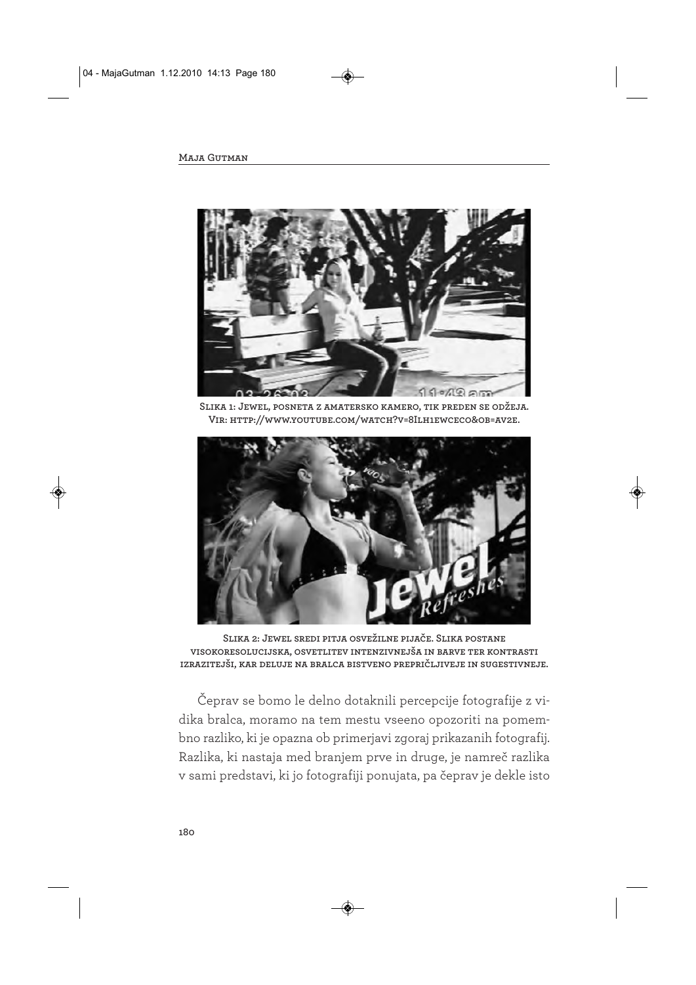

**Slika 1: Jewel, posneta z amatersko kamero, tik preden se odžeja. Vir: http://www.youtube.com/watch?v=8Ilh1ewceco&ob=av2e.**



**Slika 2: Jewel sredi pitja osvežilne pijače. Slika postane visokoresolucijska, osvetlitev intenzivnejša in barve ter kontrasti izrazitejši, kar deluje na bralca bistveno prepričljiveje in sugestivneje.** 

Čeprav se bomo le delno dotaknili percepcije fotografije z vidika bralca, moramo na tem mestu vseeno opozoriti na pomembno razliko, ki je opazna ob primerjavi zgoraj prikazanih fotografij. Razlika, ki nastaja med branjem prve in druge, je namreč razlika v sami predstavi, ki jo fotografiji ponujata, pa čeprav je dekle isto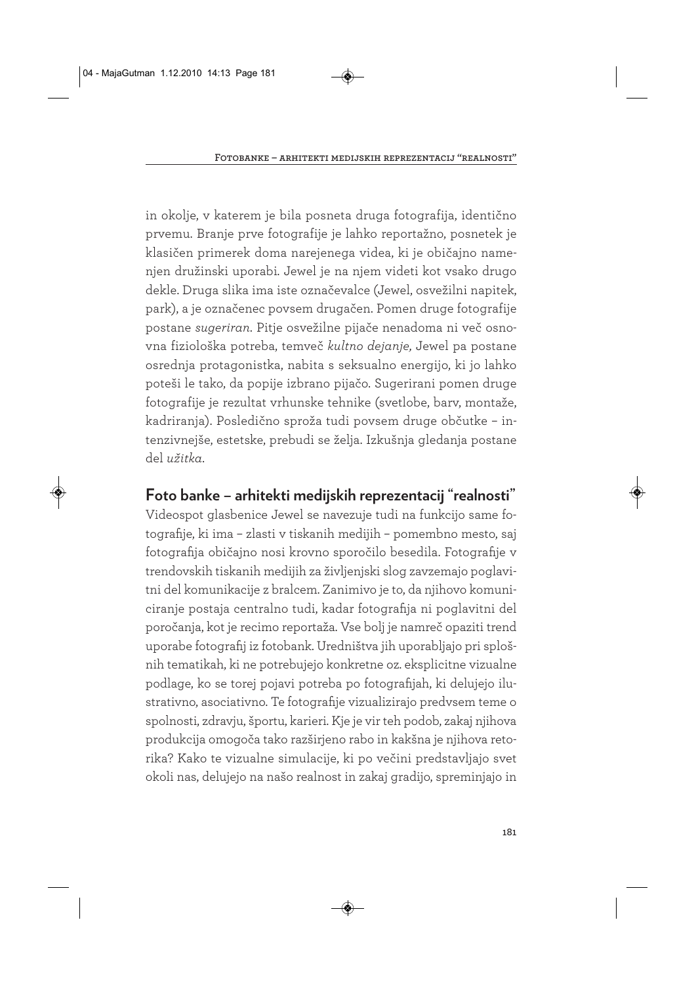in okolje, v katerem je bila posneta druga fotografija, identično prvemu. Branje prve fotografije je lahko reportažno, posnetek je klasičen primerek doma narejenega videa, ki je običajno namenjen družinski uporabi*.* Jewel je na njem videti kot vsako drugo dekle. Druga slika ima iste označevalce (Jewel, osvežilni napitek, park), a je označenec povsem drugačen. Pomen druge fotografije postane *sugeriran*. Pitje osvežilne pijače nenadoma ni več osnovna fiziološka potreba, temveč *kultno dejanje,* Jewel pa postane osrednja protagonistka, nabita s seksualno energijo, ki jo lahko poteši le tako, da popije izbrano pijačo. Sugerirani pomen druge fotografije je rezultat vrhunske tehnike (svetlobe, barv, montaže, kadriranja). Posledično sproža tudi povsem druge občutke – intenzivnejše, estetske, prebudi se želja. Izkušnja gledanja postane del *užitka*.

## **Foto banke – arhitekti medijskih reprezentacij "realnosti"**

Videospot glasbenice Jewel se navezuje tudi na funkcijo same fotografije, ki ima – zlasti v tiskanih medijih – pomembno mesto, saj fotografija običajno nosi krovno sporočilo besedila. Fotografije v trendovskih tiskanih medijih za življenjski slog zavzemajo poglavitni del komunikacije z bralcem. Zanimivo je to, da njihovo komuniciranje postaja centralno tudi, kadar fotografija ni poglavitni del poročanja, kot je recimo reportaža. Vse bolj je namreč opaziti trend uporabe fotografij iz fotobank. Uredništva jih uporabljajo pri splošnih tematikah, ki ne potrebujejo konkretne oz. eksplicitne vizualne podlage, ko se torej pojavi potreba po fotografijah, ki delujejo ilustrativno, asociativno. Te fotografije vizualizirajo predvsem teme o spolnosti, zdravju, športu, karieri. Kje je vir teh podob, zakaj njihova produkcija omogoča tako razširjeno rabo in kakšna je njihova retorika? Kako te vizualne simulacije, ki po večini predstavljajo svet okoli nas, delujejo na našo realnost in zakaj gradijo, spreminjajo in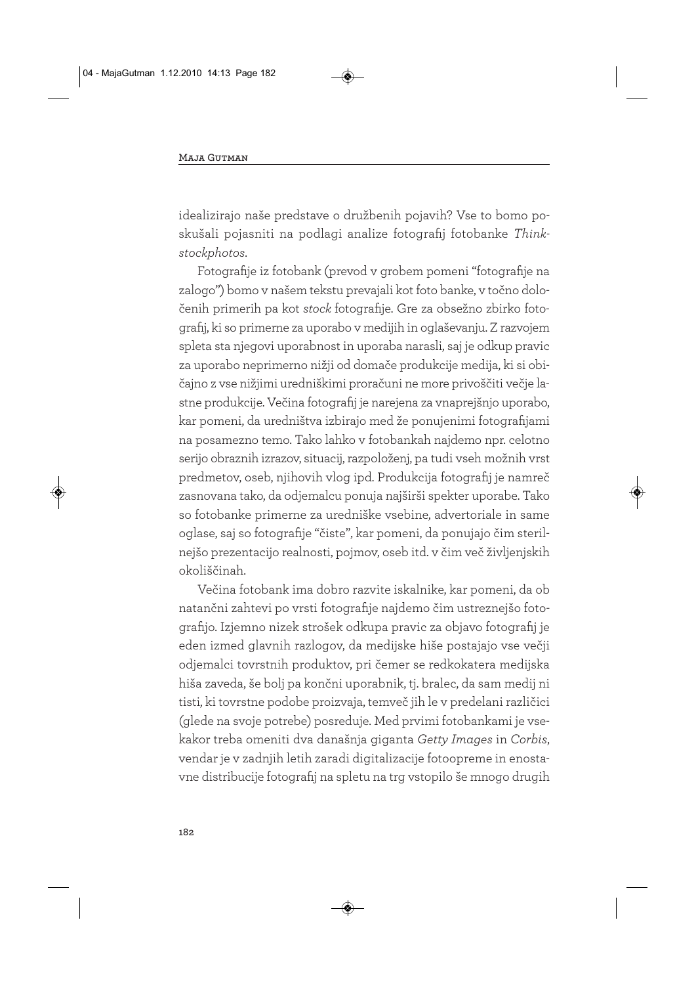idealizirajo naše predstave o družbenih pojavih? Vse to bomo poskušali pojasniti na podlagi analize fotografij fotobanke *Thinkstockphotos*.

Fotografije iz fotobank (prevod v grobem pomeni "fotografije na zalogo") bomo v našem tekstu prevajali kot foto banke, v točno določenih primerih pa kot *stock* fotografije. Gre za obsežno zbirko fotografij, ki so primerne za uporabo v medijih in oglaševanju. Z razvojem spleta sta njegovi uporabnost in uporaba narasli, saj je odkup pravic za uporabo neprimerno nižji od domače produkcije medija, ki si običajno z vse nižjimi uredniškimi proračuni ne more privoščiti večje lastne produkcije. Večina fotografij je narejena za vnaprejšnjo uporabo, kar pomeni, da uredništva izbirajo med že ponujenimi fotografijami na posamezno temo. Tako lahko v fotobankah najdemo npr. celotno serijo obraznih izrazov, situacij, razpoloženj, pa tudi vseh možnih vrst predmetov, oseb, njihovih vlog ipd. Produkcija fotografij je namreč zasnovana tako, da odjemalcu ponuja najširši spekter uporabe. Tako so fotobanke primerne za uredniške vsebine, advertoriale in same oglase, saj so fotografije "čiste", kar pomeni, da ponujajo čim sterilnejšo prezentacijo realnosti, pojmov, oseb itd. v čim več življenjskih okoliščinah.

Večina fotobank ima dobro razvite iskalnike, kar pomeni, da ob natančni zahtevi po vrsti fotografije najdemo čim ustreznejšo fotografijo. Izjemno nizek strošek odkupa pravic za objavo fotografij je eden izmed glavnih razlogov, da medijske hiše postajajo vse večji odjemalci tovrstnih produktov, pri čemer se redkokatera medijska hiša zaveda, še bolj pa končni uporabnik, tj. bralec, da sam medij ni tisti, ki tovrstne podobe proizvaja, temveč jih le v predelani različici (glede na svoje potrebe) posreduje. Med prvimi fotobankami je vsekakor treba omeniti dva današnja giganta *Getty Images* in *Corbis*, vendar je v zadnjih letih zaradi digitalizacije fotoopreme in enostavne distribucije fotografij na spletu na trg vstopilo še mnogo drugih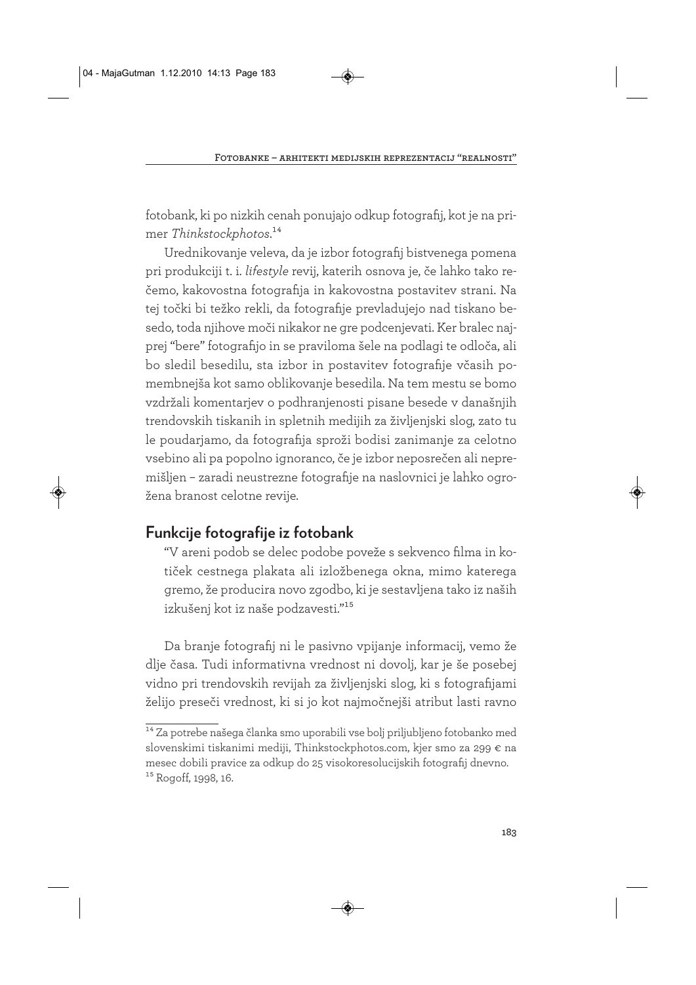fotobank, ki po nizkih cenah ponujajo odkup fotografij, kot je na primer *Thinkstockphotos*.14

Urednikovanje veleva, da je izbor fotografij bistvenega pomena pri produkciji t. i. *lifestyle* revij, katerih osnova je, če lahko tako rečemo, kakovostna fotografija in kakovostna postavitev strani. Na tej točki bi težko rekli, da fotografije prevladujejo nad tiskano besedo, toda njihove moči nikakor ne gre podcenjevati. Ker bralec najprej "bere" fotografijo in se praviloma šele na podlagi te odloča, ali bo sledil besedilu, sta izbor in postavitev fotografije včasih pomembnejša kot samo oblikovanje besedila. Na tem mestu se bomo vzdržali komentarjev o podhranjenosti pisane besede v današnjih trendovskih tiskanih in spletnih medijih za življenjski slog, zato tu le poudarjamo, da fotografija sproži bodisi zanimanje za celotno vsebino ali pa popolno ignoranco, če je izbor neposrečen ali nepremišljen – zaradi neustrezne fotografije na naslovnici je lahko ogrožena branost celotne revije.

# **Funkcije fotografije iz fotobank**

"V areni podob se delec podobe poveže s sekvenco filma in kotiček cestnega plakata ali izložbenega okna, mimo katerega gremo, že producira novo zgodbo, ki je sestavljena tako iz naših izkušenj kot iz naše podzavesti."15

Da branje fotografij ni le pasivno vpijanje informacij, vemo že dlje časa. Tudi informativna vrednost ni dovolj, kar je še posebej vidno pri trendovskih revijah za življenjski slog, ki s fotografijami želijo preseči vrednost, ki si jo kot najmočnejši atribut lasti ravno

<sup>14</sup> Za potrebe našega članka smo uporabili vse bolj priljubljeno fotobanko med slovenskimi tiskanimi mediji, Thinkstockphotos.com, kjer smo za 299 € na mesec dobili pravice za odkup do 25 visokoresolucijskih fotografij dnevno. <sup>15</sup> Rogoff, 1998, 16.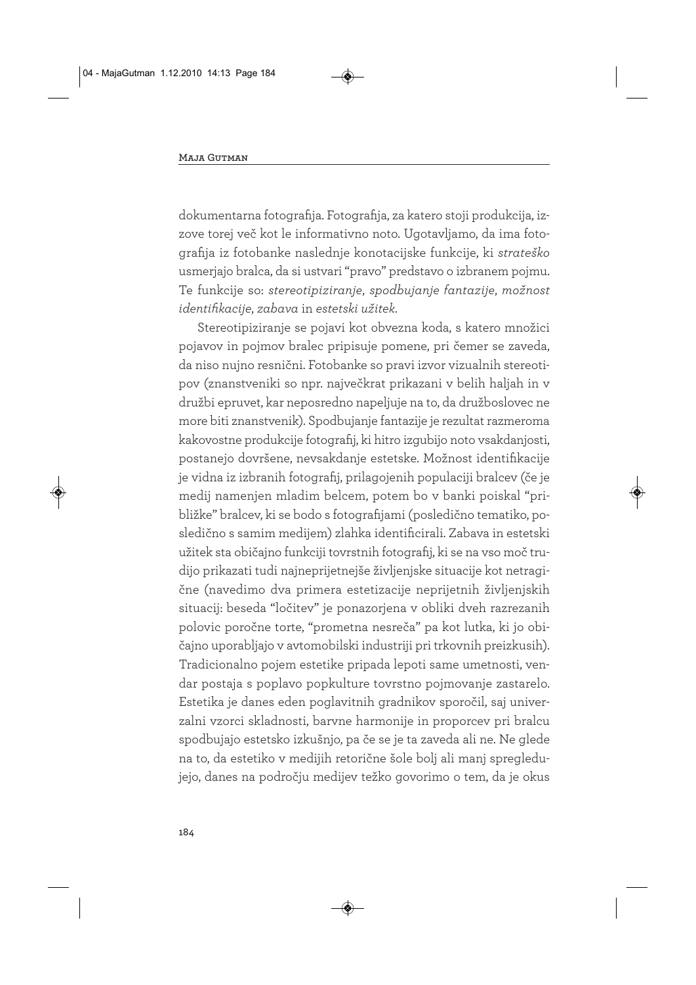dokumentarna fotografija. Fotografija, za katero stoji produkcija, izzove torej več kot le informativno noto. Ugotavljamo, da ima fotografija iz fotobanke naslednje konotacijske funkcije, ki *strateško* usmerjajo bralca, da si ustvari "pravo" predstavo o izbranem pojmu. Te funkcije so: *stereotipiziranje*, *spodbujanje fantazije*, *možnost identifikacije*, *zabava* in *estetski užitek*.

Stereotipiziranje se pojavi kot obvezna koda, s katero množici pojavov in pojmov bralec pripisuje pomene, pri čemer se zaveda, da niso nujno resnični. Fotobanke so pravi izvor vizualnih stereotipov (znanstveniki so npr. največkrat prikazani v belih haljah in v družbi epruvet, kar neposredno napeljuje na to, da družboslovec ne more biti znanstvenik). Spodbujanje fantazije je rezultat razmeroma kakovostne produkcije fotografij, ki hitro izgubijo noto vsakdanjosti, postanejo dovršene, nevsakdanje estetske. Možnost identifikacije je vidna iz izbranih fotografij, prilagojenih populaciji bralcev (če je medij namenjen mladim belcem, potem bo v banki poiskal "približke" bralcev, ki se bodo s fotografijami (posledično tematiko, posledično s samim medijem) zlahka identificirali. Zabava in estetski užitek sta običajno funkciji tovrstnih fotografij, ki se na vso moč trudijo prikazati tudi najneprijetnejše življenjske situacije kot netragične (navedimo dva primera estetizacije neprijetnih življenjskih situacij: beseda "ločitev" je ponazorjena v obliki dveh razrezanih polovic poročne torte, "prometna nesreča" pa kot lutka, ki jo običajno uporabljajo v avtomobilski industriji pri trkovnih preizkusih). Tradicionalno pojem estetike pripada lepoti same umetnosti, vendar postaja s poplavo popkulture tovrstno pojmovanje zastarelo. Estetika je danes eden poglavitnih gradnikov sporočil, saj univerzalni vzorci skladnosti, barvne harmonije in proporcev pri bralcu spodbujajo estetsko izkušnjo, pa če se je ta zaveda ali ne. Ne glede na to, da estetiko v medijih retorične šole bolj ali manj spregledujejo, danes na področju medijev težko govorimo o tem, da je okus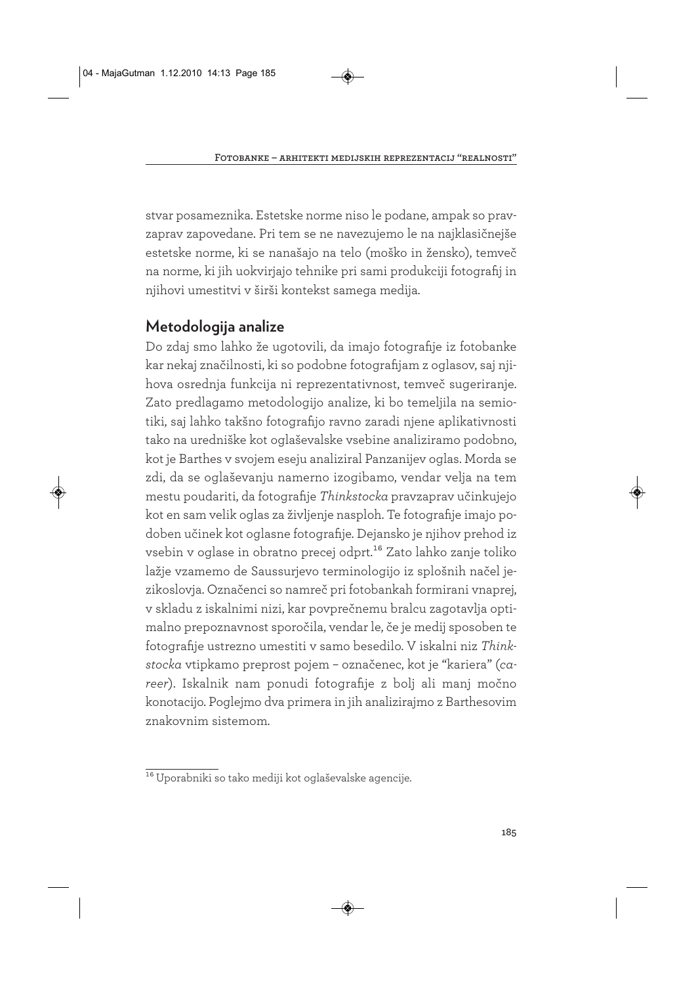stvar posameznika. Estetske norme niso le podane, ampak so pravzaprav zapovedane. Pri tem se ne navezujemo le na najklasičnejše estetske norme, ki se nanašajo na telo (moško in žensko), temveč na norme, ki jih uokvirjajo tehnike pri sami produkciji fotografij in njihovi umestitvi v širši kontekst samega medija.

# **Metodologija analize**

Do zdaj smo lahko že ugotovili, da imajo fotografije iz fotobanke kar nekaj značilnosti, ki so podobne fotografijam z oglasov, saj njihova osrednja funkcija ni reprezentativnost, temveč sugeriranje. Zato predlagamo metodologijo analize, ki bo temeljila na semiotiki, saj lahko takšno fotografijo ravno zaradi njene aplikativnosti tako na uredniške kot oglaševalske vsebine analiziramo podobno, kot je Barthes v svojem eseju analiziral Panzanijev oglas. Morda se zdi, da se oglaševanju namerno izogibamo, vendar velja na tem mestu poudariti, da fotografije *Thinkstocka* pravzaprav učinkujejo kot en sam velik oglas za življenje nasploh. Te fotografije imajo podoben učinek kot oglasne fotografije. Dejansko je njihov prehod iz vsebin v oglase in obratno precej odprt.<sup>16</sup> Zato lahko zanje toliko lažje vzamemo de Saussurjevo terminologijo iz splošnih načel jezikoslovja. Označenci so namreč pri fotobankah formirani vnaprej, v skladu z iskalnimi nizi, kar povprečnemu bralcu zagotavlja optimalno prepoznavnost sporočila, vendar le, če je medij sposoben te fotografije ustrezno umestiti v samo besedilo. V iskalni niz *Thinkstocka* vtipkamo preprost pojem – označenec, kot je "kariera" (*career*). Iskalnik nam ponudi fotografije z bolj ali manj močno konotacijo. Poglejmo dva primera in jih analizirajmo z Barthesovim znakovnim sistemom.

<sup>16</sup> Uporabniki so tako mediji kot oglaševalske agencije.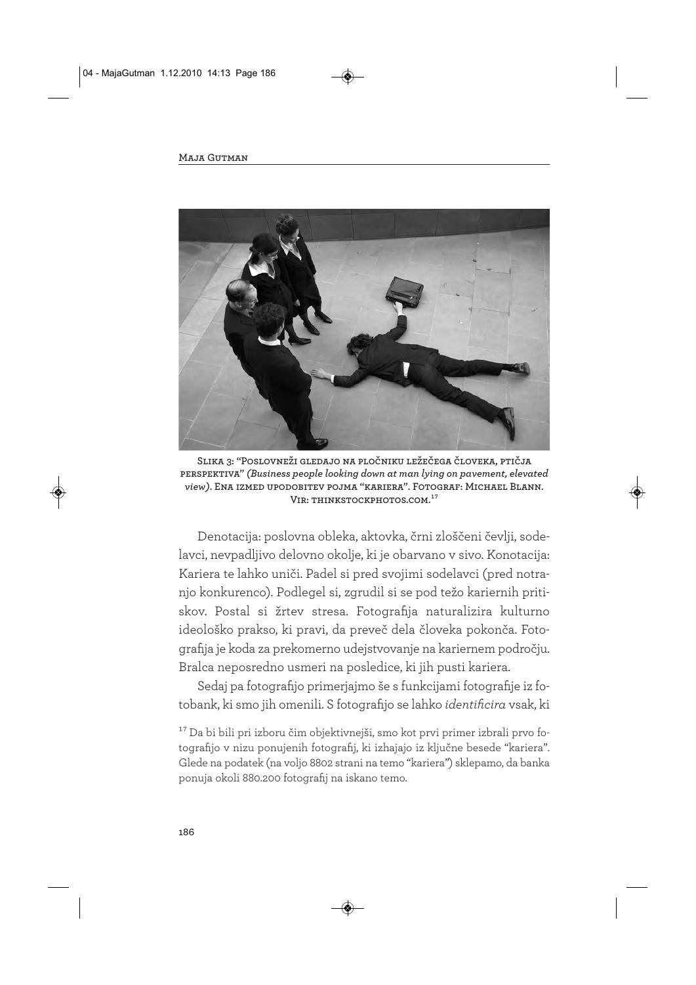

**Slika 3: "Poslovneži gledajo na pločniku ležečega človeka, ptičja perspektiva"** *(Business people looking down at man lying on pavement, elevated view)***. Ena izmed upodobitev pojma "kariera". Fotograf: Michael Blann. Vir: thinkstockphotos.com.17**

Denotacija: poslovna obleka, aktovka, črni zloščeni čevlji, sodelavci, nevpadljivo delovno okolje, ki je obarvano v sivo. Konotacija: Kariera te lahko uniči. Padel si pred svojimi sodelavci (pred notranjo konkurenco). Podlegel si, zgrudil si se pod težo kariernih pritiskov. Postal si žrtev stresa. Fotografija naturalizira kulturno ideološko prakso, ki pravi, da preveč dela človeka pokonča. Fotografija je koda za prekomerno udejstvovanje na kariernem področju. Bralca neposredno usmeri na posledice, ki jih pusti kariera.

Sedaj pa fotografijo primerjajmo še s funkcijami fotografije iz fotobank, ki smo jih omenili. S fotografijo se lahko *identificira* vsak, ki

17 Da bi bili pri izboru čim objektivnejši, smo kot prvi primer izbrali prvo fotografijo v nizu ponujenih fotografij, ki izhajajo iz ključne besede "kariera". Glede na podatek (na voljo 8802 strani na temo "kariera") sklepamo, da banka ponuja okoli 880.200 fotografij na iskano temo.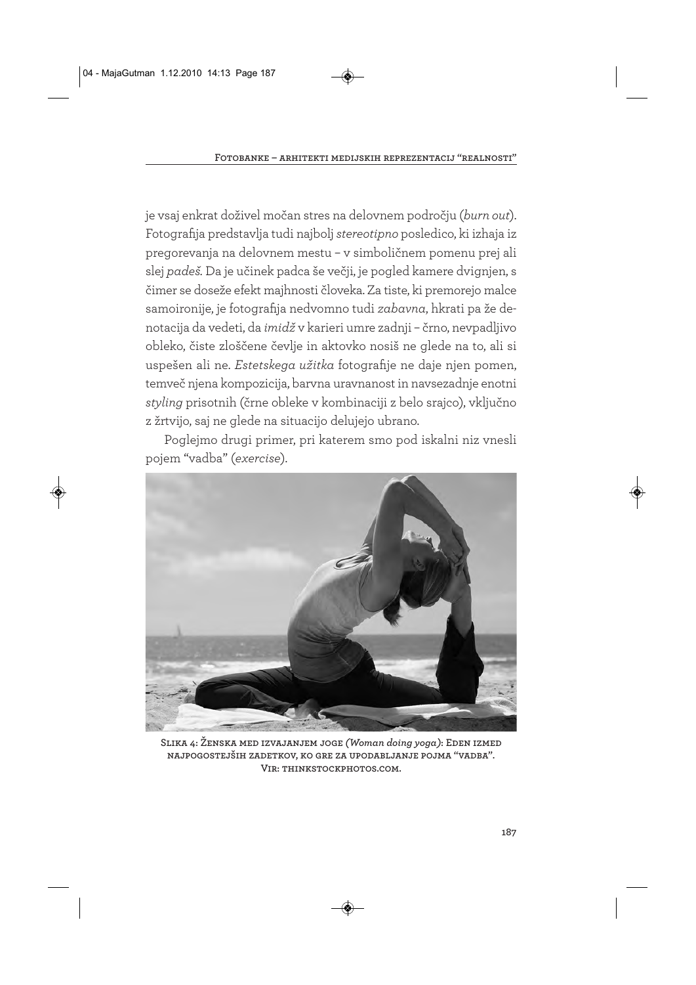je vsaj enkrat doživel močan stres na delovnem področju (*burn out*). Fotografija predstavlja tudi najbolj *stereotipno* posledico, ki izhaja iz pregorevanja na delovnem mestu – v simboličnem pomenu prej ali slej *padeš.* Da je učinek padca še večji, je pogled kamere dvignjen, s čimer se doseže efekt majhnosti človeka. Za tiste, ki premorejo malce samoironije, je fotografija nedvomno tudi *zabavna*, hkrati pa že denotacija da vedeti, da *imidž* v karieri umre zadnji – črno, nevpadljivo obleko, čiste zloščene čevlje in aktovko nosiš ne glede na to, ali si uspešen ali ne. *Estetskega užitka* fotografije ne daje njen pomen, temveč njena kompozicija, barvna uravnanost in navsezadnje enotni *styling* prisotnih (črne obleke v kombinaciji z belo srajco), vključno z žrtvijo, saj ne glede na situacijo delujejo ubrano.

Poglejmo drugi primer, pri katerem smo pod iskalni niz vnesli pojem "vadba" (*exercise*).



**Slika 4: Ženska med izvajanjem joge** *(Woman doing yoga)***: Eden izmed najpogostejših zadetkov, ko gre za upodabljanje pojma "vadba". Vir: thinkstockphotos.com.**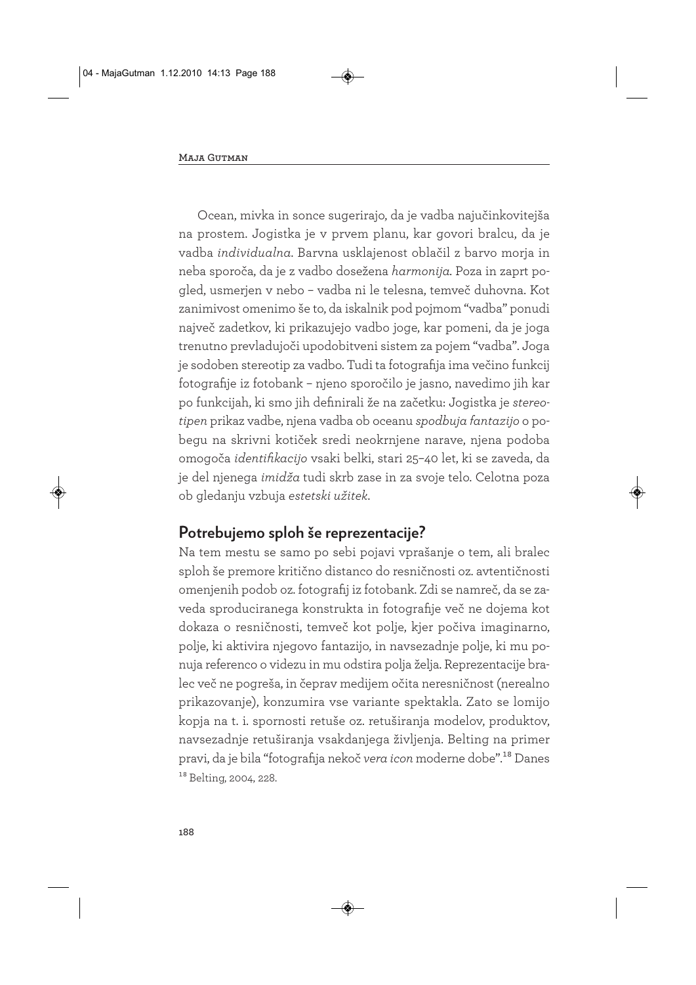Ocean, mivka in sonce sugerirajo, da je vadba najučinkovitejša na prostem. Jogistka je v prvem planu, kar govori bralcu, da je vadba *individualna.* Barvna usklajenost oblačil z barvo morja in neba sporoča, da je z vadbo dosežena *harmonija.* Poza in zaprt pogled, usmerjen v nebo – vadba ni le telesna, temveč duhovna. Kot zanimivost omenimo še to, da iskalnik pod pojmom "vadba" ponudi največ zadetkov, ki prikazujejo vadbo joge, kar pomeni, da je joga trenutno prevladujoči upodobitveni sistem za pojem "vadba". Joga je sodoben stereotip za vadbo. Tudi ta fotografija ima večino funkcij fotografije iz fotobank – njeno sporočilo je jasno, navedimo jih kar po funkcijah, ki smo jih definirali že na začetku: Jogistka je *stereotipen* prikaz vadbe, njena vadba ob oceanu *spodbuja fantazijo* o pobegu na skrivni kotiček sredi neokrnjene narave, njena podoba omogoča *identifikacijo* vsaki belki, stari 25–40 let, ki se zaveda, da je del njenega *imidža* tudi skrb zase in za svoje telo. Celotna poza ob gledanju vzbuja *estetski užitek*.

### **Potrebujemo sploh še reprezentacije?**

Na tem mestu se samo po sebi pojavi vprašanje o tem, ali bralec sploh še premore kritično distanco do resničnosti oz. avtentičnosti omenjenih podob oz. fotografij iz fotobank. Zdi se namreč, da se zaveda sproduciranega konstrukta in fotografije več ne dojema kot dokaza o resničnosti, temveč kot polje, kjer počiva imaginarno, polje, ki aktivira njegovo fantazijo, in navsezadnje polje, ki mu ponuja referenco o videzu in mu odstira polja želja. Reprezentacije bralec več ne pogreša, in čeprav medijem očita neresničnost (nerealno prikazovanje), konzumira vse variante spektakla. Zato se lomijo kopja na t. i. spornosti retuše oz. retuširanja modelov, produktov, navsezadnje retuširanja vsakdanjega življenja. Belting na primer pravi, da je bila "fotografija nekoč *vera icon* moderne dobe".18 Danes 18 Belting, 2004, 228.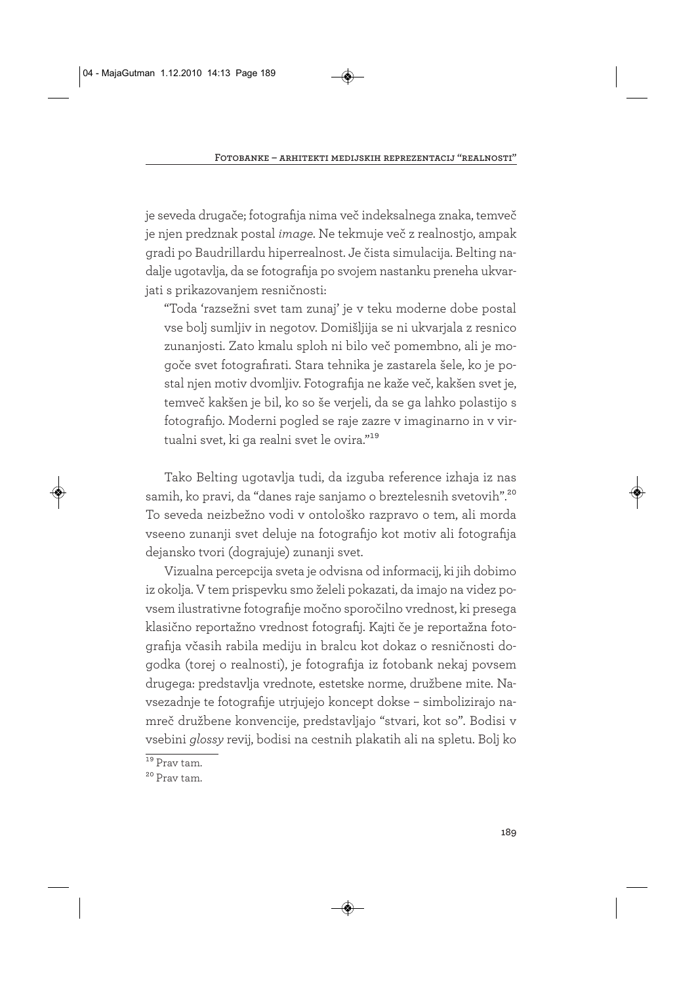je seveda drugače; fotografija nima več indeksalnega znaka, temveč je njen predznak postal *image.* Ne tekmuje več z realnostjo, ampak gradi po Baudrillardu hiperrealnost. Je čista simulacija. Belting nadalje ugotavlja, da se fotografija po svojem nastanku preneha ukvarjati s prikazovanjem resničnosti:

"Toda 'razsežni svet tam zunaj' je v teku moderne dobe postal vse bolj sumljiv in negotov. Domišljija se ni ukvarjala z resnico zunanjosti. Zato kmalu sploh ni bilo več pomembno, ali je mogoče svet fotografirati. Stara tehnika je zastarela šele, ko je postal njen motiv dvomljiv. Fotografija ne kaže več, kakšen svet je, temveč kakšen je bil, ko so še verjeli, da se ga lahko polastijo s fotografijo. Moderni pogled se raje zazre v imaginarno in v virtualni svet, ki ga realni svet le ovira."19

Tako Belting ugotavlja tudi, da izguba reference izhaja iz nas samih, ko pravi, da "danes raje sanjamo o breztelesnih svetovih".20 To seveda neizbežno vodi v ontološko razpravo o tem, ali morda vseeno zunanji svet deluje na fotografijo kot motiv ali fotografija dejansko tvori (dograjuje) zunanji svet.

Vizualna percepcija sveta je odvisna od informacij, ki jih dobimo iz okolja. V tem prispevku smo želeli pokazati, da imajo na videz povsem ilustrativne fotografije močno sporočilno vrednost, ki presega klasično reportažno vrednost fotografij. Kajti če je reportažna fotografija včasih rabila mediju in bralcu kot dokaz o resničnosti dogodka (torej o realnosti), je fotografija iz fotobank nekaj povsem drugega: predstavlja vrednote, estetske norme, družbene mite. Navsezadnje te fotografije utrjujejo koncept dokse – simbolizirajo namreč družbene konvencije, predstavljajo "stvari, kot so". Bodisi v vsebini *glossy* revij, bodisi na cestnih plakatih ali na spletu. Bolj ko

 $19$  Prav tam.

<sup>20</sup> Prav tam.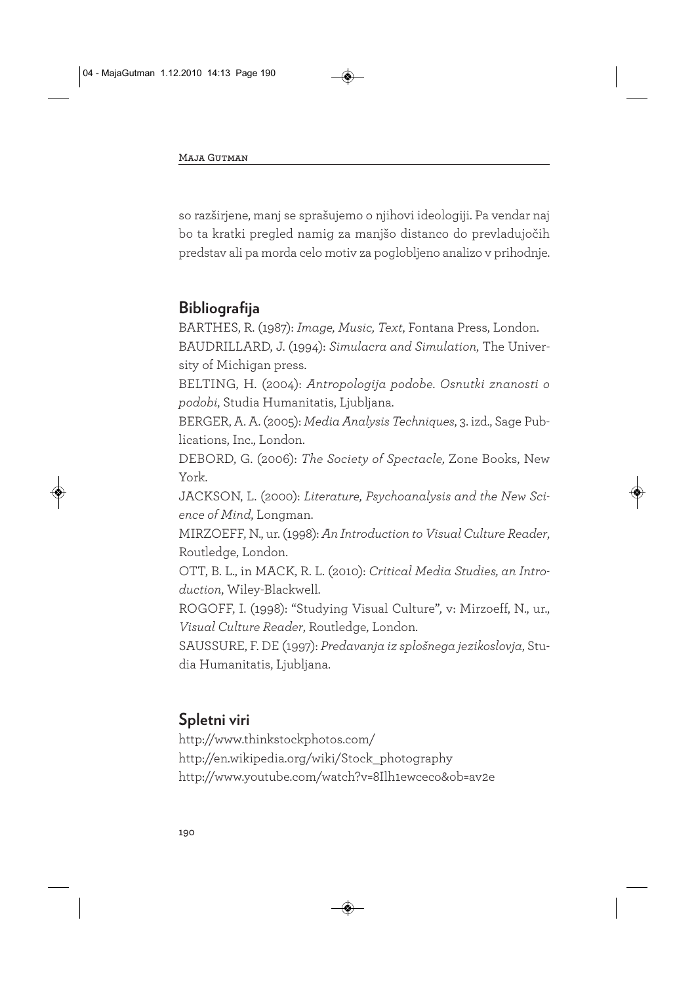so razširjene, manj se sprašujemo o njihovi ideologiji. Pa vendar naj bo ta kratki pregled namig za manjšo distanco do prevladujočih predstav ali pa morda celo motiv za poglobljeno analizo v prihodnje.

# **Bibliografija**

BARTHES, R. (1987): *Image, Music, Text*, Fontana Press, London. BAUDRILLARD, J. (1994): *Simulacra and Simulation*, The University of Michigan press.

BELTING, H. (2004): *Antropologija podobe. Osnutki znanosti o podobi*, Studia Humanitatis, Ljubljana.

BERGER, A. A. (2005): *Media Analysis Techniques*, 3. izd., Sage Publications, Inc., London.

DEBORD, G. (2006): *The Society of Spectacle,* Zone Books, New York.

JACKSON, L. (2000): *Literature, Psychoanalysis and the New Science of Mind*, Longman.

MIRZOEFF, N., ur. (1998): *An Introduction to Visual Culture Reader*, Routledge, London.

OTT, B. L., in MACK, R. L. (2010): *Critical Media Studies, an Introduction*, Wiley-Blackwell.

ROGOFF, I. (1998): "Studying Visual Culture"*,* v: Mirzoeff, N., ur., *Visual Culture Reader*, Routledge, London.

SAUSSURE, F. DE (1997): *Predavanja iz splošnega jezikoslovja*, Studia Humanitatis, Ljubljana.

# **Spletni viri**

http://www.thinkstockphotos.com/ http://en.wikipedia.org/wiki/Stock\_photography http://www.youtube.com/watch?v=8Ilh1ewceco&ob=av2e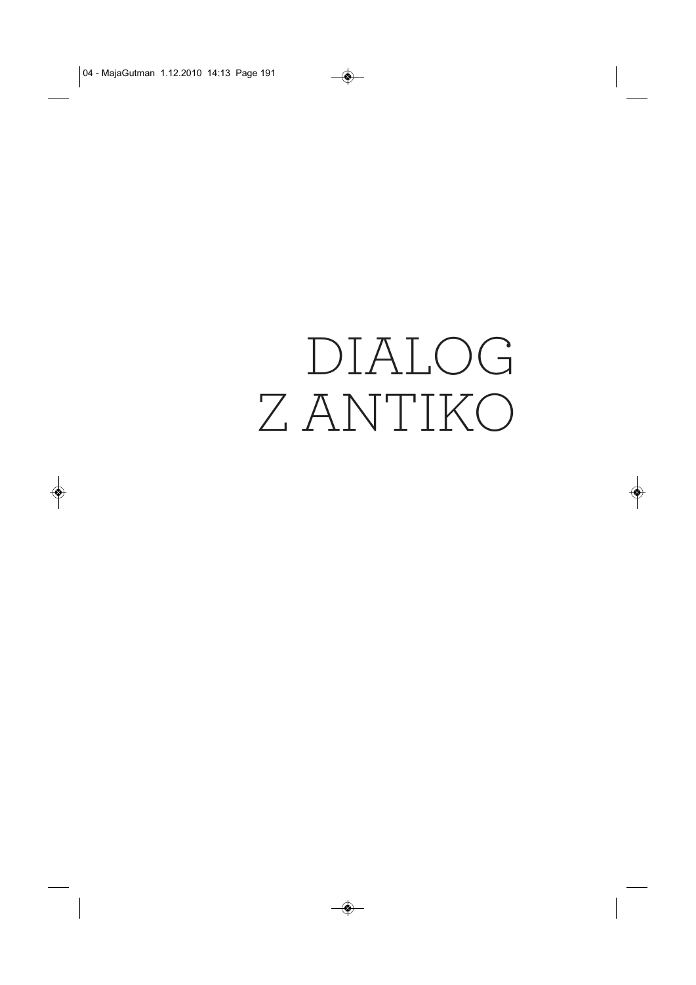# DIALOG Z ANTIKO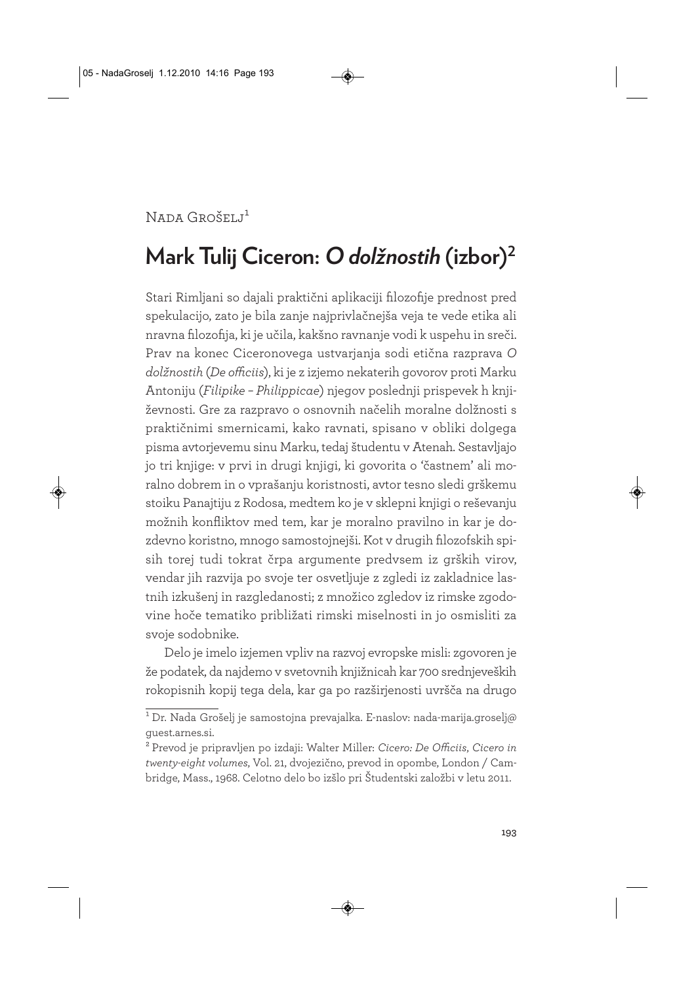```
Nada Grošelj<sup>1</sup>
```
# **Mark Tulij Ciceron:** *O dolžnostih* **(izbor)2**

Stari Rimljani so dajali praktični aplikaciji filozofije prednost pred spekulacijo, zato je bila zanje najprivlačnejša veja te vede etika ali nravna filozofija, ki je učila, kakšno ravnanje vodi k uspehu in sreči. Prav na konec Ciceronovega ustvarjanja sodi etična razprava *O dolžnostih* (*De officiis*), ki je z izjemo nekaterih govorov proti Marku Antoniju (*Filipike – Philippicae*) njegov poslednji prispevek h književnosti. Gre za razpravo o osnovnih načelih moralne dolžnosti s praktičnimi smernicami, kako ravnati, spisano v obliki dolgega pisma avtorjevemu sinu Marku, tedaj študentu v Atenah. Sestavljajo jo tri knjige: v prvi in drugi knjigi, ki govorita o 'častnem' ali moralno dobrem in o vprašanju koristnosti, avtor tesno sledi grškemu stoiku Panajtiju z Rodosa, medtem ko je v sklepni knjigi o reševanju možnih konfliktov med tem, kar je moralno pravilno in kar je dozdevno koristno, mnogo samostojnejši. Kot v drugih filozofskih spisih torej tudi tokrat črpa argumente predvsem iz grških virov, vendar jih razvija po svoje ter osvetljuje z zgledi iz zakladnice lastnih izkušenj in razgledanosti; z množico zgledov iz rimske zgodovine hoče tematiko približati rimski miselnosti in jo osmisliti za svoje sodobnike.

Delo je imelo izjemen vpliv na razvoj evropske misli: zgovoren je že podatek, da najdemo v svetovnih knjižnicah kar 700 srednjeveških rokopisnih kopij tega dela, kar ga po razširjenosti uvršča na drugo

 $^1$  Dr. Nada Grošelj je samostojna prevajalka. E-naslov: nada-marija.groselj $\oslash$ guest.arnes.si.

<sup>2</sup> Prevod je pripravljen po izdaji: Walter Miller: *Cicero: De Officiis*, *Cicero in twenty-eight volumes*, Vol. 21, dvojezično, prevod in opombe, London / Cambridge, Mass., 1968. Celotno delo bo izšlo pri Študentski založbi v letu 2011.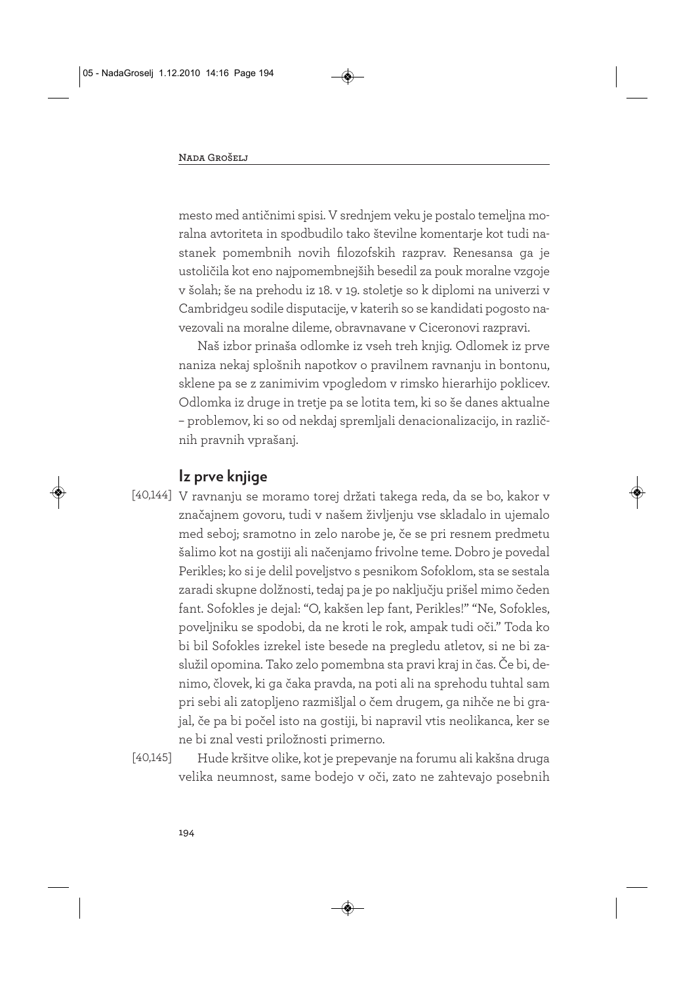mesto med antičnimi spisi. V srednjem veku je postalo temeljna moralna avtoriteta in spodbudilo tako številne komentarje kot tudi nastanek pomembnih novih filozofskih razprav. Renesansa ga je ustoličila kot eno najpomembnejših besedil za pouk moralne vzgoje v šolah; še na prehodu iz 18. v 19. stoletje so k diplomi na univerzi v Cambridgeu sodile disputacije, v katerih so se kandidati pogosto navezovali na moralne dileme, obravnavane v Ciceronovi razpravi.

Naš izbor prinaša odlomke iz vseh treh knjig. Odlomek iz prve naniza nekaj splošnih napotkov o pravilnem ravnanju in bontonu, sklene pa se z zanimivim vpogledom v rimsko hierarhijo poklicev. Odlomka iz druge in tretje pa se lotita tem, ki so še danes aktualne – problemov, ki so od nekdaj spremljali denacionalizacijo, in različ nih pravnih vprašanj.

#### **Iz prve knjige**

- V ravnanju se moramo torej držati takega reda, da se bo, kakor v [40,144] značajnem govoru, tudi v našem življenju vse skladalo in ujemalo med seboj; sramotno in zelo narobe je, če se pri resnem predmetu šalimo kot na gostiji ali načenjamo frivolne teme. Dobro je povedal Perikles; ko si je delil poveljstvo s pesnikom Sofoklom, sta se sestala zaradi skupne dolžnosti, tedaj pa je po naključju prišel mimo čeden fant. Sofokles je dejal: "O, kakšen lep fant, Perikles!" "Ne, Sofokles, poveljniku se spodobi, da ne kroti le rok, ampak tudi oči." Toda ko bi bil Sofokles izrekel iste besede na pregledu atletov, si ne bi zaslužil opomina. Tako zelo pomembna sta pravi kraj in čas. Če bi, denimo, človek, ki ga čaka pravda, na poti ali na sprehodu tuhtal sam pri sebi ali zatopljeno razmišljal o čem drugem, ga nihče ne bi grajal, če pa bi počel isto na gostiji, bi napravil vtis neolikanca, ker se ne bi znal vesti priložnosti primerno.
- Hude kršitve olike, kot je prepevanje na forumu ali kakšna druga velika neumnost, same bodejo v oči, zato ne zahtevajo posebnih [40,145]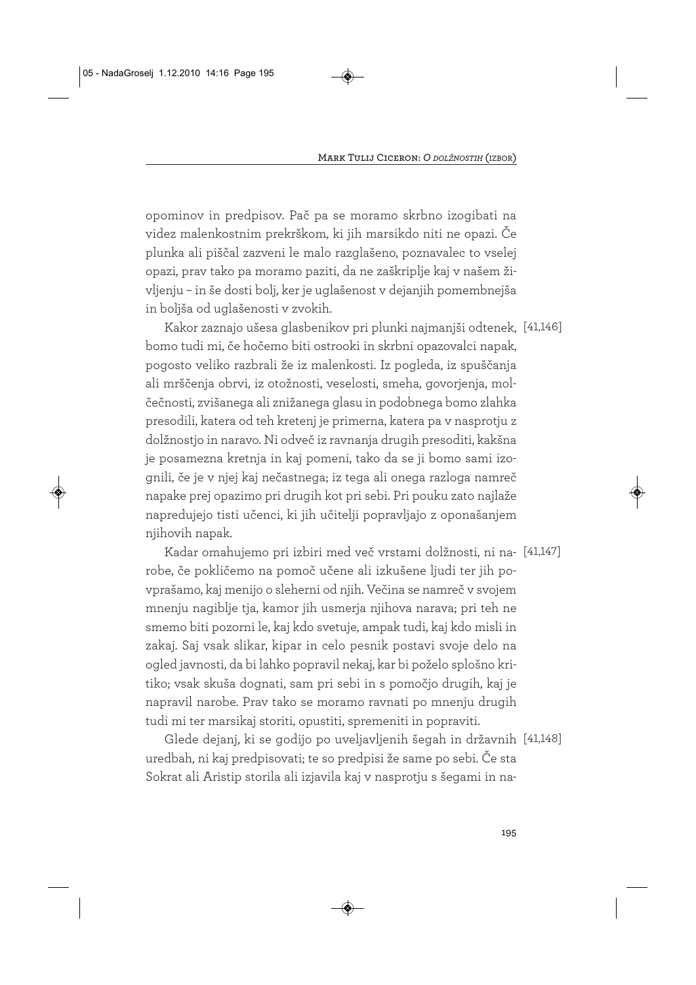opominov in predpisov. Pač pa se moramo skrbno izogibati na videz malenkostnim prekrškom, ki jih marsikdo niti ne opazi. Če plunka ali piščal zazveni le malo razglašeno, poznavalec to vselej opazi, prav tako pa moramo paziti, da ne zaškriplje kaj v našem življenju – in še dosti bolj, ker je uglašenost v dejanjih pomembnejša in boljša od uglašenosti v zvokih.

Kakor zaznajo ušesa glasbenikov pri plunki najmanjši odtenek, [41,146] bomo tudi mi, če hočemo biti ostrooki in skrbni opazovalci napak, pogosto veliko razbrali že iz malenkosti. Iz pogleda, iz spuščanja ali mrščenja obrvi, iz otožnosti, veselosti, smeha, govorjenja, molčečnosti, zvišanega ali znižanega glasu in podobnega bomo zlahka presodili, katera od teh kretenj je primerna, katera pa v nasprotju z dolžnostjo in naravo. Ni odveč iz ravnanja drugih presoditi, kakšna je posamezna kretnja in kaj pomeni, tako da se ji bomo sami izognili, če je v njej kaj nečastnega; iz tega ali onega razloga namreč napake prej opazimo pri drugih kot pri sebi. Pri pouku zato najlaže napredujejo tisti učenci, ki jih učitelji popravljajo z oponašanjem njihovih napak.

Kadar omahujemo pri izbiri med več vrstami dolžnosti, ni na-[41,147] robe, če pokličemo na pomoč učene ali izkušene ljudi ter jih povprašamo, kaj menijo o sleherni od njih. Večina se namreč v svojem mnenju nagiblje tja, kamor jih usmerja njihova narava; pri teh ne smemo biti pozorni le, kaj kdo svetuje, ampak tudi, kaj kdo misli in zakaj. Saj vsak slikar, kipar in celo pesnik postavi svoje delo na ogled javnosti, da bi lahko popravil nekaj, kar bi poželo splošno kritiko; vsak skuša dognati, sam pri sebi in s pomočjo drugih, kaj je napravil narobe. Prav tako se moramo ravnati po mnenju drugih tudi mi ter marsikaj storiti, opustiti, spremeniti in popraviti.

Glede dejanj, ki se godijo po uveljavljenih šegah in državnih [41,148] uredbah, ni kaj predpisovati; te so predpisi že same po sebi. Če sta Sokrat ali Aristip storila ali izjavila kaj v nasprotju s šegami in na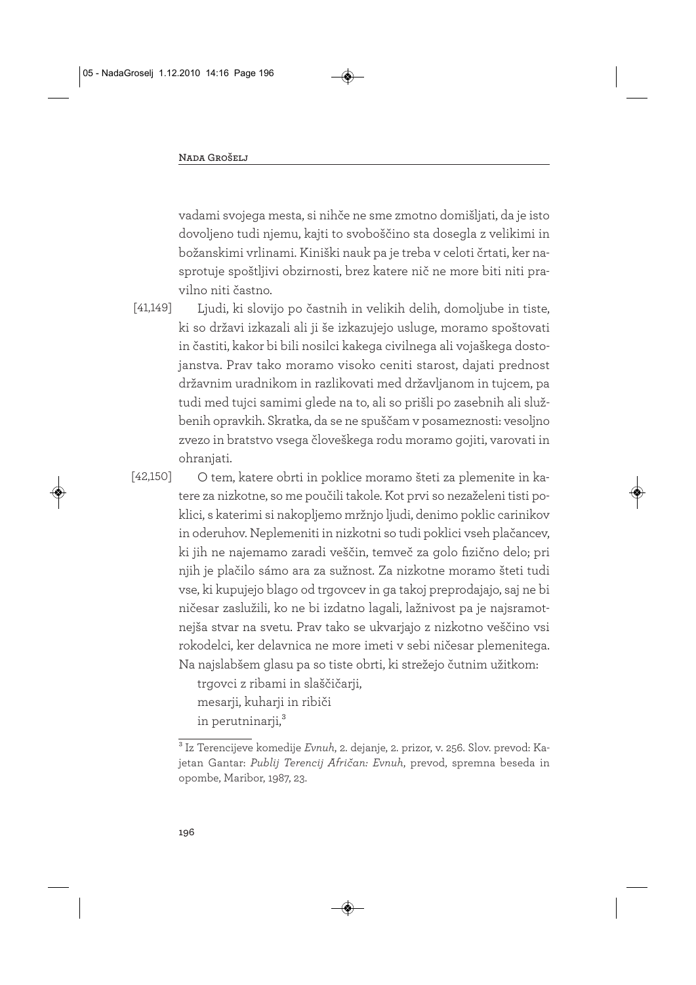vadami svojega mesta, si nihče ne sme zmotno domišljati, da je isto dovoljeno tudi njemu, kajti to svoboščino sta dosegla z velikimi in božanskimi vrlinami. Kiniški nauk pa je treba v celoti črtati, ker nasprotuje spoštljivi obzirnosti, brez katere nič ne more biti niti pravilno niti častno.

[41,149]

Ljudi, ki slovijo po častnih in velikih delih, domoljube in tiste, ki so državi izkazali ali ji še izkazujejo usluge, moramo spoštovati in častiti, kakor bi bili nosilci kakega civilnega ali vojaškega dostojanstva. Prav tako moramo visoko ceniti starost, dajati prednost državnim uradnikom in razlikovati med državljanom in tujcem, pa tudi med tujci samimi glede na to, ali so prišli po zasebnih ali službenih opravkih. Skratka, da se ne spuščam v posameznosti: vesoljno zvezo in bratstvo vsega človeškega rodu moramo gojiti, varovati in ohranjati.

[42,150]

O tem, katere obrti in poklice moramo šteti za plemenite in katere za nizkotne, so me poučili takole. Kot prvi so nezaželeni tisti poklici, s katerimi si nakopljemo mržnjo ljudi, denimo poklic carinikov in oderuhov. Neplemeniti in nizkotni so tudi poklici vseh plačancev, ki jih ne najemamo zaradi veščin, temveč za golo fizično delo; pri njih je plačilo sámo ara za sužnost. Za nizkotne moramo šteti tudi vse, ki kupujejo blago od trgovcev in ga takoj preprodajajo, saj ne bi ničesar zaslužili, ko ne bi izdatno lagali, lažnivost pa je najsramotnejša stvar na svetu. Prav tako se ukvarjajo z nizkotno veščino vsi rokodelci, ker delavnica ne more imeti v sebi ničesar plemenitega. Na najslabšem glasu pa so tiste obrti, ki strežejo čutnim užitkom:

> trgovci z ribami in slaščičarji, mesarji, kuharji in ribiči in perutninarji,<sup>3</sup>

<sup>3</sup> Iz Terencijeve komedije *Evnuh*, 2. dejanje, 2. prizor, v. 256. Slov. prevod: Kajetan Gantar: *Publij Terencij Afričan: Evnuh*, prevod, spremna beseda in opombe, Maribor, 1987, 23.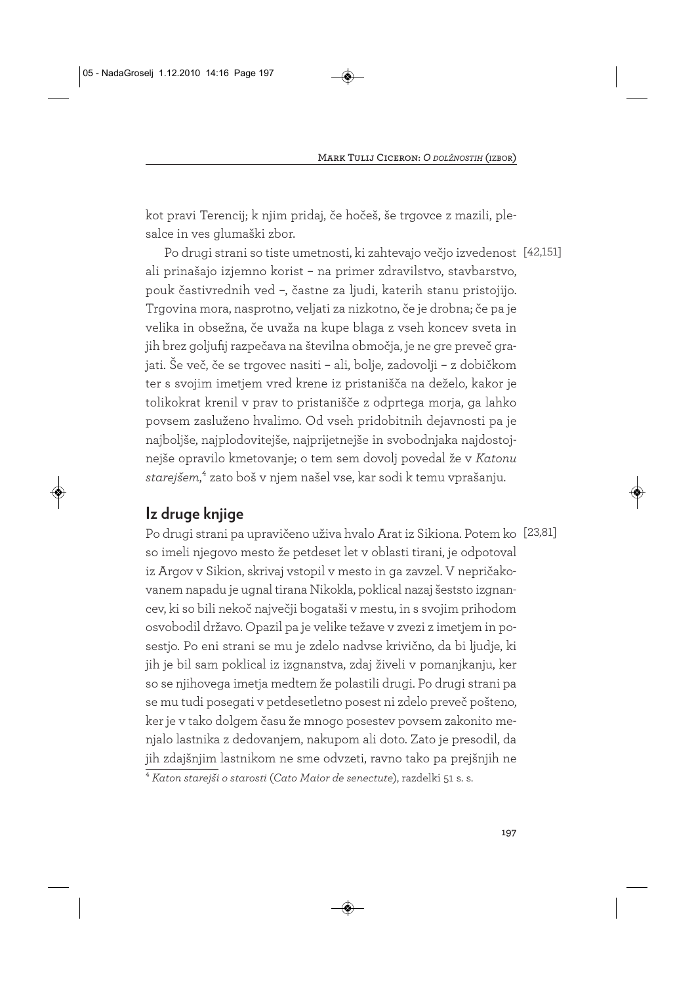kot pravi Terencij; k njim pridaj, če hočeš, še trgovce z mazili, plesalce in ves glumaški zbor.

Po drugi strani so tiste umetnosti, ki zahtevajo večjo izvedenost [42,151] ali prinašajo izjemno korist – na primer zdravilstvo, stavbarstvo, pouk častivrednih ved –, častne za ljudi, katerih stanu pristojijo. Trgovina mora, nasprotno, veljati za nizkotno, če je drobna; če pa je velika in obsežna, če uvaža na kupe blaga z vseh koncev sveta in jih brez goljufij razpečava na številna območja, je ne gre preveč grajati. Še več, če se trgovec nasiti – ali, bolje, zadovolji – z dobičkom ter s svojim imetjem vred krene iz pristanišča na deželo, kakor je tolikokrat krenil v prav to pristanišče z odprtega morja, ga lahko povsem zasluženo hvalimo. Od vseh pridobitnih dejavnosti pa je najboljše, najplodovitejše, najprijetnejše in svobodnjaka najdostojnejše opravilo kmetovanje; o tem sem dovolj povedal že v *Katonu starejšem*,4 zato boš v njem našel vse, kar sodi k temu vprašanju.

# **Iz druge knjige**

Po drugi strani pa upravičeno uživa hvalo Arat iz Sikiona. Potem ko [23,81] so imeli njegovo mesto že petdeset let v oblasti tirani, je odpotoval iz Argov v Sikion, skrivaj vstopil v mesto in ga zavzel. V nepričakovanem napadu je ugnal tirana Nikokla, poklical nazaj šeststo izgnancev, ki so bili nekoč največji bogataši v mestu, in s svojim prihodom osvobodil državo. Opazil pa je velike težave v zvezi z imetjem in posestjo. Po eni strani se mu je zdelo nadvse krivično, da bi ljudje, ki jih je bil sam poklical iz izgnanstva, zdaj živeli v pomanjkanju, ker so se njihovega imetja medtem že polastili drugi. Po drugi strani pa se mu tudi posegati v petdesetletno posest ni zdelo preveč pošteno, ker je v tako dolgem času že mnogo posestev povsem zakonito menjalo lastnika z dedovanjem, nakupom ali doto. Zato je presodil, da jih zdajšnjim lastnikom ne sme odvzeti, ravno tako pa prejšnjih ne

<sup>4</sup> *Katon starejši o starosti* (*Cato Maior de senectute*), razdelki 51 s. s.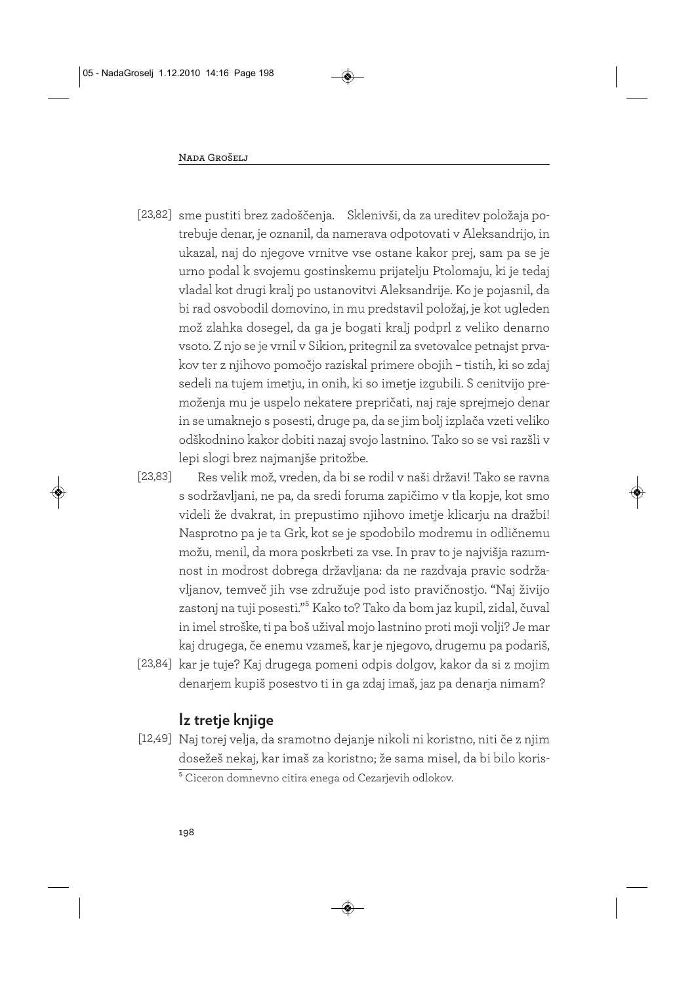- [23,82] sme pustiti brez zadoščenja. Sklenivši, da za ureditev položaja potrebuje denar, je oznanil, da namerava odpotovati v Aleksandrijo, in ukazal, naj do njegove vrnitve vse ostane kakor prej, sam pa se je urno podal k svojemu gostinskemu prijatelju Ptolomaju, ki je tedaj vladal kot drugi kralj po ustanovitvi Aleksandrije. Ko je pojasnil, da bi rad osvobodil domovino, in mu predstavil položaj, je kot ugleden mož zlahka dosegel, da ga je bogati kralj podprl z veliko denarno vsoto. Z njo se je vrnil v Sikion, pritegnil za svetovalce petnajst prvakov ter z njihovo pomočjo raziskal primere obojih – tistih, ki so zdaj sedeli na tujem imetju, in onih, ki so imetje izgubili. S cenitvijo premoženja mu je uspelo nekatere prepričati, naj raje sprejmejo denar in se umaknejo s posesti, druge pa, da se jim bolj izplača vzeti veliko odškodnino kakor dobiti nazaj svojo lastnino. Tako so se vsi razšli v lepi slogi brez najmanjše pritožbe.
- Res velik mož, vreden, da bi se rodil v naši državi! Tako se ravna s sodržavljani, ne pa, da sredi foruma zapičimo v tla kopje, kot smo videli že dvakrat, in prepustimo njihovo imetje klicarju na dražbi! Nasprotno pa je ta Grk, kot se je spodobilo modremu in odličnemu možu, menil, da mora poskrbeti za vse. In prav to je najvišja razumnost in modrost dobrega državljana: da ne razdvaja pravic sodržavljanov, temveč jih vse združuje pod isto pravičnostjo. "Naj živijo zastonj na tuji posesti."5 Kako to? Tako da bom jaz kupil, zidal, čuval in imel stroške, ti pa boš užival mojo lastnino proti moji volji? Je mar kaj drugega, če enemu vzameš, kar je njegovo, drugemu pa podariš, [23,83]
- [23,84] kar je tuje? Kaj drugega pomeni odpis dolgov, kakor da si z mojim denarjem kupiš posestvo ti in ga zdaj imaš, jaz pa denarja nimam?

# **Iz tretje knjige**

[12,49] Naj torej velja, da sramotno dejanje nikoli ni koristno, niti če z njim dosežeš nekaj, kar imaš za koristno; že sama misel, da bi bilo koris - <sup>5</sup> Ciceron domnevno citira enega od Cezarjevih odlokov.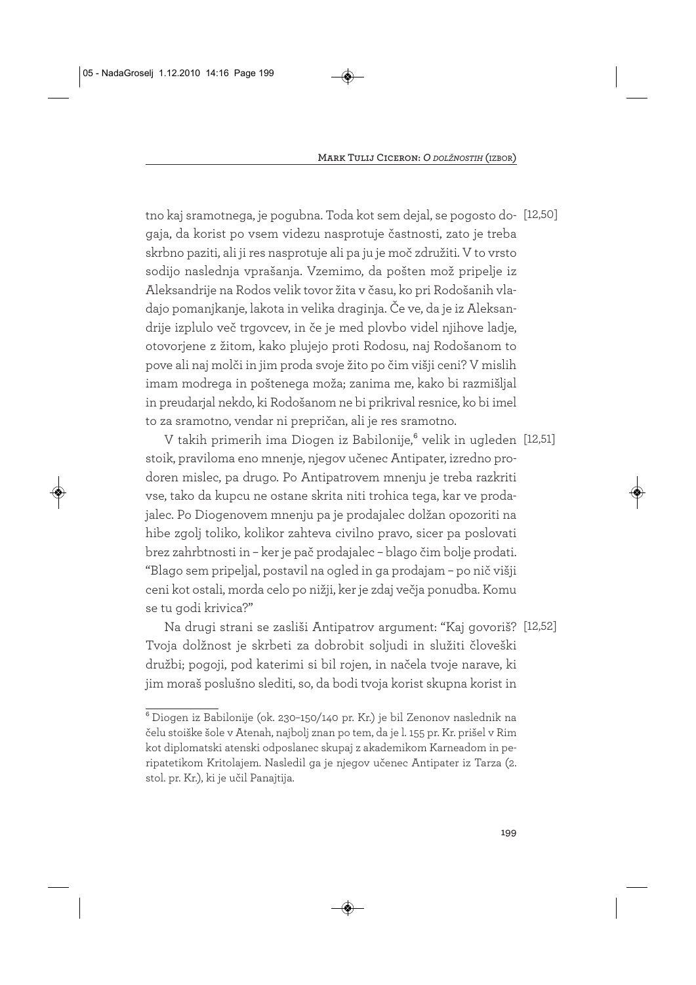tno kaj sramotnega, je pogubna. Toda kot sem dejal, se pogosto do-[12,50] gaja, da korist po vsem videzu nasprotuje častnosti, zato je treba skrbno paziti, ali ji res nasprotuje ali pa ju je moč združiti. V to vrsto sodijo naslednja vprašanja. Vzemimo, da pošten mož pripelje iz Aleksandrije na Rodos velik tovor žita v času, ko pri Rodošanih vladajo pomanjkanje, lakota in velika draginja. Če ve, da je iz Aleksandrije izplulo več trgovcev, in če je med plovbo videl njihove ladje, otovorjene z žitom, kako plujejo proti Rodosu, naj Rodošanom to pove ali naj molči in jim proda svoje žito po čim višji ceni? V mislih imam modrega in poštenega moža; zanima me, kako bi razmišljal in preudarjal nekdo, ki Rodošanom ne bi prikrival resnice, ko bi imel to za sramotno, vendar ni prepričan, ali je res sramotno.

V takih primerih ima Diogen iz Babilonije,<sup>6</sup> velik in ugleden [12,51] stoik, praviloma eno mnenje, njegov učenec Antipater, izredno prodoren mislec, pa drugo. Po Antipatrovem mnenju je treba razkriti vse, tako da kupcu ne ostane skrita niti trohica tega, kar ve prodajalec. Po Diogenovem mnenju pa je prodajalec dolžan opozoriti na hibe zgolj toliko, kolikor zahteva civilno pravo, sicer pa poslovati brez zahrbtnosti in – ker je pač prodajalec – blago čim bolje prodati. "Blago sem pripeljal, postavil na ogled in ga prodajam – po nič višji ceni kot ostali, morda celo po nižji, ker je zdaj večja ponudba. Komu se tu godi krivica?"

Na drugi strani se zasliši Antipatrov argument: "Kaj govoriš? [12,52] Tvoja dolžnost je skrbeti za dobrobit soljudi in služiti človeški družbi; pogoji, pod katerimi si bil rojen, in načela tvoje narave, ki jim moraš poslušno slediti, so, da bodi tvoja korist skupna korist in

<sup>6</sup> Diogen iz Babilonije (ok. 230–150/140 pr. Kr.) je bil Zenonov naslednik na čelu stoiške šole v Atenah, najbolj znan po tem, da je l. 155 pr. Kr. prišel v Rim kot diplomatski atenski odposlanec skupaj z akademikom Karneadom in peripatetikom Kritolajem. Nasledil ga je njegov učenec Antipater iz Tarza (2. stol. pr. Kr.), ki je učil Panajtija.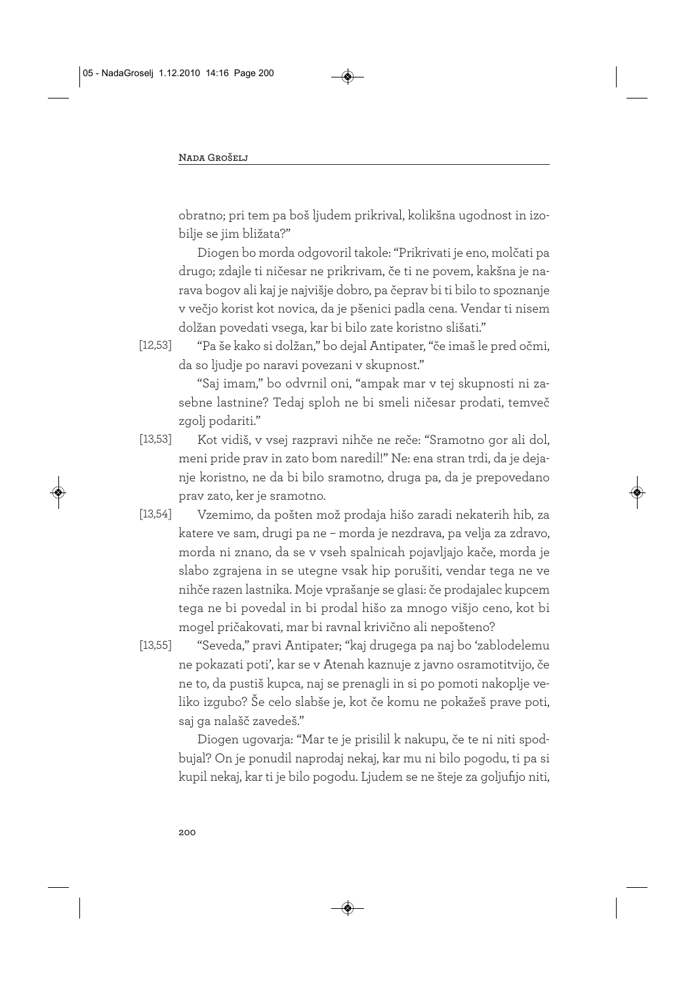obratno; pri tem pa boš ljudem prikrival, kolikšna ugodnost in izobilje se jim bližata?"

Diogen bo morda odgovoril takole: "Prikrivati je eno, molčati pa drugo; zdajle ti ničesar ne prikrivam, če ti ne povem, kakšna je narava bogov ali kaj je najvišje dobro, pa čeprav bi ti bilo to spoznanje v večjo korist kot novica, da je pšenici padla cena. Vendar ti nisem dolžan povedati vsega, kar bi bilo zate koristno slišati."

[12,53]

"Saj imam," bo odvrnil oni, "ampak mar v tej skupnosti ni zasebne lastnine? Tedaj sploh ne bi smeli ničesar prodati, temveč zgolj podariti."

- Kot vidiš, v vsej razpravi nihče ne reče: "Sramotno gor ali dol, meni pride prav in zato bom naredil!" Ne: ena stran trdi, da je dejanje koristno, ne da bi bilo sramotno, druga pa, da je prepovedano prav zato, ker je sramotno. [13,53]
- Vzemimo, da pošten mož prodaja hišo zaradi nekaterih hib, za katere ve sam, drugi pa ne – morda je nezdrava, pa velja za zdravo, morda ni znano, da se v vseh spalnicah pojavljajo kače, morda je slabo zgrajena in se utegne vsak hip porušiti, vendar tega ne ve nihče razen lastnika. Moje vprašanje se glasi: če prodajalec kupcem tega ne bi povedal in bi prodal hišo za mnogo višjo ceno, kot bi mogel pričakovati, mar bi ravnal krivično ali nepošteno? [13,54]
- "Seveda," pravi Antipater; "kaj drugega pa naj bo 'zablodelemu ne pokazati poti', kar se v Atenah kaznuje z javno osramotitvijo, če ne to, da pustiš kupca, naj se prenagli in si po pomoti nakoplje veliko izgubo? Še celo slabše je, kot če komu ne pokažeš prave poti, saj ga nalašč zavedeš." [13,55]

Diogen ugovarja: "Mar te je prisilil k nakupu, če te ni niti spodbujal? On je ponudil naprodaj nekaj, kar mu ni bilo pogodu, ti pa si kupil nekaj, kar ti je bilo pogodu. Ljudem se ne šteje za goljufijo niti,

<sup>&</sup>quot;Pa še kako si dolžan," bo dejal Antipater, "če imaš le pred očmi, da so ljudje po naravi povezani v skupnost."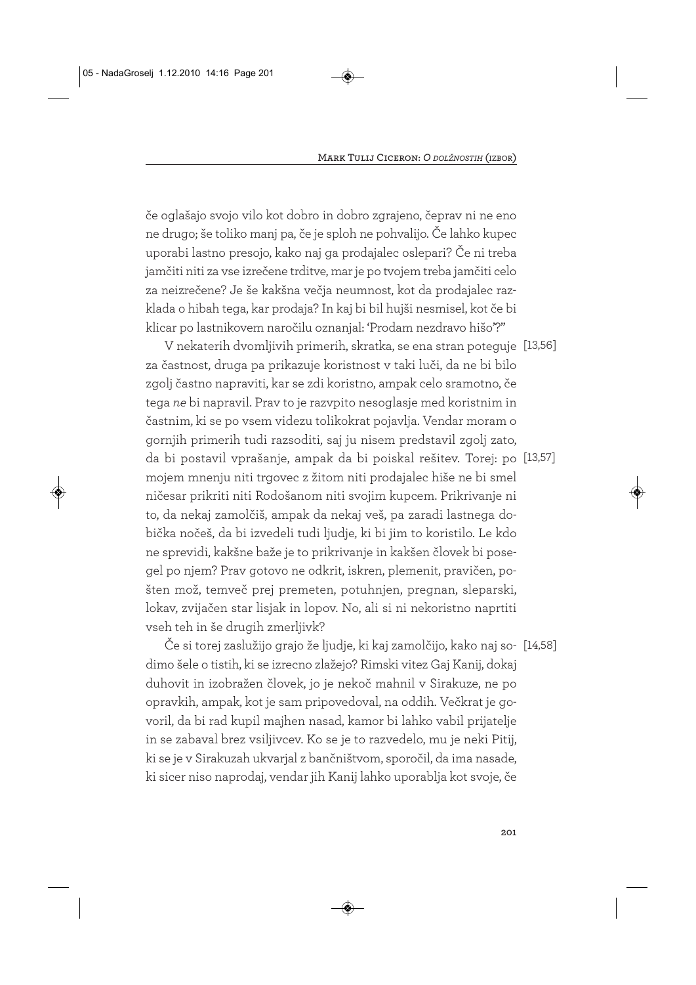če oglašajo svojo vilo kot dobro in dobro zgrajeno, čeprav ni ne eno ne drugo; še toliko manj pa, če je sploh ne pohvalijo. Če lahko kupec uporabi lastno presojo, kako naj ga prodajalec oslepari? Če ni treba jamčiti niti za vse izrečene trditve, mar je po tvojem treba jamčiti celo za neizrečene? Je še kakšna večja neumnost, kot da prodajalec razklada o hibah tega, kar prodaja? In kaj bi bil hujši nesmisel, kot če bi klicar po lastnikovem naročilu oznanjal: 'Prodam nezdravo hišo'?"

V nekaterih dvomljivih primerih, skratka, se ena stran poteguje [13,56] za častnost, druga pa prikazuje koristnost v taki luči, da ne bi bilo zgolj častno napraviti, kar se zdi koristno, ampak celo sramotno, če tega *ne* bi napravil. Prav to je razvpito nesoglasje med koristnim in častnim, ki se po vsem videzu tolikokrat pojavlja. Vendar moram o gornjih primerih tudi razsoditi, saj ju nisem predstavil zgolj zato, da bi postavil vprašanje, ampak da bi poiskal rešitev. Torej: po [13,57] mojem mnenju niti trgovec z žitom niti prodajalec hiše ne bi smel ničesar prikriti niti Rodošanom niti svojim kupcem. Prikrivanje ni to, da nekaj zamolčiš, ampak da nekaj veš, pa zaradi lastnega dobička nočeš, da bi izvedeli tudi ljudje, ki bi jim to koristilo. Le kdo ne sprevidi, kakšne baže je to prikrivanje in kakšen človek bi posegel po njem? Prav gotovo ne odkrit, iskren, plemenit, pravičen, pošten mož, temveč prej premeten, potuhnjen, pregnan, sleparski, lokav, zvijačen star lisjak in lopov. No, ali si ni nekoristno naprtiti vseh teh in še drugih zmerljivk?

Če si torej zaslužijo grajo že ljudje, ki kaj zamolčijo, kako naj so-[14,58] dimo šele o tistih, ki se izrecno zlažejo? Rimski vitez Gaj Kanij, dokaj duhovit in izobražen človek, jo je nekoč mahnil v Sirakuze, ne po opravkih, ampak, kot je sam pripovedoval, na oddih. Večkrat je govoril, da bi rad kupil majhen nasad, kamor bi lahko vabil prijatelje in se zabaval brez vsiljivcev. Ko se je to razvedelo, mu je neki Pitij, ki se je v Sirakuzah ukvarjal z bančništvom, sporočil, da ima nasade, ki sicer niso naprodaj, vendar jih Kanij lahko uporablja kot svoje, če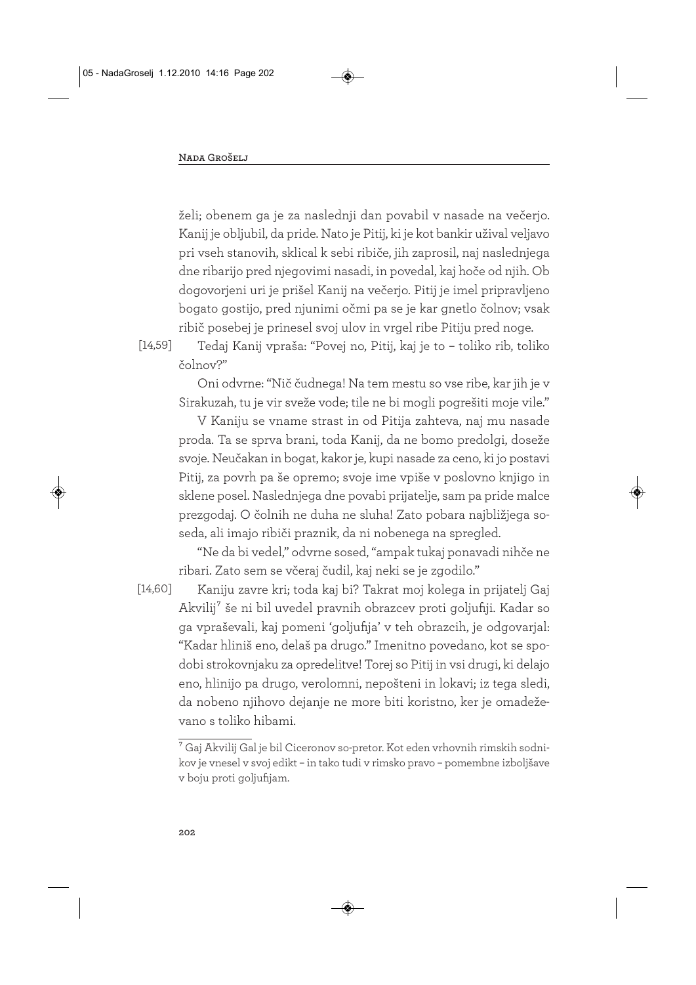želi; obenem ga je za naslednji dan povabil v nasade na večerjo. Kanij je obljubil, da pride. Nato je Pitij, ki je kot bankir užival veljavo pri vseh stanovih, sklical k sebi ribiče, jih zaprosil, naj naslednjega dne ribarijo pred njegovimi nasadi, in povedal, kaj hoče od njih. Ob dogovorjeni uri je prišel Kanij na večerjo. Pitij je imel pripravljeno bogato gostijo, pred njunimi očmi pa se je kar gnetlo čolnov; vsak ribič posebej je prinesel svoj ulov in vrgel ribe Pitiju pred noge.

[14,59]

Tedaj Kanij vpraša: "Povej no, Pitij, kaj je to – toliko rib, toliko čolnov?"

Oni odvrne: "Nič čudnega! Na tem mestu so vse ribe, kar jih je v Sirakuzah, tu je vir sveže vode; tile ne bi mogli pogrešiti moje vile."

V Kaniju se vname strast in od Pitija zahteva, naj mu nasade proda. Ta se sprva brani, toda Kanij, da ne bomo predolgi, doseže svoje. Neučakan in bogat, kakor je, kupi nasade za ceno, ki jo postavi Pitij, za povrh pa še opremo; svoje ime vpiše v poslovno knjigo in sklene posel. Naslednjega dne povabi prijatelje, sam pa pride malce prezgodaj. O čolnih ne duha ne sluha! Zato pobara najbližjega soseda, ali imajo ribiči praznik, da ni nobenega na spregled.

"Ne da bi vedel," odvrne sosed, "ampak tukaj ponavadi nihče ne ribari. Zato sem se včeraj čudil, kaj neki se je zgodilo."

[14,60]

Kaniju zavre kri; toda kaj bi? Takrat moj kolega in prijatelj Gaj Akvilij7 še ni bil uvedel pravnih obrazcev proti goljufiji. Kadar so ga vpraševali, kaj pomeni 'goljufija' v teh obrazcih, je odgovarjal: "Kadar hliniš eno, delaš pa drugo." Imenitno povedano, kot se spodobi strokovnjaku za opredelitve! Torej so Pitij in vsi drugi, ki delajo eno, hlinijo pa drugo, verolomni, nepošteni in lokavi; iz tega sledi, da nobeno njihovo dejanje ne more biti koristno, ker je omadeževano s toliko hibami.

 $\sqrt[7]{6}$ ai Akvilij Gal je bil Ciceronov so-pretor. Kot eden vrhovnih rimskih sodnikov je vnesel v svoj edikt – in tako tudi v rimsko pravo – pomembne izboljšave v boju proti goljufijam.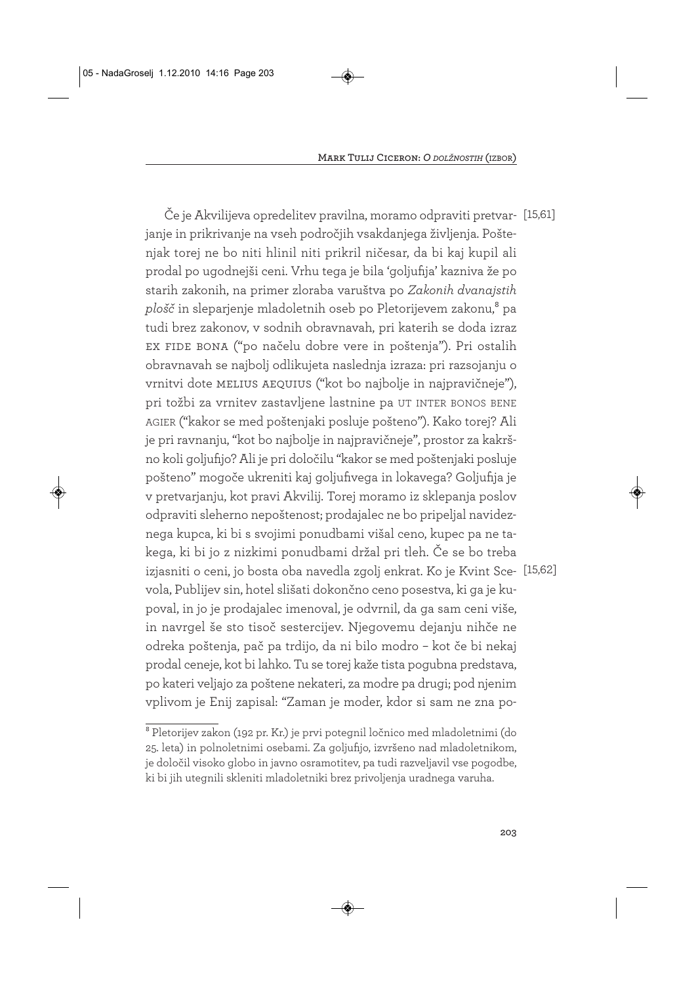Če je Akvilijeva opredelitev pravilna, moramo odpraviti pretvar-[15,61] janje in prikrivanje na vseh področjih vsakdanjega življenja. Poštenjak torej ne bo niti hlinil niti prikril ničesar, da bi kaj kupil ali prodal po ugodnejši ceni. Vrhu tega je bila 'goljufija' kazniva že po starih zakonih, na primer zloraba varuštva po *Zakonih dvanajstih plošč* in sleparjenje mladoletnih oseb po Pletorijevem zakonu,<sup>8</sup> pa tudi brez zakonov, v sodnih obravnavah, pri katerih se doda izraz ex fide bona ("po načelu dobre vere in poštenja"). Pri ostalih obravnavah se najbolj odlikujeta naslednja izraza: pri razsojanju o vrnitvi dote melius aequius ("kot bo najbolje in najpravičneje"), pri tožbi za vrnitev zastavljene lastnine pa UT INTER BONOS BENE AGIER ("kakor se med poštenjaki posluje pošteno"). Kako torej? Ali je pri ravnanju, "kot bo najbolje in najpravičneje", prostor za kakršno koli goljufijo? Ali je pri določilu "kakor se med poštenjaki posluje pošteno" mogoče ukreniti kaj goljufivega in lokavega? Goljufija je v pretvarjanju, kot pravi Akvilij. Torej moramo iz sklepanja poslov odpraviti sleherno nepoštenost; prodajalec ne bo pripeljal navideznega kupca, ki bi s svojimi ponudbami višal ceno, kupec pa ne takega, ki bi jo z nizkimi ponudbami držal pri tleh. Če se bo treba izjasniti o ceni, jo bosta oba navedla zgolj enkrat. Ko je Kvint Sce-[15,62] vola, Publijev sin, hotel slišati dokončno ceno posestva, ki ga je kupoval, in jo je prodajalec imenoval, je odvrnil, da ga sam ceni više, in navrgel še sto tisoč sestercijev. Njegovemu dejanju nihče ne odreka poštenja, pač pa trdijo, da ni bilo modro – kot če bi nekaj prodal ceneje, kot bi lahko. Tu se torej kaže tista pogubna predstava, po kateri veljajo za poštene nekateri, za modre pa drugi; pod njenim vplivom je Enij zapisal: "Zaman je moder, kdor si sam ne zna po-

<sup>8</sup> Pletorijev zakon (192 pr. Kr.) je prvi potegnil ločnico med mladoletnimi (do 25. leta) in polnoletnimi osebami. Za goljufijo, izvršeno nad mladoletnikom, je določil visoko globo in javno osramotitev, pa tudi razveljavil vse pogodbe, ki bi jih utegnili skleniti mladoletniki brez privoljenja uradnega varuha.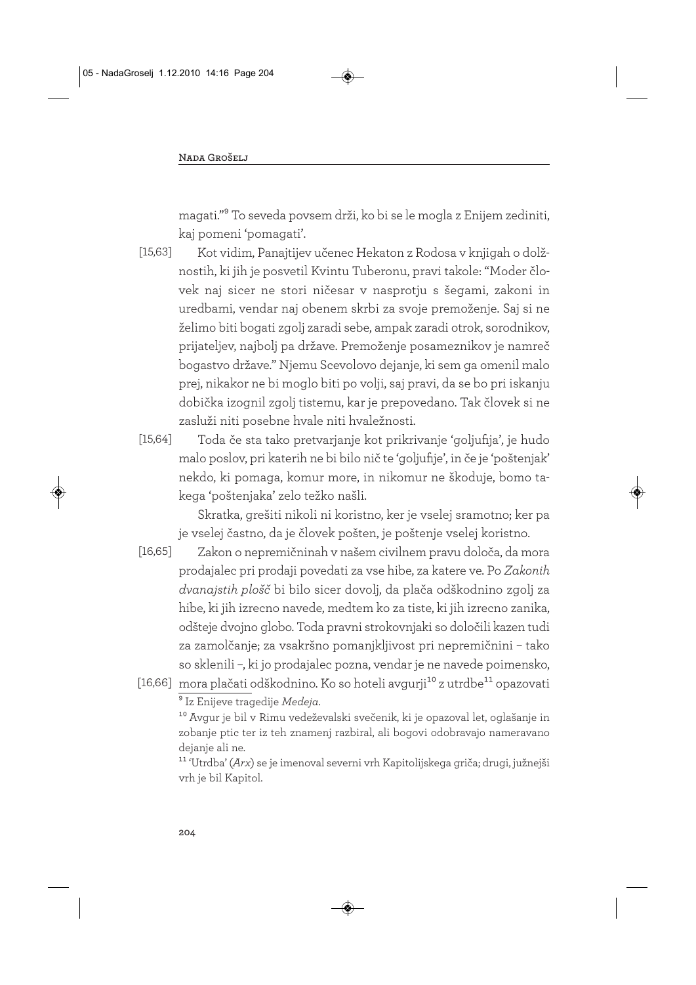magati."9 To seveda povsem drži, ko bi se le mogla z Enijem zediniti, kaj pomeni 'pomagati'.

[15,63]

Kot vidim, Panajtijev učenec Hekaton z Rodosa v knjigah o dolžnostih, ki jih je posvetil Kvintu Tuberonu, pravi takole: "Moder človek naj sicer ne stori ničesar v nasprotju s šegami, zakoni in uredbami, vendar naj obenem skrbi za svoje premoženje. Saj si ne želimo biti bogati zgolj zaradi sebe, ampak zaradi otrok, sorodnikov, prijateljev, najbolj pa države. Premoženje posameznikov je namreč bogastvo države." Njemu Scevolovo dejanje, ki sem ga omenil malo prej, nikakor ne bi moglo biti po volji, saj pravi, da se bo pri iskanju dobička izognil zgolj tistemu, kar je prepovedano. Tak človek si ne zasluži niti posebne hvale niti hvaležnosti.

Toda če sta tako pretvarjanje kot prikrivanje 'goljufija', je hudo malo poslov, pri katerih ne bi bilo nič te 'goljufije', in če je 'poštenjak' nekdo, ki pomaga, komur more, in nikomur ne škoduje, bomo takega 'poštenjaka' zelo težko našli. [15,64]

Skratka, grešiti nikoli ni koristno, ker je vselej sramotno; ker pa je vselej častno, da je človek pošten, je poštenje vselej koristno.

- Zakon o nepremičninah v našem civilnem pravu določa, da mora prodajalec pri prodaji povedati za vse hibe, za katere ve. Po *Zakonih dvanajstih plošč* bi bilo sicer dovolj, da plača odškodnino zgolj za hibe, ki jih izrecno navede, medtem ko za tiste, ki jih izrecno zanika, odšteje dvojno globo. Toda pravni strokovnjaki so določili kazen tudi za zamolčanje; za vsakršno pomanjkljivost pri nepremičnini – tako so sklenili –, ki jo prodajalec pozna, vendar je ne navede poimensko, [16,65]
- [16,66] mora plačati odškodnino. Ko so hoteli avgurji $^{\rm 10}$  z utrdbe $^{\rm 11}$  opazovati 9 Iz Enijeve tragedije *Medeja*.

10 Avgur je bil v Rimu vedeževalski svečenik, ki je opazoval let, oglašanje in zobanje ptic ter iz teh znamenj razbiral, ali bogovi odobravajo nameravano dejanje ali ne.

11 'Utrdba' (*Arx*) se je imenoval severni vrh Kapitolijskega griča; drugi, južnejši vrh je bil Kapitol.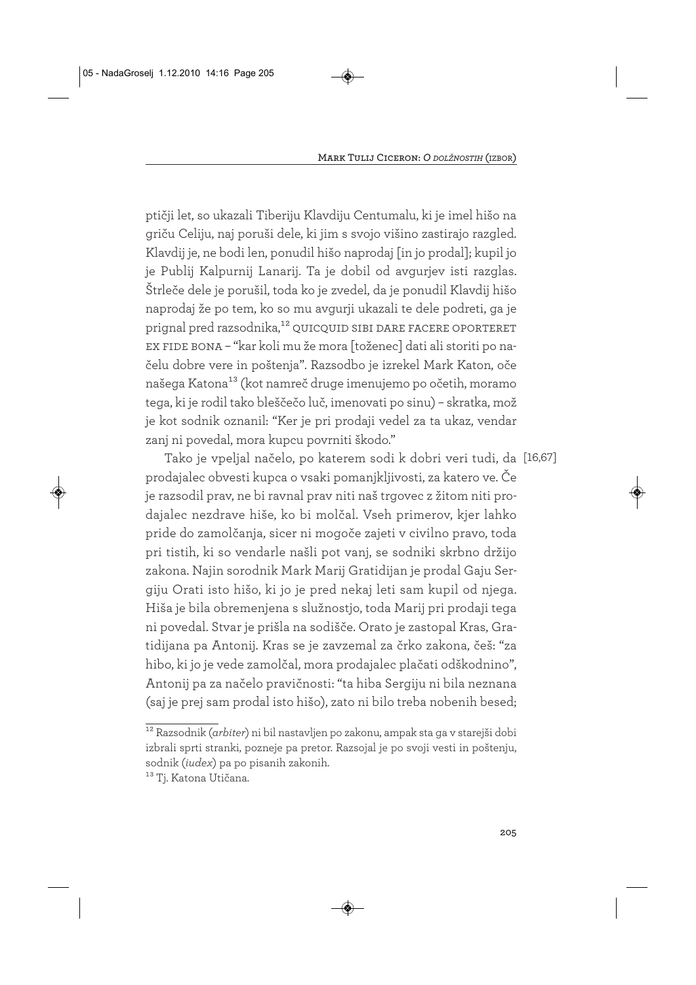ptičji let, so ukazali Tiberiju Klavdiju Centumalu, ki je imel hišo na griču Celiju, naj poruši dele, ki jim s svojo višino zastirajo razgled. Klavdij je, ne bodi len, ponudil hišo naprodaj [in jo prodal]; kupil jo je Publij Kalpurnij Lanarij. Ta je dobil od avgurjev isti razglas. Štrleče dele je porušil, toda ko je zvedel, da je ponudil Klavdij hišo naprodaj že po tem, ko so mu avgurji ukazali te dele podreti, ga je prignal pred razsodnika,<sup>12</sup> QUICQUID SIBI DARE FACERE OPORTERET ex fide bona – "kar koli mu že mora [toženec] dati ali storiti po načelu dobre vere in poštenja". Razsodbo je izrekel Mark Katon, oče našega Katona<sup>13</sup> (kot namreč druge imenujemo po očetih, moramo tega, ki je rodil tako bleščečo luč, imenovati po sinu) – skratka, mož je kot sodnik oznanil: "Ker je pri prodaji vedel za ta ukaz, vendar zanj ni povedal, mora kupcu povrniti škodo."

Tako je vpeljal načelo, po katerem sodi k dobri veri tudi, da [16,67] prodajalec obvesti kupca o vsaki pomanjkljivosti, za katero ve. Če je razsodil prav, ne bi ravnal prav niti naš trgovec z žitom niti prodajalec nezdrave hiše, ko bi molčal. Vseh primerov, kjer lahko pride do zamolčanja, sicer ni mogoče zajeti v civilno pravo, toda pri tistih, ki so vendarle našli pot vanj, se sodniki skrbno držijo zakona. Najin sorodnik Mark Marij Gratidijan je prodal Gaju Sergiju Orati isto hišo, ki jo je pred nekaj leti sam kupil od njega. Hiša je bila obremenjena s služnostjo, toda Marij pri prodaji tega ni povedal. Stvar je prišla na sodišče. Orato je zastopal Kras, Gratidijana pa Antonij. Kras se je zavzemal za črko zakona, češ: "za hibo, ki jo je vede zamolčal, mora prodajalec plačati odškodnino", Antonij pa za načelo pravičnosti: "ta hiba Sergiju ni bila neznana (saj je prej sam prodal isto hišo), zato ni bilo treba nobenih besed;

<sup>12</sup> Razsodnik (*arbiter*) ni bil nastavljen po zakonu, ampak sta ga v starejši dobi izbrali sprti stranki, pozneje pa pretor. Razsojal je po svoji vesti in poštenju, sodnik (*iudex*) pa po pisanih zakonih.

<sup>&</sup>lt;sup>13</sup> Tj. Katona Utičana.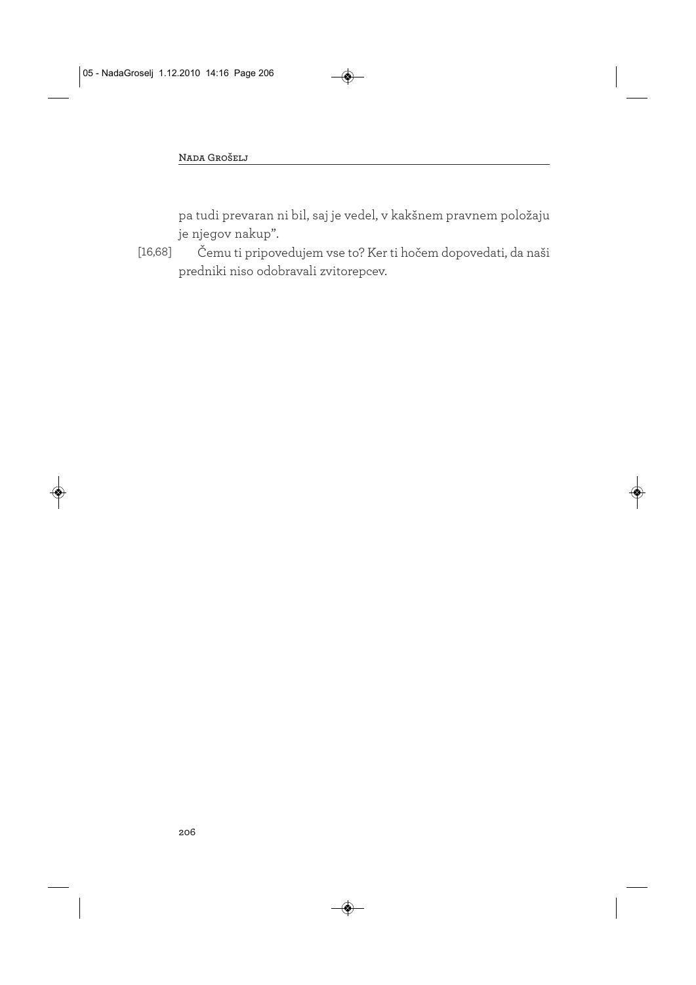pa tudi prevaran ni bil, saj je vedel, v kakšnem pravnem položaju je njegov nakup".

Čemu ti pripovedujem vse to? Ker ti hočem dopovedati, da naši predniki niso odobravali zvitorepcev. [16,68]